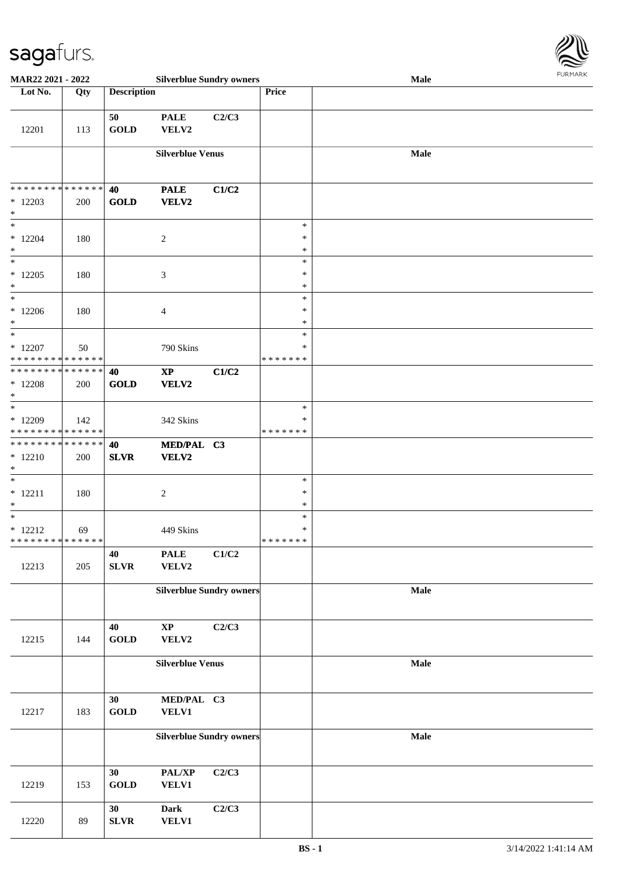

| <b>MAR22 2021 - 2022</b>                   |     |                    | <b>Silverblue Sundry owners</b> |       |               | Male |  |
|--------------------------------------------|-----|--------------------|---------------------------------|-------|---------------|------|--|
| Lot No.                                    | Qty | <b>Description</b> |                                 |       | Price         |      |  |
|                                            |     |                    |                                 |       |               |      |  |
|                                            |     | 50                 | <b>PALE</b>                     | C2/C3 |               |      |  |
| 12201                                      | 113 | <b>GOLD</b>        | VELV2                           |       |               |      |  |
|                                            |     |                    |                                 |       |               |      |  |
|                                            |     |                    | <b>Silverblue Venus</b>         |       |               | Male |  |
|                                            |     |                    |                                 |       |               |      |  |
|                                            |     |                    |                                 |       |               |      |  |
| * * * * * * * * <mark>* * * * * * *</mark> |     |                    |                                 |       |               |      |  |
|                                            |     | 40                 | <b>PALE</b>                     | C1/C2 |               |      |  |
| $*12203$                                   | 200 | <b>GOLD</b>        | <b>VELV2</b>                    |       |               |      |  |
| $\ast$                                     |     |                    |                                 |       |               |      |  |
| $*$                                        |     |                    |                                 |       | $\ast$        |      |  |
| $*12204$                                   | 180 |                    | $\overline{c}$                  |       | $\ast$        |      |  |
| $\ast$                                     |     |                    |                                 |       | $\ast$        |      |  |
| $\overline{\ast}$                          |     |                    |                                 |       | $\ast$        |      |  |
| $*12205$                                   | 180 |                    | $\mathfrak{Z}$                  |       | $\ast$        |      |  |
| $\ast$                                     |     |                    |                                 |       | $\ast$        |      |  |
| $*$                                        |     |                    |                                 |       | $\ast$        |      |  |
| $*12206$                                   | 180 |                    | 4                               |       | $\ast$        |      |  |
| $\ast$                                     |     |                    |                                 |       | $\ast$        |      |  |
| $\overline{\ast}$                          |     |                    |                                 |       | $\ast$        |      |  |
|                                            |     |                    |                                 |       | $\ast$        |      |  |
| $*12207$                                   | 50  |                    | 790 Skins                       |       |               |      |  |
| * * * * * * * * * * * * * *                |     |                    |                                 |       | *******       |      |  |
| * * * * * * * * <mark>* * * * * * *</mark> |     | 40                 | $\mathbf{X}\mathbf{P}$          | C1/C2 |               |      |  |
| * 12208                                    | 200 | <b>GOLD</b>        | <b>VELV2</b>                    |       |               |      |  |
| $\ast$                                     |     |                    |                                 |       |               |      |  |
| $\overline{\phantom{0}}$                   |     |                    |                                 |       | $\ast$        |      |  |
| $*12209$                                   | 142 |                    | 342 Skins                       |       | $\ast$        |      |  |
| * * * * * * * * * * * * * *                |     |                    |                                 |       | * * * * * * * |      |  |
| * * * * * * * * <mark>* * * * * * *</mark> |     | 40                 | MED/PAL C3                      |       |               |      |  |
| $* 12210$                                  | 200 | <b>SLVR</b>        | VELV2                           |       |               |      |  |
| $*$                                        |     |                    |                                 |       |               |      |  |
| $\ast$                                     |     |                    |                                 |       | $\ast$        |      |  |
| $* 12211$                                  |     |                    |                                 |       | $\ast$        |      |  |
| $\ast$                                     | 180 |                    | $\overline{c}$                  |       | $\ast$        |      |  |
| $\ast$                                     |     |                    |                                 |       |               |      |  |
|                                            |     |                    |                                 |       | $\ast$        |      |  |
| $* 12212$                                  | 69  |                    | 449 Skins                       |       | $\ast$        |      |  |
| * * * * * * * * <mark>* * * * * * *</mark> |     |                    |                                 |       | * * * * * * * |      |  |
|                                            |     | 40                 | <b>PALE</b>                     | C1/C2 |               |      |  |
| 12213                                      | 205 | ${\bf SLVR}$       | VELV2                           |       |               |      |  |
|                                            |     |                    |                                 |       |               |      |  |
|                                            |     |                    | <b>Silverblue Sundry owners</b> |       |               | Male |  |
|                                            |     |                    |                                 |       |               |      |  |
|                                            |     |                    |                                 |       |               |      |  |
|                                            |     | 40                 | $\bold{XP}$                     | C2/C3 |               |      |  |
| 12215                                      | 144 | <b>GOLD</b>        | VELV2                           |       |               |      |  |
|                                            |     |                    |                                 |       |               |      |  |
|                                            |     |                    | <b>Silverblue Venus</b>         |       |               |      |  |
|                                            |     |                    |                                 |       |               | Male |  |
|                                            |     |                    |                                 |       |               |      |  |
|                                            |     |                    |                                 |       |               |      |  |
|                                            |     | 30                 | MED/PAL C3                      |       |               |      |  |
| 12217                                      | 183 | <b>GOLD</b>        | <b>VELV1</b>                    |       |               |      |  |
|                                            |     |                    |                                 |       |               |      |  |
|                                            |     |                    | <b>Silverblue Sundry owners</b> |       |               | Male |  |
|                                            |     |                    |                                 |       |               |      |  |
|                                            |     |                    |                                 |       |               |      |  |
|                                            |     | 30                 | PAL/XP                          | C2/C3 |               |      |  |
| 12219                                      | 153 | <b>GOLD</b>        | VELV1                           |       |               |      |  |
|                                            |     |                    |                                 |       |               |      |  |
|                                            |     | 30                 | <b>Dark</b>                     | C2/C3 |               |      |  |
|                                            |     |                    |                                 |       |               |      |  |
| 12220                                      | 89  | ${\bf SLVR}$       | <b>VELV1</b>                    |       |               |      |  |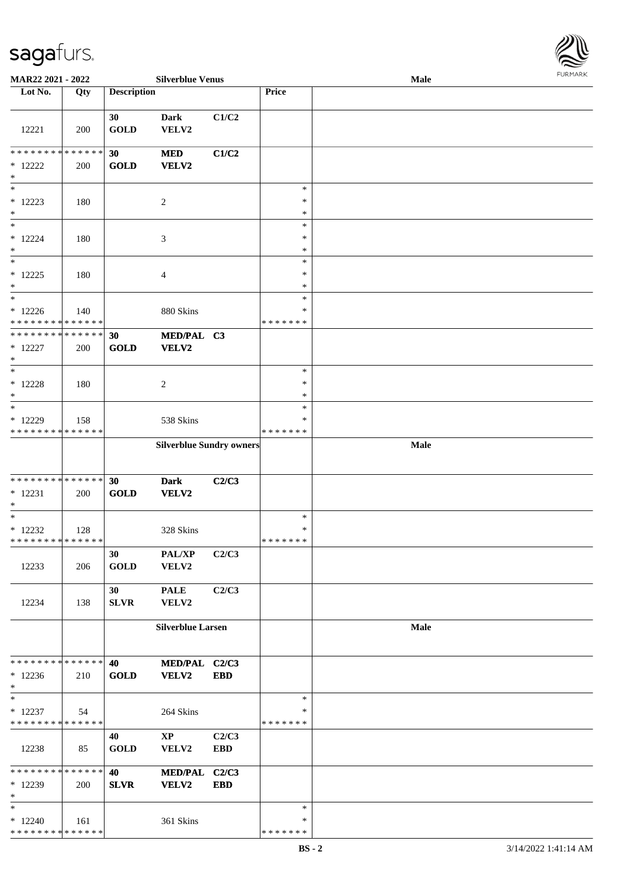

| MAR22 2021 - 2022             |     |                    | <b>Silverblue Venus</b>         |            |                    | Male        |
|-------------------------------|-----|--------------------|---------------------------------|------------|--------------------|-------------|
| Lot No.                       | Qty | <b>Description</b> |                                 |            | Price              |             |
|                               |     |                    |                                 |            |                    |             |
| 12221                         | 200 | 30<br><b>GOLD</b>  | <b>Dark</b><br>VELV2            | C1/C2      |                    |             |
| * * * * * * * * * * * * * *   |     | 30                 | <b>MED</b>                      | C1/C2      |                    |             |
| $*12222$<br>$\ast$            | 200 | <b>GOLD</b>        | VELV2                           |            |                    |             |
| $\ast$                        |     |                    |                                 |            | $\ast$             |             |
| $* 12223$                     | 180 |                    | $\sqrt{2}$                      |            | $\ast$             |             |
| $\ast$                        |     |                    |                                 |            | $\ast$             |             |
| $\ast$                        |     |                    |                                 |            | $\ast$             |             |
| $* 12224$                     | 180 |                    | 3                               |            | $\ast$             |             |
| $\ast$                        |     |                    |                                 |            | $\ast$             |             |
| $*$                           |     |                    |                                 |            | $\ast$             |             |
| $* 12225$<br>$\ast$           | 180 |                    | $\overline{4}$                  |            | $\ast$<br>$\ast$   |             |
| $\ast$                        |     |                    |                                 |            | $\ast$             |             |
| $*12226$                      | 140 |                    | 880 Skins                       |            | $\ast$             |             |
| * * * * * * * * * * * * * *   |     |                    |                                 |            | * * * * * * *      |             |
| * * * * * * * * * * * * * *   |     | 30                 | MED/PAL C3                      |            |                    |             |
| $* 12227$                     | 200 | <b>GOLD</b>        | VELV2                           |            |                    |             |
| $\ast$                        |     |                    |                                 |            |                    |             |
| $\ast$                        |     |                    |                                 |            | $\ast$             |             |
| $* 12228$                     | 180 |                    | $\overline{c}$                  |            | $\ast$             |             |
| $\ast$                        |     |                    |                                 |            | ∗                  |             |
| $\ast$                        |     |                    |                                 |            | $\ast$             |             |
| $*12229$                      | 158 |                    | 538 Skins                       |            | ∗<br>* * * * * * * |             |
| * * * * * * * * * * * * * *   |     |                    |                                 |            |                    |             |
|                               |     |                    | <b>Silverblue Sundry owners</b> |            |                    | Male        |
| * * * * * * * * * * * * * * * |     | 30                 | <b>Dark</b>                     | C2/C3      |                    |             |
| $* 12231$                     | 200 | <b>GOLD</b>        | VELV2                           |            |                    |             |
| $\ast$                        |     |                    |                                 |            |                    |             |
| $\ast$                        |     |                    |                                 |            | $\ast$             |             |
| $*12232$                      | 128 |                    | 328 Skins                       |            | $\ast$             |             |
| * * * * * * * * * * * * * * * |     |                    |                                 |            | * * * * * * *      |             |
|                               |     | 30                 | PAL/XP                          | C2/C3      |                    |             |
| 12233                         | 206 | <b>GOLD</b>        | VELV2                           |            |                    |             |
|                               |     | 30                 | <b>PALE</b>                     | C2/C3      |                    |             |
| 12234                         | 138 | <b>SLVR</b>        | VELV2                           |            |                    |             |
|                               |     |                    |                                 |            |                    |             |
|                               |     |                    | <b>Silverblue Larsen</b>        |            |                    | <b>Male</b> |
| * * * * * * * * * * * * * * * |     | 40                 | MED/PAL C2/C3                   |            |                    |             |
| $*12236$                      | 210 | <b>GOLD</b>        | <b>VELV2</b>                    | <b>EBD</b> |                    |             |
| $*$                           |     |                    |                                 |            |                    |             |
| $*$                           |     |                    |                                 |            | $\ast$             |             |
| $*12237$                      | 54  |                    | 264 Skins                       |            | ∗                  |             |
| * * * * * * * * * * * * * *   |     |                    |                                 |            | *******            |             |
|                               |     | 40                 | $\mathbf{X}\mathbf{P}$          | C2/C3      |                    |             |
| 12238                         | 85  | <b>GOLD</b>        | VELV2                           | <b>EBD</b> |                    |             |
| * * * * * * * * * * * * * * * |     | 40                 | <b>MED/PAL</b>                  | C2/C3      |                    |             |
| * 12239                       | 200 | <b>SLVR</b>        | VELV2                           | <b>EBD</b> |                    |             |
| $\ast$                        |     |                    |                                 |            |                    |             |
| $*$                           |     |                    |                                 |            | $\ast$             |             |
| $*12240$                      | 161 |                    | 361 Skins                       |            | ∗                  |             |
| * * * * * * * * * * * * * *   |     |                    |                                 |            | * * * * * * *      |             |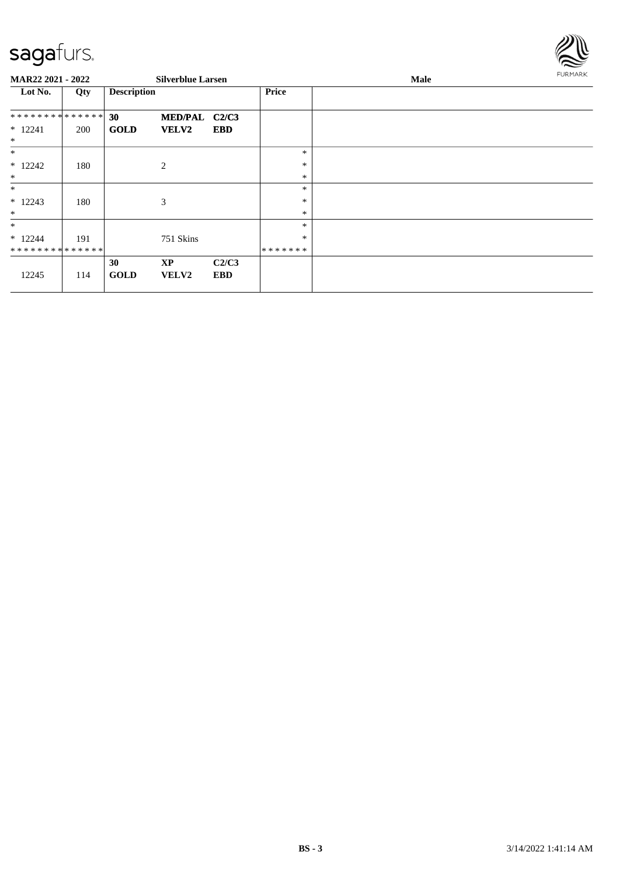

| MAR22 2021 - 2022   |     |                    | <b>Silverblue Larsen</b> |            |              | Male | FURMARK |
|---------------------|-----|--------------------|--------------------------|------------|--------------|------|---------|
| Lot No.             | Qty | <b>Description</b> |                          |            | <b>Price</b> |      |         |
| **************      |     | 30                 | MED/PAL C2/C3            |            |              |      |         |
| $* 12241$<br>$\ast$ | 200 | <b>GOLD</b>        | <b>VELV2</b>             | <b>EBD</b> |              |      |         |
| $*$                 |     |                    |                          |            | $\ast$       |      |         |
| $*12242$            | 180 |                    | 2                        |            | $\ast$       |      |         |
| $\ast$              |     |                    |                          |            | $\ast$       |      |         |
| $\ast$              |     |                    |                          |            | $\ast$       |      |         |
| $*12243$            | 180 |                    | 3                        |            | ∗            |      |         |
| $\ast$              |     |                    |                          |            | $\ast$       |      |         |
| $\ast$              |     |                    |                          |            | $\ast$       |      |         |
| $*12244$            | 191 |                    | 751 Skins                |            | $\ast$       |      |         |
| **************      |     |                    |                          |            | *******      |      |         |
|                     |     | 30                 | <b>XP</b>                | C2/C3      |              |      |         |
| 12245               | 114 | <b>GOLD</b>        | VELV2                    | <b>EBD</b> |              |      |         |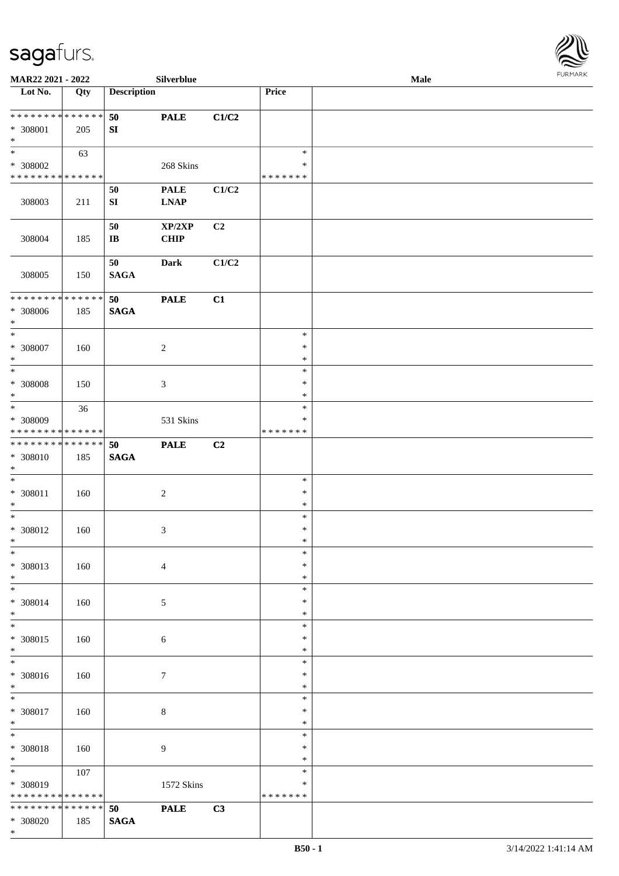

| MAR22 2021 - 2022             |             |                        | Silverblue       |                |               | Male |  |
|-------------------------------|-------------|------------------------|------------------|----------------|---------------|------|--|
| Lot No.                       | Qty         | <b>Description</b>     |                  |                | Price         |      |  |
|                               |             |                        |                  |                |               |      |  |
| * * * * * * * * * * * * * *   |             | 50                     | <b>PALE</b>      | C1/C2          |               |      |  |
| * 308001                      | 205         | SI                     |                  |                |               |      |  |
| $*$                           |             |                        |                  |                |               |      |  |
| $\overline{\ast}$             | 63          |                        |                  |                | $\ast$        |      |  |
| $* 308002$                    |             |                        |                  |                | $\ast$        |      |  |
|                               |             |                        | 268 Skins        |                |               |      |  |
| * * * * * * * * * * * * * *   |             |                        |                  |                | * * * * * * * |      |  |
|                               |             | 50                     | <b>PALE</b>      | C1/C2          |               |      |  |
| 308003                        | 211         | ${\bf S}{\bf I}$       | <b>LNAP</b>      |                |               |      |  |
|                               |             |                        |                  |                |               |      |  |
|                               |             | $50\,$                 | XP/2XP           | C <sub>2</sub> |               |      |  |
| 308004                        | 185         | $\mathbf{I}\mathbf{B}$ | <b>CHIP</b>      |                |               |      |  |
|                               |             |                        |                  |                |               |      |  |
|                               |             | 50                     | <b>Dark</b>      | C1/C2          |               |      |  |
| 308005                        | 150         | <b>SAGA</b>            |                  |                |               |      |  |
|                               |             |                        |                  |                |               |      |  |
| * * * * * * * * * * * * * *   |             | 50                     | <b>PALE</b>      | C1             |               |      |  |
| $* 308006$                    | 185         | <b>SAGA</b>            |                  |                |               |      |  |
| $\ast$                        |             |                        |                  |                |               |      |  |
| $\ast$                        |             |                        |                  |                | $\ast$        |      |  |
|                               |             |                        |                  |                |               |      |  |
| $* 308007$                    | 160         |                        | $\overline{c}$   |                | $\ast$        |      |  |
| $\ast$                        |             |                        |                  |                | $\ast$        |      |  |
| $\ast$                        |             |                        |                  |                | $\ast$        |      |  |
| $* 308008$                    | 150         |                        | $\mathfrak{Z}$   |                | $\ast$        |      |  |
| $\ast$                        |             |                        |                  |                | $\ast$        |      |  |
| $*$                           | 36          |                        |                  |                | $\ast$        |      |  |
| * 308009                      |             |                        | 531 Skins        |                | $\ast$        |      |  |
| * * * * * * * * * * * * * *   |             |                        |                  |                | * * * * * * * |      |  |
| * * * * * * * * * * * * * *   |             | 50                     | <b>PALE</b>      | C <sub>2</sub> |               |      |  |
| * 308010                      | 185         | <b>SAGA</b>            |                  |                |               |      |  |
| $*$                           |             |                        |                  |                |               |      |  |
| $*$                           |             |                        |                  |                | $\ast$        |      |  |
| * 308011                      | 160         |                        | $\boldsymbol{2}$ |                | $\ast$        |      |  |
| $\ast$                        |             |                        |                  |                | $\ast$        |      |  |
| $\ast$                        |             |                        |                  |                | $\ast$        |      |  |
|                               |             |                        |                  |                |               |      |  |
| $* 308012$                    | 160         |                        | 3                |                | $\ast$        |      |  |
| $*$                           |             |                        |                  |                | $\ast$        |      |  |
| $\ast$                        |             |                        |                  |                | $\ast$        |      |  |
| * 308013                      | 160         |                        | $\overline{4}$   |                | $\ast$        |      |  |
| $*$                           |             |                        |                  |                | $\ast$        |      |  |
| $*$                           |             |                        |                  |                | $\ast$        |      |  |
| $* 308014$                    | 160         |                        | 5                |                | $\ast$        |      |  |
| $*$                           |             |                        |                  |                | $\ast$        |      |  |
| $*$                           |             |                        |                  |                | $\ast$        |      |  |
| $* 308015$                    | 160         |                        | 6                |                | $\ast$        |      |  |
| $*$                           |             |                        |                  |                | $\ast$        |      |  |
| $\overline{\phantom{1}}$      |             |                        |                  |                | $\ast$        |      |  |
| $* 308016$                    | 160         |                        | $\overline{7}$   |                | $\ast$        |      |  |
| $*$                           |             |                        |                  |                | $\ast$        |      |  |
| $*$                           |             |                        |                  |                | $\ast$        |      |  |
|                               |             |                        |                  |                |               |      |  |
| $* 308017$                    | 160         |                        | $\,8\,$          |                | $\ast$        |      |  |
| $*$                           |             |                        |                  |                | $\ast$        |      |  |
| $*$                           |             |                        |                  |                | $\ast$        |      |  |
| * 308018                      | 160         |                        | 9                |                | $\ast$        |      |  |
| $*$                           |             |                        |                  |                | $\ast$        |      |  |
|                               | 107         |                        |                  |                | $\ast$        |      |  |
| * 308019                      |             |                        | 1572 Skins       |                | ∗             |      |  |
| * * * * * * * *               | * * * * * * |                        |                  |                | * * * * * * * |      |  |
| * * * * * * * * * * * * * * * |             | 50                     | <b>PALE</b>      | C3             |               |      |  |
| * 308020                      | 185         | <b>SAGA</b>            |                  |                |               |      |  |
| $\ast$                        |             |                        |                  |                |               |      |  |
|                               |             |                        |                  |                |               |      |  |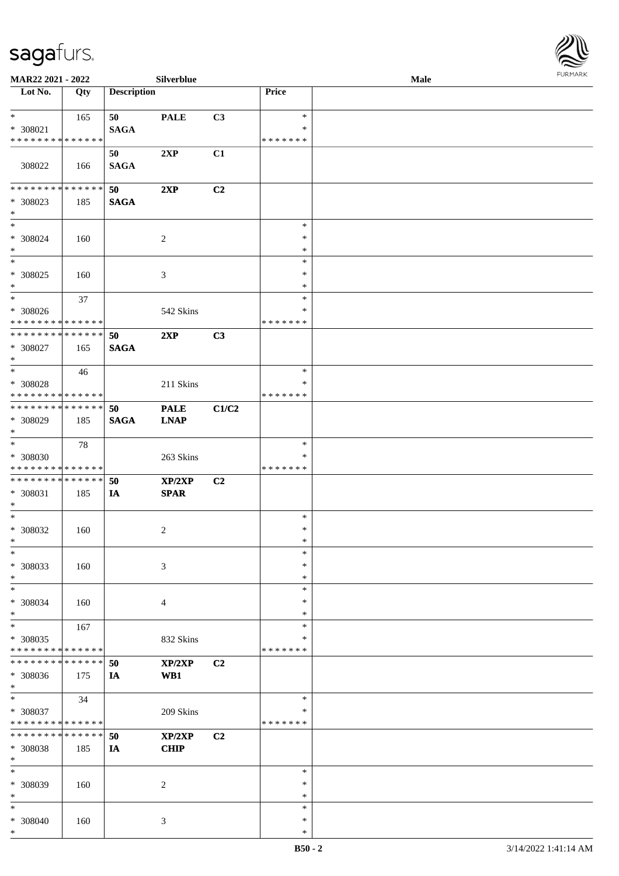

| MAR22 2021 - 2022                                |                    |                    | Silverblue                 |                |                                   | Male |  |
|--------------------------------------------------|--------------------|--------------------|----------------------------|----------------|-----------------------------------|------|--|
| Lot No.                                          | Qty                | <b>Description</b> |                            |                | Price                             |      |  |
| $*$<br>* 308021<br>* * * * * * * * * * * * * *   | 165                | 50<br><b>SAGA</b>  | <b>PALE</b>                | C3             | $\ast$<br>*<br>* * * * * * *      |      |  |
| 308022                                           | 166                | 50<br><b>SAGA</b>  | 2XP                        | C1             |                                   |      |  |
| * * * * * * * * * * * * * *<br>* 308023<br>$*$   | 185                | 50<br><b>SAGA</b>  | 2XP                        | C2             |                                   |      |  |
| $*$<br>$* 308024$<br>$*$                         | 160                |                    | $\overline{c}$             |                | $\ast$<br>$\ast$<br>$\ast$        |      |  |
| $*$<br>$* 308025$<br>$\ast$                      | 160                |                    | $\mathfrak{Z}$             |                | $\ast$<br>$\ast$<br>*             |      |  |
| $*$<br>$* 308026$<br>* * * * * * * * * * * * * * | 37                 |                    | 542 Skins                  |                | $\ast$<br>$\ast$<br>* * * * * * * |      |  |
| * * * * * * * * * * * * * *<br>* 308027<br>$*$   | 165                | 50<br><b>SAGA</b>  | 2XP                        | C3             |                                   |      |  |
| $*$<br>* 308028<br>* * * * * * * * * * * * * *   | 46                 |                    | 211 Skins                  |                | $\ast$<br>*<br>* * * * * * *      |      |  |
| * * * * * * * * * * * * * * *<br>* 308029<br>$*$ | 185                | 50<br><b>SAGA</b>  | <b>PALE</b><br><b>LNAP</b> | C1/C2          |                                   |      |  |
| $*$<br>* 308030<br>* * * * * * * * * * * * * *   | 78                 |                    | 263 Skins                  |                | $\ast$<br>*<br>* * * * * * *      |      |  |
| * * * * * * * * * * * * * *<br>* 308031<br>$*$   | 185                | 50<br>IA           | XP/2XP<br><b>SPAR</b>      | C2             |                                   |      |  |
| $*$<br>* 308032<br>$*$                           | 160                |                    | 2                          |                | $\ast$<br>$\ast$<br>$\ast$        |      |  |
| $\ast$<br>* 308033<br>$\ast$                     | 160                |                    | $\mathfrak{Z}$             |                | $\ast$<br>$\ast$<br>$\ast$        |      |  |
| $\ast$<br>* 308034<br>$\ast$                     | 160                |                    | $\overline{4}$             |                | $\ast$<br>*<br>*                  |      |  |
| $*$<br>$* 308035$<br>* * * * * * * * * * * * * * | 167                |                    | 832 Skins                  |                | $\ast$<br>∗<br>* * * * * * *      |      |  |
| * * * * * * * *<br>* 308036<br>$*$               | * * * * * *<br>175 | 50<br>IA           | XP/2XP<br>WB1              | C <sub>2</sub> |                                   |      |  |
| $*$<br>* 308037<br>* * * * * * * * * * * * * *   | 34                 |                    | 209 Skins                  |                | $\ast$<br>*<br>* * * * * * *      |      |  |
| * * * * * * * *<br>* 308038<br>$*$               | * * * * * *<br>185 | 50<br>IA           | XP/2XP<br><b>CHIP</b>      | C2             |                                   |      |  |
| $*$<br>* 308039<br>$\ast$                        | 160                |                    | 2                          |                | $\ast$<br>∗<br>$\ast$             |      |  |
| $\ast$<br>* 308040<br>$\ast$                     | 160                |                    | 3                          |                | $\ast$<br>$\ast$<br>$\ast$        |      |  |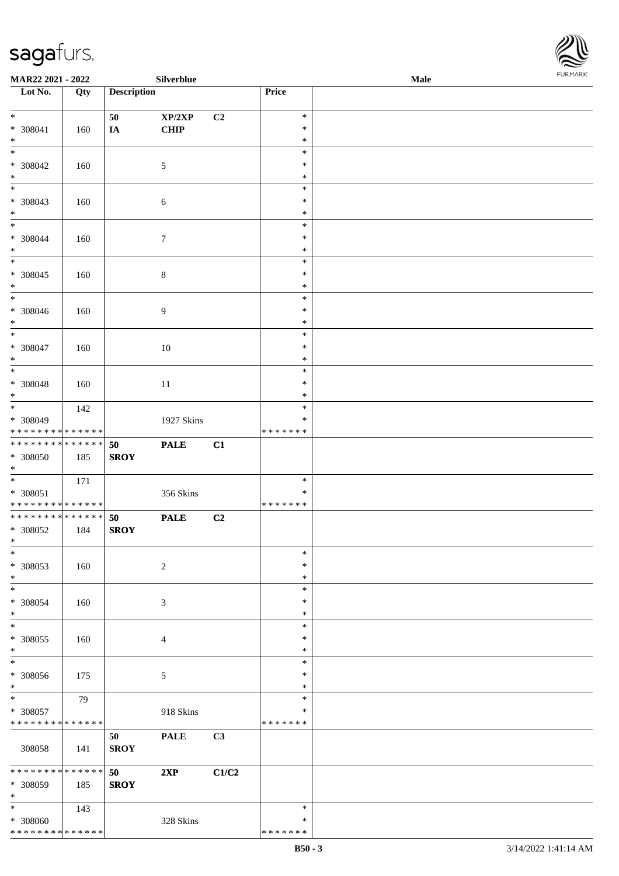

| MAR22 2021 - 2022                                                 |     |                    | Silverblue            |                |                                   | Male |  |
|-------------------------------------------------------------------|-----|--------------------|-----------------------|----------------|-----------------------------------|------|--|
| Lot No.                                                           | Qty | <b>Description</b> |                       |                | Price                             |      |  |
| $\ast$<br>* 308041<br>$\ast$                                      | 160 | 50<br>IA           | XP/2XP<br><b>CHIP</b> | C2             | $\ast$<br>$\ast$<br>$\ast$        |      |  |
| $\overline{\ast}$<br>* 308042<br>$\ast$                           | 160 |                    | $\mathfrak{S}$        |                | $\ast$<br>∗<br>$\ast$             |      |  |
| $\overline{\phantom{a}^*}$<br>* 308043<br>$\ast$<br>$_{\ast}^{-}$ | 160 |                    | 6                     |                | $\ast$<br>$\ast$<br>$\ast$        |      |  |
| * 308044<br>$\ast$<br>$\overline{\ast}$                           | 160 |                    | $\boldsymbol{7}$      |                | $\ast$<br>$\ast$<br>$\ast$        |      |  |
| $* 308045$<br>$\ast$<br>$\overline{\ast}$                         | 160 |                    | $\,$ 8 $\,$           |                | $\ast$<br>$\ast$<br>$\ast$        |      |  |
| * 308046<br>$\ast$                                                | 160 |                    | $\overline{9}$        |                | $\ast$<br>$\ast$<br>$\ast$        |      |  |
| $\ast$<br>* 308047<br>$\ast$                                      | 160 |                    | 10                    |                | $\ast$<br>$\ast$<br>$\ast$        |      |  |
| $\ast$<br>$* 308048$<br>$\ast$<br>$\overline{\phantom{a}^*}$      | 160 |                    | 11                    |                | $\ast$<br>$\ast$<br>∗             |      |  |
| * 308049<br>* * * * * * * * * * * * * *                           | 142 |                    | 1927 Skins            |                | $\ast$<br>$\ast$<br>* * * * * * * |      |  |
| **************<br>* 308050<br>$*$                                 | 185 | 50<br><b>SROY</b>  | <b>PALE</b>           | C1             |                                   |      |  |
| $\ast$<br>$* 308051$<br>******** <mark>******</mark>              | 171 |                    | 356 Skins             |                | $\ast$<br>$\ast$<br>* * * * * * * |      |  |
| **************<br>$* 308052$<br>$*$                               | 184 | 50<br><b>SROY</b>  | <b>PALE</b>           | C <sub>2</sub> |                                   |      |  |
| $\ast$<br>$* 308053$<br>$\ast$                                    | 160 |                    | $\overline{c}$        |                | $\ast$<br>$\ast$<br>$\ast$        |      |  |
| $\ast$<br>$* 308054$<br>$\ast$                                    | 160 |                    | 3                     |                | $\ast$<br>*<br>∗                  |      |  |
| $\ast$<br>$* 308055$<br>$\ast$<br>$\overline{\ast}$               | 160 |                    | 4                     |                | $\ast$<br>∗<br>$\ast$             |      |  |
| * 308056<br>$\ast$                                                | 175 |                    | $\mathfrak{S}$        |                | $\ast$<br>*<br>$\ast$             |      |  |
| $\ast$<br>* 308057<br>* * * * * * * * * * * * * *                 | 79  |                    | 918 Skins             |                | $\ast$<br>*<br>* * * * * * *      |      |  |
| 308058                                                            | 141 | 50<br><b>SROY</b>  | <b>PALE</b>           | C3             |                                   |      |  |
| ******** <mark>******</mark><br>* 308059<br>$\ast$                | 185 | 50<br><b>SROY</b>  | 2XP                   | C1/C2          |                                   |      |  |
| $*$<br>* 308060<br>* * * * * * * * * * * * * *                    | 143 |                    | 328 Skins             |                | $\ast$<br>∗<br>* * * * * * *      |      |  |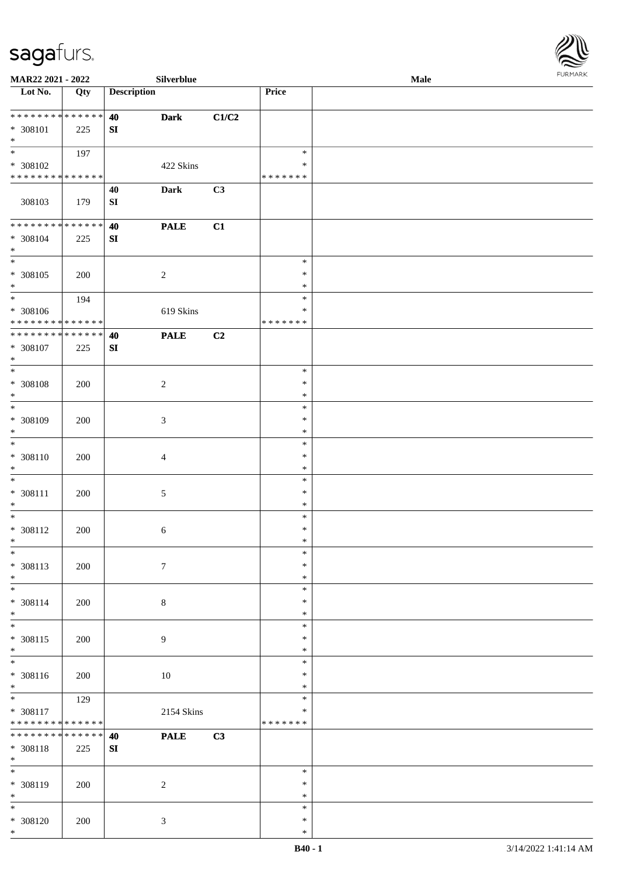

| MAR22 2021 - 2022                                            |     |                    | Silverblue       |       |                  | <b>Male</b> |  |
|--------------------------------------------------------------|-----|--------------------|------------------|-------|------------------|-------------|--|
| Lot No.                                                      | Qty | <b>Description</b> |                  |       | <b>Price</b>     |             |  |
| * * * * * * * * * * * * * * *                                |     |                    |                  |       |                  |             |  |
|                                                              |     | 40                 | <b>Dark</b>      | C1/C2 |                  |             |  |
| $* 308101$<br>$*$                                            | 225 | SI                 |                  |       |                  |             |  |
|                                                              | 197 |                    |                  |       | $\ast$           |             |  |
| * 308102                                                     |     |                    | 422 Skins        |       | ∗                |             |  |
| * * * * * * * * * * * * * *                                  |     |                    |                  |       | * * * * * * *    |             |  |
|                                                              |     | 40                 | Dark             | C3    |                  |             |  |
| 308103                                                       | 179 | ${\bf SI}$         |                  |       |                  |             |  |
| ******** <mark>******</mark>                                 |     |                    |                  |       |                  |             |  |
| $* 308104$                                                   | 225 | 40<br>SI           | <b>PALE</b>      | C1    |                  |             |  |
| $*$                                                          |     |                    |                  |       |                  |             |  |
|                                                              |     |                    |                  |       | $\ast$           |             |  |
| $* 308105$                                                   | 200 |                    | $\boldsymbol{2}$ |       | $\ast$           |             |  |
| $*$                                                          |     |                    |                  |       | $\ast$           |             |  |
| $*$                                                          | 194 |                    |                  |       | $\ast$           |             |  |
| * 308106                                                     |     |                    | 619 Skins        |       | $\ast$           |             |  |
| * * * * * * * * * * * * * *<br>* * * * * * * * * * * * * *   |     |                    |                  |       | * * * * * * *    |             |  |
| $* 308107$                                                   | 225 | 40<br>${\bf SI}$   | <b>PALE</b>      | C2    |                  |             |  |
| $*$                                                          |     |                    |                  |       |                  |             |  |
| $\overline{\ast}$                                            |     |                    |                  |       | $\ast$           |             |  |
| $* 308108$                                                   | 200 |                    | $\sqrt{2}$       |       | $\ast$           |             |  |
| $\ast$                                                       |     |                    |                  |       | $\ast$           |             |  |
| $*$                                                          |     |                    |                  |       | $\ast$           |             |  |
| * 308109<br>$*$                                              | 200 |                    | 3                |       | $\ast$<br>$\ast$ |             |  |
| $*$                                                          |     |                    |                  |       | $\ast$           |             |  |
| $* 308110$                                                   | 200 |                    | 4                |       | $\ast$           |             |  |
| $*$                                                          |     |                    |                  |       | $\ast$           |             |  |
| $*$                                                          |     |                    |                  |       | $\ast$           |             |  |
| $* 308111$                                                   | 200 |                    | 5                |       | $\ast$           |             |  |
| $*$                                                          |     |                    |                  |       | $\ast$           |             |  |
| $*$                                                          |     |                    |                  |       | $\ast$           |             |  |
| $* 308112$<br>$*$                                            | 200 |                    | 6                |       | $\ast$<br>$\ast$ |             |  |
| $\ast$                                                       |     |                    |                  |       | $\ast$           |             |  |
| * 308113                                                     | 200 |                    | $\tau$           |       | $\ast$           |             |  |
| $*$                                                          |     |                    |                  |       | $\ast$           |             |  |
| $*$                                                          |     |                    |                  |       | $\ast$           |             |  |
| $* 308114$                                                   | 200 |                    | 8                |       | $\ast$           |             |  |
| $*$<br>$*$                                                   |     |                    |                  |       | $\ast$           |             |  |
| * 308115                                                     | 200 |                    | 9                |       | $\ast$<br>$\ast$ |             |  |
| $*$                                                          |     |                    |                  |       | $\ast$           |             |  |
| $\overline{\ast}$                                            |     |                    |                  |       | $\ast$           |             |  |
| $* 308116$                                                   | 200 |                    | $10\,$           |       | $\ast$           |             |  |
| $*$                                                          |     |                    |                  |       | $\ast$           |             |  |
| $*$                                                          | 129 |                    |                  |       | $\ast$           |             |  |
| * 308117                                                     |     |                    | 2154 Skins       |       | $\ast$           |             |  |
| * * * * * * * * * * * * * *<br>* * * * * * * * * * * * * * * |     |                    |                  |       | * * * * * * *    |             |  |
| * 308118                                                     | 225 | 40<br>SI           | <b>PALE</b>      | C3    |                  |             |  |
| $*$                                                          |     |                    |                  |       |                  |             |  |
| $\ast$                                                       |     |                    |                  |       | $\ast$           |             |  |
| * 308119                                                     | 200 |                    | $\overline{c}$   |       | $\ast$           |             |  |
| $*$                                                          |     |                    |                  |       | $\ast$           |             |  |
| $*$                                                          |     |                    |                  |       | $\ast$           |             |  |
| * 308120<br>$*$                                              | 200 |                    | 3                |       | $\ast$<br>$\ast$ |             |  |
|                                                              |     |                    |                  |       |                  |             |  |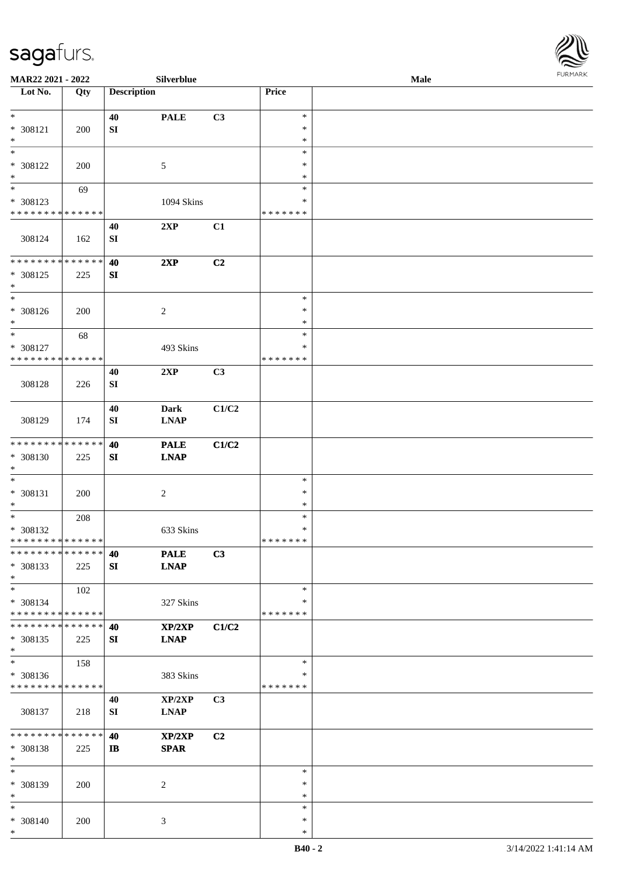

| MAR22 2021 - 2022                  |     |                    | <b>Silverblue</b> |                |               | Male |  |
|------------------------------------|-----|--------------------|-------------------|----------------|---------------|------|--|
| Lot No.                            | Qty | <b>Description</b> |                   |                | Price         |      |  |
|                                    |     |                    |                   |                |               |      |  |
| $*$                                |     | 40                 | <b>PALE</b>       | C3             | $\ast$        |      |  |
| * 308121                           | 200 | SI                 |                   |                | $\ast$        |      |  |
| $\ast$                             |     |                    |                   |                | $\ast$        |      |  |
| $\ast$                             |     |                    |                   |                | $\ast$        |      |  |
|                                    |     |                    |                   |                | ∗             |      |  |
| * 308122                           | 200 |                    | 5                 |                |               |      |  |
| $\ast$<br>$\overline{\phantom{0}}$ |     |                    |                   |                | $\ast$        |      |  |
|                                    | 69  |                    |                   |                | $\ast$        |      |  |
| * 308123                           |     |                    | 1094 Skins        |                | $\ast$        |      |  |
| * * * * * * * * * * * * * *        |     |                    |                   |                | * * * * * * * |      |  |
|                                    |     | 40                 | 2XP               | C1             |               |      |  |
| 308124                             | 162 | ${\bf S}{\bf I}$   |                   |                |               |      |  |
|                                    |     |                    |                   |                |               |      |  |
| * * * * * * * * * * * * * *        |     | 40                 | 2XP               | C <sub>2</sub> |               |      |  |
| * 308125                           | 225 | SI                 |                   |                |               |      |  |
| $\ast$                             |     |                    |                   |                |               |      |  |
| $\ast$                             |     |                    |                   |                | $\ast$        |      |  |
| $* 308126$                         | 200 |                    | 2                 |                | $\ast$        |      |  |
| $*$                                |     |                    |                   |                | *             |      |  |
| $\ast$                             |     |                    |                   |                | $\ast$        |      |  |
|                                    | 68  |                    |                   |                |               |      |  |
| * 308127                           |     |                    | 493 Skins         |                | ∗             |      |  |
| * * * * * * * * * * * * * *        |     |                    |                   |                | * * * * * * * |      |  |
|                                    |     | 40                 | 2XP               | C3             |               |      |  |
| 308128                             | 226 | SI                 |                   |                |               |      |  |
|                                    |     |                    |                   |                |               |      |  |
|                                    |     | 40                 | <b>Dark</b>       | C1/C2          |               |      |  |
| 308129                             | 174 | ${\bf SI}$         | <b>LNAP</b>       |                |               |      |  |
|                                    |     |                    |                   |                |               |      |  |
| * * * * * * * * * * * * * *        |     | 40                 | <b>PALE</b>       | C1/C2          |               |      |  |
| $* 308130$                         |     | ${\bf S}{\bf I}$   | <b>LNAP</b>       |                |               |      |  |
| $*$                                | 225 |                    |                   |                |               |      |  |
| $\ast$                             |     |                    |                   |                |               |      |  |
|                                    |     |                    |                   |                | $\ast$        |      |  |
| $* 308131$                         | 200 |                    | 2                 |                | $\ast$        |      |  |
| $*$                                |     |                    |                   |                | $\ast$        |      |  |
| $*$                                | 208 |                    |                   |                | $\ast$        |      |  |
| * 308132                           |     |                    | 633 Skins         |                | $\ast$        |      |  |
| * * * * * * * * * * * * * *        |     |                    |                   |                | * * * * * * * |      |  |
| * * * * * * * * * * * * * *        |     | 40                 | <b>PALE</b>       | C3             |               |      |  |
| * 308133                           | 225 | SI                 | <b>LNAP</b>       |                |               |      |  |
| $*$                                |     |                    |                   |                |               |      |  |
| $*$                                | 102 |                    |                   |                | $\ast$        |      |  |
| * 308134                           |     |                    | 327 Skins         |                | *             |      |  |
| * * * * * * * * * * * * * *        |     |                    |                   |                | * * * * * * * |      |  |
|                                    |     |                    |                   |                |               |      |  |
| * * * * * * * * * * * * * *        |     | 40                 | XP/2XP            | C1/C2          |               |      |  |
| * 308135                           | 225 | SI                 | <b>LNAP</b>       |                |               |      |  |
| $*$                                |     |                    |                   |                |               |      |  |
| $\ast$                             | 158 |                    |                   |                | $\ast$        |      |  |
| * 308136                           |     |                    | 383 Skins         |                | *             |      |  |
| * * * * * * * * * * * * * *        |     |                    |                   |                | * * * * * * * |      |  |
|                                    |     | 40                 | XP/2XP            | C3             |               |      |  |
| 308137                             | 218 | SI                 | <b>LNAP</b>       |                |               |      |  |
|                                    |     |                    |                   |                |               |      |  |
| * * * * * * * * * * * * * *        |     | 40                 | XP/2XP            | C2             |               |      |  |
| * 308138                           |     |                    | <b>SPAR</b>       |                |               |      |  |
| $\ast$                             | 225 | $\mathbf{I}$       |                   |                |               |      |  |
|                                    |     |                    |                   |                |               |      |  |
| $\ast$                             |     |                    |                   |                | $\ast$        |      |  |
| * 308139                           | 200 |                    | 2                 |                | ∗             |      |  |
| $\ast$                             |     |                    |                   |                | $\ast$        |      |  |
| $*$                                |     |                    |                   |                | $\ast$        |      |  |
| * 308140                           | 200 |                    | 3                 |                | $\ast$        |      |  |
| $*$                                |     |                    |                   |                | $\ast$        |      |  |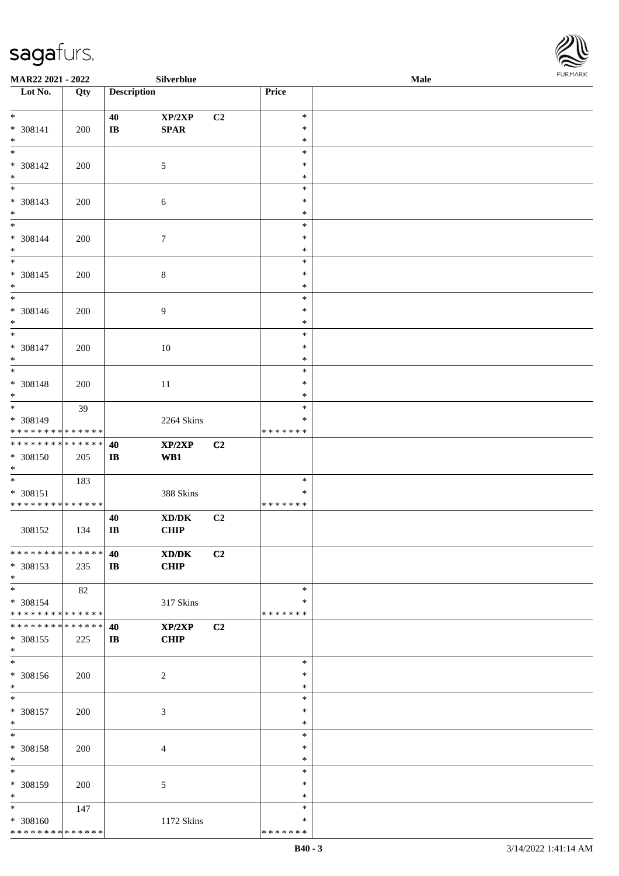

| MAR22 2021 - 2022                    |     |                    | Silverblue                          |                |                  | Male |  |
|--------------------------------------|-----|--------------------|-------------------------------------|----------------|------------------|------|--|
| Lot No.                              | Qty | <b>Description</b> |                                     |                | Price            |      |  |
|                                      |     |                    |                                     |                |                  |      |  |
| $\ast$                               |     | 40                 | XP/2XP                              | C2             | $\ast$           |      |  |
| * 308141                             | 200 | $\bf I\bf B$       | <b>SPAR</b>                         |                | $\ast$           |      |  |
| $\ast$<br>$\overline{\phantom{0}}$   |     |                    |                                     |                | $\ast$<br>$\ast$ |      |  |
| * 308142                             |     |                    |                                     |                | ∗                |      |  |
| $\ast$                               | 200 |                    | $\mathfrak{S}$                      |                | $\ast$           |      |  |
| $\overline{\phantom{a}^*}$           |     |                    |                                     |                | $\ast$           |      |  |
| * 308143                             | 200 |                    | $\sqrt{6}$                          |                | $\ast$           |      |  |
| $\ast$                               |     |                    |                                     |                | $\ast$           |      |  |
| $_{\ast}$                            |     |                    |                                     |                | $\ast$           |      |  |
| * 308144                             | 200 |                    | $\boldsymbol{7}$                    |                | $\ast$           |      |  |
| $\ast$                               |     |                    |                                     |                | $\ast$           |      |  |
| $\overline{\ast}$                    |     |                    |                                     |                | $\ast$           |      |  |
| $* 308145$                           | 200 |                    | $\,8\,$                             |                | $\ast$           |      |  |
| $\ast$                               |     |                    |                                     |                | $\ast$           |      |  |
| $\overline{\ast}$                    |     |                    |                                     |                | $\ast$           |      |  |
| * 308146                             | 200 |                    | $\overline{9}$                      |                | $\ast$           |      |  |
| $\ast$                               |     |                    |                                     |                | $\ast$           |      |  |
| $\ast$                               |     |                    |                                     |                | $\ast$           |      |  |
| $* 308147$                           | 200 |                    | 10                                  |                | $\ast$           |      |  |
| $\ast$                               |     |                    |                                     |                | $\ast$           |      |  |
| $\ast$                               |     |                    |                                     |                | $\ast$           |      |  |
| $* 308148$                           | 200 |                    | 11                                  |                | $\ast$           |      |  |
| $\ast$<br>$\overline{\phantom{a}^*}$ |     |                    |                                     |                | ∗<br>$\ast$      |      |  |
| * 308149                             | 39  |                    | 2264 Skins                          |                | $\ast$           |      |  |
| * * * * * * * * * * * * * *          |     |                    |                                     |                | * * * * * * *    |      |  |
| **************                       |     | 40                 | XP/2XP                              | C2             |                  |      |  |
| * 308150                             | 205 | $\bf I\bf B$       | WB1                                 |                |                  |      |  |
| $*$                                  |     |                    |                                     |                |                  |      |  |
| $*$                                  | 183 |                    |                                     |                | $\ast$           |      |  |
| $* 308151$                           |     |                    | 388 Skins                           |                | $\ast$           |      |  |
| * * * * * * * * * * * * * *          |     |                    |                                     |                | * * * * * * *    |      |  |
|                                      |     | 40                 | $\bold{X}\bold{D}/\bold{D}\bold{K}$ | C <sub>2</sub> |                  |      |  |
| 308152                               | 134 | $\bf I\bf B$       | CHIP                                |                |                  |      |  |
|                                      |     |                    |                                     |                |                  |      |  |
| * * * * * * * * * * * * * * *        |     | 40                 | XD/DK                               | C2             |                  |      |  |
| $* 308153$                           | 235 | $\mathbf{I}$       | <b>CHIP</b>                         |                |                  |      |  |
| $*$                                  |     |                    |                                     |                |                  |      |  |
| $*$                                  | 82  |                    |                                     |                | $\ast$           |      |  |
| * 308154                             |     |                    | 317 Skins                           |                | ∗                |      |  |
| * * * * * * * * * * * * * * *        |     |                    |                                     |                | * * * * * * *    |      |  |
| * * * * * * * * * * * * * * *        |     | 40                 | XP/2XP                              | C2             |                  |      |  |
| * 308155<br>$*$                      | 225 | $\bf IB$           | <b>CHIP</b>                         |                |                  |      |  |
| $\overline{\phantom{a}^*}$           |     |                    |                                     |                | $\ast$           |      |  |
| * 308156                             | 200 |                    | $\overline{c}$                      |                | *                |      |  |
| $*$                                  |     |                    |                                     |                | $\ast$           |      |  |
| $*$                                  |     |                    |                                     |                | $\ast$           |      |  |
| $* 308157$                           | 200 |                    | $\mathfrak{Z}$                      |                | $\ast$           |      |  |
| $\ast$                               |     |                    |                                     |                | $\ast$           |      |  |
| $\ast$                               |     |                    |                                     |                | $\ast$           |      |  |
| * 308158                             | 200 |                    | $\overline{4}$                      |                | $\ast$           |      |  |
| $\ast$                               |     |                    |                                     |                | $\ast$           |      |  |
| $_{\ast}^{-}$                        |     |                    |                                     |                | $\ast$           |      |  |
| * 308159                             | 200 |                    | 5                                   |                | ∗                |      |  |
| $*$                                  |     |                    |                                     |                | $\ast$           |      |  |
| $*$                                  | 147 |                    |                                     |                | $\ast$           |      |  |
| * 308160                             |     |                    | 1172 Skins                          |                | ∗                |      |  |
| * * * * * * * * * * * * * *          |     |                    |                                     |                | * * * * * * *    |      |  |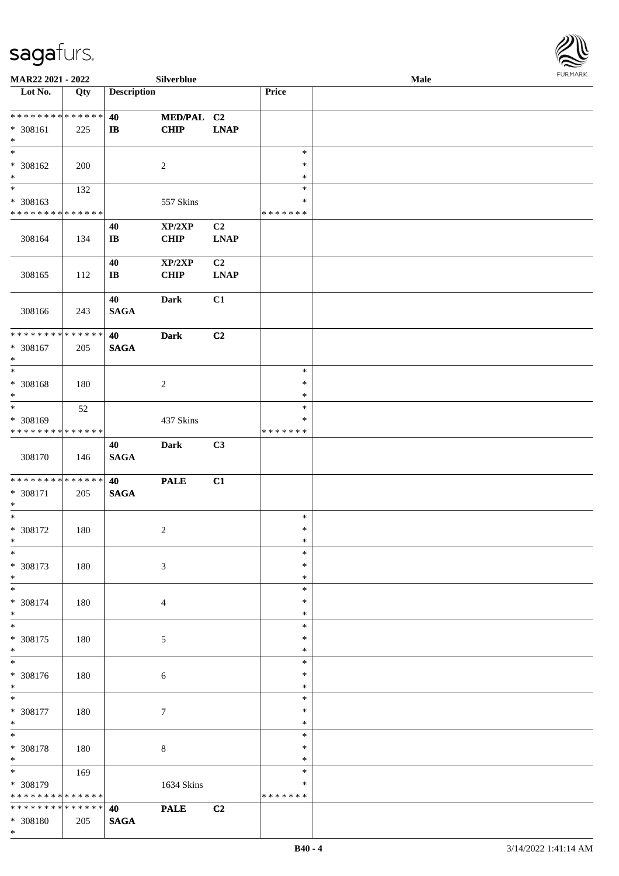

| MAR22 2021 - 2022                    |     |                        | Silverblue       |             |               | <b>Male</b> |
|--------------------------------------|-----|------------------------|------------------|-------------|---------------|-------------|
| Lot No.                              | Qty | <b>Description</b>     |                  |             | Price         |             |
|                                      |     |                        |                  |             |               |             |
| ******** <mark>******</mark>         |     | 40                     | MED/PAL C2       |             |               |             |
| * 308161                             | 225 | $\mathbf{I}$           | CHIP             | <b>LNAP</b> |               |             |
| $\ast$                               |     |                        |                  |             |               |             |
| $\ast$                               |     |                        |                  |             | $\ast$        |             |
| * 308162                             |     |                        | $\sqrt{2}$       |             | *             |             |
|                                      | 200 |                        |                  |             |               |             |
| $\ast$<br>$\overline{\phantom{a}^*}$ |     |                        |                  |             | $\ast$        |             |
|                                      | 132 |                        |                  |             | $\ast$        |             |
| * 308163                             |     |                        | 557 Skins        |             | $\ast$        |             |
| * * * * * * * * * * * * * *          |     |                        |                  |             | * * * * * * * |             |
|                                      |     | 40                     | XP/2XP           | C2          |               |             |
| 308164                               | 134 | IB                     | <b>CHIP</b>      | <b>LNAP</b> |               |             |
|                                      |     |                        |                  |             |               |             |
|                                      |     | 40                     | XP/2XP           | C2          |               |             |
| 308165                               | 112 | $\mathbf{I}\mathbf{B}$ | <b>CHIP</b>      | <b>LNAP</b> |               |             |
|                                      |     |                        |                  |             |               |             |
|                                      |     | 40                     | Dark             | C1          |               |             |
|                                      |     |                        |                  |             |               |             |
| 308166                               | 243 | <b>SAGA</b>            |                  |             |               |             |
| **************                       |     |                        |                  |             |               |             |
|                                      |     | 40                     | <b>Dark</b>      | C2          |               |             |
| $* 308167$                           | 205 | <b>SAGA</b>            |                  |             |               |             |
| $\ast$                               |     |                        |                  |             |               |             |
| $\ast$                               |     |                        |                  |             | $\ast$        |             |
| * 308168                             | 180 |                        | $\sqrt{2}$       |             | $\ast$        |             |
| $\ast$                               |     |                        |                  |             | $\ast$        |             |
| $\ast$                               | 52  |                        |                  |             | $\ast$        |             |
| * 308169                             |     |                        | 437 Skins        |             | ∗             |             |
| ******** <mark>******</mark>         |     |                        |                  |             | * * * * * * * |             |
|                                      |     |                        | Dark             | C3          |               |             |
|                                      |     | 40                     |                  |             |               |             |
| 308170                               | 146 | <b>SAGA</b>            |                  |             |               |             |
|                                      |     |                        |                  |             |               |             |
| ******** <mark>******</mark>         |     | 40                     | <b>PALE</b>      | C1          |               |             |
| * 308171                             | 205 | <b>SAGA</b>            |                  |             |               |             |
| $\ast$                               |     |                        |                  |             |               |             |
| $\ast$                               |     |                        |                  |             | $\ast$        |             |
| $* 308172$                           | 180 |                        | $\sqrt{2}$       |             | $\ast$        |             |
| $*$                                  |     |                        |                  |             | $\ast$        |             |
| $\ast$                               |     |                        |                  |             | $\ast$        |             |
| $* 308173$                           | 180 |                        | 3                |             | $\ast$        |             |
| $\ast$                               |     |                        |                  |             | $\ast$        |             |
| $\overline{\phantom{a}^*}$           |     |                        |                  |             | $\ast$        |             |
| * 308174                             |     |                        |                  |             | *             |             |
|                                      | 180 |                        | $\overline{4}$   |             |               |             |
| $\ast$<br>$\frac{1}{1}$              |     |                        |                  |             | ∗             |             |
|                                      |     |                        |                  |             | $\ast$        |             |
| $* 308175$                           | 180 |                        | $\mathfrak{S}$   |             | ∗             |             |
| $\ast$                               |     |                        |                  |             | $\ast$        |             |
| $\overline{\phantom{a}^*}$           |     |                        |                  |             | $\ast$        |             |
| * 308176                             | 180 |                        | $\sqrt{6}$       |             | *             |             |
| $*$                                  |     |                        |                  |             | $\ast$        |             |
| $\overline{\phantom{a}^*}$           |     |                        |                  |             | $\ast$        |             |
| * 308177                             | 180 |                        | $\boldsymbol{7}$ |             | $\ast$        |             |
| $\ast$                               |     |                        |                  |             | $\ast$        |             |
| $\ast$                               |     |                        |                  |             | $\ast$        |             |
| * 308178                             |     |                        | $8\,$            |             | $\ast$        |             |
| $\ast$                               | 180 |                        |                  |             | $\ast$        |             |
| $\overline{\phantom{a}^*}$           |     |                        |                  |             |               |             |
|                                      | 169 |                        |                  |             | $\ast$        |             |
| * 308179                             |     |                        | 1634 Skins       |             | ∗             |             |
| * * * * * * * * * * * * * *          |     |                        |                  |             | * * * * * * * |             |
| * * * * * * * * * * * * * *          |     | 40                     | <b>PALE</b>      | C2          |               |             |
| * 308180                             | 205 | <b>SAGA</b>            |                  |             |               |             |
| $*$                                  |     |                        |                  |             |               |             |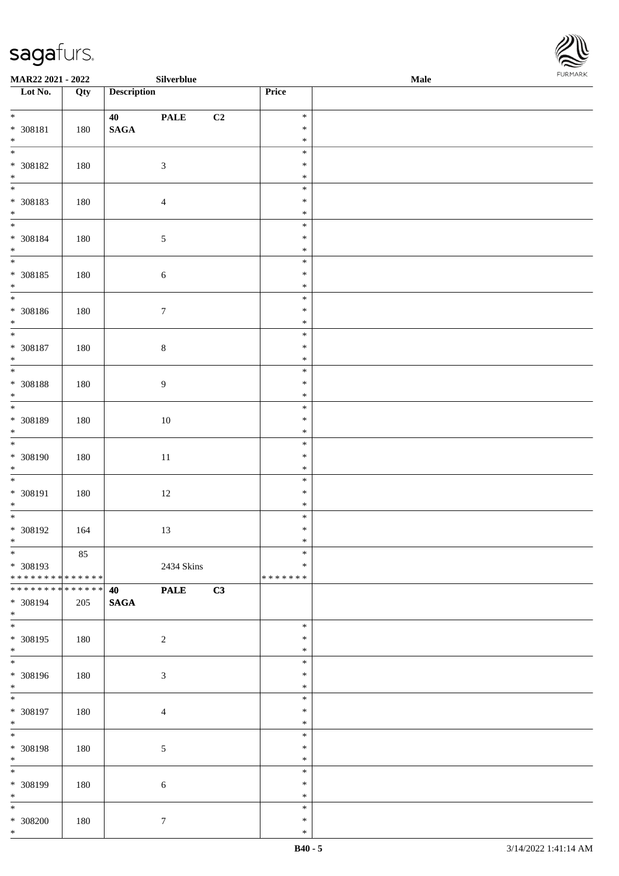

| MAR22 2021 - 2022                              |         |                    | Silverblue       |    |                  | Male | <b>FURMARK</b> |
|------------------------------------------------|---------|--------------------|------------------|----|------------------|------|----------------|
| Lot No.                                        | Qty     | <b>Description</b> |                  |    | Price            |      |                |
| $\overline{\phantom{0}}$                       |         | 40                 | <b>PALE</b>      | C2 | $\ast$           |      |                |
| $* 308181$                                     | 180     | $\mathbf{SAGA}$    |                  |    | $\ast$           |      |                |
| $\ast$                                         |         |                    |                  |    | $\ast$           |      |                |
| $_{\ast}$                                      |         |                    |                  |    | $\ast$           |      |                |
| $* 308182$                                     | 180     |                    | $\mathfrak{Z}$   |    | $\ast$           |      |                |
| $\frac{*}{*}$                                  |         |                    |                  |    | $\ast$<br>$\ast$ |      |                |
| * 308183                                       | $180\,$ |                    | $\overline{4}$   |    | $\ast$           |      |                |
| $\ast$                                         |         |                    |                  |    | $\ast$           |      |                |
| $\frac{1}{*}$                                  |         |                    |                  |    | $\ast$           |      |                |
| $* 308184$                                     | $180\,$ |                    | $\sqrt{5}$       |    | $\ast$           |      |                |
| $\ast$<br>$\overline{\phantom{a}^*}$           |         |                    |                  |    | $\ast$           |      |                |
|                                                |         |                    |                  |    | $\ast$           |      |                |
| $* 308185$<br>$\ast$                           | 180     |                    | $\sqrt{6}$       |    | $\ast$<br>$\ast$ |      |                |
| $\overline{\phantom{0}}$                       |         |                    |                  |    | $\ast$           |      |                |
| $* 308186$                                     | 180     |                    | $\boldsymbol{7}$ |    | $\ast$           |      |                |
| $\ast$                                         |         |                    |                  |    | $\ast$           |      |                |
| $\frac{1}{*}$                                  |         |                    |                  |    | $\ast$           |      |                |
| $* 308187$                                     | 180     |                    | $8\,$            |    | $\ast$           |      |                |
| $\ast$<br>$\overline{\phantom{0}}$             |         |                    |                  |    | $\ast$           |      |                |
|                                                |         |                    |                  |    | $\ast$           |      |                |
| $* 308188$<br>$\ast$                           | 180     |                    | $\overline{9}$   |    | $\ast$<br>$\ast$ |      |                |
| $\overline{\phantom{a}^*}$                     |         |                    |                  |    | $\ast$           |      |                |
| $* 308189$                                     | $180\,$ |                    | $10\,$           |    | $\ast$           |      |                |
| $\ast$                                         |         |                    |                  |    | $\ast$           |      |                |
| $\overline{\phantom{0}}$                       |         |                    |                  |    | $\ast$           |      |                |
| * 308190                                       | $180\,$ |                    | $11\,$           |    | $\ast$           |      |                |
| $\ast$<br>$_{\ast}^{-}$                        |         |                    |                  |    | $\ast$           |      |                |
| * 308191                                       |         |                    |                  |    | $\ast$<br>$\ast$ |      |                |
| $\ast$                                         | 180     |                    | 12               |    | $\ast$           |      |                |
| $\overline{\phantom{a}^*}$                     |         |                    |                  |    | $\ast$           |      |                |
| $* 308192$                                     | 164     |                    | 13               |    | $\ast$           |      |                |
| $*$                                            |         |                    |                  |    | $\ast$           |      |                |
| $\ast$                                         | 85      |                    |                  |    | $\ast$           |      |                |
| * 308193                                       |         |                    | 2434 Skins       |    | $\ast$           |      |                |
| ******** <mark>******</mark><br>************** |         |                    |                  |    | * * * * * * *    |      |                |
| * 308194                                       | 205     | 40<br><b>SAGA</b>  | <b>PALE</b>      | C3 |                  |      |                |
| $\ast$                                         |         |                    |                  |    |                  |      |                |
| $\overline{\phantom{a}^*}$                     |         |                    |                  |    | $\ast$           |      |                |
| * 308195                                       | 180     |                    | $\sqrt{2}$       |    | $\ast$           |      |                |
| $\ast$<br>$\overline{\phantom{a}^*}$           |         |                    |                  |    | $\ast$           |      |                |
|                                                |         |                    |                  |    | $\ast$           |      |                |
| * 308196<br>$\ast$                             | 180     |                    | $\mathfrak{Z}$   |    | $\ast$<br>$\ast$ |      |                |
| $_{\ast}^{-}$                                  |         |                    |                  |    | $\ast$           |      |                |
| * 308197                                       | 180     |                    | $\overline{4}$   |    | $\ast$           |      |                |
| $\ast$                                         |         |                    |                  |    | $\ast$           |      |                |
| $_{\ast}^{-}$                                  |         |                    |                  |    | $\ast$           |      |                |
| * 308198                                       | 180     |                    | $\mathfrak{S}$   |    | $\ast$           |      |                |
| $\ast$<br>$\overline{\phantom{a}}$             |         |                    |                  |    | $\ast$           |      |                |
|                                                |         |                    |                  |    | $\ast$           |      |                |
| * 308199<br>$\ast$                             | 180     |                    | 6                |    | $\ast$<br>$\ast$ |      |                |
| $\ast$                                         |         |                    |                  |    | $\ast$           |      |                |
| $* 308200$                                     | 180     |                    | $7\phantom{.0}$  |    | $\ast$           |      |                |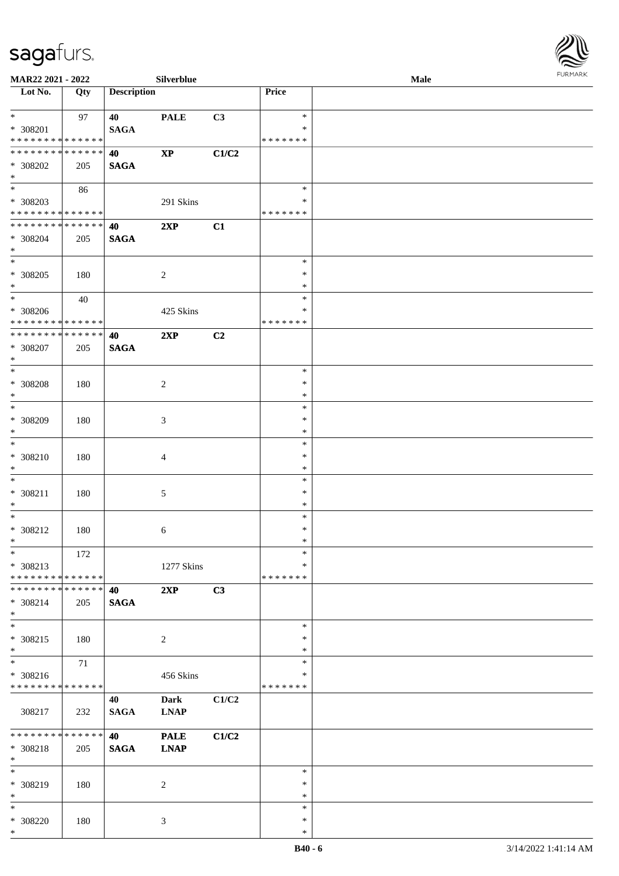

| MAR22 2021 - 2022               |     |                    | Silverblue             |                |               | Male |  |
|---------------------------------|-----|--------------------|------------------------|----------------|---------------|------|--|
| Lot No.                         | Qty | <b>Description</b> |                        |                | Price         |      |  |
|                                 |     |                    |                        |                |               |      |  |
| $*$                             | 97  | 40                 | <b>PALE</b>            | C3             | $\ast$        |      |  |
| * 308201                        |     | <b>SAGA</b>        |                        |                | ∗             |      |  |
| * * * * * * * * * * * * * *     |     |                    |                        |                | * * * * * * * |      |  |
| * * * * * * * * * * * * * *     |     | 40                 | $\mathbf{X}\mathbf{P}$ | C1/C2          |               |      |  |
| * 308202                        | 205 | <b>SAGA</b>        |                        |                |               |      |  |
| $*$                             |     |                    |                        |                |               |      |  |
|                                 | 86  |                    |                        |                | $\ast$        |      |  |
| * 308203                        |     |                    | 291 Skins              |                | $\ast$        |      |  |
| * * * * * * * * * * * * * *     |     |                    |                        |                | * * * * * * * |      |  |
| * * * * * * * * * * * * * *     |     | 40                 | 2XP                    | C1             |               |      |  |
| * 308204                        | 205 | <b>SAGA</b>        |                        |                |               |      |  |
| $*$                             |     |                    |                        |                |               |      |  |
| $\ast$                          |     |                    |                        |                | $\ast$        |      |  |
| $* 308205$                      | 180 |                    | $\overline{c}$         |                | $\ast$        |      |  |
| $*$                             |     |                    |                        |                | ∗             |      |  |
| $\ast$                          | 40  |                    |                        |                | $\ast$        |      |  |
| $* 308206$                      |     |                    | 425 Skins              |                | $\ast$        |      |  |
| ******** <mark>******</mark>    |     |                    |                        |                | * * * * * * * |      |  |
| * * * * * * * * * * * * * *     |     | 40                 | 2XP                    | C <sub>2</sub> |               |      |  |
| $* 308207$                      |     |                    |                        |                |               |      |  |
| $*$                             | 205 | <b>SAGA</b>        |                        |                |               |      |  |
| $*$                             |     |                    |                        |                | $\ast$        |      |  |
|                                 |     |                    |                        |                | $\ast$        |      |  |
| * 308208<br>$\ast$              | 180 |                    | $\sqrt{2}$             |                | ∗             |      |  |
| $\ast$                          |     |                    |                        |                | $\ast$        |      |  |
|                                 |     |                    |                        |                | $\ast$        |      |  |
| $* 308209$                      | 180 |                    | 3                      |                |               |      |  |
| $*$<br>$\ast$                   |     |                    |                        |                | $\ast$        |      |  |
|                                 |     |                    |                        |                | $\ast$        |      |  |
| $* 308210$                      | 180 |                    | $\overline{4}$         |                | $\ast$        |      |  |
| $*$                             |     |                    |                        |                | $\ast$        |      |  |
| $\ast$                          |     |                    |                        |                | $\ast$        |      |  |
| $* 308211$                      | 180 |                    | 5                      |                | $\ast$        |      |  |
| $*$                             |     |                    |                        |                | $\ast$        |      |  |
| $*$                             |     |                    |                        |                | $\ast$        |      |  |
| $* 308212$                      | 180 |                    | 6                      |                | $\ast$        |      |  |
| $*$                             |     |                    |                        |                | $\ast$        |      |  |
| $\ast$                          | 172 |                    |                        |                | $\ast$        |      |  |
| * 308213                        |     |                    | 1277 Skins             |                | ∗             |      |  |
| * * * * * * * * * * * * * *     |     |                    |                        |                | * * * * * * * |      |  |
| * * * * * * * * * * * * * * *   |     | 40                 | 2XP                    | C3             |               |      |  |
| * 308214                        | 205 | <b>SAGA</b>        |                        |                |               |      |  |
| $*$                             |     |                    |                        |                |               |      |  |
| $\ast$                          |     |                    |                        |                | $\ast$        |      |  |
| $* 308215$                      | 180 |                    | 2                      |                | $\ast$        |      |  |
| $*$<br>$\overline{\phantom{0}}$ |     |                    |                        |                | $\ast$        |      |  |
|                                 | 71  |                    |                        |                | $\ast$        |      |  |
| * 308216                        |     |                    | 456 Skins              |                | ∗             |      |  |
| * * * * * * * * * * * * * *     |     |                    |                        |                | * * * * * * * |      |  |
|                                 |     | 40                 | <b>Dark</b>            | C1/C2          |               |      |  |
| 308217                          | 232 | <b>SAGA</b>        | <b>LNAP</b>            |                |               |      |  |
|                                 |     |                    |                        |                |               |      |  |
| * * * * * * * * * * * * * *     |     | 40                 | <b>PALE</b>            | C1/C2          |               |      |  |
| * 308218                        | 205 | <b>SAGA</b>        | <b>LNAP</b>            |                |               |      |  |
| $*$                             |     |                    |                        |                |               |      |  |
| $\ast$                          |     |                    |                        |                | $\ast$        |      |  |
| * 308219                        | 180 |                    | 2                      |                | ∗             |      |  |
| $\ast$                          |     |                    |                        |                | $\ast$        |      |  |
| $\ast$                          |     |                    |                        |                | $\ast$        |      |  |
| * 308220                        | 180 |                    | 3                      |                | $\ast$        |      |  |
| $*$                             |     |                    |                        |                | $\ast$        |      |  |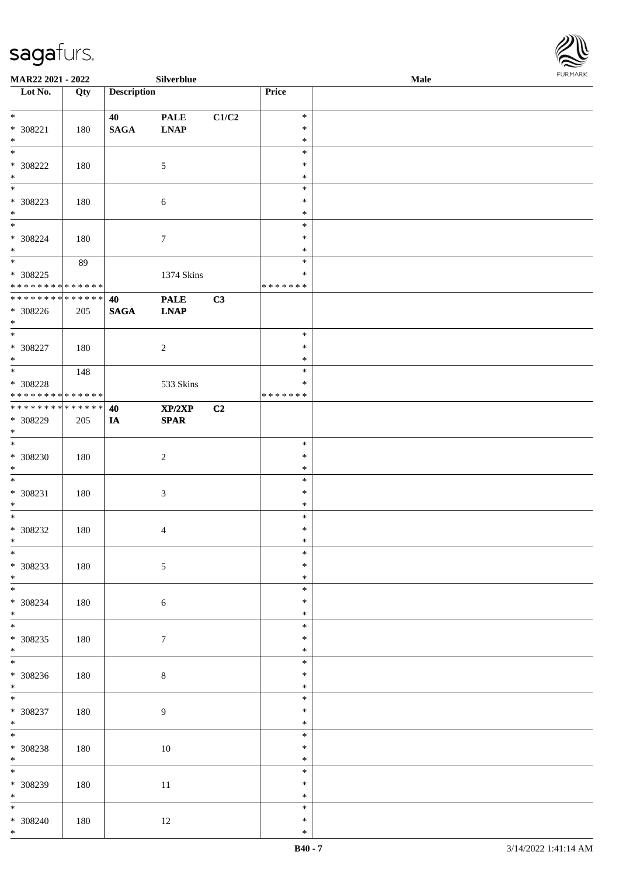

| <b>MAR22 2021 - 2022</b>                   |     |                    | Silverblue       |       |               | Male |  |
|--------------------------------------------|-----|--------------------|------------------|-------|---------------|------|--|
| Lot No.                                    | Qty | <b>Description</b> |                  |       | Price         |      |  |
|                                            |     |                    |                  |       |               |      |  |
| $*$                                        |     | 40                 | <b>PALE</b>      | C1/C2 | $\ast$        |      |  |
| * 308221                                   | 180 | <b>SAGA</b>        | <b>LNAP</b>      |       | $\ast$        |      |  |
| $*$                                        |     |                    |                  |       | $\ast$        |      |  |
|                                            |     |                    |                  |       | $\ast$        |      |  |
| * 308222                                   | 180 |                    | $\mathfrak{S}$   |       | $\ast$        |      |  |
| $\ast$                                     |     |                    |                  |       | $\ast$        |      |  |
|                                            |     |                    |                  |       | $\ast$        |      |  |
| * 308223                                   | 180 |                    | 6                |       | $\ast$        |      |  |
| $*$                                        |     |                    |                  |       | $\ast$        |      |  |
|                                            |     |                    |                  |       | $\ast$        |      |  |
| * 308224                                   |     |                    |                  |       | $\ast$        |      |  |
| $*$                                        | 180 |                    | $\boldsymbol{7}$ |       | $\ast$        |      |  |
|                                            |     |                    |                  |       | $\ast$        |      |  |
|                                            | 89  |                    |                  |       |               |      |  |
| * 308225                                   |     |                    | 1374 Skins       |       | $\ast$        |      |  |
| * * * * * * * * * * * * * *                |     |                    |                  |       | *******       |      |  |
| * * * * * * * * <mark>* * * * * * *</mark> |     | 40                 | <b>PALE</b>      | C3    |               |      |  |
| * 308226                                   | 205 | <b>SAGA</b>        | <b>LNAP</b>      |       |               |      |  |
| $*$                                        |     |                    |                  |       |               |      |  |
| $\overline{\ast}$                          |     |                    |                  |       | $\ast$        |      |  |
| * 308227                                   | 180 |                    | 2                |       | $\ast$        |      |  |
| $*$                                        |     |                    |                  |       | $\ast$        |      |  |
|                                            | 148 |                    |                  |       | $\ast$        |      |  |
| * 308228                                   |     |                    | 533 Skins        |       | $\ast$        |      |  |
| * * * * * * * * * * * * * *                |     |                    |                  |       | * * * * * * * |      |  |
| * * * * * * * * * * * * * *                |     | 40                 | XP/2XP           | C2    |               |      |  |
| * 308229                                   | 205 |                    | <b>SPAR</b>      |       |               |      |  |
| $*$                                        |     | IA                 |                  |       |               |      |  |
| $\overline{\ast}$                          |     |                    |                  |       | $\ast$        |      |  |
|                                            |     |                    |                  |       |               |      |  |
| * 308230                                   | 180 |                    | $\overline{2}$   |       | $\ast$        |      |  |
| $*$                                        |     |                    |                  |       | $\ast$        |      |  |
| $*$                                        |     |                    |                  |       | $\ast$        |      |  |
| * 308231                                   | 180 |                    | $\mathfrak{Z}$   |       | $\ast$        |      |  |
| $*$                                        |     |                    |                  |       | $\ast$        |      |  |
| $*$                                        |     |                    |                  |       | $\ast$        |      |  |
| * 308232                                   | 180 |                    | $\overline{4}$   |       | $\ast$        |      |  |
| $*$                                        |     |                    |                  |       | $\ast$        |      |  |
| $\overline{\ast}$                          |     |                    |                  |       | $\ast$        |      |  |
| * 308233                                   | 180 |                    | $5\,$            |       | $\ast$        |      |  |
| $*$                                        |     |                    |                  |       | $\ast$        |      |  |
|                                            |     |                    |                  |       | $\ast$        |      |  |
| * 308234                                   | 180 |                    | 6                |       | $\ast$        |      |  |
| $*$                                        |     |                    |                  |       | $\ast$        |      |  |
| $*$                                        |     |                    |                  |       | $\ast$        |      |  |
| * 308235                                   | 180 |                    | $\tau$           |       | $\ast$        |      |  |
| $*$                                        |     |                    |                  |       | $\ast$        |      |  |
|                                            |     |                    |                  |       | $\ast$        |      |  |
|                                            |     |                    |                  |       |               |      |  |
| * 308236                                   | 180 |                    | $\,8\,$          |       | $\ast$        |      |  |
| $*$                                        |     |                    |                  |       | $\ast$        |      |  |
| $*$                                        |     |                    |                  |       | $\ast$        |      |  |
| * 308237                                   | 180 |                    | $\overline{9}$   |       | $\ast$        |      |  |
| $*$                                        |     |                    |                  |       | $\ast$        |      |  |
|                                            |     |                    |                  |       | $\ast$        |      |  |
| * 308238                                   | 180 |                    | $10\,$           |       | $\ast$        |      |  |
| $*$                                        |     |                    |                  |       | $\ast$        |      |  |
|                                            |     |                    |                  |       | $\ast$        |      |  |
| * 308239                                   | 180 |                    | $11\,$           |       | $\ast$        |      |  |
| $*$                                        |     |                    |                  |       | $\ast$        |      |  |
| $*$                                        |     |                    |                  |       | $\ast$        |      |  |
| $* 308240$                                 | 180 |                    | 12               |       | $\ast$        |      |  |
| $*$                                        |     |                    |                  |       | $\ast$        |      |  |
|                                            |     |                    |                  |       |               |      |  |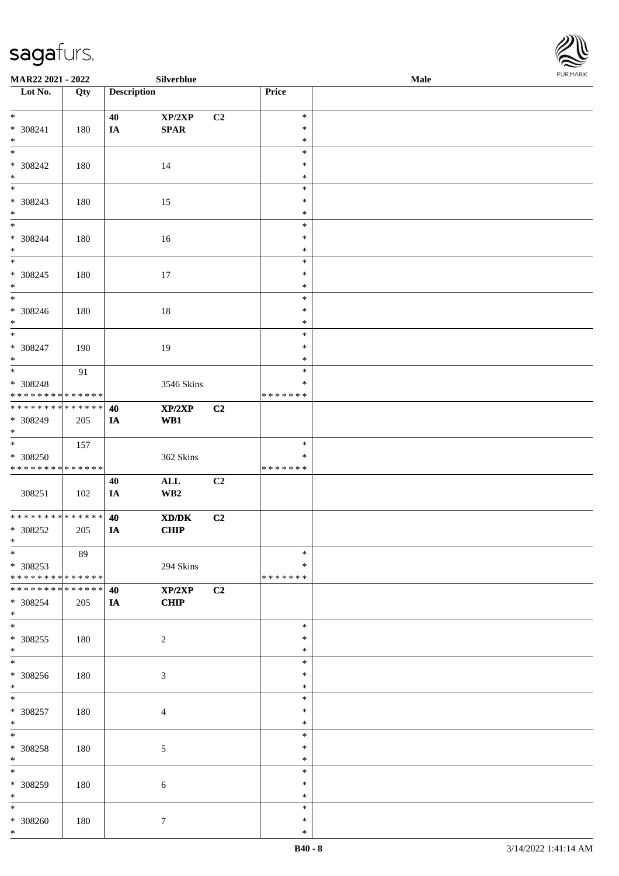

| <b>MAR22 2021 - 2022</b>      |     |                    | Silverblue     |                |               | <b>Male</b> |  |
|-------------------------------|-----|--------------------|----------------|----------------|---------------|-------------|--|
| Lot No.                       | Qty | <b>Description</b> |                |                | Price         |             |  |
|                               |     |                    |                |                |               |             |  |
| $*$                           |     | 40                 | XP/2XP         | C <sub>2</sub> | $\ast$        |             |  |
| * 308241                      | 180 | IA                 | <b>SPAR</b>    |                | $\ast$        |             |  |
| $*$                           |     |                    |                |                | $\ast$        |             |  |
|                               |     |                    |                |                | $\ast$        |             |  |
| * 308242                      | 180 |                    | 14             |                | $\ast$        |             |  |
| $*$                           |     |                    |                |                | $\ast$        |             |  |
|                               |     |                    |                |                | $\ast$        |             |  |
| * 308243                      | 180 |                    | 15             |                | $\ast$        |             |  |
| $*$                           |     |                    |                |                | $\ast$        |             |  |
|                               |     |                    |                |                | $\ast$        |             |  |
| $* 308244$                    | 180 |                    | 16             |                | $\ast$        |             |  |
| $*$                           |     |                    |                |                | $\ast$        |             |  |
|                               |     |                    |                |                | $\ast$        |             |  |
| * 308245                      | 180 |                    | 17             |                | $\ast$        |             |  |
| $*$                           |     |                    |                |                | $\ast$        |             |  |
| $\overline{\phantom{0}}$      |     |                    |                |                | $\ast$        |             |  |
| * 308246                      | 180 |                    | 18             |                | $\ast$        |             |  |
| $*$                           |     |                    |                |                | $\ast$        |             |  |
| $*$                           |     |                    |                |                | $\ast$        |             |  |
| * 308247                      | 190 |                    | 19             |                | $\ast$        |             |  |
| $*$                           |     |                    |                |                | $\ast$        |             |  |
|                               | 91  |                    |                |                | $\ast$        |             |  |
| * 308248                      |     |                    | 3546 Skins     |                | ∗             |             |  |
| * * * * * * * * * * * * * *   |     |                    |                |                | * * * * * * * |             |  |
| * * * * * * * * * * * * * * * |     | 40                 | XP/2XP         | C2             |               |             |  |
| * 308249                      | 205 | IA                 | WB1            |                |               |             |  |
| $*$                           |     |                    |                |                |               |             |  |
|                               | 157 |                    |                |                | $\ast$        |             |  |
| * 308250                      |     |                    | 362 Skins      |                | $\ast$        |             |  |
| * * * * * * * * * * * * * *   |     |                    |                |                | * * * * * * * |             |  |
|                               |     | 40                 | $\mathbf{ALL}$ | C2             |               |             |  |
| 308251                        | 102 | IA                 | WB2            |                |               |             |  |
|                               |     |                    |                |                |               |             |  |
| ******** <mark>******</mark>  |     | 40                 | XD/DK          | C2             |               |             |  |
| $* 308252$                    | 205 | IA                 | <b>CHIP</b>    |                |               |             |  |
| $*$                           |     |                    |                |                |               |             |  |
| $*$                           | 89  |                    |                |                | $\ast$        |             |  |
| * 308253                      |     |                    | 294 Skins      |                | ∗             |             |  |
| * * * * * * * * * * * * * * * |     |                    |                |                | * * * * * * * |             |  |
| * * * * * * * * * * * * * * * |     | 40                 | XP/2XP         | C2             |               |             |  |
| * 308254                      | 205 | IA                 | <b>CHIP</b>    |                |               |             |  |
| $*$                           |     |                    |                |                |               |             |  |
| $*$                           |     |                    |                |                | $\ast$        |             |  |
| * 308255                      | 180 |                    | $\overline{c}$ |                | $\ast$        |             |  |
| $*$                           |     |                    |                |                | $\ast$        |             |  |
| $*$                           |     |                    |                |                | $\ast$        |             |  |
| * 308256                      | 180 |                    | $\mathfrak{Z}$ |                | $\ast$        |             |  |
| $*$                           |     |                    |                |                | $\ast$        |             |  |
| $*$                           |     |                    |                |                | $\ast$        |             |  |
| * 308257                      | 180 |                    | $\overline{4}$ |                | $\ast$        |             |  |
| $*$                           |     |                    |                |                | $\ast$        |             |  |
| $*$                           |     |                    |                |                | $\ast$        |             |  |
| $* 308258$                    | 180 |                    | $\mathfrak{S}$ |                | $\ast$        |             |  |
| $*$                           |     |                    |                |                | $\ast$        |             |  |
| $*$                           |     |                    |                |                | $\ast$        |             |  |
| * 308259                      | 180 |                    | 6              |                | $\ast$        |             |  |
| $*$                           |     |                    |                |                | $\ast$        |             |  |
| $*$                           |     |                    |                |                | $\ast$        |             |  |
| $* 308260$                    | 180 |                    | $\tau$         |                | $\ast$        |             |  |
| $*$                           |     |                    |                |                | $\ast$        |             |  |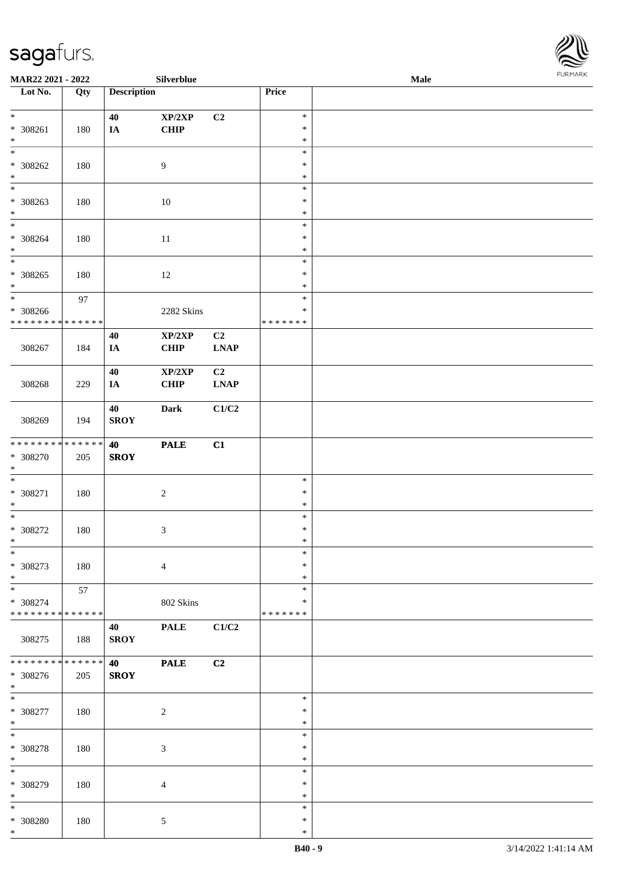

| MAR22 2021 - 2022                       |     |                    | Silverblue       |                |                  | <b>Male</b> |  |
|-----------------------------------------|-----|--------------------|------------------|----------------|------------------|-------------|--|
| Lot No.                                 | Qty | <b>Description</b> |                  |                | Price            |             |  |
|                                         |     |                    |                  |                |                  |             |  |
| $*$                                     |     | 40                 | XP/2XP           | C <sub>2</sub> | $\ast$           |             |  |
| * 308261<br>$\ast$                      | 180 | $I\!\!A$           | <b>CHIP</b>      |                | $\ast$<br>$\ast$ |             |  |
| $\overline{\ast}$                       |     |                    |                  |                | $\ast$           |             |  |
| $* 308262$                              | 180 |                    | 9                |                | $\ast$           |             |  |
| $\ast$                                  |     |                    |                  |                | $\ast$           |             |  |
| $\overline{\phantom{0}}$                |     |                    |                  |                | $\ast$           |             |  |
| * 308263                                | 180 |                    | 10               |                | $\ast$           |             |  |
| $\ast$<br>$*$                           |     |                    |                  |                | $\ast$           |             |  |
| $* 308264$                              | 180 |                    | 11               |                | $\ast$<br>$\ast$ |             |  |
| $*$                                     |     |                    |                  |                | $\ast$           |             |  |
| $\overline{\ast}$                       |     |                    |                  |                | $\ast$           |             |  |
| $* 308265$                              | 180 |                    | 12               |                | $\ast$           |             |  |
| $\ast$                                  |     |                    |                  |                | $\ast$           |             |  |
| $\ast$                                  | 97  |                    |                  |                | $\ast$           |             |  |
| * 308266<br>* * * * * * * * * * * * * * |     |                    | 2282 Skins       |                | $\ast$           |             |  |
|                                         |     | 40                 | XP/2XP           | C <sub>2</sub> | * * * * * * *    |             |  |
| 308267                                  | 184 | IA                 | <b>CHIP</b>      | <b>LNAP</b>    |                  |             |  |
|                                         |     |                    |                  |                |                  |             |  |
|                                         |     | 40                 | XP/2XP           | C2             |                  |             |  |
| 308268                                  | 229 | IA                 | <b>CHIP</b>      | <b>LNAP</b>    |                  |             |  |
|                                         |     |                    |                  |                |                  |             |  |
|                                         |     | 40                 | <b>Dark</b>      | C1/C2          |                  |             |  |
| 308269                                  | 194 | <b>SROY</b>        |                  |                |                  |             |  |
| ******** <mark>******</mark>            |     | 40                 | <b>PALE</b>      | C1             |                  |             |  |
| $* 308270$                              | 205 | <b>SROY</b>        |                  |                |                  |             |  |
| $*$                                     |     |                    |                  |                |                  |             |  |
| $\ast$                                  |     |                    |                  |                | $\ast$           |             |  |
| $* 308271$                              | 180 |                    | $\boldsymbol{2}$ |                | $\ast$<br>$\ast$ |             |  |
| $\ast$<br>$*$                           |     |                    |                  |                | $\ast$           |             |  |
| $* 308272$                              | 180 |                    | 3                |                | $\ast$           |             |  |
| $*$                                     |     |                    |                  |                | $\ast$           |             |  |
| $\ast$                                  |     |                    |                  |                | $\ast$           |             |  |
| * 308273                                | 180 |                    | $\overline{4}$   |                | $\ast$           |             |  |
| $*$                                     |     |                    |                  |                | $\ast$           |             |  |
| * 308274                                | 57  |                    | 802 Skins        |                | $\ast$<br>*      |             |  |
| ******** <mark>******</mark>            |     |                    |                  |                | * * * * * * *    |             |  |
|                                         |     | 40                 | <b>PALE</b>      | C1/C2          |                  |             |  |
| 308275                                  | 188 | <b>SROY</b>        |                  |                |                  |             |  |
|                                         |     |                    |                  |                |                  |             |  |
| * * * * * * * * * * * * * * *           |     | 40                 | <b>PALE</b>      | C2             |                  |             |  |
| * 308276<br>$*$                         | 205 | <b>SROY</b>        |                  |                |                  |             |  |
| $*$                                     |     |                    |                  |                | $\ast$           |             |  |
| $* 308277$                              | 180 |                    | $\sqrt{2}$       |                | $\ast$           |             |  |
| $*$                                     |     |                    |                  |                | $\ast$           |             |  |
| $*$                                     |     |                    |                  |                | $\ast$           |             |  |
| $* 308278$                              | 180 |                    | 3                |                | $\ast$           |             |  |
| $*$<br>$\ast$                           |     |                    |                  |                | $\ast$<br>$\ast$ |             |  |
| * 308279                                | 180 |                    | $\overline{4}$   |                | ∗                |             |  |
| $*$                                     |     |                    |                  |                | $\ast$           |             |  |
| $*$                                     |     |                    |                  |                | $\ast$           |             |  |
| $* 308280$                              | 180 |                    | $\mathfrak{S}$   |                | $\ast$           |             |  |
| $\ast$                                  |     |                    |                  |                | $\ast$           |             |  |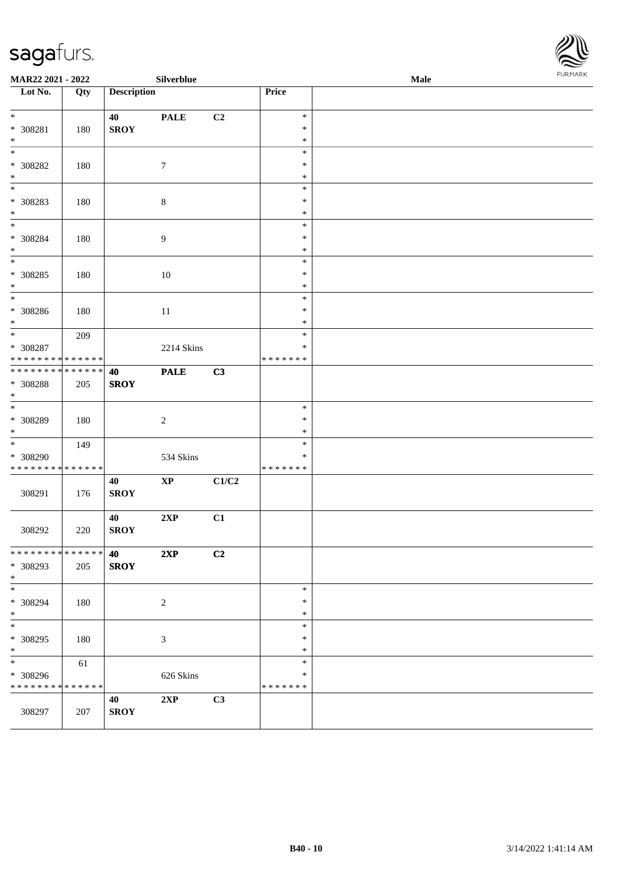

| <b>MAR22 2021 - 2022</b>                   |     |                    | Silverblue             |       |               | <b>Male</b> |  |
|--------------------------------------------|-----|--------------------|------------------------|-------|---------------|-------------|--|
| Lot No.                                    | Qty | <b>Description</b> |                        |       | Price         |             |  |
| $*$                                        |     | 40                 | <b>PALE</b>            | C2    | $\ast$        |             |  |
| * 308281                                   | 180 | <b>SROY</b>        |                        |       | $\ast$        |             |  |
| $\ast$                                     |     |                    |                        |       | $\ast$        |             |  |
| $\overline{\ast}$                          |     |                    |                        |       | $\ast$        |             |  |
| * 308282                                   | 180 |                    | $\tau$                 |       | $\ast$        |             |  |
| $\ast$                                     |     |                    |                        |       | $\ast$        |             |  |
|                                            |     |                    |                        |       | $\ast$        |             |  |
| * 308283                                   | 180 |                    | $\,8\,$                |       | $\ast$        |             |  |
| $\ast$                                     |     |                    |                        |       | $\ast$        |             |  |
| $*$                                        |     |                    |                        |       | $\ast$        |             |  |
| * 308284                                   | 180 |                    | $\overline{9}$         |       | $\ast$        |             |  |
| $*$                                        |     |                    |                        |       | $\ast$        |             |  |
|                                            |     |                    |                        |       | $\ast$        |             |  |
| * 308285                                   | 180 |                    | $10\,$                 |       | $\ast$        |             |  |
| $*$                                        |     |                    |                        |       | $\ast$        |             |  |
|                                            |     |                    |                        |       | $\ast$        |             |  |
| * 308286                                   | 180 |                    | 11                     |       | $\ast$        |             |  |
| $*$                                        |     |                    |                        |       | $\ast$        |             |  |
| $*$                                        | 209 |                    |                        |       | $\ast$        |             |  |
| * 308287                                   |     |                    | 2214 Skins             |       | ∗             |             |  |
| * * * * * * * * <mark>* * * * * *</mark>   |     |                    |                        |       | * * * * * * * |             |  |
| * * * * * * * * <mark>* * * * * * *</mark> |     | 40                 | <b>PALE</b>            | C3    |               |             |  |
| * 308288                                   | 205 | <b>SROY</b>        |                        |       |               |             |  |
| $\ast$                                     |     |                    |                        |       |               |             |  |
| $*$                                        |     |                    |                        |       | $\ast$        |             |  |
| * 308289                                   | 180 |                    | 2                      |       | $\ast$        |             |  |
| $\ast$                                     |     |                    |                        |       | $\ast$        |             |  |
| $\overline{\ast}$                          | 149 |                    |                        |       | $\ast$        |             |  |
| * 308290                                   |     |                    | 534 Skins              |       | ∗             |             |  |
| * * * * * * * * <mark>* * * * * * *</mark> |     |                    |                        |       | * * * * * * * |             |  |
|                                            |     | 40                 | $\mathbf{X}\mathbf{P}$ | C1/C2 |               |             |  |
| 308291                                     | 176 | <b>SROY</b>        |                        |       |               |             |  |
|                                            |     |                    |                        |       |               |             |  |
|                                            |     | 40                 | 2XP                    | C1    |               |             |  |
| 308292                                     | 220 | <b>SROY</b>        |                        |       |               |             |  |
|                                            |     |                    |                        |       |               |             |  |
| * * * * * * * * <mark>* * * * * *</mark> * |     | 40 2XP             |                        | C2    |               |             |  |
| * 308293                                   | 205 | <b>SROY</b>        |                        |       |               |             |  |
| $*$                                        |     |                    |                        |       |               |             |  |
| $\ast$                                     |     |                    |                        |       | $\ast$        |             |  |
| * 308294                                   | 180 |                    | 2                      |       | $\ast$        |             |  |
| $\ast$                                     |     |                    |                        |       | $\ast$        |             |  |
| $*$                                        |     |                    |                        |       | $\ast$        |             |  |
| * 308295                                   | 180 |                    | 3                      |       | $\ast$        |             |  |
| $*$                                        |     |                    |                        |       | $\ast$        |             |  |
| $\ddot{x}$                                 | 61  |                    |                        |       | $\ast$        |             |  |
| * 308296                                   |     |                    | 626 Skins              |       | *             |             |  |
| * * * * * * * * * * * * * *                |     |                    |                        |       | * * * * * * * |             |  |
|                                            |     | 40                 | 2XP                    | C3    |               |             |  |
| 308297                                     | 207 | <b>SROY</b>        |                        |       |               |             |  |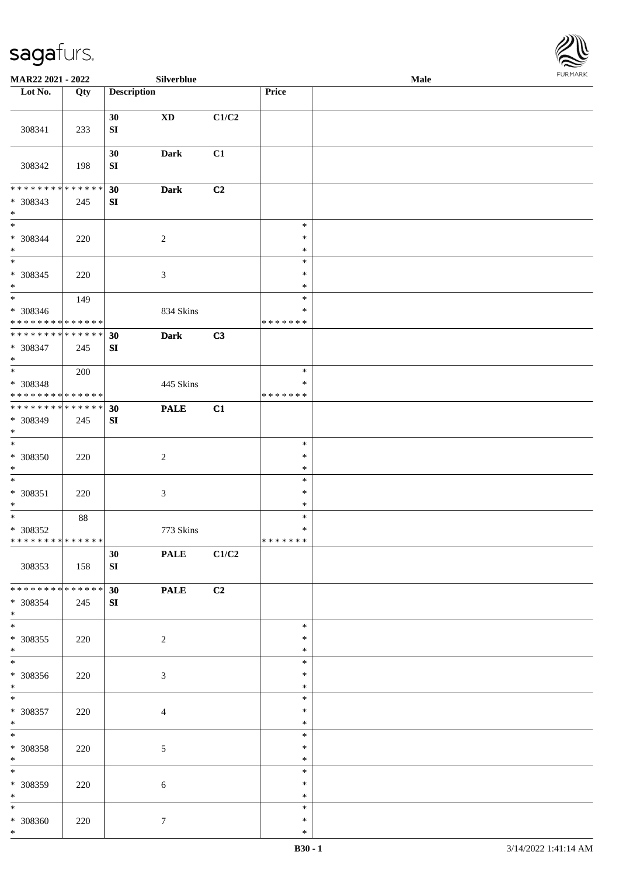

| MAR22 2021 - 2022                                                           |     |                        | Silverblue             |                |                                   | Male |  |
|-----------------------------------------------------------------------------|-----|------------------------|------------------------|----------------|-----------------------------------|------|--|
| Lot No.                                                                     | Qty | <b>Description</b>     |                        |                | Price                             |      |  |
| 308341                                                                      | 233 | 30<br>${\bf SI}$       | $\mathbf{X}\mathbf{D}$ | C1/C2          |                                   |      |  |
| 308342                                                                      | 198 | 30<br>${\bf S}{\bf I}$ | <b>Dark</b>            | C1             |                                   |      |  |
| ******** <mark>******</mark><br>* 308343<br>$\ast$                          | 245 | 30<br>SI               | <b>Dark</b>            | C <sub>2</sub> |                                   |      |  |
| $\overline{\phantom{a}^*}$<br>* 308344<br>$\ast$                            | 220 |                        | $\sqrt{2}$             |                | $\ast$<br>$\ast$<br>$\ast$        |      |  |
| $\overline{\phantom{a}^*}$<br>$* 308345$<br>$\ast$                          | 220 |                        | $\mathfrak{Z}$         |                | $\ast$<br>$\ast$<br>$\ast$        |      |  |
| $\overline{\phantom{1}}$<br>$* 308346$<br>* * * * * * * * * * * * * *       | 149 |                        | 834 Skins              |                | $\ast$<br>$\ast$<br>* * * * * * * |      |  |
| ******** <mark>******</mark><br>$* 308347$<br>$\ast$                        | 245 | 30<br>SI               | <b>Dark</b>            | C3             |                                   |      |  |
| $\ast$<br>* 308348<br>* * * * * * * * * * * * * *                           | 200 |                        | 445 Skins              |                | $\ast$<br>∗<br>* * * * * * *      |      |  |
| **************<br>* 308349<br>$\ast$                                        | 245 | 30<br>SI               | <b>PALE</b>            | C1             |                                   |      |  |
| $\ast$<br>$* 308350$<br>$\ast$                                              | 220 |                        | $\sqrt{2}$             |                | $\ast$<br>$\ast$<br>$\ast$        |      |  |
| $\ast$<br>$* 308351$<br>$\ast$                                              | 220 |                        | $\mathfrak{Z}$         |                | $\ast$<br>$\ast$<br>$\ast$        |      |  |
| $\ast$<br>* 308352<br>**************                                        | 88  |                        | 773 Skins              |                | $\ast$<br>$\ast$<br>*******       |      |  |
| 308353                                                                      | 158 | 30<br>SI               | <b>PALE</b>            | C1/C2          |                                   |      |  |
| * * * * * * * * * * * * * * *<br>* 308354<br>$*$                            | 245 | 30<br>SI               | <b>PALE</b>            | C2             |                                   |      |  |
| $\overline{\phantom{a}^*}$<br>$* 308355$<br>$*$<br>$\overline{\phantom{0}}$ | 220 |                        | $\overline{c}$         |                | $\ast$<br>∗<br>$\ast$             |      |  |
| $* 308356$<br>$*$                                                           | 220 |                        | $\mathfrak{Z}$         |                | $\ast$<br>*<br>$\ast$             |      |  |
| $*$<br>* 308357<br>$*$                                                      | 220 |                        | $\overline{4}$         |                | $\ast$<br>$\ast$<br>$\ast$        |      |  |
| $\ast$<br>* 308358<br>$*$<br>$\overline{\phantom{a}^*}$                     | 220 |                        | $\sqrt{5}$             |                | $\ast$<br>$\ast$<br>$\ast$        |      |  |
| $* 308359$<br>$*$                                                           | 220 |                        | $\sqrt{6}$             |                | $\ast$<br>∗<br>$\ast$             |      |  |
| $*$<br>$* 308360$<br>$*$                                                    | 220 |                        | $\tau$                 |                | $\ast$<br>$\ast$<br>$\ast$        |      |  |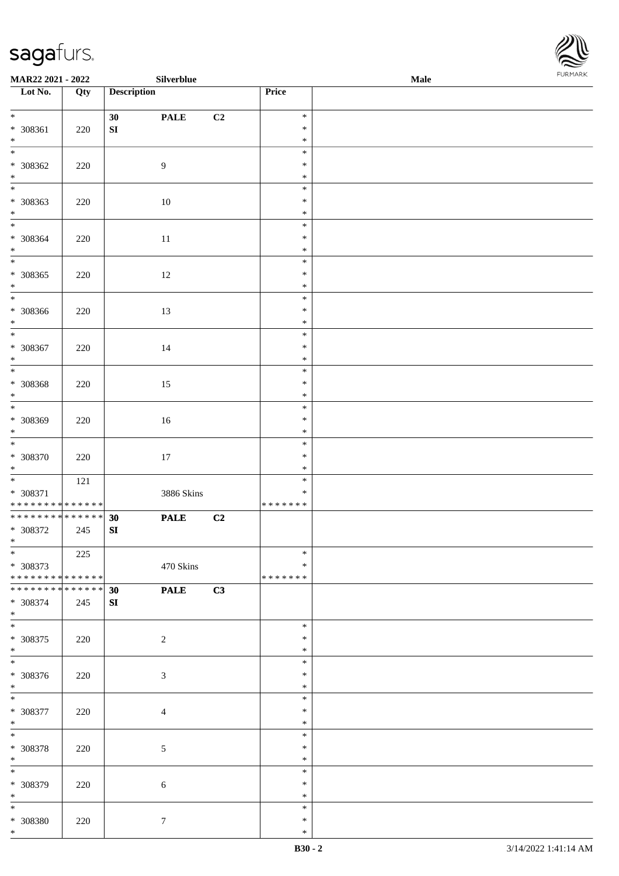

| MAR22 2021 - 2022                         |     |                    | Silverblue       |                |                  | <b>FURMARK</b><br>Male |  |  |
|-------------------------------------------|-----|--------------------|------------------|----------------|------------------|------------------------|--|--|
| $\overline{\phantom{1}}$ Lot No.          | Qty | <b>Description</b> |                  |                | Price            |                        |  |  |
| $*$                                       |     | 30                 | <b>PALE</b>      | C <sub>2</sub> | $\ast$           |                        |  |  |
| $* 308361$<br>$\ast$                      | 220 | ${\bf S}{\bf I}$   |                  |                | $\ast$<br>$\ast$ |                        |  |  |
| $\overline{\phantom{0}}$                  |     |                    |                  |                | $\ast$           |                        |  |  |
| * 308362<br>$*$                           | 220 |                    | $\overline{9}$   |                | $\ast$<br>$\ast$ |                        |  |  |
| $\overline{\phantom{0}}$                  |     |                    |                  |                | $\ast$           |                        |  |  |
| * 308363<br>$*$                           | 220 |                    | $10\,$           |                | $\ast$<br>$\ast$ |                        |  |  |
| $\ast$                                    |     |                    |                  |                | $\ast$           |                        |  |  |
| $* 308364$<br>$*$                         | 220 |                    | $11\,$           |                | $\ast$<br>$\ast$ |                        |  |  |
| $*$                                       |     |                    |                  |                | $\ast$           |                        |  |  |
| $* 308365$<br>$*$                         | 220 |                    | 12               |                | $\ast$<br>$\ast$ |                        |  |  |
| $\overline{\ast}$                         |     |                    |                  |                | $\ast$           |                        |  |  |
| $* 308366$<br>$\ast$                      | 220 |                    | 13               |                | $\ast$<br>$\ast$ |                        |  |  |
|                                           |     |                    |                  |                | $\ast$           |                        |  |  |
| * 308367<br>$\ast$                        | 220 |                    | 14               |                | $\ast$<br>$\ast$ |                        |  |  |
| $\overline{\phantom{0}}$                  |     |                    |                  |                | $\ast$<br>$\ast$ |                        |  |  |
| $* 308368$<br>$*$                         | 220 |                    | 15               |                | $\ast$           |                        |  |  |
|                                           |     |                    |                  |                | $\ast$<br>$\ast$ |                        |  |  |
| * 308369<br>$*$                           | 220 |                    | 16               |                | $\ast$           |                        |  |  |
| $*$<br>$* 308370$                         |     |                    |                  |                | $\ast$<br>$\ast$ |                        |  |  |
| $*$                                       | 220 |                    | 17               |                | $\ast$           |                        |  |  |
| $*$<br>* 308371                           | 121 |                    | 3886 Skins       |                | $\ast$<br>$\ast$ |                        |  |  |
| ******** <mark>******</mark>              |     |                    |                  |                | * * * * * * *    |                        |  |  |
| * * * * * * * * * * * * * *<br>* 308372   | 245 | 30<br>${\bf SI}$   | <b>PALE</b>      | C <sub>2</sub> |                  |                        |  |  |
| $\ast$                                    |     |                    |                  |                |                  |                        |  |  |
| $\ast$<br>* 308373                        | 225 |                    | 470 Skins        |                | $\ast$<br>∗      |                        |  |  |
| * * * * * * * * * * * * * *               |     |                    |                  |                | * * * * * * *    |                        |  |  |
| * * * * * * * * * * * * * * *<br>* 308374 | 245 | 30<br>SI           | <b>PALE</b>      | C3             |                  |                        |  |  |
| $*$                                       |     |                    |                  |                |                  |                        |  |  |
| * 308375                                  | 220 |                    | $\sqrt{2}$       |                | $\ast$<br>∗      |                        |  |  |
| $*$<br>$\overline{\phantom{0}}$           |     |                    |                  |                | $\ast$           |                        |  |  |
| * 308376                                  | 220 |                    | 3                |                | $\ast$<br>$\ast$ |                        |  |  |
| $*$<br>$\overline{\phantom{0}}$           |     |                    |                  |                | $\ast$           |                        |  |  |
| $* 308377$                                | 220 |                    | 4                |                | $\ast$<br>$\ast$ |                        |  |  |
| $*$<br>$\overline{\phantom{0}}$           |     |                    |                  |                | $\ast$           |                        |  |  |
| $* 308378$                                | 220 |                    | 5                |                | $\ast$<br>$\ast$ |                        |  |  |
| $*$<br>$\overline{\phantom{0}}$           |     |                    |                  |                | $\ast$           |                        |  |  |
| * 308379                                  | 220 |                    | 6                |                | $\ast$<br>$\ast$ |                        |  |  |
| $*$                                       |     |                    |                  |                | $\ast$           |                        |  |  |
| $*$<br>$* 308380$                         | 220 |                    | $\boldsymbol{7}$ |                | $\ast$<br>$\ast$ |                        |  |  |
| $*$                                       |     |                    |                  |                | $\ast$           |                        |  |  |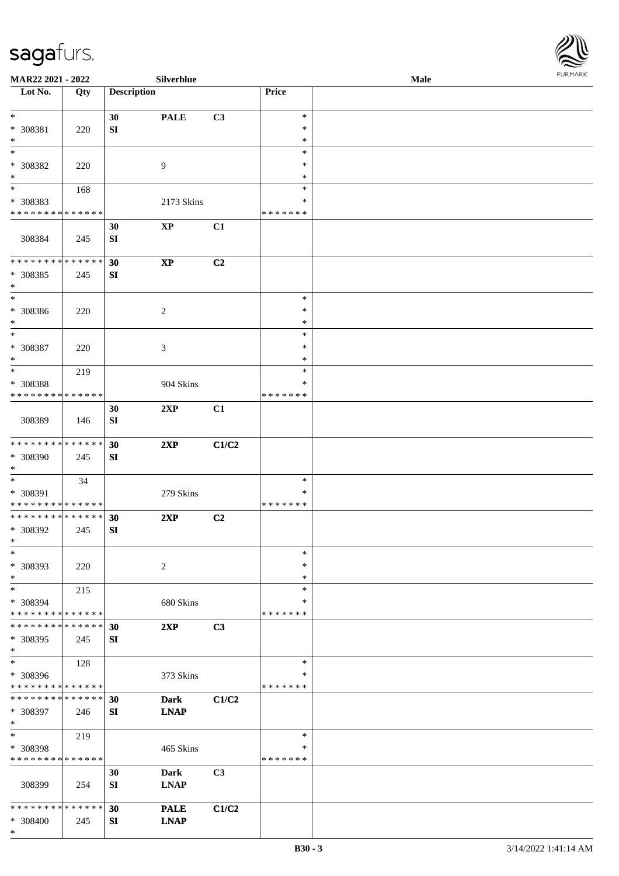

| MAR22 2021 - 2022           |     |                    | Silverblue  |       |               | Male |  |
|-----------------------------|-----|--------------------|-------------|-------|---------------|------|--|
| Lot No.                     | Qty | <b>Description</b> |             |       | Price         |      |  |
|                             |     |                    |             |       |               |      |  |
| $*$                         |     | 30                 | <b>PALE</b> | C3    | $\ast$        |      |  |
| * 308381                    | 220 | SI                 |             |       | $\ast$        |      |  |
| $\ast$                      |     |                    |             |       | $\ast$        |      |  |
| $\ast$                      |     |                    |             |       | $\ast$        |      |  |
|                             |     |                    |             |       | ∗             |      |  |
| * 308382                    | 220 |                    | 9           |       |               |      |  |
| $\ast$                      |     |                    |             |       | $\ast$        |      |  |
| $\overline{\ast}$           | 168 |                    |             |       | $\ast$        |      |  |
| $* 308383$                  |     |                    | 2173 Skins  |       | $\ast$        |      |  |
| * * * * * * * * * * * * * * |     |                    |             |       | * * * * * * * |      |  |
|                             |     | 30                 | $\bold{XP}$ | C1    |               |      |  |
| 308384                      | 245 | ${\bf SI}$         |             |       |               |      |  |
|                             |     |                    |             |       |               |      |  |
| * * * * * * * * * * * * * * |     | 30                 | $\bold{XP}$ | C2    |               |      |  |
| * 308385                    | 245 | SI                 |             |       |               |      |  |
| $\ast$                      |     |                    |             |       |               |      |  |
| $\ast$                      |     |                    |             |       | $\ast$        |      |  |
|                             |     |                    |             |       | $\ast$        |      |  |
| $* 308386$                  | 220 |                    | 2           |       |               |      |  |
| $\ast$                      |     |                    |             |       | $\ast$        |      |  |
| $\ast$                      |     |                    |             |       | $\ast$        |      |  |
| $* 308387$                  | 220 |                    | 3           |       | $\ast$        |      |  |
| $\ast$                      |     |                    |             |       | $\ast$        |      |  |
| $*$                         | 219 |                    |             |       | $\ast$        |      |  |
| * 308388                    |     |                    | 904 Skins   |       | ∗             |      |  |
| * * * * * * * * * * * * * * |     |                    |             |       | * * * * * * * |      |  |
|                             |     | 30                 | 2XP         | C1    |               |      |  |
| 308389                      | 146 | ${\bf SI}$         |             |       |               |      |  |
|                             |     |                    |             |       |               |      |  |
| * * * * * * * * * * * * * * |     |                    |             |       |               |      |  |
|                             |     | 30                 | 2XP         | C1/C2 |               |      |  |
| $* 308390$                  | 245 | SI                 |             |       |               |      |  |
| $*$                         |     |                    |             |       |               |      |  |
| $*$                         | 34  |                    |             |       | $\ast$        |      |  |
| * 308391                    |     |                    | 279 Skins   |       | $\ast$        |      |  |
| * * * * * * * * * * * * * * |     |                    |             |       | * * * * * * * |      |  |
| * * * * * * * * * * * * * * |     | 30                 | 2XP         | C2    |               |      |  |
| * 308392                    | 245 | SI                 |             |       |               |      |  |
| $*$                         |     |                    |             |       |               |      |  |
| $\ast$                      |     |                    |             |       | $\ast$        |      |  |
| * 308393                    | 220 |                    | 2           |       | $\ast$        |      |  |
| $\ast$                      |     |                    |             |       | $\ast$        |      |  |
| $\ast$                      | 215 |                    |             |       | $\ast$        |      |  |
|                             |     |                    |             |       | ∗             |      |  |
| * 308394                    |     |                    | 680 Skins   |       |               |      |  |
| * * * * * * * * * * * * * * |     |                    |             |       | * * * * * * * |      |  |
| * * * * * * * * * * * * * * |     | 30                 | 2XP         | C3    |               |      |  |
| * 308395                    | 245 | SI                 |             |       |               |      |  |
| $*$                         |     |                    |             |       |               |      |  |
| $\ast$                      | 128 |                    |             |       | $\ast$        |      |  |
| * 308396                    |     |                    | 373 Skins   |       | ∗             |      |  |
| * * * * * * * * * * * * * * |     |                    |             |       | * * * * * * * |      |  |
| * * * * * * * * * * * * * * |     | 30                 | <b>Dark</b> | C1/C2 |               |      |  |
| * 308397                    | 246 | SI                 | <b>LNAP</b> |       |               |      |  |
| $*$                         |     |                    |             |       |               |      |  |
| $\ast$                      |     |                    |             |       | $\ast$        |      |  |
|                             | 219 |                    |             |       |               |      |  |
| * 308398                    |     |                    | 465 Skins   |       | $\ast$        |      |  |
| * * * * * * * * * * * * * * |     |                    |             |       | * * * * * * * |      |  |
|                             |     | 30                 | <b>Dark</b> | C3    |               |      |  |
| 308399                      | 254 | SI                 | <b>LNAP</b> |       |               |      |  |
|                             |     |                    |             |       |               |      |  |
| * * * * * * * * * * * * * * |     | 30                 | <b>PALE</b> | C1/C2 |               |      |  |
| * 308400                    | 245 | SI                 | <b>LNAP</b> |       |               |      |  |
| $\ast$                      |     |                    |             |       |               |      |  |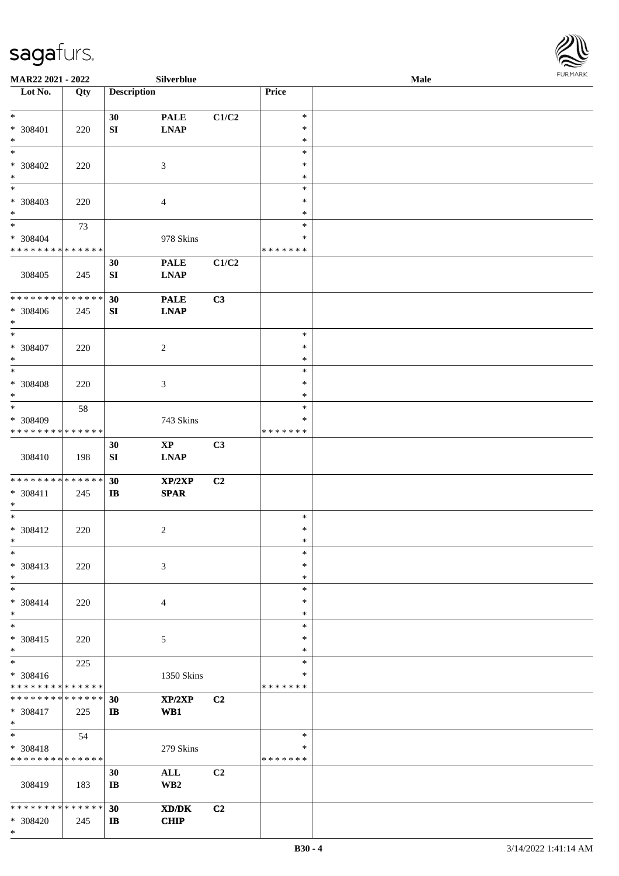

| MAR22 2021 - 2022             |     |                        | Silverblue                                  |       |               | <b>Male</b> |  |
|-------------------------------|-----|------------------------|---------------------------------------------|-------|---------------|-------------|--|
| Lot No.                       | Qty | <b>Description</b>     |                                             |       | <b>Price</b>  |             |  |
|                               |     |                        |                                             |       |               |             |  |
| $*$                           |     | 30                     | <b>PALE</b>                                 | C1/C2 | $\ast$        |             |  |
| * 308401                      | 220 | ${\bf S}{\bf I}$       | <b>LNAP</b>                                 |       | $\ast$        |             |  |
| $\ast$                        |     |                        |                                             |       | $\ast$        |             |  |
| $*$                           |     |                        |                                             |       | $\ast$        |             |  |
| $* 308402$                    |     |                        |                                             |       | ∗             |             |  |
| $\ast$                        | 220 |                        | 3                                           |       |               |             |  |
| $*$                           |     |                        |                                             |       | $\ast$        |             |  |
|                               |     |                        |                                             |       | $\ast$        |             |  |
| * 308403                      | 220 |                        | $\overline{4}$                              |       | $\ast$        |             |  |
| $*$                           |     |                        |                                             |       | $\ast$        |             |  |
| $*$                           | 73  |                        |                                             |       | $\ast$        |             |  |
| $* 308404$                    |     |                        | 978 Skins                                   |       | $\ast$        |             |  |
| * * * * * * * * * * * * * *   |     |                        |                                             |       | * * * * * * * |             |  |
|                               |     | 30                     | <b>PALE</b>                                 | C1/C2 |               |             |  |
| 308405                        | 245 | SI                     | <b>LNAP</b>                                 |       |               |             |  |
|                               |     |                        |                                             |       |               |             |  |
| * * * * * * * * * * * * * *   |     | 30                     |                                             |       |               |             |  |
|                               |     |                        | <b>PALE</b>                                 | C3    |               |             |  |
| * 308406                      | 245 | SI                     | <b>LNAP</b>                                 |       |               |             |  |
| $*$                           |     |                        |                                             |       |               |             |  |
| $\ast$                        |     |                        |                                             |       | $\ast$        |             |  |
| * 308407                      | 220 |                        | $\overline{c}$                              |       | $\ast$        |             |  |
| $*$                           |     |                        |                                             |       | $\ast$        |             |  |
| $\ast$                        |     |                        |                                             |       | $\ast$        |             |  |
| * 308408                      | 220 |                        | 3                                           |       | $\ast$        |             |  |
| $\ast$                        |     |                        |                                             |       | $\ast$        |             |  |
| $*$                           | 58  |                        |                                             |       | $\ast$        |             |  |
| $* 308409$                    |     |                        | 743 Skins                                   |       | $\ast$        |             |  |
| * * * * * * * * * * * * * *   |     |                        |                                             |       | * * * * * * * |             |  |
|                               |     |                        |                                             |       |               |             |  |
|                               |     | 30                     | $\mathbf{X}\mathbf{P}$                      | C3    |               |             |  |
| 308410                        | 198 | ${\bf SI}$             | <b>LNAP</b>                                 |       |               |             |  |
|                               |     |                        |                                             |       |               |             |  |
| * * * * * * * * * * * * * *   |     | 30                     | XP/2XP                                      | C2    |               |             |  |
| $* 308411$                    | 245 | $\mathbf{I}$           | <b>SPAR</b>                                 |       |               |             |  |
| $*$                           |     |                        |                                             |       |               |             |  |
| $*$                           |     |                        |                                             |       | $\ast$        |             |  |
| $* 308412$                    | 220 |                        | $\overline{c}$                              |       | $\ast$        |             |  |
| $*$                           |     |                        |                                             |       | $*$           |             |  |
| $*$                           |     |                        |                                             |       | $\ast$        |             |  |
| * 308413                      | 220 |                        | 3                                           |       | ∗             |             |  |
| $*$                           |     |                        |                                             |       | $\ast$        |             |  |
| $*$                           |     |                        |                                             |       | $\ast$        |             |  |
| $* 308414$                    | 220 |                        | 4                                           |       | ∗             |             |  |
| $*$                           |     |                        |                                             |       | $\ast$        |             |  |
| $*$                           |     |                        |                                             |       | $\ast$        |             |  |
|                               |     |                        |                                             |       |               |             |  |
| * 308415                      | 220 |                        | 5                                           |       | $\ast$        |             |  |
| $*$                           |     |                        |                                             |       | *             |             |  |
| $*$                           | 225 |                        |                                             |       | $\ast$        |             |  |
| * 308416                      |     |                        | 1350 Skins                                  |       | ∗             |             |  |
| * * * * * * * * * * * * * *   |     |                        |                                             |       | * * * * * * * |             |  |
| * * * * * * * * * * * * * * * |     | 30                     | XP/2XP                                      | C2    |               |             |  |
| * 308417                      | 225 | IB                     | WB1                                         |       |               |             |  |
| $*$                           |     |                        |                                             |       |               |             |  |
| $*$                           | 54  |                        |                                             |       | $\ast$        |             |  |
| * 308418                      |     |                        | 279 Skins                                   |       | $\ast$        |             |  |
| * * * * * * * * * * * * * *   |     |                        |                                             |       | * * * * * * * |             |  |
|                               |     |                        |                                             |       |               |             |  |
|                               |     | 30                     | ALL                                         | C2    |               |             |  |
| 308419                        | 183 | $\mathbf{I}\mathbf{B}$ | WB <sub>2</sub>                             |       |               |             |  |
|                               |     |                        |                                             |       |               |             |  |
| * * * * * * * * * * * * * * * |     | 30                     | $\mathbf{X}\mathbf{D}/\mathbf{D}\mathbf{K}$ | C2    |               |             |  |
| * 308420                      | 245 | $\mathbf{I}$           | <b>CHIP</b>                                 |       |               |             |  |
| $\ast$                        |     |                        |                                             |       |               |             |  |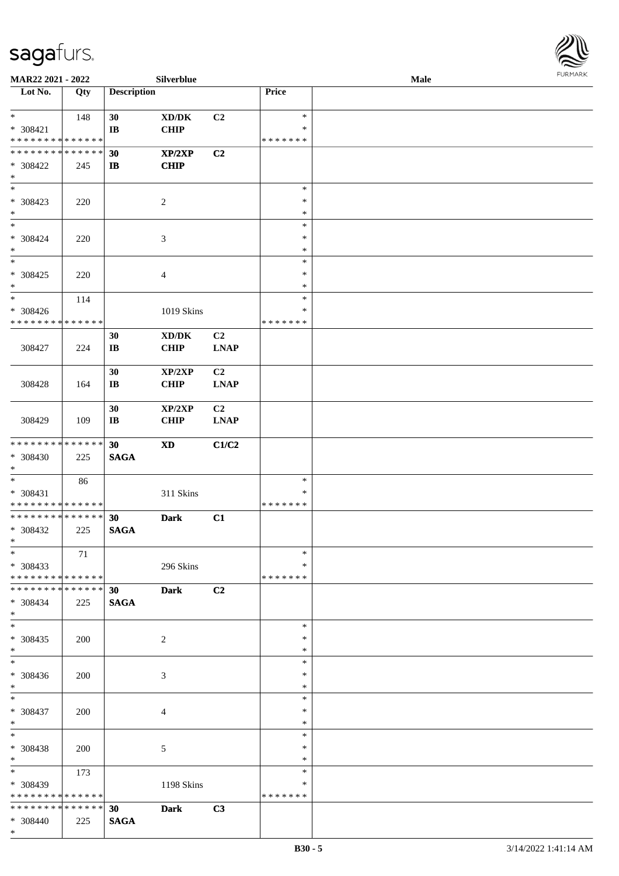

| MAR22 2021 - 2022                                                     |     |                                | Silverblue                                  |                               |                                   | Male |  |
|-----------------------------------------------------------------------|-----|--------------------------------|---------------------------------------------|-------------------------------|-----------------------------------|------|--|
| Lot No.                                                               | Qty | <b>Description</b>             |                                             |                               | Price                             |      |  |
| $\ast$<br>* 308421<br>* * * * * * * * * * * * * *                     | 148 | 30<br>$\mathbf{I}$ <b>B</b>    | $\bold{X}\bold{D}/\bold{D}\bold{K}$<br>CHIP | C2                            | $\ast$<br>*<br>* * * * * * *      |      |  |
| * * * * * * * * * * * * * *<br>* 308422<br>$\ast$                     | 245 | 30<br>$\mathbf{I}$             | XP/2XP<br><b>CHIP</b>                       | C2                            |                                   |      |  |
| $\overline{\phantom{1}}$<br>* 308423<br>$\ast$                        | 220 |                                | $\sqrt{2}$                                  |                               | $\ast$<br>$\ast$<br>$\ast$        |      |  |
| $_{\ast}$<br>$* 308424$<br>$\ast$                                     | 220 |                                | $\mathfrak{Z}$                              |                               | $\ast$<br>$\ast$<br>$\ast$        |      |  |
| $_{\ast}^{-}$<br>$* 308425$<br>$\ast$                                 | 220 |                                | 4                                           |                               | $\ast$<br>$\ast$<br>$\ast$        |      |  |
| $\ast$<br>* 308426<br>* * * * * * * * * * * * * *                     | 114 |                                | 1019 Skins                                  |                               | $\ast$<br>$\ast$<br>* * * * * * * |      |  |
| 308427                                                                | 224 | 30<br>$\bf I\bf B$             | $\bold{X}\bold{D}/\bold{D}\bold{K}$<br>CHIP | C <sub>2</sub><br><b>LNAP</b> |                                   |      |  |
| 308428                                                                | 164 | 30<br>$\mathbf{I}\mathbf{B}$   | XP/2XP<br><b>CHIP</b>                       | C <sub>2</sub><br><b>LNAP</b> |                                   |      |  |
| 308429                                                                | 109 | 30<br>$\bf I\bf B$             | XP/2XP<br><b>CHIP</b>                       | C2<br><b>LNAP</b>             |                                   |      |  |
| * * * * * * * * * * * * * *<br>* 308430<br>$\ast$                     | 225 | 30<br><b>SAGA</b>              | $\boldsymbol{\mathrm{XD}}$                  | C1/C2                         |                                   |      |  |
| $\ast$<br>* 308431<br>* * * * * * * * * * * * * *                     | 86  |                                | 311 Skins                                   |                               | $\ast$<br>$\ast$<br>* * * * * * * |      |  |
| **************<br>* 308432<br>$\ast$                                  | 225 | 30<br><b>SAGA</b>              | <b>Dark</b>                                 | C1                            |                                   |      |  |
| $*$<br>* 308433<br>* * * * * * * * * * * * * * *                      | 71  |                                | 296 Skins                                   |                               | $\ast$<br>*<br>* * * * * * *      |      |  |
| * * * * * * * * * * * * * * *<br>* 308434<br>$*$                      | 225 | 30 <sup>°</sup><br><b>SAGA</b> | <b>Dark</b>                                 | C2                            |                                   |      |  |
| $\ast$<br>$* 308435$<br>$*$                                           | 200 |                                | 2                                           |                               | $\ast$<br>∗<br>$\ast$             |      |  |
| $\overline{\phantom{a}^*}$<br>$* 308436$<br>$*$                       | 200 |                                | 3                                           |                               | $\ast$<br>*<br>$\ast$             |      |  |
| $\ast$<br>* 308437<br>$*$                                             | 200 |                                | 4                                           |                               | $\ast$<br>$\ast$<br>$\ast$        |      |  |
| $\ast$<br>* 308438<br>$*$                                             | 200 |                                | $\mathfrak{S}$                              |                               | $\ast$<br>$\ast$<br>$\ast$        |      |  |
| $\overline{\phantom{0}}$<br>* 308439<br>* * * * * * * * * * * * * * * | 173 |                                | 1198 Skins                                  |                               | $\ast$<br>∗<br>* * * * * * *      |      |  |
| * * * * * * * * * * * * * * *<br>* 308440<br>$*$                      | 225 | 30 <sup>°</sup><br><b>SAGA</b> | <b>Dark</b>                                 | C3                            |                                   |      |  |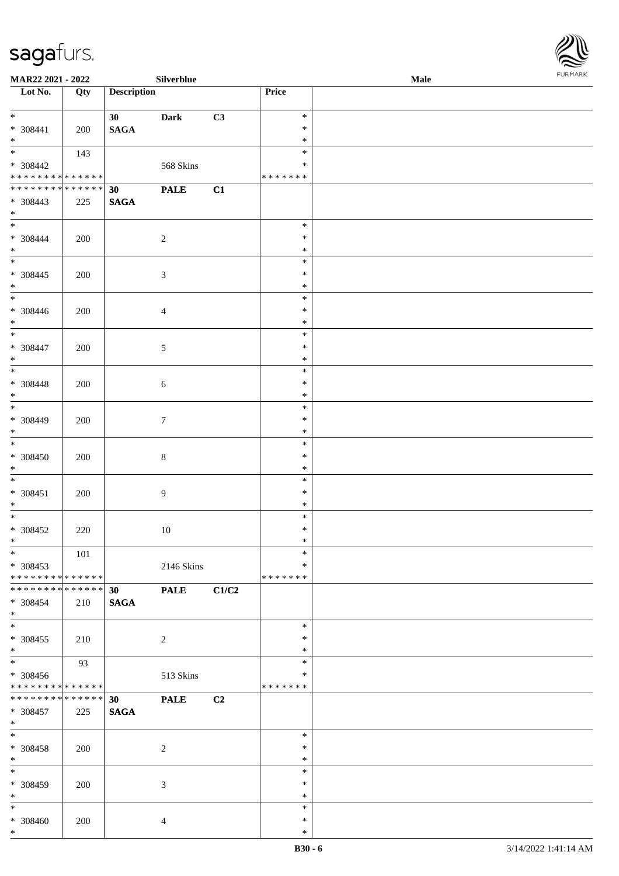

| <b>MAR22 2021 - 2022</b>                   |     |                    | Silverblue     |       |               | Male |  |
|--------------------------------------------|-----|--------------------|----------------|-------|---------------|------|--|
| Lot No.                                    | Qty | <b>Description</b> |                |       | Price         |      |  |
|                                            |     |                    |                |       |               |      |  |
| $*$                                        |     | 30 <sup>°</sup>    | <b>Dark</b>    | C3    | $\ast$        |      |  |
| $* 308441$                                 | 200 | <b>SAGA</b>        |                |       | $\ast$        |      |  |
| $*$                                        |     |                    |                |       | $\ast$        |      |  |
| $\overline{\mathbf{r}}$                    | 143 |                    |                |       | $\ast$        |      |  |
| * 308442                                   |     |                    | 568 Skins      |       | $\ast$        |      |  |
| * * * * * * * * <mark>* * * * * * *</mark> |     |                    |                |       | * * * * * * * |      |  |
| * * * * * * * * <mark>* * * * * * *</mark> |     | 30                 | <b>PALE</b>    | C1    |               |      |  |
| * 308443                                   | 225 | <b>SAGA</b>        |                |       |               |      |  |
| $\ast$                                     |     |                    |                |       |               |      |  |
| $*$                                        |     |                    |                |       | $\ast$        |      |  |
|                                            |     |                    |                |       |               |      |  |
| $* 308444$                                 | 200 |                    | $\overline{2}$ |       | $\ast$        |      |  |
| $*$                                        |     |                    |                |       | $\ast$        |      |  |
|                                            |     |                    |                |       | $\ast$        |      |  |
| * 308445                                   | 200 |                    | $\mathfrak{Z}$ |       | $\ast$        |      |  |
| $*$                                        |     |                    |                |       | $\ast$        |      |  |
|                                            |     |                    |                |       | $\ast$        |      |  |
| * 308446                                   | 200 |                    | $\overline{4}$ |       | $\ast$        |      |  |
| $\ast$                                     |     |                    |                |       | $\ast$        |      |  |
| $\overline{\mathbf{r}}$                    |     |                    |                |       | $\ast$        |      |  |
| * 308447                                   | 200 |                    | $\mathfrak{S}$ |       | $\ast$        |      |  |
| $*$                                        |     |                    |                |       | $\ast$        |      |  |
| $\overline{\ast}$                          |     |                    |                |       | $\ast$        |      |  |
|                                            |     |                    |                |       |               |      |  |
| * 308448                                   | 200 |                    | $\sqrt{6}$     |       | $\ast$        |      |  |
| $\ast$                                     |     |                    |                |       | $\ast$        |      |  |
|                                            |     |                    |                |       | $\ast$        |      |  |
| * 308449                                   | 200 |                    | $\tau$         |       | $\ast$        |      |  |
| $\ast$                                     |     |                    |                |       | $\ast$        |      |  |
| $\overline{\phantom{0}}$                   |     |                    |                |       | $\ast$        |      |  |
| * 308450                                   | 200 |                    | $\,8\,$        |       | $\ast$        |      |  |
| $*$                                        |     |                    |                |       | $\ast$        |      |  |
| $\ast$                                     |     |                    |                |       | $\ast$        |      |  |
| $* 308451$                                 | 200 |                    | $\overline{9}$ |       | $\ast$        |      |  |
| $\ast$                                     |     |                    |                |       | $\ast$        |      |  |
| $*$                                        |     |                    |                |       | $\ast$        |      |  |
|                                            |     |                    |                |       |               |      |  |
| * 308452                                   | 220 |                    | $10\,$         |       | $\ast$        |      |  |
| $*$                                        |     |                    |                |       | $\ast$        |      |  |
| $\ast$                                     | 101 |                    |                |       | $\ast$        |      |  |
| $* 308453$                                 |     |                    | 2146 Skins     |       | $\ast$        |      |  |
| * * * * * * * * * * * * * * *              |     |                    |                |       | *******       |      |  |
| * * * * * * * * * * * * * * *              |     | 30                 | <b>PALE</b>    | C1/C2 |               |      |  |
| * 308454                                   | 210 | <b>SAGA</b>        |                |       |               |      |  |
| $\ast$                                     |     |                    |                |       |               |      |  |
| $*$                                        |     |                    |                |       | $\ast$        |      |  |
| $*308455$                                  | 210 |                    | $\overline{2}$ |       | $\ast$        |      |  |
| $*$                                        |     |                    |                |       | $\ast$        |      |  |
| $\overline{\ast}$                          |     |                    |                |       | $\ast$        |      |  |
|                                            | 93  |                    |                |       |               |      |  |
| * 308456                                   |     |                    | 513 Skins      |       | ∗             |      |  |
| * * * * * * * * <mark>* * * * * * *</mark> |     |                    |                |       | *******       |      |  |
| * * * * * * * * <mark>* * * * * * *</mark> |     | 30                 | <b>PALE</b>    | C2    |               |      |  |
| * 308457                                   | 225 | <b>SAGA</b>        |                |       |               |      |  |
| $*$ $-$                                    |     |                    |                |       |               |      |  |
| $*$ $*$                                    |     |                    |                |       | $\ast$        |      |  |
| * 308458                                   | 200 |                    | 2              |       | $\ast$        |      |  |
| $*$                                        |     |                    |                |       | $\ast$        |      |  |
| $\overline{\ast}$                          |     |                    |                |       | $\ast$        |      |  |
| * 308459                                   |     |                    |                |       | $\ast$        |      |  |
|                                            | 200 |                    | 3              |       | $\ast$        |      |  |
| $*$<br>$*$                                 |     |                    |                |       |               |      |  |
|                                            |     |                    |                |       | $\ast$        |      |  |
| * 308460                                   | 200 |                    | $\overline{4}$ |       | $\ast$        |      |  |
| $\ast$                                     |     |                    |                |       | $\ast$        |      |  |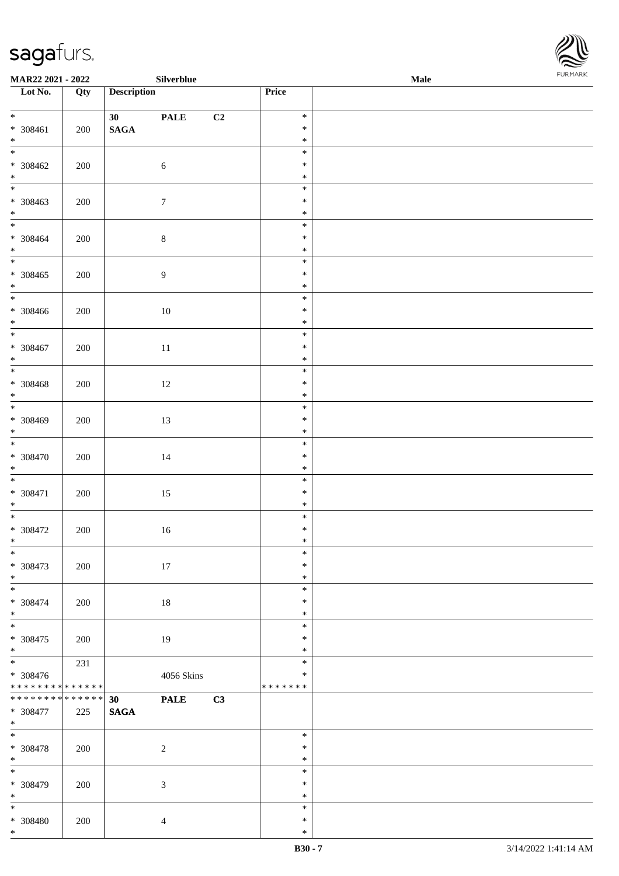

| MAR22 2021 - 2022                    |         |                    | Silverblue       |    |                  | <b>FURMARK</b><br>Male |  |  |
|--------------------------------------|---------|--------------------|------------------|----|------------------|------------------------|--|--|
| Lot No.                              | Qty     | <b>Description</b> |                  |    | Price            |                        |  |  |
| $\overline{\phantom{0}}$             |         | 30 <sub>1</sub>    | <b>PALE</b>      | C2 | $\ast$           |                        |  |  |
| $* 308461$<br>$\ast$                 | 200     | $\mathbf{SAGA}$    |                  |    | $\ast$<br>$\ast$ |                        |  |  |
| $\overline{\phantom{a}^*}$           |         |                    |                  |    | $\ast$           |                        |  |  |
| $* 308462$                           | 200     |                    | $6\,$            |    | $\ast$<br>$\ast$ |                        |  |  |
| $*$ $*$                              |         |                    |                  |    | $\ast$           |                        |  |  |
| $* 308463$<br>$\ast$                 | 200     |                    | $\boldsymbol{7}$ |    | $\ast$<br>$\ast$ |                        |  |  |
| $\overline{\phantom{0}}$             |         |                    |                  |    | $\ast$           |                        |  |  |
| $* 308464$<br>$\ast$                 | 200     |                    | $\,8\,$          |    | $\ast$<br>$\ast$ |                        |  |  |
| $\overline{\phantom{0}}$             |         |                    |                  |    | $\ast$           |                        |  |  |
| $* 308465$                           | 200     |                    | $\boldsymbol{9}$ |    | $\ast$           |                        |  |  |
| $\ast$<br>$\overline{\phantom{0}}$   |         |                    |                  |    | $\ast$<br>$\ast$ |                        |  |  |
| $* 308466$                           | 200     |                    | $10\,$           |    | $\ast$           |                        |  |  |
| $\ast$<br>$\overline{\phantom{a}^*}$ |         |                    |                  |    | $\ast$<br>$\ast$ |                        |  |  |
| * 308467                             | 200     |                    | $11\,$           |    | $\ast$           |                        |  |  |
| $\ast$<br>$\overline{\phantom{0}}$   |         |                    |                  |    | $\ast$           |                        |  |  |
| $* 308468$                           | 200     |                    | $12\,$           |    | $\ast$<br>$\ast$ |                        |  |  |
| $\ast$                               |         |                    |                  |    | $\ast$           |                        |  |  |
| $\overline{\phantom{0}}$             |         |                    |                  |    | $\ast$           |                        |  |  |
| $* 308469$                           | 200     |                    | 13               |    | $\ast$           |                        |  |  |
| $\ast$<br>$\overline{\phantom{0}}$   |         |                    |                  |    | $\ast$           |                        |  |  |
| $* 308470$                           | 200     |                    | $14\,$           |    | $\ast$<br>$\ast$ |                        |  |  |
| $\ast$                               |         |                    |                  |    | $\ast$           |                        |  |  |
| $\overline{\phantom{a}^*}$           |         |                    |                  |    | $\ast$           |                        |  |  |
| $* 308471$                           | 200     |                    | 15               |    | $\ast$           |                        |  |  |
| $\ast$<br>$\overline{\phantom{a}^*}$ |         |                    |                  |    | $\ast$           |                        |  |  |
| $* 308472$                           | $200\,$ |                    | 16               |    | $\ast$<br>$\ast$ |                        |  |  |
| $\ast$                               |         |                    |                  |    | $\ast$           |                        |  |  |
| $\ast$                               |         |                    |                  |    | $\ast$           |                        |  |  |
| * 308473                             | 200     |                    | $17\,$           |    | $\ast$           |                        |  |  |
| $\ast$<br>$\ast$                     |         |                    |                  |    | $\ast$<br>$\ast$ |                        |  |  |
| * 308474                             | 200     |                    | 18               |    | $\ast$           |                        |  |  |
| $\ast$                               |         |                    |                  |    | $\ast$           |                        |  |  |
| $_{\ast}$                            |         |                    |                  |    | $\ast$           |                        |  |  |
| * 308475                             | 200     |                    | 19               |    | $\ast$           |                        |  |  |
| $\ast$<br>$_{\ast}^{-}$              |         |                    |                  |    | $\ast$<br>$\ast$ |                        |  |  |
| * 308476                             | 231     |                    | 4056 Skins       |    | ∗                |                        |  |  |
| * * * * * * * * * * * * * *          |         |                    |                  |    | * * * * * * *    |                        |  |  |
| * * * * * * * * * * * * * *          |         | 30                 | <b>PALE</b>      | C3 |                  |                        |  |  |
| $* 308477$                           | 225     | <b>SAGA</b>        |                  |    |                  |                        |  |  |
| $\ast$<br>$\overline{\ast}$          |         |                    |                  |    | $\ast$           |                        |  |  |
| * 308478                             | 200     |                    | $\overline{c}$   |    | $\ast$           |                        |  |  |
| $\ast$                               |         |                    |                  |    | $\ast$           |                        |  |  |
| $_{\ast}^{-}$                        |         |                    |                  |    | $\ast$           |                        |  |  |
| * 308479                             | 200     |                    | $\mathfrak{Z}$   |    | $\ast$           |                        |  |  |
| $\ast$<br>$\ast$                     |         |                    |                  |    | $\ast$<br>$\ast$ |                        |  |  |
| $* 308480$                           | 200     |                    | 4                |    | $\ast$           |                        |  |  |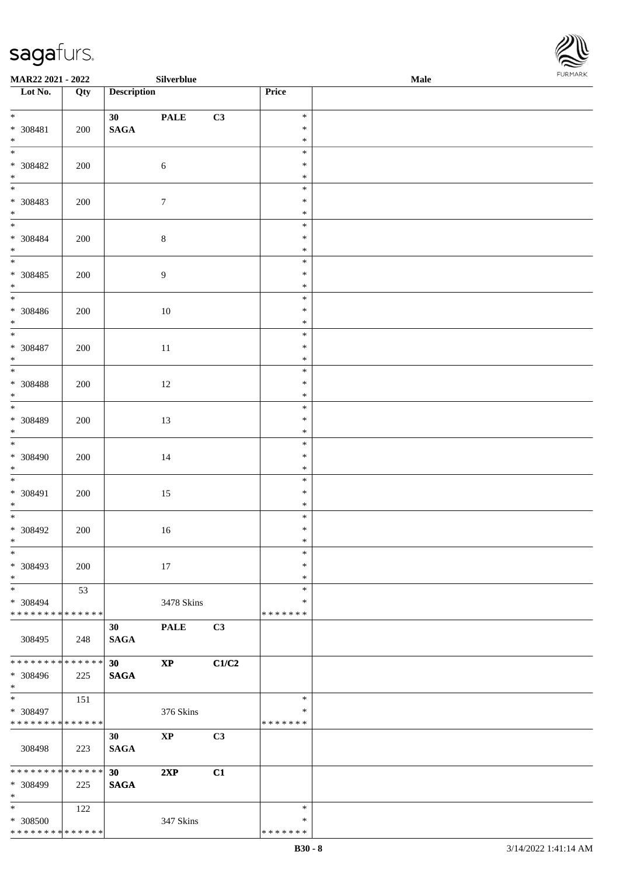\* \* \* \* \* \* \* \* \* \* \* \* \* \* \*



| MAR22 2021 - 2022                    |     |                    | Silverblue  |       |                  | Male | <b>FURMARK</b> |
|--------------------------------------|-----|--------------------|-------------|-------|------------------|------|----------------|
| $\overline{\phantom{1}}$ Lot No.     | Qty | <b>Description</b> |             |       | Price            |      |                |
| $*$ and $*$                          |     | 30 <sub>1</sub>    | <b>PALE</b> | C3    | $\ast$           |      |                |
| * 308481                             | 200 | <b>SAGA</b>        |             |       | $\ast$           |      |                |
| $\ast$                               |     |                    |             |       | $\ast$           |      |                |
| $\frac{1}{*}$                        |     |                    |             |       | $\ast$           |      |                |
| $* 308482$                           | 200 |                    | $\sqrt{6}$  |       | $\ast$           |      |                |
| $\ast$                               |     |                    |             |       | $\ast$           |      |                |
| $\frac{1}{1}$                        |     |                    |             |       | $\ast$           |      |                |
| * 308483                             | 200 |                    | $\tau$      |       | $\ast$           |      |                |
| $\ast$                               |     |                    |             |       | $\ast$           |      |                |
| $\overline{\phantom{0}}$             |     |                    |             |       | $\ast$           |      |                |
| $* 308484$                           | 200 |                    | $8\,$       |       | $\ast$           |      |                |
| $\ast$<br>$\ast$                     |     |                    |             |       | $\ast$           |      |                |
|                                      |     |                    |             |       | $\ast$           |      |                |
| * 308485<br>$\ast$                   | 200 |                    | 9           |       | $\ast$<br>$\ast$ |      |                |
| $\overline{\phantom{a}^*}$           |     |                    |             |       | $\ast$           |      |                |
| * 308486                             | 200 |                    | $10\,$      |       | $\ast$           |      |                |
| $\ast$                               |     |                    |             |       | $\ast$           |      |                |
| $\overline{\ast}$                    |     |                    |             |       | $\ast$           |      |                |
| * 308487                             | 200 |                    | $11\,$      |       | $\ast$           |      |                |
| $\ast$                               |     |                    |             |       | $\ast$           |      |                |
| $\overline{\phantom{a}^*}$           |     |                    |             |       | $\ast$           |      |                |
| * 308488                             | 200 |                    | $12\,$      |       | $\ast$           |      |                |
| $\ast$                               |     |                    |             |       | $\ast$           |      |                |
| $\overline{\phantom{a}^*}$           |     |                    |             |       | $\ast$           |      |                |
| * 308489                             | 200 |                    | 13          |       | $\ast$           |      |                |
| $\ast$                               |     |                    |             |       | $\ast$           |      |                |
| $\overline{\phantom{0}}$             |     |                    |             |       | $\ast$           |      |                |
| * 308490                             | 200 |                    | $14\,$      |       | $\ast$           |      |                |
| $\ast$<br>$\overline{\phantom{a}}$   |     |                    |             |       | $\ast$           |      |                |
|                                      |     |                    |             |       | $\ast$           |      |                |
| * 308491                             | 200 |                    | 15          |       | $\ast$           |      |                |
| $\ast$<br>$\overline{\phantom{a}^*}$ |     |                    |             |       | $\ast$<br>$\ast$ |      |                |
|                                      |     |                    |             |       | $\ast$           |      |                |
| * 308492<br>$\ast$                   | 200 |                    | $16\,$      |       | $\ast$           |      |                |
| $\overline{\phantom{a}^*}$           |     |                    |             |       | $\ast$           |      |                |
| * 308493                             | 200 |                    | $17\,$      |       | $\ast$           |      |                |
| $\ast$                               |     |                    |             |       | $\ast$           |      |                |
| $\ast$                               | 53  |                    |             |       | $\ast$           |      |                |
| * 308494                             |     |                    | 3478 Skins  |       | $\ast$           |      |                |
| * * * * * * * * * * * * * *          |     |                    |             |       | *******          |      |                |
|                                      |     | 30                 | <b>PALE</b> | C3    |                  |      |                |
| 308495                               | 248 | <b>SAGA</b>        |             |       |                  |      |                |
|                                      |     |                    |             |       |                  |      |                |
| * * * * * * * * * * * * * *          |     | 30 <sup>°</sup>    | $\bold{XP}$ | C1/C2 |                  |      |                |
| * 308496                             | 225 | <b>SAGA</b>        |             |       |                  |      |                |
| $\ast$                               |     |                    |             |       |                  |      |                |
| $\ast$                               | 151 |                    |             |       | $\ast$           |      |                |
| * 308497                             |     |                    | 376 Skins   |       | $\ast$           |      |                |
| * * * * * * * * * * * * * *          |     |                    |             |       | *******          |      |                |
|                                      |     | 30                 | $\bold{XP}$ | C3    |                  |      |                |
| 308498                               | 223 | <b>SAGA</b>        |             |       |                  |      |                |
| **************                       |     | 30                 | 2XP         | C1    |                  |      |                |
| * 308499                             | 225 | <b>SAGA</b>        |             |       |                  |      |                |
| $\ast$                               |     |                    |             |       |                  |      |                |
| $\ast$                               | 122 |                    |             |       | $\ast$           |      |                |
| * 308500                             |     |                    | 347 Skins   |       | $\ast$           |      |                |

\* \* \* \* \* \* \*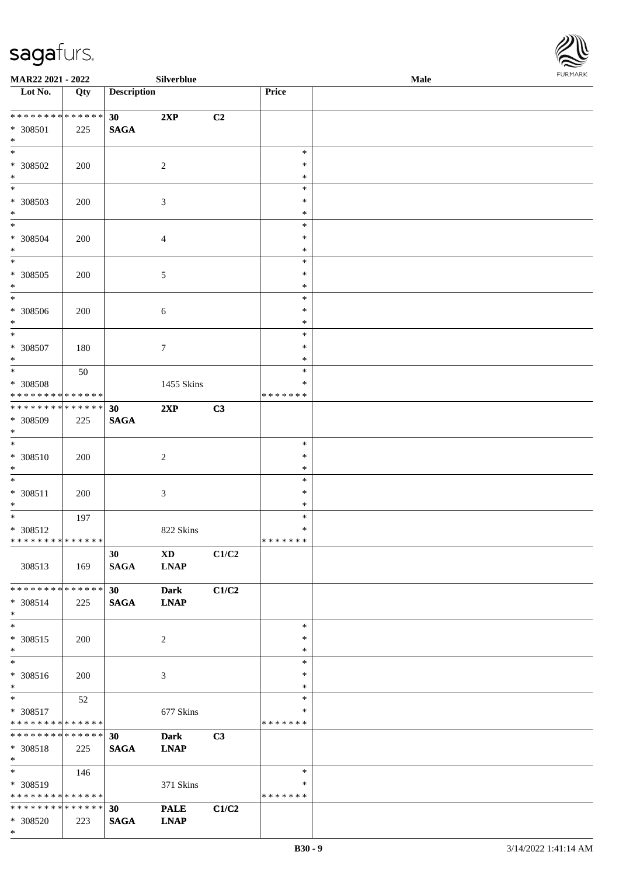

| <b>MAR22 2021 - 2022</b>                   |     |                    | Silverblue             |       |               | <b>Male</b> |  |
|--------------------------------------------|-----|--------------------|------------------------|-------|---------------|-------------|--|
| Lot No.                                    | Qty | <b>Description</b> |                        |       | Price         |             |  |
|                                            |     |                    |                        |       |               |             |  |
|                                            |     | 30                 | 2XP                    | C2    |               |             |  |
| * 308501                                   | 225 | <b>SAGA</b>        |                        |       |               |             |  |
| $\ast$                                     |     |                    |                        |       |               |             |  |
| $\overline{\ast}$                          |     |                    |                        |       | $\ast$        |             |  |
| * 308502                                   | 200 |                    | $\overline{c}$         |       | $\ast$        |             |  |
| $\ast$                                     |     |                    |                        |       | $\ast$        |             |  |
|                                            |     |                    |                        |       | $\ast$        |             |  |
| * 308503                                   | 200 |                    | 3                      |       | $\ast$        |             |  |
| $\ast$                                     |     |                    |                        |       | $\ast$        |             |  |
| $*$                                        |     |                    |                        |       | $\ast$        |             |  |
| * 308504                                   | 200 |                    | $\overline{4}$         |       | $\ast$        |             |  |
| $*$                                        |     |                    |                        |       | $\ast$        |             |  |
|                                            |     |                    |                        |       | $\ast$        |             |  |
| * 308505                                   | 200 |                    | $\sqrt{5}$             |       | $\ast$        |             |  |
| $\ast$                                     |     |                    |                        |       | $\ast$        |             |  |
| $\overline{\ast}$                          |     |                    |                        |       | $\ast$        |             |  |
| * 308506                                   | 200 |                    | $\sqrt{6}$             |       | $\ast$        |             |  |
| $\ast$                                     |     |                    |                        |       | $\ast$        |             |  |
| $\overline{\ast}$                          |     |                    |                        |       | $\ast$        |             |  |
| * 308507                                   | 180 |                    | $\tau$                 |       | $\ast$        |             |  |
| $*$                                        |     |                    |                        |       | $\ast$        |             |  |
| $\overline{\mathbf{r}}$                    | 50  |                    |                        |       | $\ast$        |             |  |
| * 308508                                   |     |                    | 1455 Skins             |       | ∗             |             |  |
| * * * * * * * * <mark>* * * * * *</mark>   |     |                    |                        |       | * * * * * * * |             |  |
| * * * * * * * * * * * * * * *              |     | 30                 | 2XP                    | C3    |               |             |  |
| * 308509                                   | 225 | <b>SAGA</b>        |                        |       |               |             |  |
| $\ast$                                     |     |                    |                        |       |               |             |  |
| $\ast$                                     |     |                    |                        |       | $\ast$        |             |  |
| * 308510                                   | 200 |                    | $\overline{2}$         |       | $\ast$        |             |  |
| $*$                                        |     |                    |                        |       | $\ast$        |             |  |
| $\ddot{x}$                                 |     |                    |                        |       | $\ast$        |             |  |
| * 308511                                   | 200 |                    | $\mathfrak{Z}$         |       | $\ast$        |             |  |
| $\ast$<br>$*$                              |     |                    |                        |       | $\ast$        |             |  |
|                                            | 197 |                    |                        |       | $\ast$        |             |  |
| * 308512                                   |     |                    | 822 Skins              |       | $\ast$        |             |  |
| * * * * * * * * <mark>* * * * * * *</mark> |     |                    |                        |       | * * * * * * * |             |  |
|                                            |     | 30 <sup>°</sup>    | $\mathbf{X}\mathbf{D}$ | C1/C2 |               |             |  |
| 308513                                     | 169 | <b>SAGA</b>        | <b>LNAP</b>            |       |               |             |  |
|                                            |     |                    |                        |       |               |             |  |
| * * * * * * * * <mark>* * * * * * *</mark> |     | 30                 | <b>Dark</b>            | C1/C2 |               |             |  |
| * 308514                                   | 225 | <b>SAGA</b>        | <b>LNAP</b>            |       |               |             |  |
| $\ast$<br>$\ast$                           |     |                    |                        |       | $\ast$        |             |  |
|                                            |     |                    |                        |       | $\ast$        |             |  |
| * 308515<br>$*$                            | 200 |                    | 2                      |       | $\ast$        |             |  |
| $\overline{\ast}$                          |     |                    |                        |       | $\ast$        |             |  |
| * 308516                                   |     |                    | 3                      |       | $\ast$        |             |  |
| $*$                                        | 200 |                    |                        |       | $\ast$        |             |  |
|                                            | 52  |                    |                        |       | $\ast$        |             |  |
| * 308517                                   |     |                    | 677 Skins              |       | ∗             |             |  |
| * * * * * * * * <mark>* * * * * *</mark>   |     |                    |                        |       | * * * * * * * |             |  |
| * * * * * * * * <mark>* * * * * * *</mark> |     | 30 <sup>1</sup>    | <b>Dark</b>            | C3    |               |             |  |
| * 308518                                   | 225 | <b>SAGA</b>        | <b>LNAP</b>            |       |               |             |  |
| $*$                                        |     |                    |                        |       |               |             |  |
| $\overline{\mathbf{r}^*}$                  | 146 |                    |                        |       | $\ast$        |             |  |
| * 308519                                   |     |                    | 371 Skins              |       | ∗             |             |  |
| * * * * * * * * <mark>* * * * * *</mark>   |     |                    |                        |       | * * * * * * * |             |  |
| * * * * * * * * * * * * * * *              |     | 30                 | <b>PALE</b>            | C1/C2 |               |             |  |
| * 308520                                   | 223 | <b>SAGA</b>        | <b>LNAP</b>            |       |               |             |  |
|                                            |     |                    |                        |       |               |             |  |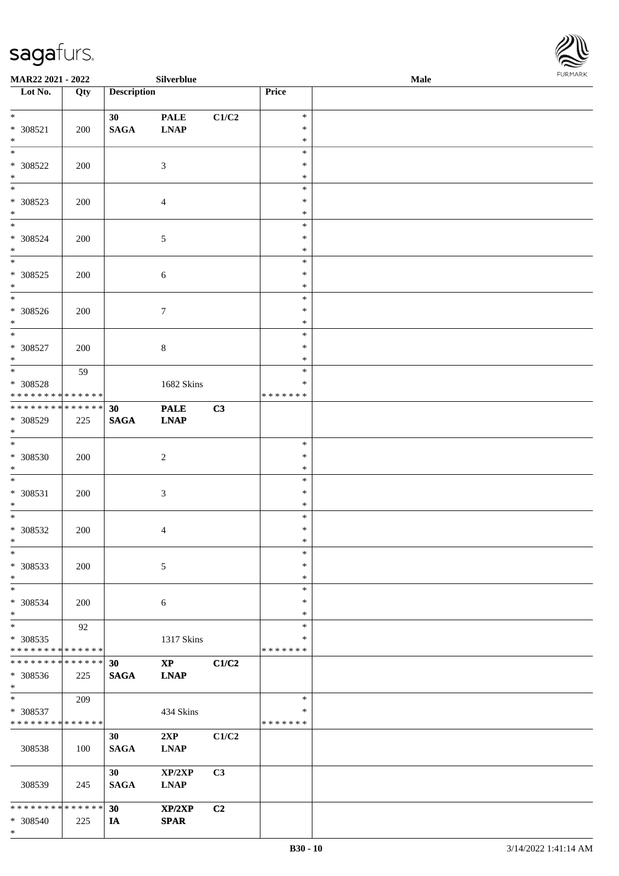

| <b>MAR22 2021 - 2022</b>                   |     |                    | Silverblue             |                |               | Male |  |
|--------------------------------------------|-----|--------------------|------------------------|----------------|---------------|------|--|
| Lot No.                                    | Qty | <b>Description</b> |                        |                | <b>Price</b>  |      |  |
|                                            |     |                    |                        |                |               |      |  |
| $*$                                        |     | 30 <sup>°</sup>    | <b>PALE</b>            | C1/C2          | $\ast$        |      |  |
| * 308521                                   | 200 | <b>SAGA</b>        | <b>LNAP</b>            |                | $\ast$        |      |  |
| $*$                                        |     |                    |                        |                | $\ast$        |      |  |
| $\overline{\ast}$                          |     |                    |                        |                | $\ast$        |      |  |
| * 308522                                   | 200 |                    | 3                      |                | $\ast$        |      |  |
| $*$                                        |     |                    |                        |                | $\ast$        |      |  |
|                                            |     |                    |                        |                | $\ast$        |      |  |
|                                            |     |                    |                        |                |               |      |  |
| * 308523                                   | 200 |                    | $\overline{4}$         |                | $\ast$        |      |  |
| $*$                                        |     |                    |                        |                | $\ast$        |      |  |
| $*$                                        |     |                    |                        |                | $\ast$        |      |  |
| * 308524                                   | 200 |                    | $\mathfrak{S}$         |                | $\ast$        |      |  |
| $*$                                        |     |                    |                        |                | $\ast$        |      |  |
| $\overline{\mathbf{r}}$                    |     |                    |                        |                | $\ast$        |      |  |
| * 308525                                   | 200 |                    | $\sqrt{6}$             |                | $\ast$        |      |  |
| $*$                                        |     |                    |                        |                | $\ast$        |      |  |
| $\overline{\phantom{0}}$                   |     |                    |                        |                | $\ast$        |      |  |
|                                            |     |                    |                        |                | $\ast$        |      |  |
| * 308526                                   | 200 |                    | $\tau$                 |                |               |      |  |
| $\ast$<br>$\overline{\phantom{0}}$         |     |                    |                        |                | $\ast$        |      |  |
|                                            |     |                    |                        |                | $\ast$        |      |  |
| * 308527                                   | 200 |                    | $\,8\,$                |                | $\ast$        |      |  |
| $*$                                        |     |                    |                        |                | $\ast$        |      |  |
| $\overline{\ast}$                          | 59  |                    |                        |                | $\ast$        |      |  |
| * 308528                                   |     |                    | 1682 Skins             |                | *             |      |  |
| * * * * * * * * * * * * * * *              |     |                    |                        |                | * * * * * * * |      |  |
| * * * * * * * * <mark>* * * * * * *</mark> |     | 30                 | <b>PALE</b>            | C3             |               |      |  |
| * 308529                                   | 225 | <b>SAGA</b>        | <b>LNAP</b>            |                |               |      |  |
| $\ast$                                     |     |                    |                        |                |               |      |  |
| $\overline{\ast}$                          |     |                    |                        |                | $\ast$        |      |  |
|                                            |     |                    |                        |                |               |      |  |
| * 308530                                   | 200 |                    | $\overline{2}$         |                | $\ast$        |      |  |
| $*$                                        |     |                    |                        |                | $\ast$        |      |  |
| $\ddot{x}$                                 |     |                    |                        |                | $\ast$        |      |  |
| * 308531                                   | 200 |                    | 3                      |                | $\ast$        |      |  |
| $\ast$                                     |     |                    |                        |                | $\ast$        |      |  |
| $*$                                        |     |                    |                        |                | $\ast$        |      |  |
| * 308532                                   | 200 |                    | $\overline{4}$         |                | $\ast$        |      |  |
| $\ast$                                     |     |                    |                        |                | $\ast$        |      |  |
| $\ast$                                     |     |                    |                        |                | $\ast$        |      |  |
|                                            |     |                    |                        |                | $\ast$        |      |  |
| * 308533                                   | 200 |                    | 5                      |                |               |      |  |
| $\ast$                                     |     |                    |                        |                | $\ast$        |      |  |
| $\ast$                                     |     |                    |                        |                | $\ast$        |      |  |
| * 308534                                   | 200 |                    | 6                      |                | $\ast$        |      |  |
| $\ast$                                     |     |                    |                        |                | $\ast$        |      |  |
| $\overline{\ast}$                          | 92  |                    |                        |                | $\ast$        |      |  |
| * 308535                                   |     |                    | 1317 Skins             |                | ∗             |      |  |
| * * * * * * * * <mark>* * * * * *</mark>   |     |                    |                        |                | * * * * * * * |      |  |
| * * * * * * * * <mark>* * * * * * *</mark> |     | 30                 | $\mathbf{X}\mathbf{P}$ | C1/C2          |               |      |  |
| * 308536                                   | 225 | <b>SAGA</b>        | <b>LNAP</b>            |                |               |      |  |
| $*$                                        |     |                    |                        |                |               |      |  |
|                                            |     |                    |                        |                | $\ast$        |      |  |
|                                            | 209 |                    |                        |                |               |      |  |
| * 308537                                   |     |                    | 434 Skins              |                | *             |      |  |
| * * * * * * * * * * * * * *                |     |                    |                        |                | *******       |      |  |
|                                            |     | 30                 | 2XP                    | C1/C2          |               |      |  |
| 308538                                     | 100 | <b>SAGA</b>        | <b>LNAP</b>            |                |               |      |  |
|                                            |     |                    |                        |                |               |      |  |
|                                            |     | 30                 | XP/2XP                 | C <sub>3</sub> |               |      |  |
| 308539                                     | 245 | <b>SAGA</b>        | <b>LNAP</b>            |                |               |      |  |
|                                            |     |                    |                        |                |               |      |  |
| * * * * * * * * * * * * * * <mark>*</mark> |     | 30                 | XP/2XP                 | C <sub>2</sub> |               |      |  |
|                                            |     |                    |                        |                |               |      |  |
| * 308540                                   | 225 | IA                 | <b>SPAR</b>            |                |               |      |  |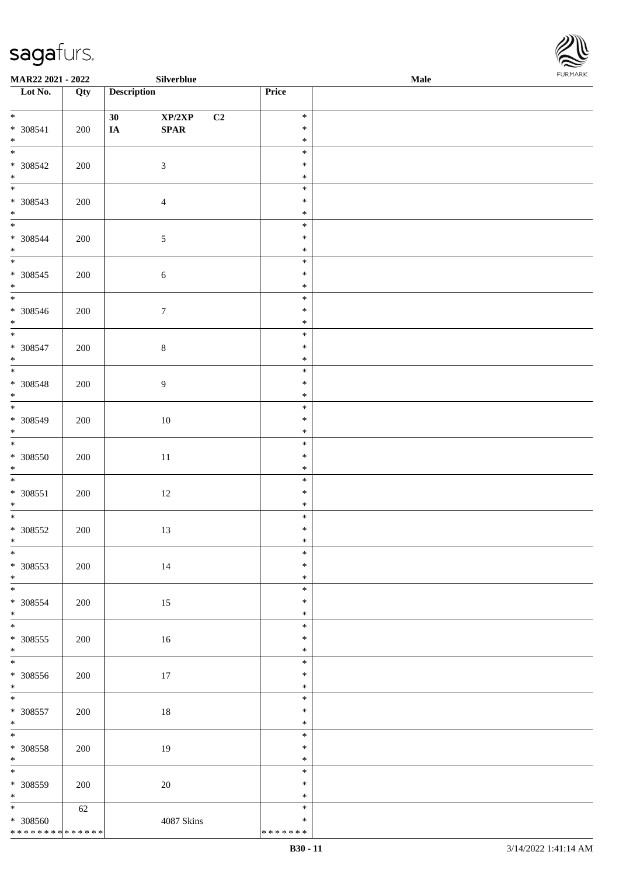

| MAR22 2021 - 2022                  |     |                    | Silverblue                      |    |                  | Male | FURMARK |
|------------------------------------|-----|--------------------|---------------------------------|----|------------------|------|---------|
| Lot No.                            | Qty | <b>Description</b> |                                 |    | Price            |      |         |
| $*$                                |     | 30                 | $\mathbf{XP}/2\mathbf{XP}$      | C2 | $\ast$           |      |         |
| $* 308541$<br>$\ast$               | 200 | $I\!\!A$           | $\pmb{\quad \text{SPAR} \quad}$ |    | $\ast$<br>$\ast$ |      |         |
| $\overline{\phantom{0}}$           |     |                    |                                 |    | $\ast$           |      |         |
| $* 308542$<br>$\ast$               | 200 |                    | $\mathfrak{Z}$                  |    | $\ast$<br>$\ast$ |      |         |
| $\frac{1}{*}$                      |     |                    |                                 |    | $\ast$           |      |         |
| $* 308543$<br>$\ast$               | 200 |                    | $\overline{4}$                  |    | $\ast$<br>$\ast$ |      |         |
| $\overline{\ast}$                  |     |                    |                                 |    | $\ast$           |      |         |
| $* 308544$<br>$\ast$               | 200 |                    | $\sqrt{5}$                      |    | $\ast$<br>$\ast$ |      |         |
| $\overline{\phantom{0}}$           |     |                    |                                 |    | $\ast$           |      |         |
| $* 308545$<br>$\ast$               | 200 |                    | $\sqrt{6}$                      |    | $\ast$<br>$\ast$ |      |         |
| $\overline{\phantom{0}}$           |     |                    |                                 |    | $\ast$           |      |         |
| $\underset{*}{*}$ 308546           | 200 |                    | $\boldsymbol{7}$                |    | $\ast$<br>$\ast$ |      |         |
| $\overline{\phantom{a}}$           |     |                    |                                 |    | $\ast$           |      |         |
| $* 308547$<br>$\ast$               | 200 |                    | $\,8\,$                         |    | $\ast$<br>$\ast$ |      |         |
| $\overline{\phantom{a}^*}$         |     |                    |                                 |    | $\ast$           |      |         |
| $* 308548$<br>$\ast$               | 200 |                    | $\boldsymbol{9}$                |    | $\ast$<br>$\ast$ |      |         |
| $\overline{\phantom{0}}$           |     |                    |                                 |    | $\ast$           |      |         |
| $* 308549$<br>$\ast$               | 200 |                    | $10\,$                          |    | $\ast$<br>$\ast$ |      |         |
| $\overline{\ast}$                  |     |                    |                                 |    | $\ast$           |      |         |
| $* 308550$                         | 200 |                    | $11\,$                          |    | $\ast$           |      |         |
| $\ast$<br>$*$                      |     |                    |                                 |    | $\ast$<br>$\ast$ |      |         |
| $* 308551$                         | 200 |                    | $12\,$                          |    | $\ast$           |      |         |
| $\ast$<br>$\overline{\phantom{0}}$ |     |                    |                                 |    | $\ast$<br>$\ast$ |      |         |
| * 308552                           | 200 |                    | 13                              |    | $\ast$           |      |         |
| $\ast$                             |     |                    |                                 |    | $\ast$           |      |         |
| $_{\ast}$<br>$* 308553$            |     |                    |                                 |    | $\ast$<br>$\ast$ |      |         |
| $\ast$                             | 200 |                    | $14\,$                          |    | $\ast$           |      |         |
| $\ast$                             |     |                    |                                 |    | $\ast$           |      |         |
| * 308554<br>$\ast$                 | 200 |                    | 15                              |    | $\ast$<br>$\ast$ |      |         |
| $\frac{1}{*}$                      |     |                    |                                 |    | $\ast$           |      |         |
| * 308555<br>$\ast$                 | 200 |                    | 16                              |    | $\ast$<br>$\ast$ |      |         |
| $_{\ast}$                          |     |                    |                                 |    | $\ast$           |      |         |
| $* 308556$<br>$\ast$               | 200 |                    | $17\,$                          |    | $\ast$<br>$\ast$ |      |         |
| $\ast$                             |     |                    |                                 |    | $\ast$           |      |         |
| $* 308557$<br>$\ast$               | 200 |                    | $18\,$                          |    | $\ast$<br>$\ast$ |      |         |
| $\overline{\phantom{a}^*}$         |     |                    |                                 |    | $\ast$           |      |         |
| * 308558                           | 200 |                    | 19                              |    | $\ast$           |      |         |
| $\ast$<br>$_{\ast}$                |     |                    |                                 |    | $\ast$<br>$\ast$ |      |         |
| * 308559                           | 200 |                    | $20\,$                          |    | $\ast$           |      |         |
| $\ast$                             |     |                    |                                 |    | $\ast$           |      |         |
| $\ast$<br>$* 308560$               | 62  |                    | 4087 Skins                      |    | $\ast$<br>$\ast$ |      |         |
| ******** <mark>******</mark>       |     |                    |                                 |    | * * * * * * *    |      |         |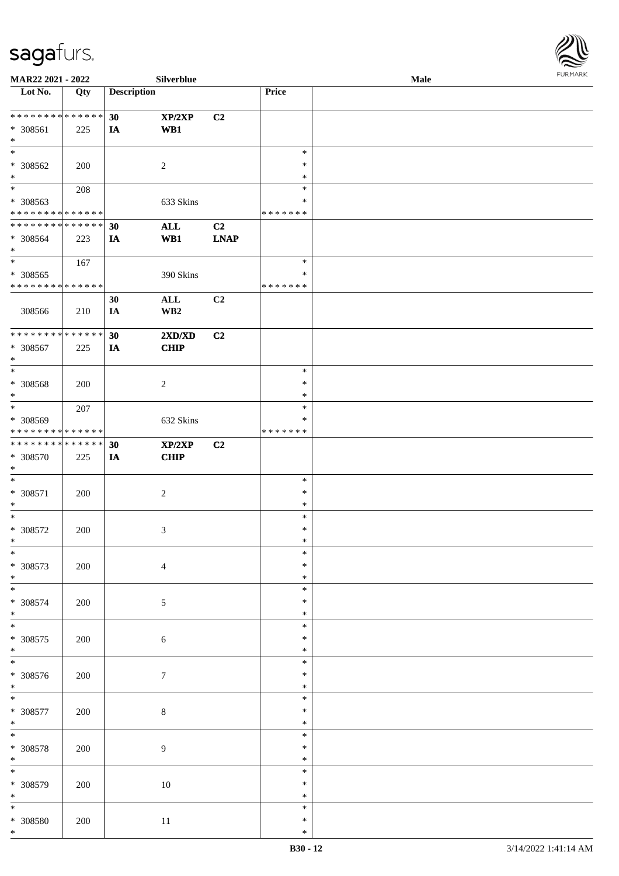

| MAR22 2021 - 2022                    |     |                    | Silverblue              |                |               | Male |
|--------------------------------------|-----|--------------------|-------------------------|----------------|---------------|------|
| Lot No.                              | Qty | <b>Description</b> |                         |                | <b>Price</b>  |      |
|                                      |     |                    |                         |                |               |      |
| * * * * * * * * * * * * * *          |     | 30                 | XP/2XP                  | C2             |               |      |
| $* 308561$                           | 225 | IA                 | WB1                     |                |               |      |
| $\ast$                               |     |                    |                         |                |               |      |
| $\ast$                               |     |                    |                         |                | $\ast$        |      |
|                                      |     |                    |                         |                |               |      |
| * 308562                             | 200 |                    | $\overline{c}$          |                | ∗             |      |
| $\ast$                               |     |                    |                         |                | $\ast$        |      |
| $\overline{\phantom{a}^*}$           | 208 |                    |                         |                | $\ast$        |      |
| * 308563                             |     |                    | 633 Skins               |                | $\ast$        |      |
| * * * * * * * * * * * * * *          |     |                    |                         |                | * * * * * * * |      |
| * * * * * * * * * * * * * *          |     | 30                 | $\mathbf{ALL}$          | C2             |               |      |
| * 308564                             | 223 | IA                 | WB1                     | <b>LNAP</b>    |               |      |
| $\ast$                               |     |                    |                         |                |               |      |
| $\ast$                               | 167 |                    |                         |                | $\ast$        |      |
| $* 308565$                           |     |                    |                         |                | $\ast$        |      |
| * * * * * * * * * * * * * *          |     |                    | 390 Skins               |                | * * * * * * * |      |
|                                      |     |                    |                         |                |               |      |
|                                      |     | 30                 | $\mathbf{ALL}$          | C <sub>2</sub> |               |      |
| 308566                               | 210 | IA                 | $\mathbf{W}\mathbf{B2}$ |                |               |      |
|                                      |     |                    |                         |                |               |      |
| **************                       |     | 30                 | 2XD/XD                  | C2             |               |      |
| $* 308567$                           | 225 | IA                 | <b>CHIP</b>             |                |               |      |
| $\ast$                               |     |                    |                         |                |               |      |
| $\ast$                               |     |                    |                         |                | $\ast$        |      |
| * 308568                             | 200 |                    | $\overline{c}$          |                | $\ast$        |      |
| $\ast$                               |     |                    |                         |                | $\ast$        |      |
| $\ast$                               | 207 |                    |                         |                | $\ast$        |      |
| * 308569                             |     |                    |                         |                | $\ast$        |      |
| * * * * * * * * * * * * * *          |     |                    | 632 Skins               |                | * * * * * * * |      |
|                                      |     |                    |                         |                |               |      |
| * * * * * * * * * * * * * *          |     | 30                 | XP/2XP                  | C2             |               |      |
| * 308570                             | 225 | IA                 | CHIP                    |                |               |      |
| $\ast$                               |     |                    |                         |                |               |      |
| $\ast$                               |     |                    |                         |                | $\ast$        |      |
| * 308571                             | 200 |                    | $\sqrt{2}$              |                | $\ast$        |      |
| $\ast$                               |     |                    |                         |                | $\ast$        |      |
| $\ast$                               |     |                    |                         |                | $\ast$        |      |
| $* 308572$                           | 200 |                    | 3                       |                | $\ast$        |      |
| $*$                                  |     |                    |                         |                | $\ast$        |      |
| $\ast$                               |     |                    |                         |                | $\ast$        |      |
| * 308573                             | 200 |                    | $\overline{4}$          |                | $\ast$        |      |
| $\ast$                               |     |                    |                         |                | $\ast$        |      |
| $\overline{\phantom{a}^*}$           |     |                    |                         |                | $\ast$        |      |
|                                      |     |                    |                         |                |               |      |
| $* 308574$                           | 200 |                    | $\mathfrak{S}$          |                | $\ast$        |      |
| $\ast$                               |     |                    |                         |                | $\ast$        |      |
| $_{\ast}$                            |     |                    |                         |                | $\ast$        |      |
| $* 308575$                           | 200 |                    | $\sqrt{6}$              |                | $\ast$        |      |
| $\ast$                               |     |                    |                         |                | $\ast$        |      |
| $\overline{\phantom{1}}$             |     |                    |                         |                | $\ast$        |      |
| * 308576                             | 200 |                    | $\tau$                  |                | $\ast$        |      |
| $\ast$                               |     |                    |                         |                | $\ast$        |      |
| $\overline{\ast}$                    |     |                    |                         |                | $\ast$        |      |
| $* 308577$                           | 200 |                    | $\,8\,$                 |                | $\ast$        |      |
|                                      |     |                    |                         |                | $\ast$        |      |
| $\ast$<br>$\overline{\phantom{a}^*}$ |     |                    |                         |                |               |      |
|                                      |     |                    |                         |                | $\ast$        |      |
| * 308578                             | 200 |                    | $\overline{9}$          |                | $\ast$        |      |
| $\ast$                               |     |                    |                         |                | $\ast$        |      |
| $\overline{\phantom{a}}$             |     |                    |                         |                | $\ast$        |      |
| * 308579                             | 200 |                    | $10\,$                  |                | ∗             |      |
| $\ast$                               |     |                    |                         |                | $\ast$        |      |
| $\overline{\phantom{0}}$             |     |                    |                         |                | $\ast$        |      |
| * 308580                             | 200 |                    | $11\,$                  |                | $\ast$        |      |
| $*$                                  |     |                    |                         |                | $\ast$        |      |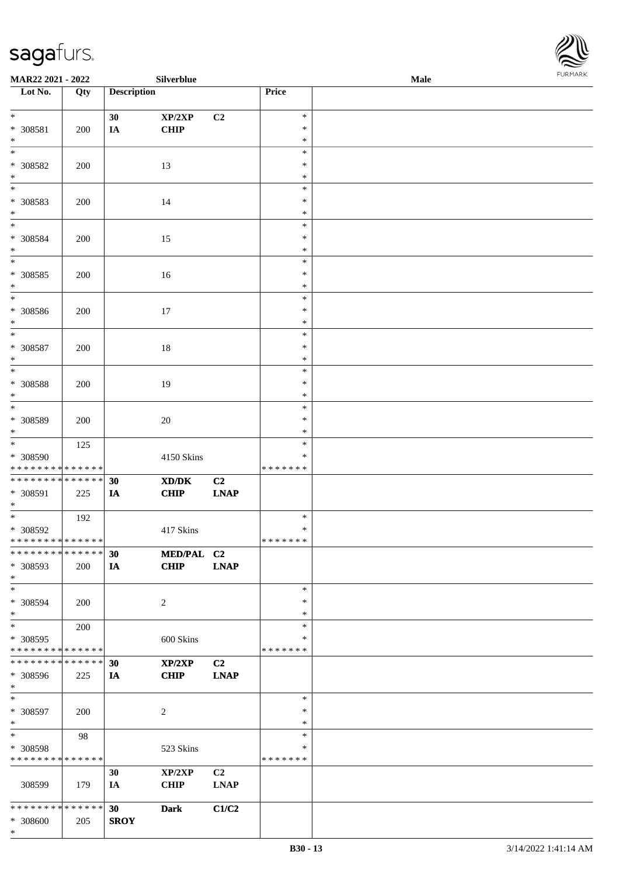

| <b>MAR22 2021 - 2022</b>                   |     |                    | Silverblue     |                |               | Male |  |
|--------------------------------------------|-----|--------------------|----------------|----------------|---------------|------|--|
| Lot No.                                    | Qty | <b>Description</b> |                |                | Price         |      |  |
|                                            |     |                    |                |                |               |      |  |
| $*$                                        |     | 30                 | XP/2XP         | C <sub>2</sub> | $\ast$        |      |  |
| * 308581                                   | 200 | IA                 | <b>CHIP</b>    |                | $\ast$        |      |  |
| $*$                                        |     |                    |                |                | $\ast$        |      |  |
|                                            |     |                    |                |                | $\ast$        |      |  |
|                                            |     |                    |                |                |               |      |  |
| * 308582                                   | 200 |                    | 13             |                | $\ast$        |      |  |
| $\ast$                                     |     |                    |                |                | $\ast$        |      |  |
| $\overline{\phantom{0}}$                   |     |                    |                |                | $\ast$        |      |  |
| * 308583                                   | 200 |                    | 14             |                | $\ast$        |      |  |
| $*$                                        |     |                    |                |                | $\ast$        |      |  |
| $*$                                        |     |                    |                |                | $\ast$        |      |  |
| * 308584                                   | 200 |                    | 15             |                | $\ast$        |      |  |
| $*$                                        |     |                    |                |                | $\ast$        |      |  |
| $\overline{\ast}$                          |     |                    |                |                | $\ast$        |      |  |
| * 308585                                   | 200 |                    | 16             |                | $\ast$        |      |  |
| $\ast$                                     |     |                    |                |                | $\ast$        |      |  |
| $*$                                        |     |                    |                |                | $\ast$        |      |  |
|                                            |     |                    |                |                |               |      |  |
| * 308586                                   | 200 |                    | 17             |                | $\ast$        |      |  |
| $\ast$                                     |     |                    |                |                | $\ast$        |      |  |
| $*$                                        |     |                    |                |                | $\ast$        |      |  |
| $* 308587$                                 | 200 |                    | 18             |                | $\ast$        |      |  |
| $\ast$                                     |     |                    |                |                | $\ast$        |      |  |
| $*$                                        |     |                    |                |                | $\ast$        |      |  |
| $* 308588$                                 | 200 |                    | 19             |                | $\ast$        |      |  |
| $\ast$                                     |     |                    |                |                | $\ast$        |      |  |
| $*$                                        |     |                    |                |                | $\ast$        |      |  |
| * 308589                                   | 200 |                    | $20\,$         |                | $\ast$        |      |  |
| $*$                                        |     |                    |                |                | $\ast$        |      |  |
| $*$                                        | 125 |                    |                |                | $\ast$        |      |  |
| * 308590                                   |     |                    |                |                | ∗             |      |  |
|                                            |     |                    | 4150 Skins     |                |               |      |  |
| * * * * * * * * * * * * * *                |     |                    |                |                | * * * * * * * |      |  |
| * * * * * * * * * * * * * *                |     | 30                 | XD/DK          | C2             |               |      |  |
| * 308591                                   | 225 | <b>IA</b>          | <b>CHIP</b>    | <b>LNAP</b>    |               |      |  |
| $*$                                        |     |                    |                |                |               |      |  |
| $*$                                        | 192 |                    |                |                | $\ast$        |      |  |
| * 308592                                   |     |                    | 417 Skins      |                | $\ast$        |      |  |
| * * * * * * * * * * * * * * *              |     |                    |                |                | *******       |      |  |
| * * * * * * * * * * * * * * *              |     | 30                 | MED/PAL C2     |                |               |      |  |
| * 308593                                   | 200 | IA                 | <b>CHIP</b>    | <b>LNAP</b>    |               |      |  |
| $*$                                        |     |                    |                |                |               |      |  |
| $*$                                        |     |                    |                |                | $\ast$        |      |  |
| * 308594                                   | 200 |                    | 2              |                | $\ast$        |      |  |
| $\ast$                                     |     |                    |                |                | ∗             |      |  |
| $*$                                        |     |                    |                |                | $\ast$        |      |  |
|                                            | 200 |                    |                |                | ∗             |      |  |
| * 308595                                   |     |                    | 600 Skins      |                | *******       |      |  |
| * * * * * * * * * * * * * *                |     |                    |                |                |               |      |  |
| * * * * * * * * * * * * * * *              |     | 30                 | XP/2XP         | C2             |               |      |  |
| * 308596                                   | 225 | <b>IA</b>          | <b>CHIP</b>    | <b>LNAP</b>    |               |      |  |
| $*$                                        |     |                    |                |                |               |      |  |
| $*$                                        |     |                    |                |                | $\ast$        |      |  |
| * 308597                                   | 200 |                    | $\overline{2}$ |                | $\ast$        |      |  |
| $*$                                        |     |                    |                |                | $\ast$        |      |  |
| $*$                                        | 98  |                    |                |                | $\ast$        |      |  |
| * 308598                                   |     |                    | 523 Skins      |                | $\ast$        |      |  |
| * * * * * * * * * * * * * *                |     |                    |                |                | *******       |      |  |
|                                            |     | 30                 | XP/2XP         | C <sub>2</sub> |               |      |  |
| 308599                                     | 179 | IA                 | <b>CHIP</b>    | <b>LNAP</b>    |               |      |  |
|                                            |     |                    |                |                |               |      |  |
| * * * * * * * * <mark>* * * * * * *</mark> |     |                    |                |                |               |      |  |
|                                            |     | 30                 | Dark           | C1/C2          |               |      |  |
| * 308600                                   | 205 | <b>SROY</b>        |                |                |               |      |  |
| $\ast$                                     |     |                    |                |                |               |      |  |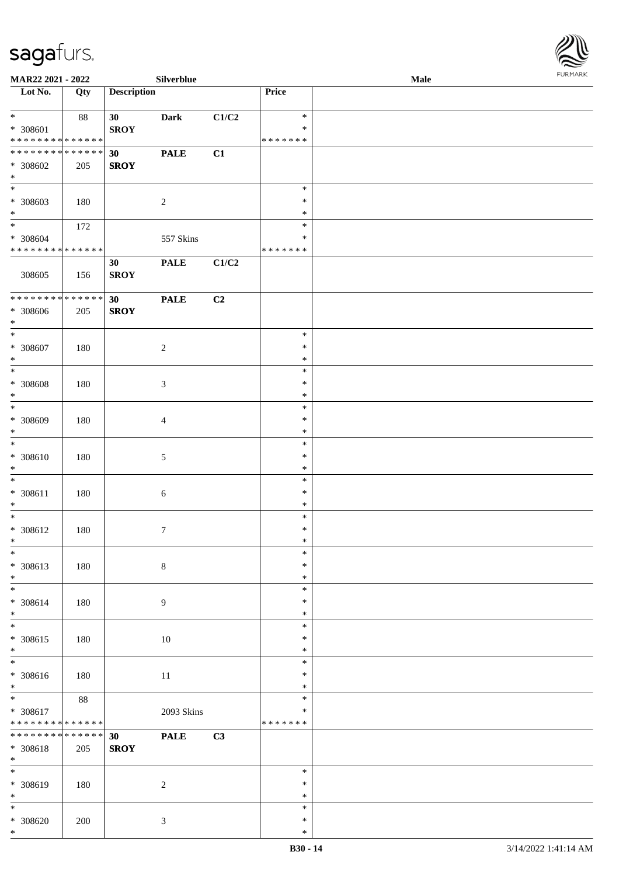

| <b>MAR22 2021 - 2022</b>                                           |     |                    | Silverblue       |       |                                   | Male |  |
|--------------------------------------------------------------------|-----|--------------------|------------------|-------|-----------------------------------|------|--|
| Lot No.                                                            | Qty | <b>Description</b> |                  |       | <b>Price</b>                      |      |  |
| $*$<br>* 308601<br>* * * * * * * * * * * * * *                     | 88  | 30<br><b>SROY</b>  | <b>Dark</b>      | C1/C2 | $\ast$<br>$\ast$<br>* * * * * * * |      |  |
| * * * * * * * * * * * * * * *<br>$* 308602$<br>$\ast$              | 205 | 30<br><b>SROY</b>  | <b>PALE</b>      | C1    |                                   |      |  |
| $\overline{\phantom{0}}$<br>* 308603<br>$\ast$                     | 180 |                    | $\sqrt{2}$       |       | $\ast$<br>$\ast$<br>$\ast$        |      |  |
| $\overline{\ast}$<br>$* 308604$<br>* * * * * * * * * * * * * *     | 172 |                    | 557 Skins        |       | $\ast$<br>$\ast$<br>* * * * * * * |      |  |
| 308605                                                             | 156 | 30<br><b>SROY</b>  | <b>PALE</b>      | C1/C2 |                                   |      |  |
| * * * * * * * * <mark>* * * * * * *</mark><br>$* 308606$<br>$\ast$ | 205 | 30<br><b>SROY</b>  | <b>PALE</b>      | C2    |                                   |      |  |
| $\ast$<br>$* 308607$<br>$\ast$                                     | 180 |                    | $\sqrt{2}$       |       | $\ast$<br>$\ast$<br>$\ast$        |      |  |
| $*$<br>$* 308608$<br>$\ast$                                        | 180 |                    | $\mathfrak{Z}$   |       | $\ast$<br>$\ast$<br>$\ast$        |      |  |
| $*$<br>* 308609<br>$*$                                             | 180 |                    | $\overline{4}$   |       | $\ast$<br>$\ast$<br>$\ast$        |      |  |
| $\overline{\ast}$<br>* 308610<br>$*$                               | 180 |                    | 5                |       | $\ast$<br>$\ast$<br>$\ast$        |      |  |
| $*$<br>* 308611<br>$*$                                             | 180 |                    | $\sqrt{6}$       |       | $\ast$<br>$\ast$<br>$\ast$        |      |  |
| $\ast$<br>* 308612<br>$*$                                          | 180 |                    | $\boldsymbol{7}$ |       | $\ast$<br>$\ast$<br>$\ast$        |      |  |
| $\ast$<br>* 308613<br>$*$                                          | 180 |                    | $8\,$            |       | $\ast$<br>$\ast$<br>$\ast$        |      |  |
| $*$<br>* 308614<br>$\ast$                                          | 180 |                    | 9                |       | $\ast$<br>$\ast$<br>$\ast$        |      |  |
| $*$<br>* 308615<br>$\ast$                                          | 180 |                    | $10\,$           |       | $\ast$<br>$\ast$<br>$\ast$        |      |  |
| $\overline{\phantom{0}}$<br>* 308616<br>$*$                        | 180 |                    | 11               |       | $\ast$<br>$\ast$<br>$\ast$        |      |  |
| $*$<br>* 308617<br>* * * * * * * * * * * * * *                     | 88  |                    | 2093 Skins       |       | $\ast$<br>$\ast$<br>* * * * * * * |      |  |
| * * * * * * * * * * * * * * *<br>* 308618<br>$*$                   | 205 | 30<br><b>SROY</b>  | <b>PALE</b>      | C3    |                                   |      |  |
| $*$<br>* 308619<br>$\ast$                                          | 180 |                    | $\sqrt{2}$       |       | $\ast$<br>$\ast$<br>$\ast$        |      |  |
| $*$<br>$* 308620$<br>$\ast$                                        | 200 |                    | 3                |       | $\ast$<br>$\ast$<br>$\ast$        |      |  |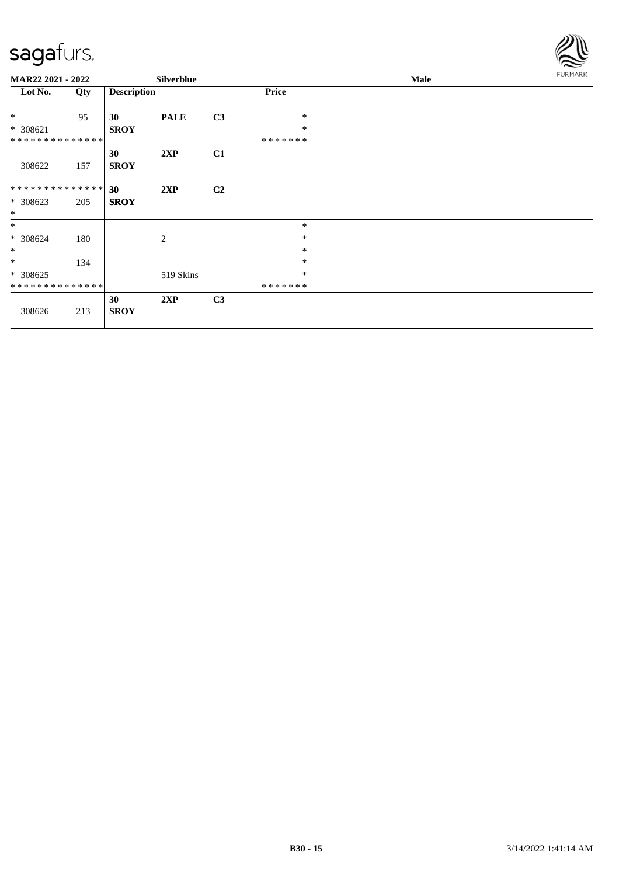

| MAR22 2021 - 2022           |     |                    | Silverblue  |                |              | Male |  |  |  |
|-----------------------------|-----|--------------------|-------------|----------------|--------------|------|--|--|--|
| Lot No.                     | Qty | <b>Description</b> |             |                | <b>Price</b> |      |  |  |  |
| $\ast$                      | 95  | 30                 | <b>PALE</b> | C3             | $\ast$       |      |  |  |  |
| $* 308621$                  |     | <b>SROY</b>        |             |                | $\ast$       |      |  |  |  |
| * * * * * * * * * * * * * * |     |                    |             |                | *******      |      |  |  |  |
| 308622                      | 157 | 30<br><b>SROY</b>  | 2XP         | C1             |              |      |  |  |  |
| **************              |     | 30                 | 2XP         | C <sub>2</sub> |              |      |  |  |  |
| * 308623<br>$\ast$          | 205 | <b>SROY</b>        |             |                |              |      |  |  |  |
| $\ast$                      |     |                    |             |                | $\ast$       |      |  |  |  |
| $* 308624$                  | 180 |                    | 2           |                | $\ast$       |      |  |  |  |
| $\ast$                      |     |                    |             |                | $\ast$       |      |  |  |  |
| $\ast$                      | 134 |                    |             |                | $\ast$       |      |  |  |  |
| $* 308625$                  |     |                    | 519 Skins   |                | $\ast$       |      |  |  |  |
| * * * * * * * * * * * * * * |     |                    |             |                | *******      |      |  |  |  |
| 308626                      | 213 | 30<br><b>SROY</b>  | 2XP         | C <sub>3</sub> |              |      |  |  |  |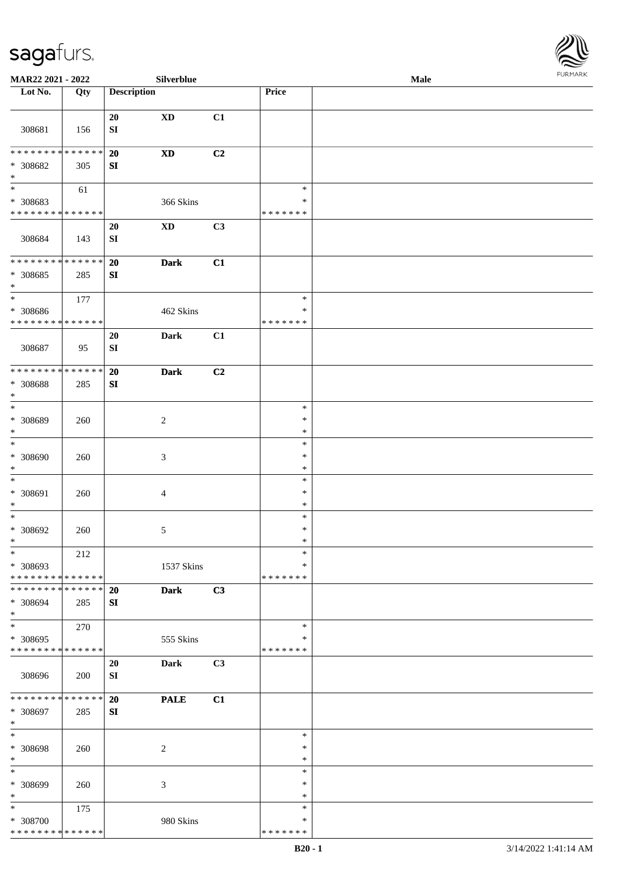

| MAR22 2021 - 2022                       |     |                    | Silverblue                 |    |                    | Male | FURMARK |
|-----------------------------------------|-----|--------------------|----------------------------|----|--------------------|------|---------|
| Lot No.                                 | Qty | <b>Description</b> |                            |    | Price              |      |         |
| 308681                                  | 156 | 20<br>SI           | <b>XD</b>                  | C1 |                    |      |         |
| **************                          |     | 20                 | $\boldsymbol{\mathrm{XD}}$ | C2 |                    |      |         |
| * 308682<br>$\ast$                      | 305 | ${\bf S}{\bf I}$   |                            |    |                    |      |         |
| $\frac{1}{1}$                           | 61  |                    |                            |    | $\ast$             |      |         |
| * 308683<br>* * * * * * * * * * * * * * |     |                    | 366 Skins                  |    | ∗<br>* * * * * * * |      |         |
|                                         |     | 20                 | <b>XD</b>                  | C3 |                    |      |         |
| 308684                                  | 143 | ${\bf SI}$         |                            |    |                    |      |         |
| **************                          |     | 20                 | <b>Dark</b>                | C1 |                    |      |         |
| * 308685<br>$\ast$                      | 285 | SI                 |                            |    |                    |      |         |
| $\overline{\phantom{a}^*}$              | 177 |                    |                            |    | $\ast$             |      |         |
| * 308686<br>* * * * * * * * * * * * * * |     |                    | 462 Skins                  |    | ∗<br>* * * * * * * |      |         |
| 308687                                  | 95  | 20<br>SI           | <b>Dark</b>                | C1 |                    |      |         |
| * * * * * * * * * * * * * *             |     |                    |                            |    |                    |      |         |
| * 308688                                | 285 | 20<br>SI           | <b>Dark</b>                | C2 |                    |      |         |
| $\ast$                                  |     |                    |                            |    |                    |      |         |
| $\overline{\phantom{a}^*}$              |     |                    |                            |    | $\ast$             |      |         |
| * 308689<br>$\ast$                      | 260 |                    | $\sqrt{2}$                 |    | $\ast$<br>$\ast$   |      |         |
| $\ast$                                  |     |                    |                            |    | $\ast$             |      |         |
| * 308690                                | 260 |                    | $\mathfrak{Z}$             |    | $\ast$             |      |         |
| $\ast$                                  |     |                    |                            |    | $\ast$             |      |         |
| $\ast$                                  |     |                    |                            |    | $\ast$<br>$\ast$   |      |         |
| $* 308691$<br>$\ast$                    | 260 |                    | $\overline{4}$             |    | *                  |      |         |
| $\ast$                                  |     |                    |                            |    | $\ast$             |      |         |
| * 308692                                | 260 |                    | 5                          |    | $\ast$             |      |         |
| $\ast$<br>$\overline{\phantom{a}^*}$    | 212 |                    |                            |    | ∗<br>$\ast$        |      |         |
| * 308693                                |     |                    | 1537 Skins                 |    | *                  |      |         |
| * * * * * * * * * * * * * *             |     |                    |                            |    | * * * * * * *      |      |         |
| **************<br>* 308694              |     | <b>20</b>          | <b>Dark</b>                | C3 |                    |      |         |
| $\ast$                                  | 285 | SI                 |                            |    |                    |      |         |
| $\overline{\phantom{a}^*}$              | 270 |                    |                            |    | $\ast$             |      |         |
| * 308695                                |     |                    | 555 Skins                  |    | ∗                  |      |         |
| * * * * * * * * * * * * * *             |     | 20                 | <b>Dark</b>                | C3 | * * * * * * *      |      |         |
| 308696                                  | 200 | SI                 |                            |    |                    |      |         |
| **************                          |     | 20                 | <b>PALE</b>                | C1 |                    |      |         |
| * 308697                                | 285 | SI                 |                            |    |                    |      |         |
| $\ast$<br>$\ast$                        |     |                    |                            |    | $\ast$             |      |         |
| * 308698                                | 260 |                    | $\sqrt{2}$                 |    | $\ast$             |      |         |
| $\ast$                                  |     |                    |                            |    | $\ast$             |      |         |
| $\ast$                                  |     |                    |                            |    | $\ast$             |      |         |
| * 308699<br>$\ast$                      | 260 |                    | $\mathfrak{Z}$             |    | *<br>$\ast$        |      |         |
| $\ast$                                  | 175 |                    |                            |    | $\ast$             |      |         |
| * 308700                                |     |                    | 980 Skins                  |    | ∗                  |      |         |
| * * * * * * * * * * * * * *             |     |                    |                            |    | * * * * * * *      |      |         |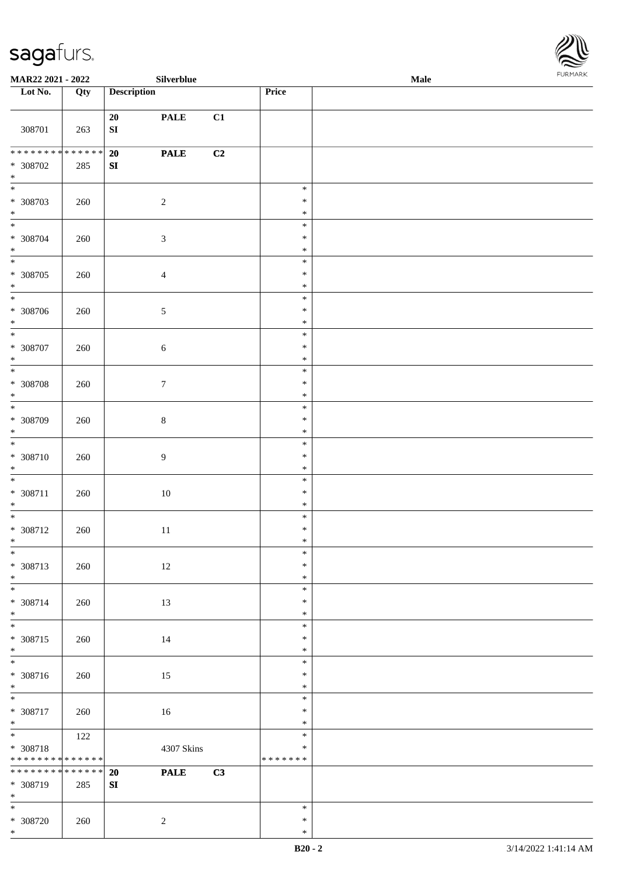

| <b>MAR22 2021 - 2022</b>                                             |     |                    | Silverblue       |    |                                   | Male |  |
|----------------------------------------------------------------------|-----|--------------------|------------------|----|-----------------------------------|------|--|
| Lot No.                                                              | Qty | <b>Description</b> |                  |    | Price                             |      |  |
| 308701                                                               | 263 | 20<br>${\bf SI}$   | <b>PALE</b>      | C1 |                                   |      |  |
| * * * * * * * * <mark>* * * * * * *</mark><br>* 308702<br>$\ast$     | 285 | 20<br>SI           | <b>PALE</b>      | C2 |                                   |      |  |
| * 308703<br>$\ast$                                                   | 260 |                    | $\overline{c}$   |    | $\ast$<br>$\ast$<br>$\ast$        |      |  |
| $*$<br>* 308704<br>$*$                                               | 260 |                    | $\sqrt{3}$       |    | $\ast$<br>$\ast$<br>$\ast$        |      |  |
| $\overline{\ }$<br>* 308705<br>$\ast$                                | 260 |                    | $\overline{4}$   |    | $\ast$<br>$\ast$<br>$\ast$        |      |  |
| $\overline{\phantom{0}}$<br>* 308706<br>$\ast$                       | 260 |                    | $\sqrt{5}$       |    | $\ast$<br>$\ast$<br>$\ast$        |      |  |
| $\overline{\ast}$<br>* 308707<br>$\ast$                              | 260 |                    | $\sqrt{6}$       |    | $\ast$<br>$\ast$<br>$\ast$        |      |  |
| * 308708<br>$\ast$                                                   | 260 |                    | $\boldsymbol{7}$ |    | $\ast$<br>$\ast$<br>$\ast$        |      |  |
| $\overline{\phantom{0}}$<br>* 308709<br>$\ast$                       | 260 |                    | $\,8\,$          |    | $\ast$<br>$\ast$<br>$\ast$        |      |  |
| * 308710<br>$*$                                                      | 260 |                    | $\boldsymbol{9}$ |    | $\ast$<br>$\ast$<br>$\ast$        |      |  |
| $\ast$<br>$* 308711$<br>$\ast$                                       | 260 |                    | $10\,$           |    | $\ast$<br>$\ast$<br>$\ast$        |      |  |
| $*$<br>* 308712<br>$*$                                               | 260 |                    | $11\,$           |    | $\ast$<br>$\ast$<br>$\ast$        |      |  |
| $\overline{\ast}$<br>* 308713<br>$*$                                 | 260 |                    | 12               |    | $\ast$<br>$\ast$<br>$\ast$        |      |  |
| * 308714<br>$*$                                                      | 260 |                    | 13               |    | $\ast$<br>$\ast$<br>$\ast$        |      |  |
| $*$<br>* 308715<br>$*$                                               | 260 |                    | 14               |    | $\ast$<br>$\ast$<br>$\ast$        |      |  |
| $\overline{\mathbf{r}}$<br>* 308716<br>$*$                           | 260 |                    | 15               |    | $\ast$<br>$\ast$<br>$\ast$        |      |  |
| $\ddot{x}$<br>* 308717<br>$*$                                        | 260 |                    | 16               |    | $\ast$<br>$\ast$<br>$\ast$        |      |  |
| $\ddot{x}$<br>* 308718<br>* * * * * * * * <mark>* * * * * * *</mark> | 122 |                    | 4307 Skins       |    | $\ast$<br>$\ast$<br>* * * * * * * |      |  |
| ******** <mark>******</mark><br>* 308719<br>$*$                      | 285 | 20<br>SI           | <b>PALE</b>      | C3 |                                   |      |  |
| $\overline{\mathbf{r}}$<br>* 308720                                  | 260 |                    | $\sqrt{2}$       |    | $\ast$<br>$\ast$                  |      |  |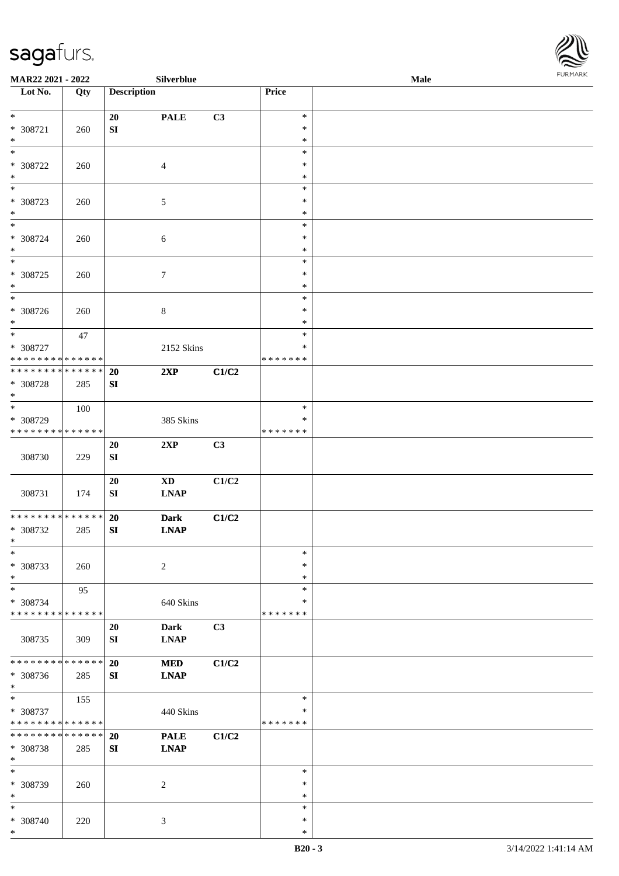

| MAR22 2021 - 2022                       |     |                        | <b>Silverblue</b>                          |       |                         | FURMARK<br>Male |  |  |
|-----------------------------------------|-----|------------------------|--------------------------------------------|-------|-------------------------|-----------------|--|--|
| Lot No.                                 | Qty | <b>Description</b>     |                                            |       | Price                   |                 |  |  |
| $*$                                     |     | 20                     | <b>PALE</b>                                | C3    | $\ast$                  |                 |  |  |
| * 308721<br>$\ast$                      | 260 | SI                     |                                            |       | ∗<br>$\ast$             |                 |  |  |
| $\ast$                                  |     |                        |                                            |       | $\ast$                  |                 |  |  |
| $* 308722$                              | 260 |                        | $\overline{4}$                             |       | $\ast$                  |                 |  |  |
| $\ast$<br>$\overline{\ast}$             |     |                        |                                            |       | $\ast$<br>$\ast$        |                 |  |  |
| $* 308723$<br>$\ast$                    | 260 |                        | $\sqrt{5}$                                 |       | $\ast$<br>$\ast$        |                 |  |  |
| $\ast$                                  |     |                        |                                            |       | $\ast$                  |                 |  |  |
| * 308724<br>$\ast$                      | 260 |                        | $6\,$                                      |       | $\ast$<br>$\ast$        |                 |  |  |
| $\ast$                                  |     |                        |                                            |       | $\ast$                  |                 |  |  |
| $* 308725$<br>$\ast$                    | 260 |                        | $\tau$                                     |       | $\ast$<br>$\ast$        |                 |  |  |
| $\overline{\phantom{a}^*}$              |     |                        |                                            |       | $\ast$                  |                 |  |  |
| $* 308726$<br>$\ast$                    | 260 |                        | $\,8\,$                                    |       | $\ast$<br>$\ast$        |                 |  |  |
| $\ast$                                  | 47  |                        |                                            |       | $\ast$                  |                 |  |  |
| * 308727<br>* * * * * * * * * * * * * * |     |                        | 2152 Skins                                 |       | $\ast$<br>* * * * * * * |                 |  |  |
| ******** <mark>******</mark>            |     | 20                     | 2XP                                        | C1/C2 |                         |                 |  |  |
| * 308728<br>$\ast$                      | 285 | SI                     |                                            |       |                         |                 |  |  |
| $_{\ast}$                               | 100 |                        |                                            |       | $\ast$                  |                 |  |  |
| * 308729                                |     |                        | 385 Skins                                  |       | $\ast$                  |                 |  |  |
| * * * * * * * * * * * * * *             |     |                        |                                            |       | * * * * * * *           |                 |  |  |
| 308730                                  | 229 | 20<br>${\bf S}{\bf I}$ | 2XP                                        | C3    |                         |                 |  |  |
|                                         |     | 20                     | $\mathbf{X}\mathbf{D}$                     | C1/C2 |                         |                 |  |  |
| 308731                                  | 174 | SI                     | $\mathbf{L}\mathbf{N}\mathbf{A}\mathbf{P}$ |       |                         |                 |  |  |
| **************                          |     | 20                     | <b>Dark</b>                                | C1/C2 |                         |                 |  |  |
| * 308732<br>$\ast$                      | 285 | ${\bf S}{\bf I}$       | <b>LNAP</b>                                |       |                         |                 |  |  |
| $\ast$                                  |     |                        |                                            |       | $\ast$                  |                 |  |  |
| * 308733<br>$\ast$                      | 260 |                        | $\overline{c}$                             |       | $\ast$<br>$\ast$        |                 |  |  |
| $\overline{\phantom{a}^*}$              | 95  |                        |                                            |       | $\ast$                  |                 |  |  |
| * 308734<br>* * * * * * * * * * * * * * |     |                        | 640 Skins                                  |       | ∗<br>* * * * * * *      |                 |  |  |
|                                         |     | 20                     | <b>Dark</b>                                | C3    |                         |                 |  |  |
| 308735                                  | 309 | SI                     | <b>LNAP</b>                                |       |                         |                 |  |  |
| * * * * * * * * * * * * * *             |     | <b>20</b>              | <b>MED</b>                                 | C1/C2 |                         |                 |  |  |
| * 308736<br>$\ast$                      | 285 | SI                     | <b>LNAP</b>                                |       |                         |                 |  |  |
| $\ast$                                  | 155 |                        |                                            |       | $\ast$                  |                 |  |  |
| * 308737                                |     |                        | 440 Skins                                  |       | ∗                       |                 |  |  |
| * * * * * * * * * * * * * *             |     |                        |                                            |       | * * * * * * *           |                 |  |  |
| * * * * * * * * * * * * * *             |     | <b>20</b>              | <b>PALE</b>                                | C1/C2 |                         |                 |  |  |
| * 308738<br>$\ast$                      | 285 | SI                     | <b>LNAP</b>                                |       |                         |                 |  |  |
| $\ast$                                  |     |                        |                                            |       | $\ast$                  |                 |  |  |
| * 308739<br>$\ast$                      | 260 |                        | $\overline{2}$                             |       | $\ast$<br>$\ast$        |                 |  |  |
| $\ast$                                  |     |                        |                                            |       | $\ast$                  |                 |  |  |
| $* 308740$                              | 220 |                        | 3                                          |       | $\ast$                  |                 |  |  |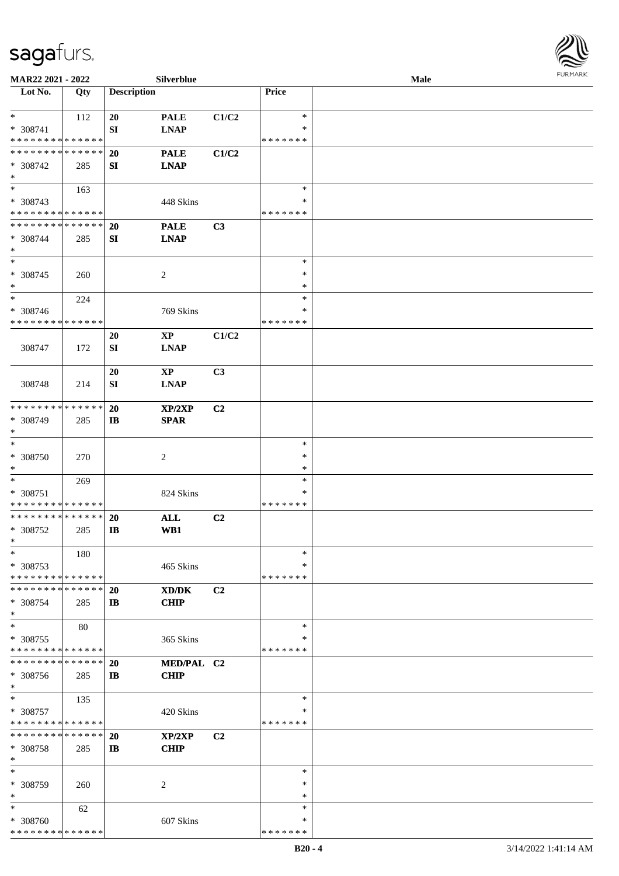

| MAR22 2021 - 2022                       |     |                    | Silverblue                 |                |                    | Male | <b>FURMARK</b> |
|-----------------------------------------|-----|--------------------|----------------------------|----------------|--------------------|------|----------------|
| $\overline{\phantom{1}}$ Lot No.        | Qty | <b>Description</b> |                            |                | Price              |      |                |
| $*$                                     | 112 | 20                 | <b>PALE</b>                | C1/C2          | $\ast$             |      |                |
| * 308741                                |     | SI                 | <b>LNAP</b>                |                | *                  |      |                |
| * * * * * * * * * * * * * *             |     |                    |                            |                | * * * * * * *      |      |                |
| * * * * * * * * * * * * * *             |     | <b>20</b>          | <b>PALE</b>                | C1/C2          |                    |      |                |
| * 308742                                | 285 | SI                 | <b>LNAP</b>                |                |                    |      |                |
| $\ast$                                  |     |                    |                            |                |                    |      |                |
| $\ast$                                  | 163 |                    |                            |                | $\ast$             |      |                |
| * 308743<br>* * * * * * * * * * * * * * |     |                    | 448 Skins                  |                | ∗<br>* * * * * * * |      |                |
| * * * * * * * * * * * * * * *           |     |                    |                            |                |                    |      |                |
| * 308744                                |     | 20<br>SI           | <b>PALE</b><br><b>LNAP</b> | C3             |                    |      |                |
| $\ast$                                  | 285 |                    |                            |                |                    |      |                |
| $\ast$                                  |     |                    |                            |                | $\ast$             |      |                |
| $* 308745$                              | 260 |                    | $\sqrt{2}$                 |                | $\ast$             |      |                |
| $\ast$                                  |     |                    |                            |                | $\ast$             |      |                |
| $\ast$                                  | 224 |                    |                            |                | $\ast$             |      |                |
| $* 308746$                              |     |                    | 769 Skins                  |                | ∗                  |      |                |
| * * * * * * * * * * * * * *             |     |                    |                            |                | * * * * * * *      |      |                |
|                                         |     | 20                 | $\mathbf{XP}$              | C1/C2          |                    |      |                |
| 308747                                  | 172 | SI                 | <b>LNAP</b>                |                |                    |      |                |
|                                         |     |                    |                            |                |                    |      |                |
|                                         |     | 20                 | $\bold{XP}$                | C3             |                    |      |                |
| 308748                                  | 214 | SI                 | <b>LNAP</b>                |                |                    |      |                |
|                                         |     |                    |                            |                |                    |      |                |
| * * * * * * * * * * * * * *             |     | 20                 | XP/2XP                     | C2             |                    |      |                |
| * 308749                                | 285 | $\mathbf{I}$       | <b>SPAR</b>                |                |                    |      |                |
| $\ast$                                  |     |                    |                            |                |                    |      |                |
| $\ast$                                  |     |                    |                            |                | $\ast$             |      |                |
| * 308750                                | 270 |                    | $\overline{c}$             |                | $\ast$             |      |                |
| $\ast$<br>$\ast$                        |     |                    |                            |                | $\ast$<br>$\ast$   |      |                |
| * 308751                                | 269 |                    | 824 Skins                  |                | $\ast$             |      |                |
| * * * * * * * * * * * * * * *           |     |                    |                            |                | * * * * * * *      |      |                |
| **************                          |     | 20                 | ALL                        | C2             |                    |      |                |
| * 308752                                | 285 | $\mathbf{I}$       | WB1                        |                |                    |      |                |
| $\ast$                                  |     |                    |                            |                |                    |      |                |
| $\ast$                                  | 180 |                    |                            |                | $\ast$             |      |                |
| * 308753                                |     |                    | 465 Skins                  |                | ∗                  |      |                |
| * * * * * * * * * * * * * *             |     |                    |                            |                | * * * * * * *      |      |                |
| * * * * * * * * * * * * * *             |     | <b>20</b>          | XD/DK                      | C <sub>2</sub> |                    |      |                |
| * 308754                                | 285 | $\mathbf{I}$       | <b>CHIP</b>                |                |                    |      |                |
| $\ast$                                  |     |                    |                            |                |                    |      |                |
| $\ast$                                  | 80  |                    |                            |                | $\ast$             |      |                |
| * 308755                                |     |                    | 365 Skins                  |                | ∗                  |      |                |
| * * * * * * * * * * * * * *             |     |                    |                            |                | * * * * * * *      |      |                |
| * * * * * * * * * * * * * *             |     | 20                 | MED/PAL C2                 |                |                    |      |                |
| $* 308756$                              | 285 | $\mathbf{I}$       | <b>CHIP</b>                |                |                    |      |                |
| $\ast$<br>$\ast$                        |     |                    |                            |                | ∗                  |      |                |
|                                         | 135 |                    |                            |                | *                  |      |                |
| * 308757<br>* * * * * * * * * * * * * * |     |                    | 420 Skins                  |                | * * * * * * *      |      |                |
| * * * * * * * * * * * * * *             |     | 20                 | XP/2XP                     | C2             |                    |      |                |
| $* 308758$                              | 285 | $\mathbf{I}$       | <b>CHIP</b>                |                |                    |      |                |
| $\ast$                                  |     |                    |                            |                |                    |      |                |
| $\ast$                                  |     |                    |                            |                | $\ast$             |      |                |
| * 308759                                | 260 |                    | $\overline{c}$             |                | ∗                  |      |                |
| $\ast$                                  |     |                    |                            |                | *                  |      |                |
| $\ast$                                  | 62  |                    |                            |                | ∗                  |      |                |
| * 308760                                |     |                    | 607 Skins                  |                | ∗                  |      |                |
| * * * * * * * * * * * * * *             |     |                    |                            |                | * * * * * * *      |      |                |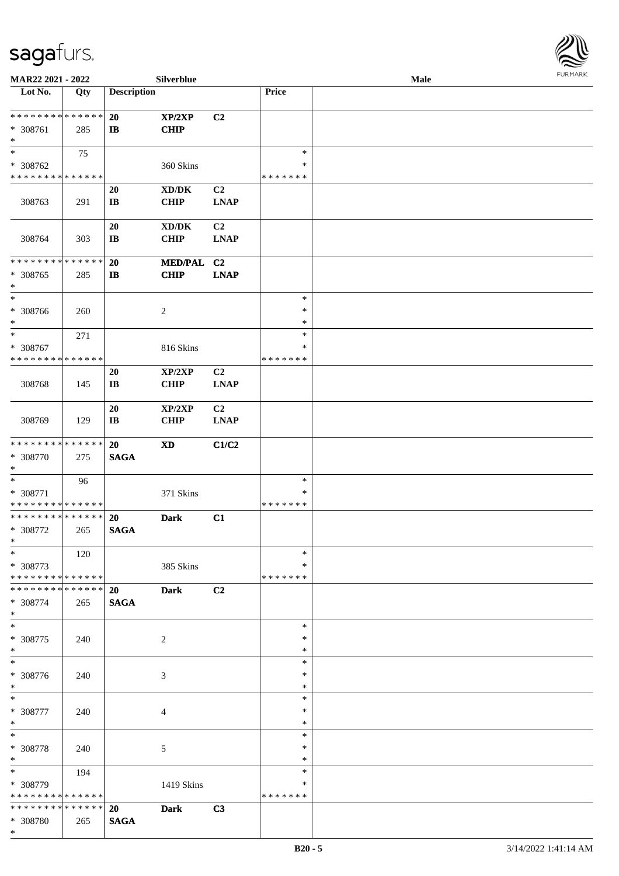

| MAR22 2021 - 2022                                   |     |                              | Silverblue                                         |                               |                                   | Male | <b>FURMARK</b> |
|-----------------------------------------------------|-----|------------------------------|----------------------------------------------------|-------------------------------|-----------------------------------|------|----------------|
| $\overline{\phantom{1}}$ Lot No.                    | Qty | <b>Description</b>           |                                                    |                               | Price                             |      |                |
| * * * * * * * * * * * * * *<br>* 308761<br>$\ast$   | 285 | 20<br>$\mathbf{I}$           | XP/2XP<br>CHIP                                     | C2                            |                                   |      |                |
| $\ast$<br>* 308762<br>* * * * * * * * * * * * * *   | 75  |                              | 360 Skins                                          |                               | $\ast$<br>$\ast$<br>* * * * * * * |      |                |
| 308763                                              | 291 | 20<br>$\mathbf{I}\mathbf{B}$ | $\bold{X}\bold{D}/\bold{D}\bold{K}$<br><b>CHIP</b> | C2<br><b>LNAP</b>             |                                   |      |                |
| 308764                                              | 303 | 20<br>$\mathbf{I}\mathbf{B}$ | $\bold{X}\bold{D}/\bold{D}\bold{K}$<br><b>CHIP</b> | C2<br><b>LNAP</b>             |                                   |      |                |
| * * * * * * * * * * * * * *<br>$* 308765$<br>$\ast$ | 285 | 20<br>$\mathbf{I}$           | MED/PAL C2<br><b>CHIP</b>                          | <b>LNAP</b>                   |                                   |      |                |
| $\ast$<br>* 308766<br>$\ast$                        | 260 |                              | 2                                                  |                               | $\ast$<br>∗<br>$\ast$             |      |                |
| $*$<br>* 308767<br>* * * * * * * * * * * * * *      | 271 |                              | 816 Skins                                          |                               | $\ast$<br>$\ast$<br>* * * * * * * |      |                |
| 308768                                              | 145 | 20<br>$\mathbf{I}\mathbf{B}$ | XP/2XP<br><b>CHIP</b>                              | C <sub>2</sub><br><b>LNAP</b> |                                   |      |                |
| 308769                                              | 129 | 20<br>$\mathbf{I}\mathbf{B}$ | XP/2XP<br><b>CHIP</b>                              | C <sub>2</sub><br><b>LNAP</b> |                                   |      |                |
| * * * * * * * * * * * * * *<br>$* 308770$<br>$\ast$ | 275 | 20<br><b>SAGA</b>            | $\mathbf{X}\mathbf{D}$                             | C1/C2                         |                                   |      |                |
| $\ast$<br>* 308771<br>* * * * * * * * * * * * * *   | 96  |                              | 371 Skins                                          |                               | $\ast$<br>$\ast$<br>* * * * * * * |      |                |
| ******** <mark>******</mark><br>* 308772<br>$\ast$  | 265 | 20<br><b>SAGA</b>            | <b>Dark</b>                                        | C1                            |                                   |      |                |
| $\ast$<br>* 308773<br>* * * * * * * * * * * * * *   | 120 |                              | 385 Skins                                          |                               | $\ast$<br>∗<br>* * * * * * *      |      |                |
| * * * * * * * * * * * * * *<br>* 308774<br>$\ast$   | 265 | <b>20</b><br><b>SAGA</b>     | <b>Dark</b>                                        | C <sub>2</sub>                |                                   |      |                |
| $\overline{\phantom{a}^*}$<br>$* 308775$<br>$\ast$  | 240 |                              | 2                                                  |                               | $\ast$<br>∗<br>$\ast$             |      |                |
| $\overline{\phantom{1}}$<br>* 308776<br>$\ast$      | 240 |                              | $\mathfrak{Z}$                                     |                               | $\ast$<br>$\ast$<br>$\ast$        |      |                |
| $\ast$<br>$* 308777$<br>$\ast$                      | 240 |                              | 4                                                  |                               | $\ast$<br>$\ast$<br>$\ast$        |      |                |
| $\ast$<br>* 308778<br>$\ast$                        | 240 |                              | 5                                                  |                               | $\ast$<br>∗<br>$\ast$             |      |                |
| $\ast$<br>* 308779<br>* * * * * * * * * * * * * *   | 194 |                              | 1419 Skins                                         |                               | $\ast$<br>∗<br>* * * * * * *      |      |                |
| * * * * * * * * * * * * * *<br>* 308780<br>$*$      | 265 | <b>20</b><br><b>SAGA</b>     | <b>Dark</b>                                        | C3                            |                                   |      |                |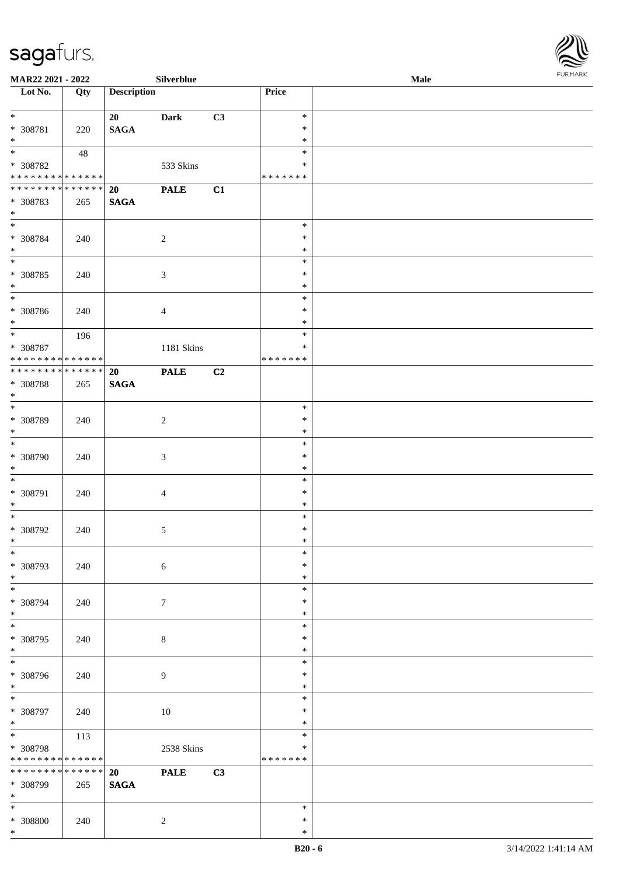

| <b>MAR22 2021 - 2022</b>                   |             |                    | Silverblue     |    |               | Male |  |
|--------------------------------------------|-------------|--------------------|----------------|----|---------------|------|--|
| Lot No.                                    | Qty         | <b>Description</b> |                |    | Price         |      |  |
|                                            |             |                    |                |    |               |      |  |
| $*$                                        |             | 20                 | <b>Dark</b>    | C3 | $\ast$        |      |  |
| * 308781                                   | 220         | <b>SAGA</b>        |                |    | $\ast$        |      |  |
| $*$                                        |             |                    |                |    | $\ast$        |      |  |
|                                            | 48          |                    |                |    | $\ast$        |      |  |
| * 308782                                   |             |                    | 533 Skins      |    | ∗             |      |  |
| * * * * * * * * * * * * * * *              |             |                    |                |    | * * * * * * * |      |  |
| * * * * * * * * <mark>* * * * * * *</mark> |             | 20                 | <b>PALE</b>    | C1 |               |      |  |
| * 308783                                   | 265         | <b>SAGA</b>        |                |    |               |      |  |
| $*$                                        |             |                    |                |    |               |      |  |
| $*$                                        |             |                    |                |    | $\ast$        |      |  |
| * 308784                                   | 240         |                    | $\overline{2}$ |    | $\ast$        |      |  |
| $*$                                        |             |                    |                |    | $\ast$        |      |  |
|                                            |             |                    |                |    | $\ast$        |      |  |
| * 308785                                   |             |                    | $\mathfrak{Z}$ |    | $\ast$        |      |  |
| $*$                                        | 240         |                    |                |    | $\ast$        |      |  |
|                                            |             |                    |                |    | $\ast$        |      |  |
|                                            |             |                    |                |    | $\ast$        |      |  |
| * 308786                                   | 240         |                    | $\overline{4}$ |    |               |      |  |
| $*$                                        |             |                    |                |    | $\ast$        |      |  |
|                                            | 196         |                    |                |    | $\ast$        |      |  |
| * 308787                                   |             |                    | 1181 Skins     |    | $\ast$        |      |  |
| * * * * * * * * * * * * * *                |             |                    |                |    | * * * * * * * |      |  |
| ******** <mark>******</mark>               |             | <b>20</b>          | <b>PALE</b>    | C2 |               |      |  |
| * 308788                                   | 265         | <b>SAGA</b>        |                |    |               |      |  |
| $*$                                        |             |                    |                |    |               |      |  |
| $\overline{\phantom{0}}$                   |             |                    |                |    | $\ast$        |      |  |
| * 308789                                   | 240         |                    | $\overline{2}$ |    | $\ast$        |      |  |
| $*$                                        |             |                    |                |    | $\ast$        |      |  |
| $\overline{\phantom{0}}$                   |             |                    |                |    | $\ast$        |      |  |
| * 308790                                   | 240         |                    | $\mathfrak{Z}$ |    | $\ast$        |      |  |
| $*$                                        |             |                    |                |    | $\ast$        |      |  |
| $*$                                        |             |                    |                |    | $\ast$        |      |  |
| * 308791                                   | 240         |                    | $\overline{4}$ |    | $\ast$        |      |  |
| $*$                                        |             |                    |                |    | $\ast$        |      |  |
| $*$                                        |             |                    |                |    | $\ast$        |      |  |
| * 308792                                   | 240         |                    | 5              |    | $\ast$        |      |  |
| $*$                                        |             |                    |                |    | $\ast$        |      |  |
| $*$                                        |             |                    |                |    | $\ast$        |      |  |
| * 308793                                   | 240         |                    | $\sqrt{6}$     |    | $\ast$        |      |  |
| $*$                                        |             |                    |                |    | $\ast$        |      |  |
| $*$                                        |             |                    |                |    | $\ast$        |      |  |
| * 308794                                   | 240         |                    | $\tau$         |    | $\ast$        |      |  |
| $*$                                        |             |                    |                |    | $\ast$        |      |  |
|                                            |             |                    |                |    | $\ast$        |      |  |
| * 308795                                   | 240         |                    | $\,8\,$        |    | $\ast$        |      |  |
| $*$                                        |             |                    |                |    | $\ast$        |      |  |
| $_{*}$                                     |             |                    |                |    | $\ast$        |      |  |
|                                            |             |                    |                |    | $\ast$        |      |  |
| * 308796<br>$*$                            | 240         |                    | $\overline{9}$ |    | $\ast$        |      |  |
| $*$                                        |             |                    |                |    | $\ast$        |      |  |
|                                            |             |                    |                |    |               |      |  |
| * 308797                                   | 240         |                    | $10\,$         |    | $\ast$        |      |  |
| $*$<br>$*$                                 |             |                    |                |    | $\ast$        |      |  |
|                                            | 113         |                    |                |    | $\ast$        |      |  |
| * 308798                                   |             |                    | 2538 Skins     |    | $\ast$        |      |  |
| * * * * * * * *                            | * * * * * * |                    |                |    | *******       |      |  |
| * * * * * * * * <mark>* * * * * * *</mark> |             | 20                 | <b>PALE</b>    | C3 |               |      |  |
| * 308799                                   | 265         | <b>SAGA</b>        |                |    |               |      |  |
| $*$                                        |             |                    |                |    |               |      |  |
| $*$                                        |             |                    |                |    | $\ast$        |      |  |
| * 308800                                   | 240         |                    | $\overline{2}$ |    | $\ast$        |      |  |
| $\ast$                                     |             |                    |                |    | $\ast$        |      |  |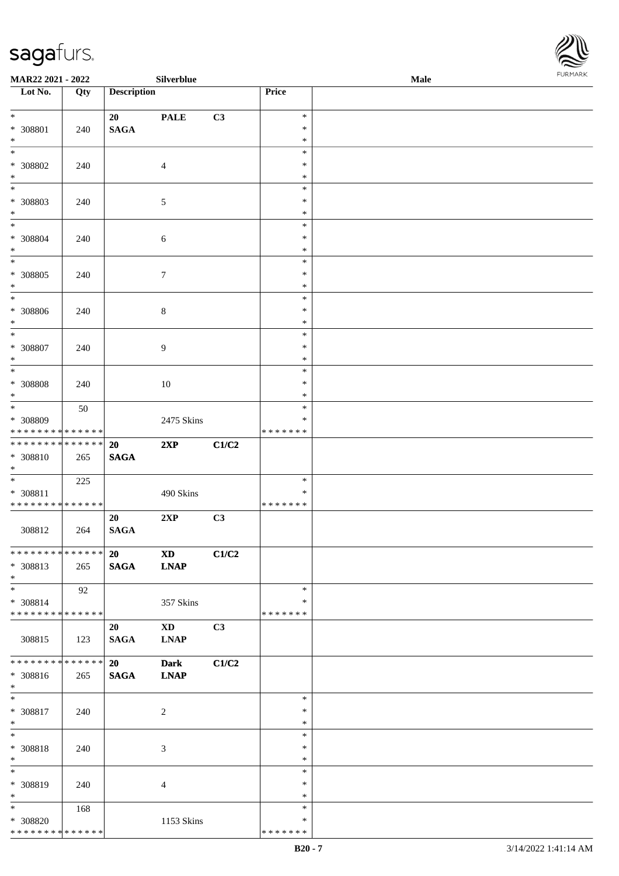\* \* \* \* \* \* \* \* <mark>\* \* \* \* \* \* \*</mark>



| Lot No.<br><b>Description</b><br>Price<br>Qty<br>$\ast$<br>$\ast$<br>$\ensuremath{\mathsf{PALE}}$<br>C3<br>20<br>* 308801<br><b>SAGA</b><br>240<br>$\ast$<br>$\ast$<br>$\ast$<br>$\frac{1}{1}$<br>$\ast$<br>$* 308802$<br>240<br>$\overline{4}$<br>$\ast$<br>$\ast$<br>$\ast$<br>$\frac{1}{1}$<br>$\ast$<br>$* 308803$<br>$\sqrt{5}$<br>$\ast$<br>240<br>$\ast$<br>$\ast$<br>$\ast$<br>$\ast$<br>* 308804<br>$\sqrt{6}$<br>$\ast$<br>240<br>$\ast$<br>$\ast$<br>$\ast$<br>$\ast$<br>$* 308805$<br>$\tau$<br>$\ast$<br>240<br>$\ast$<br>$\ast$<br>$\overline{\phantom{a}^*}$<br>$\ast$<br>* 308806<br>8<br>$\ast$<br>240<br>$\ast$<br>$\ast$<br>$\ast$<br>$\ast$<br>* 308807<br>$\overline{9}$<br>$\ast$<br>240<br>$\ast$<br>$\ast$<br>$_{\ast}^{-}$<br>$\ast$<br>$* 308808$<br>10<br>$\ast$<br>240<br>$\ast$<br>$\ast$<br>$_{\ast}^{-}$<br>$\ast$<br>50<br>* 308809<br>2475 Skins<br>$\ast$<br>* * * * * * * * * * * * * * | MAR22 2021 - 2022 |  | Silverblue |               | <b>Male</b> | FURMARK |
|----------------------------------------------------------------------------------------------------------------------------------------------------------------------------------------------------------------------------------------------------------------------------------------------------------------------------------------------------------------------------------------------------------------------------------------------------------------------------------------------------------------------------------------------------------------------------------------------------------------------------------------------------------------------------------------------------------------------------------------------------------------------------------------------------------------------------------------------------------------------------------------------------------------------------|-------------------|--|------------|---------------|-------------|---------|
|                                                                                                                                                                                                                                                                                                                                                                                                                                                                                                                                                                                                                                                                                                                                                                                                                                                                                                                            |                   |  |            |               |             |         |
|                                                                                                                                                                                                                                                                                                                                                                                                                                                                                                                                                                                                                                                                                                                                                                                                                                                                                                                            |                   |  |            |               |             |         |
|                                                                                                                                                                                                                                                                                                                                                                                                                                                                                                                                                                                                                                                                                                                                                                                                                                                                                                                            |                   |  |            |               |             |         |
|                                                                                                                                                                                                                                                                                                                                                                                                                                                                                                                                                                                                                                                                                                                                                                                                                                                                                                                            |                   |  |            |               |             |         |
|                                                                                                                                                                                                                                                                                                                                                                                                                                                                                                                                                                                                                                                                                                                                                                                                                                                                                                                            |                   |  |            |               |             |         |
|                                                                                                                                                                                                                                                                                                                                                                                                                                                                                                                                                                                                                                                                                                                                                                                                                                                                                                                            |                   |  |            |               |             |         |
|                                                                                                                                                                                                                                                                                                                                                                                                                                                                                                                                                                                                                                                                                                                                                                                                                                                                                                                            |                   |  |            |               |             |         |
|                                                                                                                                                                                                                                                                                                                                                                                                                                                                                                                                                                                                                                                                                                                                                                                                                                                                                                                            |                   |  |            |               |             |         |
|                                                                                                                                                                                                                                                                                                                                                                                                                                                                                                                                                                                                                                                                                                                                                                                                                                                                                                                            |                   |  |            |               |             |         |
|                                                                                                                                                                                                                                                                                                                                                                                                                                                                                                                                                                                                                                                                                                                                                                                                                                                                                                                            |                   |  |            |               |             |         |
|                                                                                                                                                                                                                                                                                                                                                                                                                                                                                                                                                                                                                                                                                                                                                                                                                                                                                                                            |                   |  |            |               |             |         |
|                                                                                                                                                                                                                                                                                                                                                                                                                                                                                                                                                                                                                                                                                                                                                                                                                                                                                                                            |                   |  |            |               |             |         |
|                                                                                                                                                                                                                                                                                                                                                                                                                                                                                                                                                                                                                                                                                                                                                                                                                                                                                                                            |                   |  |            |               |             |         |
|                                                                                                                                                                                                                                                                                                                                                                                                                                                                                                                                                                                                                                                                                                                                                                                                                                                                                                                            |                   |  |            |               |             |         |
|                                                                                                                                                                                                                                                                                                                                                                                                                                                                                                                                                                                                                                                                                                                                                                                                                                                                                                                            |                   |  |            |               |             |         |
|                                                                                                                                                                                                                                                                                                                                                                                                                                                                                                                                                                                                                                                                                                                                                                                                                                                                                                                            |                   |  |            |               |             |         |
|                                                                                                                                                                                                                                                                                                                                                                                                                                                                                                                                                                                                                                                                                                                                                                                                                                                                                                                            |                   |  |            |               |             |         |
|                                                                                                                                                                                                                                                                                                                                                                                                                                                                                                                                                                                                                                                                                                                                                                                                                                                                                                                            |                   |  |            |               |             |         |
|                                                                                                                                                                                                                                                                                                                                                                                                                                                                                                                                                                                                                                                                                                                                                                                                                                                                                                                            |                   |  |            |               |             |         |
| **************                                                                                                                                                                                                                                                                                                                                                                                                                                                                                                                                                                                                                                                                                                                                                                                                                                                                                                             |                   |  |            | * * * * * * * |             |         |
| C1/C2<br>20<br>2XP<br><b>SAGA</b><br>* 308810<br>265<br>$\ast$                                                                                                                                                                                                                                                                                                                                                                                                                                                                                                                                                                                                                                                                                                                                                                                                                                                             |                   |  |            |               |             |         |
| $\ast$<br>225<br>$\ast$                                                                                                                                                                                                                                                                                                                                                                                                                                                                                                                                                                                                                                                                                                                                                                                                                                                                                                    |                   |  |            |               |             |         |
| * 308811<br>490 Skins<br>$\ast$                                                                                                                                                                                                                                                                                                                                                                                                                                                                                                                                                                                                                                                                                                                                                                                                                                                                                            |                   |  |            |               |             |         |
| * * * * * * * * * * * * * *<br>* * * * * * *                                                                                                                                                                                                                                                                                                                                                                                                                                                                                                                                                                                                                                                                                                                                                                                                                                                                               |                   |  |            |               |             |         |
| 2XP<br>C3<br>20<br>$\mathbf{SAGA}$<br>308812<br>264                                                                                                                                                                                                                                                                                                                                                                                                                                                                                                                                                                                                                                                                                                                                                                                                                                                                        |                   |  |            |               |             |         |
| * * * * * * * * * * * * * *<br>C1/C2<br>20<br><b>XD</b>                                                                                                                                                                                                                                                                                                                                                                                                                                                                                                                                                                                                                                                                                                                                                                                                                                                                    |                   |  |            |               |             |         |
| <b>SAGA</b><br>* 308813<br><b>LNAP</b><br>265<br>$\ast$                                                                                                                                                                                                                                                                                                                                                                                                                                                                                                                                                                                                                                                                                                                                                                                                                                                                    |                   |  |            |               |             |         |
| $\overline{\phantom{a}^*}$<br>92<br>$\ast$                                                                                                                                                                                                                                                                                                                                                                                                                                                                                                                                                                                                                                                                                                                                                                                                                                                                                 |                   |  |            |               |             |         |
| * 308814<br>357 Skins<br>$\ast$<br>* * * * * * * * * * * * * *<br>* * * * * * *                                                                                                                                                                                                                                                                                                                                                                                                                                                                                                                                                                                                                                                                                                                                                                                                                                            |                   |  |            |               |             |         |
| $\mathbf{X}\mathbf{D}$<br>C3<br>20                                                                                                                                                                                                                                                                                                                                                                                                                                                                                                                                                                                                                                                                                                                                                                                                                                                                                         |                   |  |            |               |             |         |
| <b>SAGA</b><br>308815<br><b>LNAP</b><br>123                                                                                                                                                                                                                                                                                                                                                                                                                                                                                                                                                                                                                                                                                                                                                                                                                                                                                |                   |  |            |               |             |         |
| ******** <mark>******</mark><br>20<br><b>Dark</b><br>C1/C2                                                                                                                                                                                                                                                                                                                                                                                                                                                                                                                                                                                                                                                                                                                                                                                                                                                                 |                   |  |            |               |             |         |
| * 308816<br><b>SAGA</b><br><b>LNAP</b><br>265                                                                                                                                                                                                                                                                                                                                                                                                                                                                                                                                                                                                                                                                                                                                                                                                                                                                              |                   |  |            |               |             |         |
| $\ast$<br>$\overline{\phantom{a}^*}$                                                                                                                                                                                                                                                                                                                                                                                                                                                                                                                                                                                                                                                                                                                                                                                                                                                                                       |                   |  |            |               |             |         |
| $\ast$<br>* 308817<br>$\ast$                                                                                                                                                                                                                                                                                                                                                                                                                                                                                                                                                                                                                                                                                                                                                                                                                                                                                               |                   |  |            |               |             |         |
| $\sqrt{2}$<br>240<br>$\ast$<br>∗<br>$_{\ast}^{-}$                                                                                                                                                                                                                                                                                                                                                                                                                                                                                                                                                                                                                                                                                                                                                                                                                                                                          |                   |  |            |               |             |         |
| $\ast$                                                                                                                                                                                                                                                                                                                                                                                                                                                                                                                                                                                                                                                                                                                                                                                                                                                                                                                     |                   |  |            |               |             |         |
| * 308818<br>3<br>$\ast$<br>240<br>$\ast$<br>$\ast$                                                                                                                                                                                                                                                                                                                                                                                                                                                                                                                                                                                                                                                                                                                                                                                                                                                                         |                   |  |            |               |             |         |
| $\overline{\phantom{0}}$<br>$\ast$                                                                                                                                                                                                                                                                                                                                                                                                                                                                                                                                                                                                                                                                                                                                                                                                                                                                                         |                   |  |            |               |             |         |
| * 308819<br>240<br>$\ast$<br>4<br>$\ast$<br>$\ast$                                                                                                                                                                                                                                                                                                                                                                                                                                                                                                                                                                                                                                                                                                                                                                                                                                                                         |                   |  |            |               |             |         |
| $\ast$<br>$\ast$<br>168<br>* 308820<br>1153 Skins<br>$\ast$                                                                                                                                                                                                                                                                                                                                                                                                                                                                                                                                                                                                                                                                                                                                                                                                                                                                |                   |  |            |               |             |         |

\* \* \* \* \* \* \*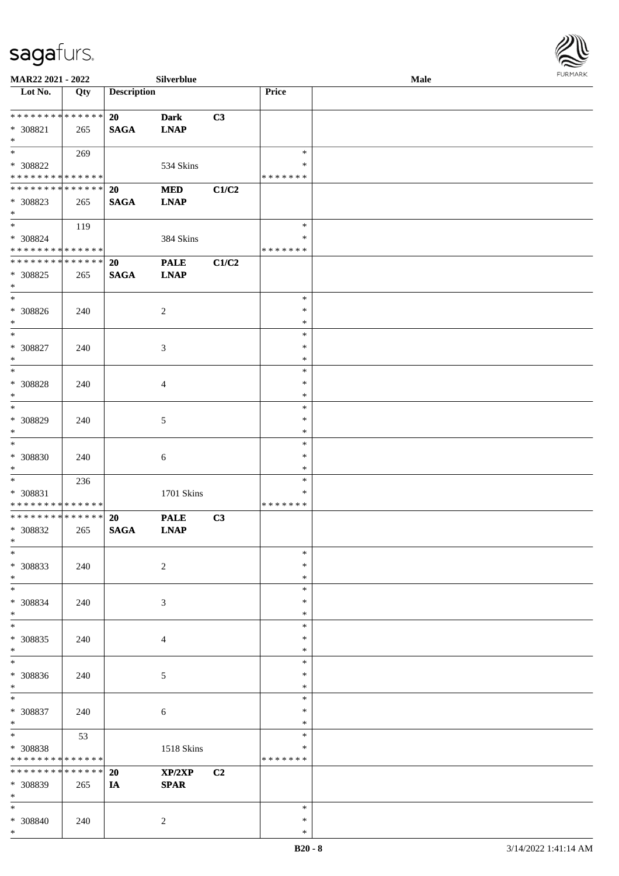

| MAR22 2021 - 2022                                             |     |                    | Silverblue                 |       |                                   | Male |  |
|---------------------------------------------------------------|-----|--------------------|----------------------------|-------|-----------------------------------|------|--|
| Lot No.                                                       | Qty | <b>Description</b> |                            |       | Price                             |      |  |
| ******** <mark>******</mark><br>* 308821<br>$*$               | 265 | 20<br><b>SAGA</b>  | <b>Dark</b><br><b>LNAP</b> | C3    |                                   |      |  |
| $*$<br>* 308822<br>* * * * * * * * * * * * * *                | 269 |                    | 534 Skins                  |       | $\ast$<br>∗<br>* * * * * * *      |      |  |
| * * * * * * * * * * * * * *<br>* 308823<br>$*$                | 265 | 20<br><b>SAGA</b>  | $\bf MED$<br><b>LNAP</b>   | C1/C2 |                                   |      |  |
| $*$<br>$* 308824$<br>* * * * * * * * * * * * * *              | 119 |                    | 384 Skins                  |       | $\ast$<br>∗<br>* * * * * * *      |      |  |
| * * * * * * * * * * * * * *<br>* 308825<br>$\ast$             | 265 | 20<br><b>SAGA</b>  | <b>PALE</b><br><b>LNAP</b> | C1/C2 |                                   |      |  |
| $\ast$<br>* 308826<br>$*$                                     | 240 |                    | $\overline{c}$             |       | $\ast$<br>$\ast$<br>$\ast$        |      |  |
| $\ast$<br>$* 308827$<br>$\ast$                                | 240 |                    | $\mathfrak{Z}$             |       | $\ast$<br>$\ast$<br>$\ast$        |      |  |
| $*$<br>$* 308828$<br>$\ast$                                   | 240 |                    | $\overline{4}$             |       | $\ast$<br>$\ast$<br>∗             |      |  |
| $\ast$<br>* 308829<br>$\ast$                                  | 240 |                    | 5                          |       | $\ast$<br>$\ast$<br>$\ast$        |      |  |
| $\ast$<br>$* 308830$<br>$*$                                   | 240 |                    | 6                          |       | $\ast$<br>$\ast$<br>$\ast$        |      |  |
| $*$<br>* 308831<br>* * * * * * * * <mark>* * * * * * *</mark> | 236 |                    | 1701 Skins                 |       | $\ast$<br>$\ast$<br>* * * * * * * |      |  |
| * * * * * * * * * * * * * *<br>* 308832<br>$*$                | 265 | 20<br><b>SAGA</b>  | <b>PALE</b><br><b>LNAP</b> | C3    |                                   |      |  |
| $\ast$<br>* 308833<br>$\ast$                                  | 240 |                    | $\overline{c}$             |       | $\ast$<br>$\ast$<br>$\ast$        |      |  |
| $\ast$<br>* 308834<br>$\ast$                                  | 240 |                    | 3                          |       | $\ast$<br>∗<br>∗                  |      |  |
| $\ast$<br>* 308835<br>$*$<br>$\overline{\phantom{0}}$         | 240 |                    | 4                          |       | $\ast$<br>$\ast$<br>$\ast$        |      |  |
| $* 308836$<br>$*$                                             | 240 |                    | 5                          |       | $\ast$<br>∗<br>$\ast$             |      |  |
| $\ast$<br>* 308837<br>$\ast$                                  | 240 |                    | $\sqrt{6}$                 |       | $\ast$<br>$\ast$<br>$\ast$        |      |  |
| $\ast$<br>* 308838<br>* * * * * * * * * * * * * *             | 53  |                    | <b>1518 Skins</b>          |       | $\ast$<br>$\ast$<br>* * * * * * * |      |  |
| * * * * * * * * * * * * * *<br>* 308839<br>$*$                | 265 | 20<br>IA           | XP/2XP<br><b>SPAR</b>      | C2    |                                   |      |  |
| $*$<br>* 308840<br>$*$                                        | 240 |                    | $\overline{2}$             |       | $\ast$<br>$\ast$<br>$\ast$        |      |  |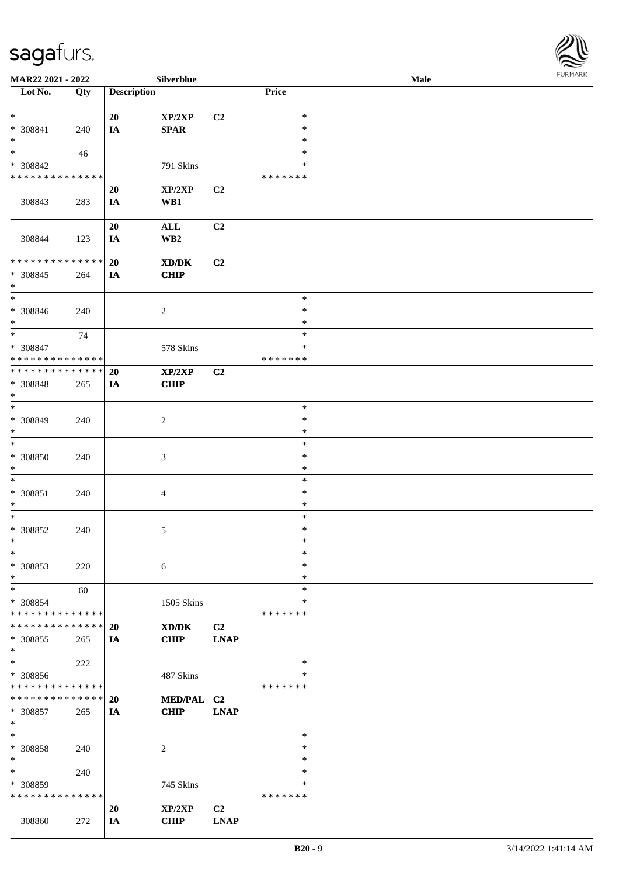

| MAR22 2021 - 2022                          |     |                    | Silverblue                                  |                |               | Male |  |
|--------------------------------------------|-----|--------------------|---------------------------------------------|----------------|---------------|------|--|
| Lot No.                                    | Qty | <b>Description</b> |                                             |                | Price         |      |  |
|                                            |     |                    |                                             |                |               |      |  |
| $*$                                        |     | 20                 | XP/2XP                                      | C <sub>2</sub> | $\ast$        |      |  |
| * 308841                                   | 240 | IA                 | $\bf SPAR$                                  |                | $\ast$        |      |  |
| $\ast$                                     |     |                    |                                             |                | $\ast$        |      |  |
| $\ast$                                     | 46  |                    |                                             |                | $\ast$        |      |  |
|                                            |     |                    |                                             |                | ∗             |      |  |
| * 308842                                   |     |                    | 791 Skins                                   |                |               |      |  |
| * * * * * * * * <mark>* * * * * * *</mark> |     |                    |                                             |                | * * * * * * * |      |  |
|                                            |     | 20                 | XP/2XP                                      | C2             |               |      |  |
| 308843                                     | 283 | IA                 | WB1                                         |                |               |      |  |
|                                            |     |                    |                                             |                |               |      |  |
|                                            |     | 20                 | $\mathbf{ALL}$                              | C2             |               |      |  |
| 308844                                     | 123 | IA                 | $\mathbf{W}\mathbf{B2}$                     |                |               |      |  |
|                                            |     |                    |                                             |                |               |      |  |
| * * * * * * * * * * * * * *                |     | 20                 | $\mathbf{X}\mathbf{D}/\mathbf{D}\mathbf{K}$ | C2             |               |      |  |
| $* 308845$                                 | 264 | IA                 | <b>CHIP</b>                                 |                |               |      |  |
| $\ast$                                     |     |                    |                                             |                |               |      |  |
| $\ast$                                     |     |                    |                                             |                | $\ast$        |      |  |
|                                            |     |                    |                                             |                |               |      |  |
| * 308846                                   | 240 |                    | $\overline{c}$                              |                | $\ast$        |      |  |
| $\ast$                                     |     |                    |                                             |                | $\ast$        |      |  |
| $\ast$                                     | 74  |                    |                                             |                | $\ast$        |      |  |
| * 308847                                   |     |                    | 578 Skins                                   |                | $\ast$        |      |  |
| * * * * * * * * * * * * * *                |     |                    |                                             |                | * * * * * * * |      |  |
| * * * * * * * * * * * * * *                |     | 20                 | XP/2XP                                      | C <sub>2</sub> |               |      |  |
| * 308848                                   | 265 | IA                 | <b>CHIP</b>                                 |                |               |      |  |
| $\ast$                                     |     |                    |                                             |                |               |      |  |
| $\ast$                                     |     |                    |                                             |                | $\ast$        |      |  |
|                                            |     |                    |                                             |                |               |      |  |
| * 308849                                   | 240 |                    | $\overline{c}$                              |                | $\ast$        |      |  |
| $\ast$                                     |     |                    |                                             |                | $\ast$        |      |  |
| $\ast$                                     |     |                    |                                             |                | $\ast$        |      |  |
| $* 308850$                                 | 240 |                    | 3                                           |                | $\ast$        |      |  |
| $\ast$                                     |     |                    |                                             |                | $\ast$        |      |  |
| $\ast$                                     |     |                    |                                             |                | $\ast$        |      |  |
| * 308851                                   | 240 |                    | 4                                           |                | $\ast$        |      |  |
| $\ast$                                     |     |                    |                                             |                | $\ast$        |      |  |
| $\ast$                                     |     |                    |                                             |                | $\ast$        |      |  |
|                                            |     |                    |                                             |                |               |      |  |
| $* 308852$                                 | 240 |                    | 5                                           |                | $\ast$        |      |  |
| $*$                                        |     |                    |                                             |                | $\ast$        |      |  |
| $\ast$                                     |     |                    |                                             |                | $\ast$        |      |  |
| * 308853                                   | 220 |                    | 6                                           |                | $\ast$        |      |  |
| $\ast$                                     |     |                    |                                             |                | $\ast$        |      |  |
| $\ast$                                     | 60  |                    |                                             |                | $\ast$        |      |  |
| * 308854                                   |     |                    | 1505 Skins                                  |                | ∗             |      |  |
| * * * * * * * * * * * * * *                |     |                    |                                             |                | *******       |      |  |
| * * * * * * * * * * * * * * *              |     |                    |                                             |                |               |      |  |
|                                            |     | <b>20</b>          | XD/DK                                       | C2             |               |      |  |
| * 308855                                   | 265 | IA                 | <b>CHIP</b>                                 | <b>LNAP</b>    |               |      |  |
| $*$                                        |     |                    |                                             |                |               |      |  |
| $\ast$                                     | 222 |                    |                                             |                | $\ast$        |      |  |
| * 308856                                   |     |                    | 487 Skins                                   |                | ∗             |      |  |
| * * * * * * * * * * * * * *                |     |                    |                                             |                | *******       |      |  |
| * * * * * * * * * * * * * * *              |     | 20                 | MED/PAL C2                                  |                |               |      |  |
| * 308857                                   | 265 | IA                 | <b>CHIP</b>                                 | <b>LNAP</b>    |               |      |  |
| $*$                                        |     |                    |                                             |                |               |      |  |
| $\ast$                                     |     |                    |                                             |                | $\ast$        |      |  |
| * 308858                                   |     |                    |                                             |                | $\ast$        |      |  |
|                                            | 240 |                    | $\overline{c}$                              |                |               |      |  |
| $\ast$                                     |     |                    |                                             |                | $\ast$        |      |  |
| $\ast$                                     | 240 |                    |                                             |                | $\ast$        |      |  |
| * 308859                                   |     |                    | 745 Skins                                   |                | ∗             |      |  |
| * * * * * * * * * * * * * *                |     |                    |                                             |                | * * * * * * * |      |  |
|                                            |     | 20                 | XP/2XP                                      | C2             |               |      |  |
| 308860                                     | 272 | IA                 | <b>CHIP</b>                                 | <b>LNAP</b>    |               |      |  |
|                                            |     |                    |                                             |                |               |      |  |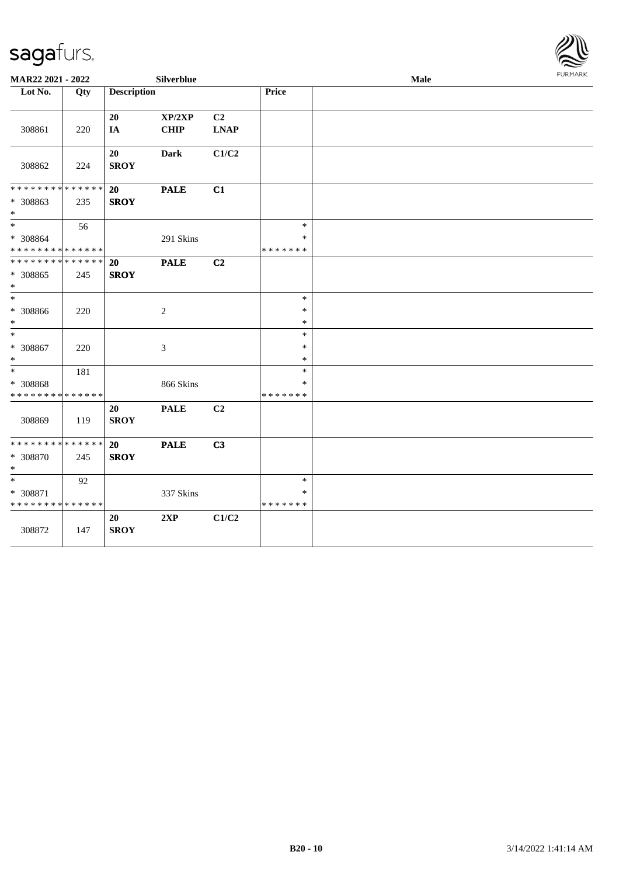

| MAR22 2021 - 2022                                              |     |                    | Silverblue            |                               |                                   | Male |  |  |  |  |
|----------------------------------------------------------------|-----|--------------------|-----------------------|-------------------------------|-----------------------------------|------|--|--|--|--|
| Lot No.                                                        | Qty | <b>Description</b> |                       |                               | Price                             |      |  |  |  |  |
| 308861                                                         | 220 | 20<br>IA           | XP/2XP<br><b>CHIP</b> | C <sub>2</sub><br><b>LNAP</b> |                                   |      |  |  |  |  |
| 308862                                                         | 224 | 20<br><b>SROY</b>  | <b>Dark</b>           | C1/C2                         |                                   |      |  |  |  |  |
| * * * * * * * * * * * * * *<br>* 308863<br>$\ast$              | 235 | 20<br><b>SROY</b>  | <b>PALE</b>           | C1                            |                                   |      |  |  |  |  |
| $\overline{\ast}$<br>$* 308864$<br>* * * * * * * * * * * * * * | 56  |                    | 291 Skins             |                               | $\ast$<br>$\ast$<br>* * * * * * * |      |  |  |  |  |
| * * * * * * * * * * * * * *<br>* 308865<br>$\ast$              | 245 | 20<br><b>SROY</b>  | <b>PALE</b>           | C2                            |                                   |      |  |  |  |  |
| $\ast$<br>$* 308866$<br>$\ast$                                 | 220 |                    | $\overline{c}$        |                               | $\ast$<br>$\ast$<br>$\ast$        |      |  |  |  |  |
| $\ast$<br>* 308867<br>$\ast$                                   | 220 |                    | $\mathfrak{Z}$        |                               | $\ast$<br>$\ast$<br>$\ast$        |      |  |  |  |  |
| $\ast$<br>* 308868<br>* * * * * * * * * * * * * *              | 181 |                    | 866 Skins             |                               | $\ast$<br>$\ast$<br>* * * * * * * |      |  |  |  |  |
| 308869                                                         | 119 | 20<br><b>SROY</b>  | <b>PALE</b>           | C <sub>2</sub>                |                                   |      |  |  |  |  |
| **************<br>* 308870<br>$\ast$                           | 245 | 20<br><b>SROY</b>  | <b>PALE</b>           | C3                            |                                   |      |  |  |  |  |
| $\ast$<br>* 308871<br>* * * * * * * * * * * * * *              | 92  |                    | 337 Skins             |                               | $\ast$<br>$\ast$<br>* * * * * * * |      |  |  |  |  |
| 308872                                                         | 147 | 20<br><b>SROY</b>  | 2XP                   | C1/C2                         |                                   |      |  |  |  |  |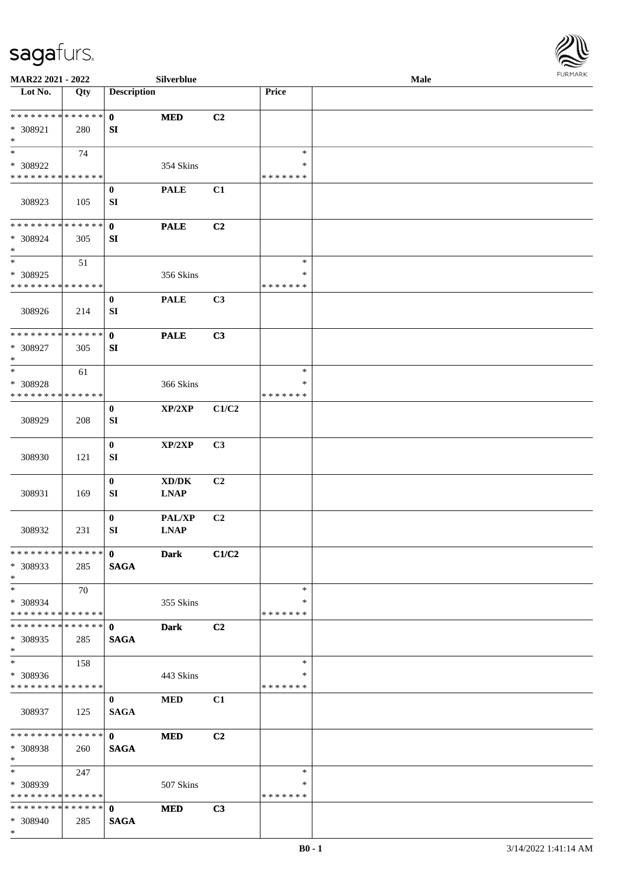

| MAR22 2021 - 2022                                                     |     |                                              | Silverblue                                         |       |                                   | <b>Male</b> |  |
|-----------------------------------------------------------------------|-----|----------------------------------------------|----------------------------------------------------|-------|-----------------------------------|-------------|--|
| Lot No.                                                               | Qty | <b>Description</b>                           |                                                    |       | Price                             |             |  |
| **************<br>* 308921<br>$\ast$                                  | 280 | $\mathbf{0}$<br>SI                           | <b>MED</b>                                         | C2    |                                   |             |  |
| $\ast$<br>* 308922<br>* * * * * * * * * * * * * *                     | 74  |                                              | 354 Skins                                          |       | $\ast$<br>∗<br>* * * * * * *      |             |  |
| 308923                                                                | 105 | $\bf{0}$<br>SI                               | <b>PALE</b>                                        | C1    |                                   |             |  |
| * * * * * * * * * * * * * *<br>* 308924<br>$\ast$                     | 305 | $\mathbf{0}$<br>${\bf SI}$                   | <b>PALE</b>                                        | C2    |                                   |             |  |
| $\ast$<br>* 308925<br>* * * * * * * * * * * * * *                     | 51  |                                              | 356 Skins                                          |       | $\ast$<br>$\ast$<br>* * * * * * * |             |  |
| 308926                                                                | 214 | $\bf{0}$<br>SI                               | <b>PALE</b>                                        | C3    |                                   |             |  |
| * * * * * * * * * * * * * *<br>* 308927<br>$\ast$                     | 305 | $\mathbf{0}$<br>SI                           | <b>PALE</b>                                        | C3    |                                   |             |  |
| $\ast$<br>* 308928<br>* * * * * * * * * * * * * *                     | 61  |                                              | 366 Skins                                          |       | $\ast$<br>∗<br>* * * * * * *      |             |  |
| 308929                                                                | 208 | $\bf{0}$<br>SI                               | XP/2XP                                             | C1/C2 |                                   |             |  |
| 308930                                                                | 121 | $\boldsymbol{0}$<br>SI                       | XP/2XP                                             | C3    |                                   |             |  |
| 308931                                                                | 169 | $\boldsymbol{0}$<br>SI                       | $\bold{X}\bold{D}/\bold{D}\bold{K}$<br><b>LNAP</b> | C2    |                                   |             |  |
| 308932                                                                | 231 | $\bf{0}$<br>${\bf SI}$                       | PAL/XP<br><b>LNAP</b>                              | C2    |                                   |             |  |
| **************<br>* 308933<br>$*$                                     | 285 | $\mathbf{0}$<br><b>SAGA</b>                  | <b>Dark</b>                                        | C1/C2 |                                   |             |  |
| $*$<br>* 308934<br>**************                                     | 70  |                                              | 355 Skins                                          |       | $\ast$<br>*<br>* * * * * * *      |             |  |
| ************** 0<br>* 308935<br>$*$                                   | 285 | <b>SAGA</b>                                  | <b>Dark</b>                                        | C2    |                                   |             |  |
| $\overline{\phantom{a}^*}$<br>* 308936<br>* * * * * * * * * * * * * * | 158 |                                              | 443 Skins                                          |       | $\ast$<br>∗<br>* * * * * * *      |             |  |
| 308937                                                                | 125 | $\mathbf{0}$<br><b>SAGA</b>                  | <b>MED</b>                                         | C1    |                                   |             |  |
| ******** <mark>******</mark><br>* 308938<br>$*$                       | 260 | $\mathbf{0}$ and $\mathbf{0}$<br><b>SAGA</b> | <b>MED</b>                                         | C2    |                                   |             |  |
| $\ast$<br>$*308939$<br>* * * * * * * * * * * * * * *                  | 247 |                                              | 507 Skins                                          |       | $\ast$<br>∗<br>* * * * * * *      |             |  |
| * * * * * * * * * * * * * * *<br>* 308940<br>$*$                      | 285 | $\mathbf{0}$<br><b>SAGA</b>                  | <b>MED</b>                                         | C3    |                                   |             |  |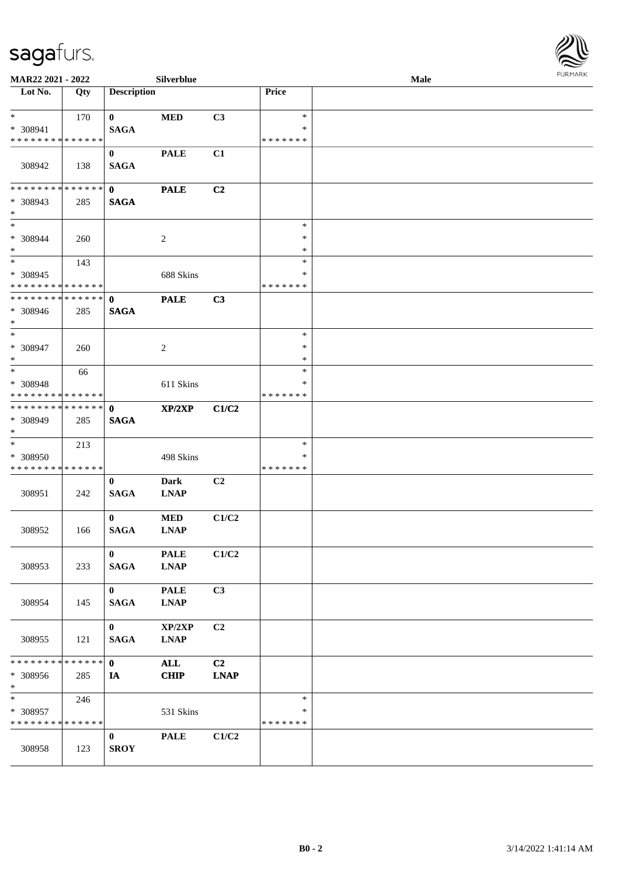

| MAR22 2021 - 2022             |     |                    | Silverblue     |             |                  | <b>Male</b> |  |
|-------------------------------|-----|--------------------|----------------|-------------|------------------|-------------|--|
| Lot No.                       | Qty | <b>Description</b> |                |             | Price            |             |  |
| $*$ $-$                       | 170 | $\mathbf{0}$       | <b>MED</b>     | C3          | $\ast$           |             |  |
| * 308941                      |     | <b>SAGA</b>        |                |             | ∗                |             |  |
| * * * * * * * * * * * * * *   |     |                    |                |             | * * * * * * *    |             |  |
|                               |     | $\bf{0}$           | <b>PALE</b>    | C1          |                  |             |  |
| 308942                        | 138 | <b>SAGA</b>        |                |             |                  |             |  |
|                               |     |                    |                |             |                  |             |  |
| * * * * * * * * * * * * * *   |     | $\mathbf{0}$       | <b>PALE</b>    | C2          |                  |             |  |
| * 308943                      | 285 | <b>SAGA</b>        |                |             |                  |             |  |
| $*$                           |     |                    |                |             |                  |             |  |
| $*$                           |     |                    |                |             | $\ast$           |             |  |
| $* 308944$                    | 260 |                    | $\overline{c}$ |             | $\ast$           |             |  |
| $*$                           |     |                    |                |             | $\ast$           |             |  |
| $*$                           | 143 |                    |                |             | $\ast$           |             |  |
| * 308945                      |     |                    | 688 Skins      |             | $\ast$           |             |  |
| * * * * * * * * * * * * * *   |     |                    |                |             | * * * * * * *    |             |  |
| * * * * * * * * * * * * * *   |     | $\mathbf 0$        | <b>PALE</b>    | C3          |                  |             |  |
| * 308946                      | 285 | <b>SAGA</b>        |                |             |                  |             |  |
| $*$                           |     |                    |                |             |                  |             |  |
| $*$                           |     |                    |                |             | $\ast$           |             |  |
| $* 308947$<br>$*$             | 260 |                    | 2              |             | $\ast$<br>$\ast$ |             |  |
| $*$                           |     |                    |                |             | $\ast$           |             |  |
| * 308948                      | 66  |                    | 611 Skins      |             | ∗                |             |  |
| * * * * * * * * * * * * * *   |     |                    |                |             | * * * * * * *    |             |  |
| * * * * * * * * * * * * * * * |     | $\mathbf 0$        | XP/2XP         | C1/C2       |                  |             |  |
| * 308949                      | 285 | <b>SAGA</b>        |                |             |                  |             |  |
| $*$                           |     |                    |                |             |                  |             |  |
| $*$                           | 213 |                    |                |             | $\ast$           |             |  |
| * 308950                      |     |                    | 498 Skins      |             | ∗                |             |  |
| * * * * * * * * * * * * * *   |     |                    |                |             | * * * * * * *    |             |  |
|                               |     | $\bf{0}$           | <b>Dark</b>    | C2          |                  |             |  |
| 308951                        | 242 | <b>SAGA</b>        | <b>LNAP</b>    |             |                  |             |  |
|                               |     |                    |                |             |                  |             |  |
|                               |     | $\mathbf{0}$       | $\bf MED$      | C1/C2       |                  |             |  |
| 308952                        | 166 | <b>SAGA</b>        | <b>LNAP</b>    |             |                  |             |  |
|                               |     |                    |                |             |                  |             |  |
|                               |     | $\mathbf{0}$       | <b>PALE</b>    | C1/C2       |                  |             |  |
| 308953                        | 233 | <b>SAGA</b>        | <b>LNAP</b>    |             |                  |             |  |
|                               |     |                    |                |             |                  |             |  |
|                               |     | $\mathbf{0}$       | <b>PALE</b>    | C3          |                  |             |  |
| 308954                        | 145 | <b>SAGA</b>        | <b>LNAP</b>    |             |                  |             |  |
|                               |     |                    |                |             |                  |             |  |
|                               |     | $\mathbf{0}$       | XP/2XP         | C2          |                  |             |  |
| 308955                        | 121 | <b>SAGA</b>        | <b>LNAP</b>    |             |                  |             |  |
| * * * * * * * * * * * * * * * |     | $\mathbf{0}$       | <b>ALL</b>     | C2          |                  |             |  |
| * 308956                      | 285 |                    | <b>CHIP</b>    | <b>LNAP</b> |                  |             |  |
| $*$                           |     | IA                 |                |             |                  |             |  |
| $*$ $*$                       | 246 |                    |                |             | $\ast$           |             |  |
| * 308957                      |     |                    | 531 Skins      |             | *                |             |  |
| * * * * * * * * * * * * * *   |     |                    |                |             | * * * * * * *    |             |  |
|                               |     | $\mathbf{0}$       | <b>PALE</b>    | C1/C2       |                  |             |  |
| 308958                        | 123 | <b>SROY</b>        |                |             |                  |             |  |
|                               |     |                    |                |             |                  |             |  |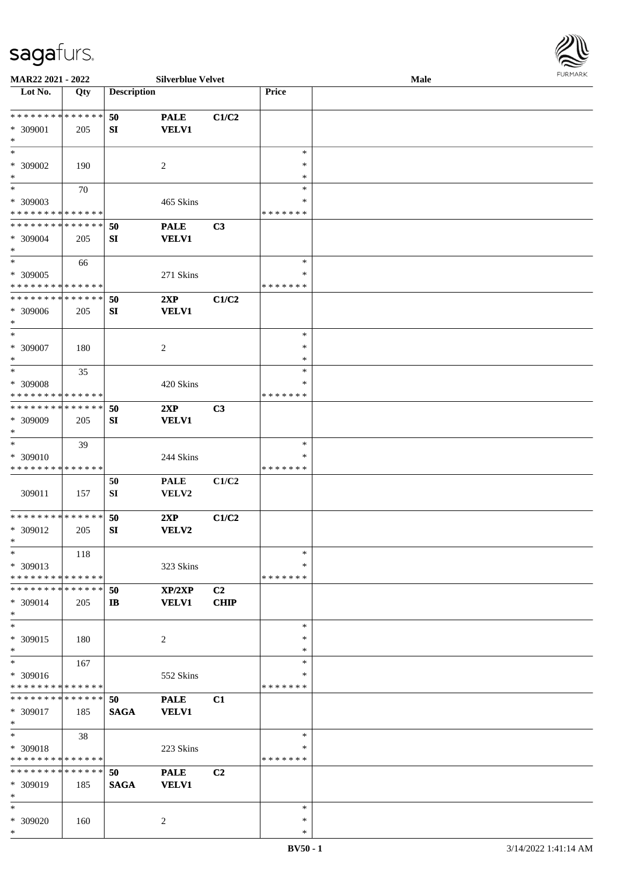

| MAR22 2021 - 2022             |                   |                    | <b>Silverblue Velvet</b> |             |               | <b>Male</b> |
|-------------------------------|-------------------|--------------------|--------------------------|-------------|---------------|-------------|
| Lot No.                       | $\overline{Q}$ ty | <b>Description</b> |                          |             | Price         |             |
|                               |                   |                    |                          |             |               |             |
| * * * * * * * * * * * * * *   |                   | 50                 | <b>PALE</b>              | C1/C2       |               |             |
| * 309001                      | 205               | SI                 | <b>VELV1</b>             |             |               |             |
| $\ast$                        |                   |                    |                          |             |               |             |
| $*$                           |                   |                    |                          |             | $\ast$        |             |
|                               |                   |                    |                          |             |               |             |
| * 309002                      | 190               |                    | 2                        |             | $\ast$        |             |
| $\ast$                        |                   |                    |                          |             | ∗             |             |
| $\ast$                        | 70                |                    |                          |             | $\ast$        |             |
| * 309003                      |                   |                    | 465 Skins                |             | $\ast$        |             |
| * * * * * * * * * * * * * *   |                   |                    |                          |             | * * * * * * * |             |
| * * * * * * * * * * * * * *   |                   | 50                 | <b>PALE</b>              | C3          |               |             |
| $* 309004$                    | 205               | SI                 | <b>VELV1</b>             |             |               |             |
| $\ast$                        |                   |                    |                          |             |               |             |
| $*$                           |                   |                    |                          |             | $\ast$        |             |
|                               | 66                |                    |                          |             |               |             |
| $* 309005$                    |                   |                    | 271 Skins                |             | $\ast$        |             |
| * * * * * * * * * * * * * *   |                   |                    |                          |             | *******       |             |
| * * * * * * * * * * * * * *   |                   | 50                 | 2XP                      | C1/C2       |               |             |
| $* 309006$                    | 205               | SI                 | <b>VELV1</b>             |             |               |             |
| $\ast$                        |                   |                    |                          |             |               |             |
| $\ast$                        |                   |                    |                          |             | $\ast$        |             |
| $* 309007$                    | 180               |                    | 2                        |             | $\ast$        |             |
| $\ast$                        |                   |                    |                          |             | $\ast$        |             |
|                               |                   |                    |                          |             |               |             |
| $*$                           | 35                |                    |                          |             | $\ast$        |             |
| * 309008                      |                   |                    | 420 Skins                |             | ∗             |             |
| * * * * * * * * * * * * * *   |                   |                    |                          |             | * * * * * * * |             |
| * * * * * * * * * * * * * *   |                   | 50                 | 2XP                      | C3          |               |             |
| $* 309009$                    | 205               | SI                 | <b>VELV1</b>             |             |               |             |
| $*$                           |                   |                    |                          |             |               |             |
| $\ast$                        | 39                |                    |                          |             | $\ast$        |             |
|                               |                   |                    |                          |             | ∗             |             |
| * 309010                      |                   |                    | 244 Skins                |             |               |             |
| * * * * * * * * * * * * * *   |                   |                    |                          |             | *******       |             |
|                               |                   | 50                 | <b>PALE</b>              | C1/C2       |               |             |
| 309011                        | 157               | SI                 | VELV2                    |             |               |             |
|                               |                   |                    |                          |             |               |             |
| * * * * * * * * * * * * * *   |                   | 50                 | 2XP                      | C1/C2       |               |             |
| $* 309012$                    | 205               | SI                 | VELV2                    |             |               |             |
| $*$                           |                   |                    |                          |             |               |             |
| $*$                           | 118               |                    |                          |             | $\ast$        |             |
| * 309013                      |                   |                    | 323 Skins                |             | ∗             |             |
| * * * * * * * * * * * * * *   |                   |                    |                          |             | *******       |             |
|                               |                   |                    |                          |             |               |             |
| * * * * * * * * * * * * * * * |                   | 50                 | XP/2XP                   | C2          |               |             |
| * 309014                      | 205               | IB                 | <b>VELV1</b>             | <b>CHIP</b> |               |             |
| $*$                           |                   |                    |                          |             |               |             |
| $*$                           |                   |                    |                          |             | $\ast$        |             |
| * 309015                      | 180               |                    | 2                        |             | $\ast$        |             |
| $*$                           |                   |                    |                          |             | $\ast$        |             |
| $\ast$                        | 167               |                    |                          |             | $\ast$        |             |
| * 309016                      |                   |                    | 552 Skins                |             | *             |             |
| * * * * * * * * * * * * * *   |                   |                    |                          |             | *******       |             |
|                               |                   |                    |                          |             |               |             |
| * * * * * * * * * * * * * * * |                   | 50                 | <b>PALE</b>              | C1          |               |             |
| * 309017                      | 185               | <b>SAGA</b>        | <b>VELV1</b>             |             |               |             |
| $*$                           |                   |                    |                          |             |               |             |
| $*$                           | 38                |                    |                          |             | $\ast$        |             |
| * 309018                      |                   |                    | 223 Skins                |             | ∗             |             |
| * * * * * * * * * * * * * *   |                   |                    |                          |             | * * * * * * * |             |
| * * * * * * * * * * * * * * * |                   | 50                 | <b>PALE</b>              | C2          |               |             |
| * 309019                      | 185               |                    | <b>VELV1</b>             |             |               |             |
|                               |                   | <b>SAGA</b>        |                          |             |               |             |
| $*$                           |                   |                    |                          |             |               |             |
| $*$                           |                   |                    |                          |             | $\ast$        |             |
| * 309020                      | 160               |                    | 2                        |             | $\ast$        |             |
| $*$                           |                   |                    |                          |             | $\ast$        |             |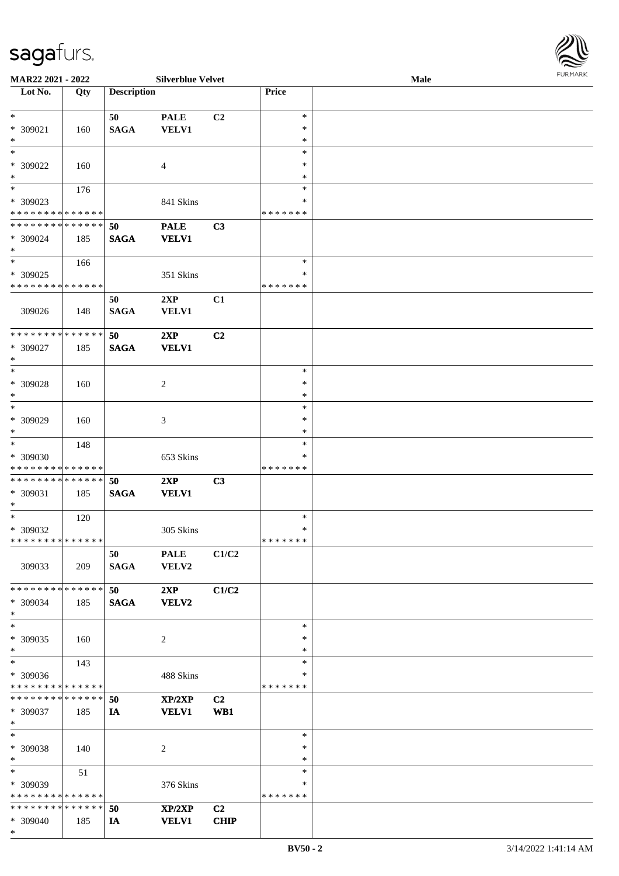| <b>FURMARK</b> |
|----------------|
|                |

| MAR22 2021 - 2022                  |     |                    | <b>Silverblue Velvet</b> |                |               | <b>Male</b> |  |
|------------------------------------|-----|--------------------|--------------------------|----------------|---------------|-------------|--|
| Lot No.                            | Qty | <b>Description</b> |                          |                | Price         |             |  |
|                                    |     |                    |                          |                |               |             |  |
| $*$                                |     | 50                 | <b>PALE</b>              | C2             | $\ast$        |             |  |
| * 309021                           | 160 | <b>SAGA</b>        | <b>VELV1</b>             |                | $\ast$        |             |  |
| $\ast$                             |     |                    |                          |                | $\ast$        |             |  |
| $*$                                |     |                    |                          |                | $\ast$        |             |  |
|                                    |     |                    |                          |                | *             |             |  |
| * 309022                           | 160 |                    | 4                        |                |               |             |  |
| $\ast$<br>$\overline{\phantom{0}}$ |     |                    |                          |                | ∗             |             |  |
|                                    | 176 |                    |                          |                | $\ast$        |             |  |
| * 309023                           |     |                    | 841 Skins                |                | ∗             |             |  |
| * * * * * * * * * * * * * *        |     |                    |                          |                | * * * * * * * |             |  |
| * * * * * * * * * * * * * *        |     | 50                 | <b>PALE</b>              | C3             |               |             |  |
| $* 309024$                         | 185 | <b>SAGA</b>        | <b>VELV1</b>             |                |               |             |  |
| $*$                                |     |                    |                          |                |               |             |  |
| $\ast$                             | 166 |                    |                          |                | $\ast$        |             |  |
| * 309025                           |     |                    | 351 Skins                |                | $\ast$        |             |  |
| * * * * * * * * * * * * * *        |     |                    |                          |                | * * * * * * * |             |  |
|                                    |     |                    |                          |                |               |             |  |
|                                    |     | 50                 | 2XP                      | C1             |               |             |  |
| 309026                             | 148 | <b>SAGA</b>        | VELV1                    |                |               |             |  |
|                                    |     |                    |                          |                |               |             |  |
| * * * * * * * * * * * * * *        |     | 50                 | 2XP                      | C2             |               |             |  |
| * 309027                           | 185 | <b>SAGA</b>        | <b>VELV1</b>             |                |               |             |  |
| $\ast$                             |     |                    |                          |                |               |             |  |
| $*$                                |     |                    |                          |                | $\ast$        |             |  |
| $* 309028$                         | 160 |                    | $\overline{2}$           |                | ∗             |             |  |
| $\ast$                             |     |                    |                          |                | *             |             |  |
| $\ast$                             |     |                    |                          |                | $\ast$        |             |  |
| * 309029                           | 160 |                    | 3                        |                | $\ast$        |             |  |
| $*$                                |     |                    |                          |                | $\ast$        |             |  |
| $\ast$                             |     |                    |                          |                | $\ast$        |             |  |
|                                    | 148 |                    |                          |                |               |             |  |
| * 309030                           |     |                    | 653 Skins                |                | ∗             |             |  |
| * * * * * * * * * * * * * *        |     |                    |                          |                | * * * * * * * |             |  |
| * * * * * * * * * * * * * *        |     | 50                 | 2XP                      | C3             |               |             |  |
| * 309031                           | 185 | <b>SAGA</b>        | <b>VELV1</b>             |                |               |             |  |
| $*$                                |     |                    |                          |                |               |             |  |
| $*$                                | 120 |                    |                          |                | $\ast$        |             |  |
| * 309032                           |     |                    | 305 Skins                |                | $\ast$        |             |  |
| * * * * * * * * * * * * * *        |     |                    |                          |                | * * * * * * * |             |  |
|                                    |     | 50                 | <b>PALE</b>              | C1/C2          |               |             |  |
| 309033                             | 209 |                    | VELV2                    |                |               |             |  |
|                                    |     | <b>SAGA</b>        |                          |                |               |             |  |
|                                    |     |                    |                          |                |               |             |  |
| * * * * * * * * * * * * * * *      |     | 50                 | 2XP                      | C1/C2          |               |             |  |
| * 309034                           | 185 | <b>SAGA</b>        | <b>VELV2</b>             |                |               |             |  |
| $*$                                |     |                    |                          |                |               |             |  |
| $\ast$                             |     |                    |                          |                | $\ast$        |             |  |
| * 309035                           | 160 |                    | 2                        |                | ∗             |             |  |
| $*$                                |     |                    |                          |                | $\ast$        |             |  |
| $\ast$                             | 143 |                    |                          |                | $\ast$        |             |  |
| * 309036                           |     |                    | 488 Skins                |                | ∗             |             |  |
| * * * * * * * * * * * * * *        |     |                    |                          |                | * * * * * * * |             |  |
|                                    |     |                    |                          |                |               |             |  |
| **************                     |     | 50                 | XP/2XP                   | C2             |               |             |  |
| * 309037                           | 185 | IA                 | <b>VELV1</b>             | WB1            |               |             |  |
| $*$                                |     |                    |                          |                |               |             |  |
| $\ast$                             |     |                    |                          |                | $\ast$        |             |  |
| * 309038                           | 140 |                    | 2                        |                | $\ast$        |             |  |
| $*$                                |     |                    |                          |                | $\ast$        |             |  |
| $*$                                | 51  |                    |                          |                | $\ast$        |             |  |
| $*309039$                          |     |                    | 376 Skins                |                | ∗             |             |  |
| * * * * * * * * * * * * * *        |     |                    |                          |                | * * * * * * * |             |  |
| * * * * * * * * * * * * * * *      |     |                    |                          |                |               |             |  |
|                                    |     | 50                 | XP/2XP                   | C <sub>2</sub> |               |             |  |
| * 309040                           | 185 | IA                 | <b>VELV1</b>             | <b>CHIP</b>    |               |             |  |
| $*$                                |     |                    |                          |                |               |             |  |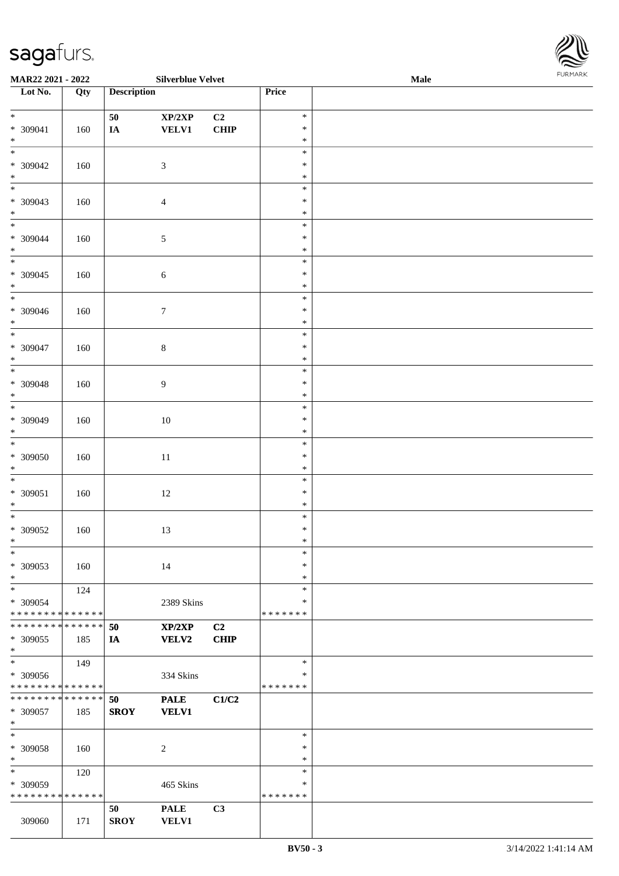

| <b>MAR22 2021 - 2022</b>                   |     |                    | <b>Silverblue Velvet</b> |             |               | Male |
|--------------------------------------------|-----|--------------------|--------------------------|-------------|---------------|------|
| Lot No.                                    | Qty | <b>Description</b> |                          |             | Price         |      |
|                                            |     |                    |                          |             |               |      |
| $*$                                        |     | 50                 | XP/2XP                   | C2          | $\ast$        |      |
| * 309041                                   | 160 | $I\!\!A$           | <b>VELV1</b>             | CHIP        | $\ast$        |      |
| $*$                                        |     |                    |                          |             | $\ast$        |      |
|                                            |     |                    |                          |             |               |      |
|                                            |     |                    |                          |             | $\ast$        |      |
| * 309042                                   | 160 |                    | $\sqrt{3}$               |             | $\ast$        |      |
| $*$                                        |     |                    |                          |             | $\ast$        |      |
|                                            |     |                    |                          |             | $\ast$        |      |
| * 309043                                   | 160 |                    | $\overline{4}$           |             | $\ast$        |      |
| $*$                                        |     |                    |                          |             | $\ast$        |      |
| $\overline{\ast}$                          |     |                    |                          |             |               |      |
|                                            |     |                    |                          |             | $\ast$        |      |
| * 309044                                   | 160 |                    | $\sqrt{5}$               |             | $\ast$        |      |
| $*$                                        |     |                    |                          |             | $\ast$        |      |
|                                            |     |                    |                          |             | $\ast$        |      |
| * 309045                                   | 160 |                    | $\sqrt{6}$               |             | $\ast$        |      |
| $*$                                        |     |                    |                          |             | $\ast$        |      |
|                                            |     |                    |                          |             | $\ast$        |      |
|                                            |     |                    |                          |             |               |      |
| * 309046                                   | 160 |                    | $\boldsymbol{7}$         |             | $\ast$        |      |
| $*$                                        |     |                    |                          |             | $\ast$        |      |
| $\overline{\ast}$                          |     |                    |                          |             | $\ast$        |      |
| * 309047                                   | 160 |                    | $\,8\,$                  |             | $\ast$        |      |
| $*$                                        |     |                    |                          |             | $\ast$        |      |
|                                            |     |                    |                          |             | $\ast$        |      |
|                                            |     |                    |                          |             | $\ast$        |      |
| * 309048                                   | 160 |                    | 9                        |             |               |      |
| $*$                                        |     |                    |                          |             | $\ast$        |      |
|                                            |     |                    |                          |             | $\ast$        |      |
| * 309049                                   | 160 |                    | 10                       |             | $\ast$        |      |
| $*$                                        |     |                    |                          |             | $\ast$        |      |
| $\overline{\phantom{0}}$                   |     |                    |                          |             | $\ast$        |      |
| * 309050                                   | 160 |                    | 11                       |             | $\ast$        |      |
|                                            |     |                    |                          |             | $\ast$        |      |
| $*$                                        |     |                    |                          |             |               |      |
| $\ast$                                     |     |                    |                          |             | $\ast$        |      |
| * 309051                                   | 160 |                    | 12                       |             | $\ast$        |      |
| $*$                                        |     |                    |                          |             | $\ast$        |      |
|                                            |     |                    |                          |             | $\ast$        |      |
| * 309052                                   | 160 |                    | 13                       |             | $\ast$        |      |
| $*$                                        |     |                    |                          |             | $\ast$        |      |
|                                            |     |                    |                          |             |               |      |
| $\ast$                                     |     |                    |                          |             | $\ast$        |      |
| * 309053                                   | 160 |                    | 14                       |             | $\ast$        |      |
| $*$                                        |     |                    |                          |             | $\ast$        |      |
| $*$                                        | 124 |                    |                          |             | $\ast$        |      |
| * 309054                                   |     |                    | 2389 Skins               |             | ∗             |      |
| * * * * * * * * <mark>* * * * * * *</mark> |     |                    |                          |             | *******       |      |
| * * * * * * * * * * * * * * *              |     | 50                 | XP/2XP                   |             |               |      |
|                                            |     |                    |                          | C2          |               |      |
| * 309055                                   | 185 | IA                 | <b>VELV2</b>             | <b>CHIP</b> |               |      |
| $*$                                        |     |                    |                          |             |               |      |
| $*$                                        | 149 |                    |                          |             | $\ast$        |      |
| * 309056                                   |     |                    | 334 Skins                |             | ∗             |      |
| * * * * * * * * * * * * * *                |     |                    |                          |             | *******       |      |
| * * * * * * * * <mark>* * * * * * *</mark> |     | 50                 | <b>PALE</b>              | C1/C2       |               |      |
|                                            |     |                    |                          |             |               |      |
| * 309057                                   | 185 | <b>SROY</b>        | <b>VELV1</b>             |             |               |      |
| $\ast$                                     |     |                    |                          |             |               |      |
| $*$                                        |     |                    |                          |             | $\ast$        |      |
| * 309058                                   | 160 |                    | $\sqrt{2}$               |             | $\ast$        |      |
| $*$                                        |     |                    |                          |             | $\ast$        |      |
| $*$ $-$                                    | 120 |                    |                          |             | $\ast$        |      |
| * 309059                                   |     |                    | 465 Skins                |             | ∗             |      |
| * * * * * * * * * * * * * *                |     |                    |                          |             | * * * * * * * |      |
|                                            |     |                    |                          |             |               |      |
|                                            |     | 50                 | <b>PALE</b>              | C3          |               |      |
| 309060                                     | 171 | <b>SROY</b>        | <b>VELV1</b>             |             |               |      |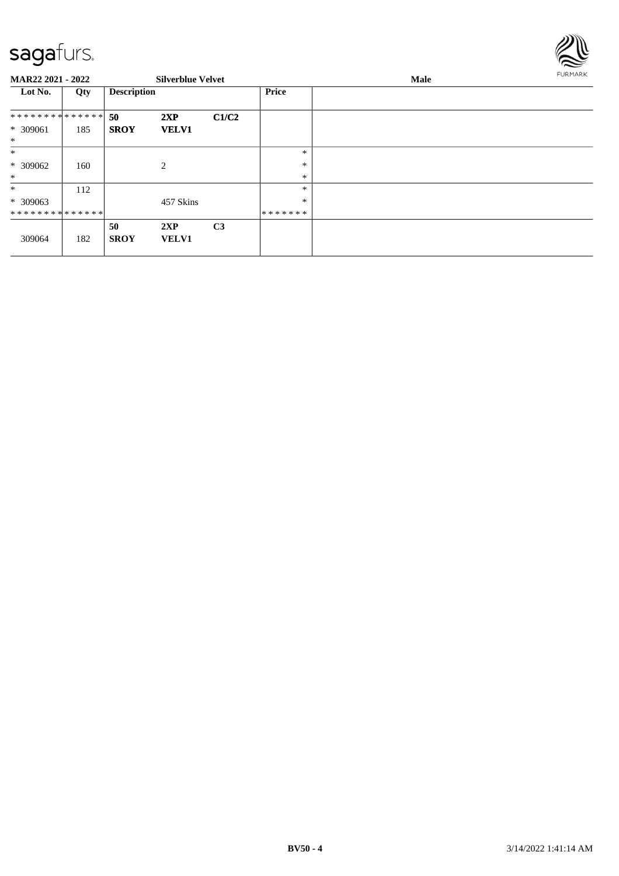

| <b>MAR22 2021 - 2022</b>      |     |                    | <b>Silverblue Velvet</b> |                |              | <b>FURMARK</b> |  |
|-------------------------------|-----|--------------------|--------------------------|----------------|--------------|----------------|--|
| Lot No.                       | Qty | <b>Description</b> |                          |                | <b>Price</b> |                |  |
| * * * * * * * * * * * * * * * |     | 50                 | 2XP                      | C1/C2          |              |                |  |
| * 309061<br>$\ast$            | 185 | <b>SROY</b>        | <b>VELV1</b>             |                |              |                |  |
| $\ast$                        |     |                    |                          |                | *            |                |  |
| * 309062                      | 160 |                    | 2                        |                | $\ast$       |                |  |
| $\ast$                        |     |                    |                          |                | $\ast$       |                |  |
| $\ast$                        | 112 |                    |                          |                | *            |                |  |
| $*309063$                     |     |                    | 457 Skins                |                | $\ast$       |                |  |
| **************                |     |                    |                          |                | *******      |                |  |
| 309064                        | 182 | 50<br><b>SROY</b>  | 2XP<br><b>VELV1</b>      | C <sub>3</sub> |              |                |  |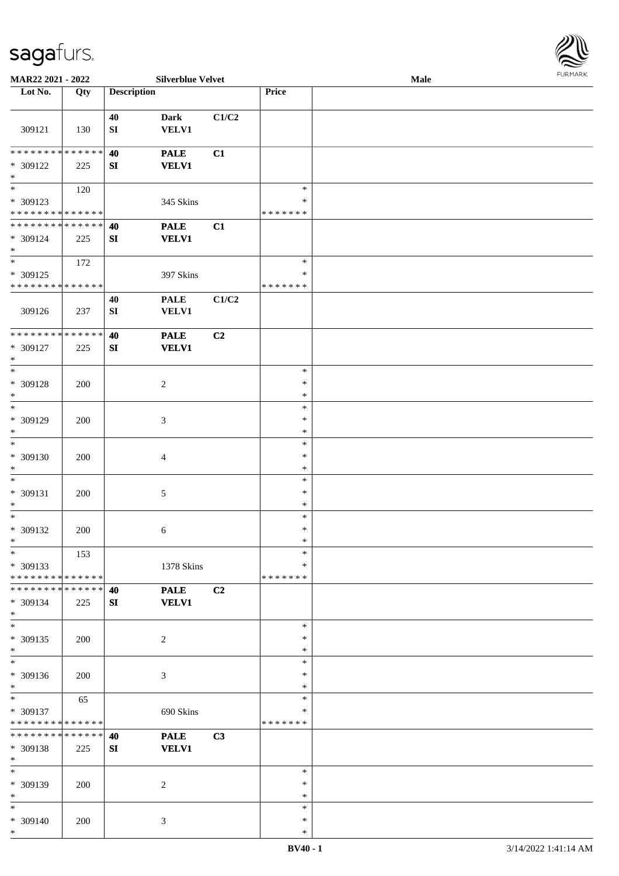

| MAR22 2021 - 2022             |     |                    | <b>Silverblue Velvet</b> |       |               | <b>Male</b> |
|-------------------------------|-----|--------------------|--------------------------|-------|---------------|-------------|
| Lot No.                       | Qty | <b>Description</b> |                          |       | Price         |             |
|                               |     |                    |                          |       |               |             |
|                               |     |                    |                          |       |               |             |
|                               |     | 40                 | <b>Dark</b>              | C1/C2 |               |             |
| 309121                        | 130 | ${\bf S}{\bf I}$   | <b>VELV1</b>             |       |               |             |
|                               |     |                    |                          |       |               |             |
| * * * * * * * * * * * * * *   |     | 40                 | <b>PALE</b>              | C1    |               |             |
|                               |     |                    |                          |       |               |             |
| * 309122                      | 225 | SI                 | <b>VELV1</b>             |       |               |             |
| $\ast$                        |     |                    |                          |       |               |             |
| $\overline{\phantom{0}}$      | 120 |                    |                          |       | $\ast$        |             |
| * 309123                      |     |                    | 345 Skins                |       | $\ast$        |             |
|                               |     |                    |                          |       |               |             |
| * * * * * * * * * * * * * *   |     |                    |                          |       | * * * * * * * |             |
| * * * * * * * * * * * * * *   |     | 40                 | <b>PALE</b>              | C1    |               |             |
| * 309124                      | 225 | ${\bf S}{\bf I}$   | <b>VELV1</b>             |       |               |             |
| $*$                           |     |                    |                          |       |               |             |
|                               |     |                    |                          |       |               |             |
| $*$                           | 172 |                    |                          |       | $\ast$        |             |
| $* 309125$                    |     |                    | 397 Skins                |       | $\ast$        |             |
| * * * * * * * * * * * * * *   |     |                    |                          |       | * * * * * * * |             |
|                               |     |                    |                          |       |               |             |
|                               |     | 40                 | <b>PALE</b>              | C1/C2 |               |             |
| 309126                        | 237 | ${\bf S}{\bf I}$   | <b>VELV1</b>             |       |               |             |
|                               |     |                    |                          |       |               |             |
| * * * * * * * * * * * * * *   |     | 40                 | <b>PALE</b>              | C2    |               |             |
|                               |     |                    |                          |       |               |             |
| * 309127                      | 225 | ${\bf S}{\bf I}$   | <b>VELV1</b>             |       |               |             |
| $*$                           |     |                    |                          |       |               |             |
| $*$                           |     |                    |                          |       | $\ast$        |             |
| * 309128                      | 200 |                    | $\overline{c}$           |       | $\ast$        |             |
| $\ast$                        |     |                    |                          |       | $\ast$        |             |
|                               |     |                    |                          |       |               |             |
| $*$                           |     |                    |                          |       | $\ast$        |             |
| * 309129                      | 200 |                    | 3                        |       | $\ast$        |             |
| $*$                           |     |                    |                          |       | $\ast$        |             |
| $\ast$                        |     |                    |                          |       | $\ast$        |             |
|                               |     |                    |                          |       |               |             |
| $* 309130$                    | 200 |                    | 4                        |       | $\ast$        |             |
| $*$                           |     |                    |                          |       | $\ast$        |             |
| $\ast$                        |     |                    |                          |       | $\ast$        |             |
| $* 309131$                    | 200 |                    | 5                        |       | $\ast$        |             |
| $\ast$                        |     |                    |                          |       | $\ast$        |             |
|                               |     |                    |                          |       |               |             |
| $*$                           |     |                    |                          |       | $\ast$        |             |
| $* 309132$                    | 200 |                    | 6                        |       | $\ast$        |             |
| $*$                           |     |                    |                          |       | $\ast$        |             |
| $*$                           | 153 |                    |                          |       | $\ast$        |             |
|                               |     |                    |                          |       |               |             |
| * 309133                      |     |                    | 1378 Skins               |       | $\ast$        |             |
| * * * * * * * * * * * * * * * |     |                    |                          |       | * * * * * * * |             |
| * * * * * * * * * * * * * * * |     | 40                 | <b>PALE</b>              | C2    |               |             |
| * 309134                      | 225 | SI                 | <b>VELV1</b>             |       |               |             |
| $*$                           |     |                    |                          |       |               |             |
|                               |     |                    |                          |       |               |             |
| $*$                           |     |                    |                          |       | $\ast$        |             |
| * 309135                      | 200 |                    | $\overline{c}$           |       | $\ast$        |             |
| $*$                           |     |                    |                          |       | $\ast$        |             |
| $\ast$                        |     |                    |                          |       | $\ast$        |             |
|                               |     |                    |                          |       |               |             |
| * 309136                      | 200 |                    | $\mathfrak{Z}$           |       | $\ast$        |             |
| $*$                           |     |                    |                          |       | $\ast$        |             |
| $*$                           | 65  |                    |                          |       | $\ast$        |             |
| $* 309137$                    |     |                    | 690 Skins                |       | $\ast$        |             |
| * * * * * * * * * * * * * *   |     |                    |                          |       | *******       |             |
|                               |     |                    |                          |       |               |             |
| * * * * * * * * * * * * * * * |     | 40                 | <b>PALE</b>              | C3    |               |             |
| * 309138                      | 225 | SI                 | <b>VELV1</b>             |       |               |             |
| $*$                           |     |                    |                          |       |               |             |
| $*$                           |     |                    |                          |       | $\ast$        |             |
|                               |     |                    |                          |       |               |             |
| * 309139                      | 200 |                    | 2                        |       | $\ast$        |             |
| $*$                           |     |                    |                          |       | $\ast$        |             |
| $*$                           |     |                    |                          |       | $\ast$        |             |
| * 309140                      | 200 |                    | 3                        |       | $\ast$        |             |
| $\ast$                        |     |                    |                          |       | $\ast$        |             |
|                               |     |                    |                          |       |               |             |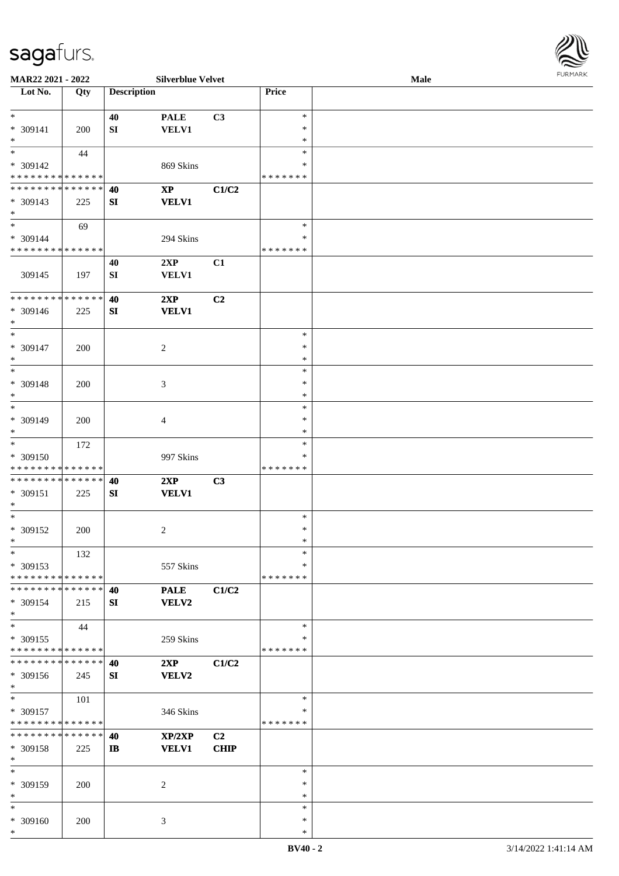

| MAR22 2021 - 2022             |     |                    | <b>Silverblue Velvet</b> |                |               | Male |  |
|-------------------------------|-----|--------------------|--------------------------|----------------|---------------|------|--|
| Lot No.                       | Qty | <b>Description</b> |                          |                | Price         |      |  |
|                               |     |                    |                          |                |               |      |  |
|                               |     |                    |                          |                |               |      |  |
| $\ast$                        |     | 40                 | <b>PALE</b>              | C3             | $\ast$        |      |  |
| * 309141                      | 200 | SI                 | <b>VELV1</b>             |                | $\ast$        |      |  |
| $\ast$                        |     |                    |                          |                | $\ast$        |      |  |
| $*$                           | 44  |                    |                          |                | $\ast$        |      |  |
|                               |     |                    |                          |                |               |      |  |
| $* 309142$                    |     |                    | 869 Skins                |                | ∗             |      |  |
| * * * * * * * * * * * * * *   |     |                    |                          |                | * * * * * * * |      |  |
| * * * * * * * * * * * * * * * |     | 40                 | $\bold{XP}$              | C1/C2          |               |      |  |
| * 309143                      | 225 | SI                 | <b>VELV1</b>             |                |               |      |  |
|                               |     |                    |                          |                |               |      |  |
| $*$                           |     |                    |                          |                |               |      |  |
| $*$                           | 69  |                    |                          |                | $\ast$        |      |  |
| * 309144                      |     |                    | 294 Skins                |                | ∗             |      |  |
| * * * * * * * * * * * * * *   |     |                    |                          |                | * * * * * * * |      |  |
|                               |     |                    |                          |                |               |      |  |
|                               |     | 40                 | 2XP                      | C1             |               |      |  |
| 309145                        | 197 | ${\bf SI}$         | <b>VELV1</b>             |                |               |      |  |
|                               |     |                    |                          |                |               |      |  |
| * * * * * * * * * * * * * *   |     | 40                 | 2XP                      | C2             |               |      |  |
|                               |     |                    |                          |                |               |      |  |
| * 309146                      | 225 | SI                 | <b>VELV1</b>             |                |               |      |  |
| $*$                           |     |                    |                          |                |               |      |  |
| $*$                           |     |                    |                          |                | $\ast$        |      |  |
|                               |     |                    |                          |                | $\ast$        |      |  |
| $* 309147$                    | 200 |                    | 2                        |                |               |      |  |
| $*$                           |     |                    |                          |                | $\ast$        |      |  |
| $*$                           |     |                    |                          |                | $\ast$        |      |  |
| * 309148                      | 200 |                    | 3                        |                | $\ast$        |      |  |
| $\ast$                        |     |                    |                          |                | ∗             |      |  |
|                               |     |                    |                          |                |               |      |  |
| $*$                           |     |                    |                          |                | $\ast$        |      |  |
| * 309149                      | 200 |                    | 4                        |                | $\ast$        |      |  |
| $*$                           |     |                    |                          |                | $\ast$        |      |  |
| $*$                           |     |                    |                          |                | $\ast$        |      |  |
|                               | 172 |                    |                          |                |               |      |  |
| $* 309150$                    |     |                    | 997 Skins                |                | ∗             |      |  |
| * * * * * * * * * * * * * *   |     |                    |                          |                | *******       |      |  |
| * * * * * * * * * * * * * * * |     | 40                 | 2XP                      | C3             |               |      |  |
|                               |     |                    |                          |                |               |      |  |
| * 309151                      | 225 | SI                 | <b>VELV1</b>             |                |               |      |  |
| $*$                           |     |                    |                          |                |               |      |  |
| $*$                           |     |                    |                          |                | $\ast$        |      |  |
| $* 309152$                    | 200 |                    | $\overline{c}$           |                | $\ast$        |      |  |
| $*$                           |     |                    |                          |                | $\ast$        |      |  |
|                               |     |                    |                          |                |               |      |  |
| $*$                           | 132 |                    |                          |                | $\ast$        |      |  |
| * 309153                      |     |                    | 557 Skins                |                | ∗             |      |  |
| * * * * * * * * * * * * * *   |     |                    |                          |                | * * * * * * * |      |  |
| * * * * * * * * * * * * * * * |     |                    | <b>PALE</b>              |                |               |      |  |
|                               |     | 40                 |                          | C1/C2          |               |      |  |
| * 309154                      | 215 | SI                 | VELV2                    |                |               |      |  |
| $*$                           |     |                    |                          |                |               |      |  |
| $*$                           | 44  |                    |                          |                | $\ast$        |      |  |
| * 309155                      |     |                    |                          |                | ∗             |      |  |
|                               |     |                    | 259 Skins                |                |               |      |  |
| * * * * * * * * * * * * * *   |     |                    |                          |                | *******       |      |  |
| * * * * * * * * * * * * * *   |     | 40                 | 2XP                      | C1/C2          |               |      |  |
| * 309156                      | 245 | SI                 | <b>VELV2</b>             |                |               |      |  |
| $*$                           |     |                    |                          |                |               |      |  |
|                               |     |                    |                          |                |               |      |  |
| $*$                           | 101 |                    |                          |                | $\ast$        |      |  |
| * 309157                      |     |                    | 346 Skins                |                | ∗             |      |  |
| * * * * * * * * * * * * * *   |     |                    |                          |                | *******       |      |  |
| * * * * * * * * * * * * * * * |     |                    |                          |                |               |      |  |
|                               |     | 40                 | XP/2XP                   | C <sub>2</sub> |               |      |  |
| * 309158                      | 225 | IB                 | <b>VELV1</b>             | <b>CHIP</b>    |               |      |  |
| $*$                           |     |                    |                          |                |               |      |  |
| $*$                           |     |                    |                          |                | $\ast$        |      |  |
|                               |     |                    |                          |                | ∗             |      |  |
| * 309159                      | 200 |                    | 2                        |                |               |      |  |
| $*$                           |     |                    |                          |                | $\ast$        |      |  |
| $\ast$                        |     |                    |                          |                | $\ast$        |      |  |
| * 309160                      | 200 |                    | 3                        |                | $\ast$        |      |  |
| $\ast$                        |     |                    |                          |                | $\ast$        |      |  |
|                               |     |                    |                          |                |               |      |  |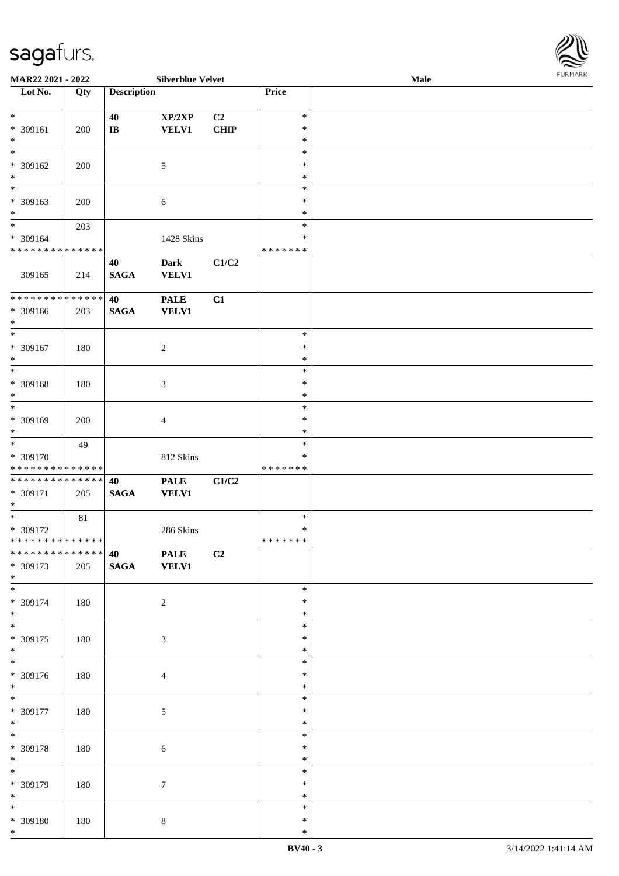**Lot No.** 

\*

\*

\*

\*

\*

\*

\*

\* \*

\*

\*

\*

\*

\*

\*

\* \*

\*

\*

\*

\*

\*

\*

\*

\*

\*

\*

\* 309180 | 180 | 8

**MAR22 2021 - 2022 Silverblue Velvet Male**

| Lot No.                                                                           | Qty | <b>Description</b>    |                             |                        | Price                        |  |
|-----------------------------------------------------------------------------------|-----|-----------------------|-----------------------------|------------------------|------------------------------|--|
| $\ast$<br>* 309161<br>$\ast$                                                      | 200 | 40<br>$\bf I\bf B$    | XP/2XP<br><b>VELV1</b>      | C <sub>2</sub><br>CHIP | $\ast$<br>$\ast$<br>$\ast$   |  |
| * 309162<br>$\ast$                                                                | 200 |                       | 5                           |                        | $\ast$<br>$\ast$<br>$\ast$   |  |
| * 309163<br>$\ast$                                                                | 200 |                       | 6                           |                        | $\ast$<br>$\ast$<br>$\ast$   |  |
| $*$<br>* 309164<br>* * * * * * * * <mark>* * * * * * *</mark>                     | 203 |                       | 1428 Skins                  |                        | $\ast$<br>∗<br>* * * * * * * |  |
| 309165                                                                            | 214 | 40<br><b>SAGA</b>     | <b>Dark</b><br><b>VELV1</b> | C1/C2                  |                              |  |
| * * * * * * * * <mark>* * * * * *</mark><br>* 309166<br>$*$                       | 203 | 40<br><b>SAGA</b>     | <b>PALE</b><br><b>VELV1</b> | C1                     |                              |  |
| $\overline{\ast}$<br>* 309167<br>$*$                                              | 180 |                       | 2                           |                        | $\ast$<br>$\ast$<br>$\ast$   |  |
| * 309168<br>$\ast$                                                                | 180 |                       | 3                           |                        | $\ast$<br>$\ast$<br>$\ast$   |  |
| * 309169<br>$*$                                                                   | 200 |                       | 4                           |                        | $\ast$<br>$\ast$<br>$\ast$   |  |
| $\overline{\ast}$<br>* 309170<br>* * * * * * * * <mark>* * * * * * *</mark>       | 49  |                       | 812 Skins                   |                        | $\ast$<br>∗<br>* * * * * * * |  |
| * * * * * * * * <mark>* * * * * * *</mark><br>* 309171<br>$*$                     | 205 | 40<br>$\mathbf{SAGA}$ | <b>PALE</b><br><b>VELV1</b> | C1/C2                  |                              |  |
| $\overline{\mathbf{r}}$<br>* 309172<br>* * * * * * * * <mark>* * * * * * *</mark> | 81  |                       | 286 Skins                   |                        | $\ast$<br>$\ast$<br>*******  |  |
| * 309173<br>$*$                                                                   | 205 | <b>SAGA</b>           | <b>PALE</b><br><b>VELV1</b> | C2                     |                              |  |
| $\overline{\ }$<br>* 309174<br>$*$                                                | 180 |                       | $\overline{2}$              |                        | $\ast$<br>∗<br>$\ast$        |  |
| $\overline{\phantom{0}}$<br>* 309175<br>$*$                                       | 180 |                       | $\mathfrak{Z}$              |                        | $\ast$<br>∗<br>$\ast$        |  |
| $\overline{\ast}$<br>* 309176<br>$*$                                              | 180 |                       | $\overline{4}$              |                        | $\ast$<br>$\ast$<br>$\ast$   |  |
| $\overline{\phantom{0}}$<br>* 309177<br>$*$                                       | 180 |                       | $\sqrt{5}$                  |                        | $\ast$<br>$\ast$<br>$\ast$   |  |
| $\ddot{x}$<br>* 309178<br>$*$                                                     | 180 |                       | $6\,$                       |                        | $\ast$<br>$\ast$<br>$\ast$   |  |
| * 309179                                                                          | 180 |                       | $7\phantom{.0}$             |                        | $\ast$<br>$\ast$             |  |

\*

\* \*

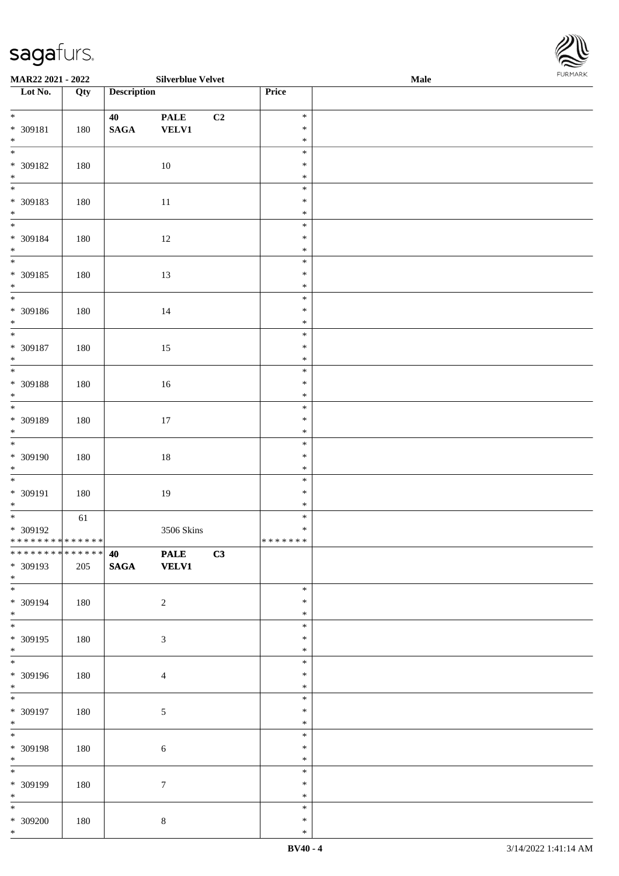\*

| Lot No.                                          | Qty     | <b>Description</b>    |                             |    | <b>Price</b>                      |  |
|--------------------------------------------------|---------|-----------------------|-----------------------------|----|-----------------------------------|--|
| $\overline{\ast}$<br>* 309181<br>$\ast$          | 180     | 40<br>$\mathbf{SAGA}$ | <b>PALE</b><br><b>VELV1</b> | C2 | $\ast$<br>$\ast$<br>$\ast$        |  |
| $\overline{\phantom{0}}$<br>* 309182             | 180     |                       | $10\,$                      |    | $\ast$<br>$\ast$<br>$\ast$        |  |
| $*$ $*$<br>* 309183                              | 180     |                       | $11\,$                      |    | $\ast$<br>$\ast$<br>$\ast$        |  |
| $*$ $*$<br>$* 309184$<br>$\ast$                  | 180     |                       | $12\,$                      |    | $\ast$<br>$\ast$<br>$\ast$        |  |
| $\overline{\phantom{0}}$<br>* 309185<br>$*$      | 180     |                       | 13                          |    | $\ast$<br>$\ast$<br>$\ast$        |  |
| $\overline{\phantom{0}}$<br>$* 309186$           | 180     |                       | 14                          |    | $\ast$<br>$\ast$<br>$\ast$        |  |
| $*$ $*$<br>$* 309187$<br>$\ast$                  | 180     |                       | 15                          |    | $\ast$<br>$\ast$<br>$\ast$        |  |
| $\overline{\phantom{0}}$<br>$* 309188$<br>$\ast$ | 180     |                       | $16\,$                      |    | $\ast$<br>$\ast$<br>$\ast$        |  |
| $\overline{\phantom{0}}$<br>* 309189<br>$\ast$   | 180     |                       | $17\,$                      |    | $\ast$<br>$\ast$<br>$\ast$        |  |
| $\overline{\phantom{0}}$<br>* 309190<br>$*$      | 180     |                       | $18\,$                      |    | $\ast$<br>$\ast$<br>$\ast$        |  |
| $\overline{\phantom{0}}$<br>* 309191<br>$*$      | 180     |                       | $19\,$                      |    | $\ast$<br>$\ast$<br>$\ast$        |  |
| * 309192<br>******** <mark>******</mark>         | 61      |                       | 3506 Skins                  |    | $\ast$<br>$\ast$<br>* * * * * * * |  |
| *************** <b>40</b><br>* 309193<br>$\ast$  | 205     | $\mathbf{SAGA}$       | <b>PALE</b><br><b>VELV1</b> | C3 |                                   |  |
| $\overline{\phantom{a}^*}$<br>* 309194<br>$\ast$ | 180     |                       | $\sqrt{2}$                  |    | $\ast$<br>$\ast$<br>$\ast$        |  |
| $\overline{\phantom{a}^*}$<br>* 309195<br>$*$    | $180\,$ |                       | $\sqrt{3}$                  |    | $\ast$<br>$\ast$<br>$\ast$        |  |
| $\frac{1}{1}$<br>$* 309196$<br>$*$               | $180\,$ |                       | $\overline{4}$              |    | $\ast$<br>$\ast$<br>$\ast$        |  |
| $\overline{\phantom{0}}$<br>$* 309197$<br>$*$    | 180     |                       | $\sqrt{5}$                  |    | $\ast$<br>$\ast$<br>$\ast$        |  |
| $\overline{\ast}$<br>* 309198                    | 180     |                       | 6                           |    | $\ast$<br>$\ast$<br>$\ast$        |  |
| * 309199<br>$*$                                  | 180     |                       | $\boldsymbol{7}$            |    | $\ast$<br>$\ast$<br>$\ast$        |  |
| $\overline{\phantom{0}}$<br>$* 309200$<br>$\ast$ | $180\,$ |                       | $8\,$                       |    | $\ast$<br>$\ast$<br>$\ast$        |  |

**MAR22 2021 - 2022 Silverblue Velvet Male**

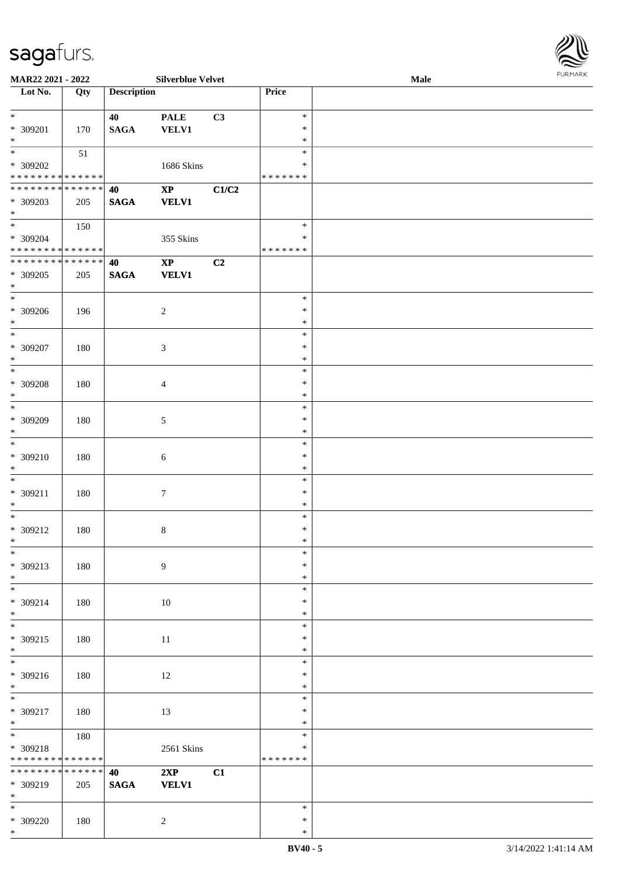\* \* \*

| MAR22 2021 - 2022                              |     |                       | <b>Silverblue Velvet</b>      |       |                         | Male | <b>FURMARK</b> |
|------------------------------------------------|-----|-----------------------|-------------------------------|-------|-------------------------|------|----------------|
| Lot No.                                        | Qty | <b>Description</b>    |                               |       | Price                   |      |                |
| $\ast$                                         |     | 40                    | <b>PALE</b>                   | C3    | $\ast$                  |      |                |
| * 309201<br>$\ast$                             | 170 | <b>SAGA</b>           | <b>VELV1</b>                  |       | $\ast$<br>$\ast$        |      |                |
| $\ast$                                         | 51  |                       |                               |       | $\ast$                  |      |                |
| * 309202                                       |     |                       | 1686 Skins                    |       | ∗                       |      |                |
| ******** <mark>******</mark><br>************** |     |                       |                               |       | * * * * * * *           |      |                |
| * 309203                                       | 205 | 40<br>$\mathbf{SAGA}$ | $\mathbf{XP}$<br><b>VELV1</b> | C1/C2 |                         |      |                |
| $*$                                            |     |                       |                               |       |                         |      |                |
| $\overline{\phantom{a}^*}$                     | 150 |                       |                               |       | $\ast$                  |      |                |
| * 309204<br>**************                     |     |                       | 355 Skins                     |       | ∗<br>* * * * * * *      |      |                |
| **************                                 |     | 40                    | $\mathbf{X}\mathbf{P}$        | C2    |                         |      |                |
| * 309205                                       | 205 | <b>SAGA</b>           | <b>VELV1</b>                  |       |                         |      |                |
| $*$<br>$\overline{\phantom{1}}$                |     |                       |                               |       |                         |      |                |
| $* 309206$                                     | 196 |                       | $\sqrt{2}$                    |       | $\ast$<br>$\ast$        |      |                |
| $\ast$                                         |     |                       |                               |       | $\ast$                  |      |                |
| $\ast$                                         |     |                       |                               |       | $\ast$                  |      |                |
| * 309207                                       | 180 |                       | 3                             |       | $\ast$                  |      |                |
| $\ast$<br>$\ast$                               |     |                       |                               |       | $\ast$<br>$\ast$        |      |                |
| * 309208                                       | 180 |                       | $\overline{4}$                |       | $\ast$                  |      |                |
| $\ast$                                         |     |                       |                               |       | $\ast$                  |      |                |
| $\overline{\phantom{0}}$                       |     |                       |                               |       | $\ast$                  |      |                |
| * 309209<br>$\ast$                             | 180 |                       | $\sqrt{5}$                    |       | $\ast$<br>$\ast$        |      |                |
| $\frac{1}{*}$                                  |     |                       |                               |       | $\ast$                  |      |                |
| * 309210                                       | 180 |                       | $\sqrt{6}$                    |       | $\ast$                  |      |                |
| $\ast$<br>$\overline{\phantom{0}}$             |     |                       |                               |       | $\ast$                  |      |                |
| * 309211                                       | 180 |                       | $\boldsymbol{7}$              |       | $\ast$<br>$\ast$        |      |                |
| $\ast$                                         |     |                       |                               |       | $\ast$                  |      |                |
| $\overline{\phantom{1}}$                       |     |                       |                               |       | $\ast$                  |      |                |
| * 309212<br>$\ast$                             | 180 |                       | $\,8\,$                       |       | $\ast$<br>$\ast$        |      |                |
| $\overline{\phantom{0}}$<br>$\ast$             |     |                       |                               |       | $\ast$                  |      |                |
| * 309213                                       | 180 |                       | $\overline{9}$                |       | $\ast$                  |      |                |
| $\ast$<br>$_{*}$                               |     |                       |                               |       | $\ast$                  |      |                |
| $* 309214$                                     | 180 |                       | 10                            |       | $\ast$<br>$\ast$        |      |                |
| $\ast$                                         |     |                       |                               |       | $\ast$                  |      |                |
| $\overline{\ast}$                              |     |                       |                               |       | $\ast$                  |      |                |
| * 309215<br>$\ast$                             | 180 |                       | $11\,$                        |       | $\ast$<br>$\ast$        |      |                |
| $\frac{1}{\ast}$                               |     |                       |                               |       | $\ast$                  |      |                |
| * 309216                                       | 180 |                       | 12                            |       | $\ast$                  |      |                |
| $\ast$<br>$_{*}^{-}$                           |     |                       |                               |       | $\ast$                  |      |                |
| * 309217                                       | 180 |                       | 13                            |       | $\ast$<br>$\ast$        |      |                |
| $\ast$                                         |     |                       |                               |       | $\ast$                  |      |                |
| $\overline{\ast}$                              | 180 |                       |                               |       | $\ast$                  |      |                |
| * 309218<br>******** <mark>******</mark>       |     |                       | 2561 Skins                    |       | $\ast$<br>* * * * * * * |      |                |
| ******** <mark>*****</mark> *                  |     | 40                    | 2XP                           | C1    |                         |      |                |
| * 309219                                       | 205 | $\mathbf{SAGA}$       | <b>VELV1</b>                  |       |                         |      |                |
| $\ast$                                         |     |                       |                               |       |                         |      |                |
| $\ast$                                         |     |                       |                               |       | $\ast$<br>$\ast$        |      |                |
| * 309220                                       | 180 |                       | $\overline{c}$                |       |                         |      |                |

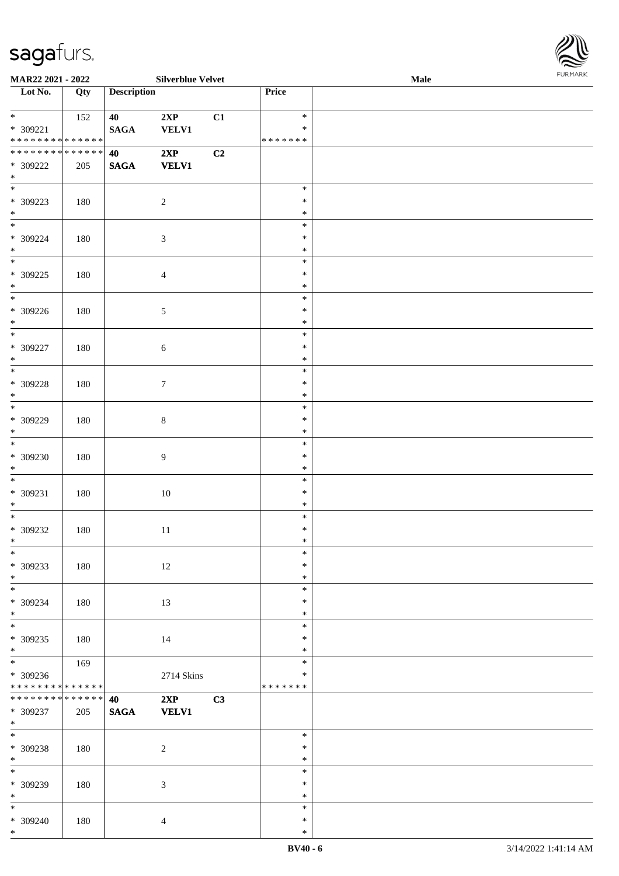

| <b>MAR22 2021 - 2022</b>      |     |                    | <b>Silverblue Velvet</b> |    |               | <b>Male</b> |  |
|-------------------------------|-----|--------------------|--------------------------|----|---------------|-------------|--|
| Lot No.                       | Qty | <b>Description</b> |                          |    | Price         |             |  |
|                               |     |                    |                          |    |               |             |  |
| $*$                           | 152 | 40                 | 2XP                      | C1 | $\ast$        |             |  |
| * 309221                      |     | <b>SAGA</b>        | <b>VELV1</b>             |    | $\ast$        |             |  |
| * * * * * * * * * * * * * * * |     |                    |                          |    | * * * * * * * |             |  |
| ******** <mark>******</mark>  |     | 40                 | 2XP                      | C2 |               |             |  |
| * 309222                      | 205 | <b>SAGA</b>        | <b>VELV1</b>             |    |               |             |  |
| $*$                           |     |                    |                          |    |               |             |  |
|                               |     |                    |                          |    | $\ast$        |             |  |
| * 309223                      | 180 |                    | $\sqrt{2}$               |    | $\ast$        |             |  |
| $\ast$                        |     |                    |                          |    | $\ast$        |             |  |
| $\overline{\ast}$             |     |                    |                          |    | $\ast$        |             |  |
| * 309224                      | 180 |                    | $\mathfrak{Z}$           |    | $\ast$        |             |  |
| $*$                           |     |                    |                          |    | $\ast$        |             |  |
| $\overline{\phantom{0}}$      |     |                    |                          |    | $\ast$        |             |  |
| * 309225                      | 180 |                    | $\overline{4}$           |    | $\ast$        |             |  |
| $*$                           |     |                    |                          |    | $\ast$        |             |  |
| $*$                           |     |                    |                          |    | $\ast$        |             |  |
| * 309226                      | 180 |                    | $\sqrt{5}$               |    | $\ast$        |             |  |
| $\ast$                        |     |                    |                          |    | $\ast$        |             |  |
| $*$                           |     |                    |                          |    | $\ast$        |             |  |
| $* 309227$                    | 180 |                    | 6                        |    | $\ast$        |             |  |
| $*$                           |     |                    |                          |    | $\ast$        |             |  |
|                               |     |                    |                          |    | $\ast$        |             |  |
| $* 309228$                    | 180 |                    | $\tau$                   |    | $\ast$        |             |  |
| $*$                           |     |                    |                          |    | $\ast$        |             |  |
|                               |     |                    |                          |    | $\ast$        |             |  |
| * 309229                      | 180 |                    | $\,8\,$                  |    | $\ast$        |             |  |
| $*$                           |     |                    |                          |    | $\ast$        |             |  |
| $*$                           |     |                    |                          |    | $\ast$        |             |  |
| * 309230                      | 180 |                    | 9                        |    | $\ast$        |             |  |
| $\ast$                        |     |                    |                          |    | $\ast$        |             |  |
| $*$                           |     |                    |                          |    | $\ast$        |             |  |
| * 309231                      | 180 |                    |                          |    | $\ast$        |             |  |
| $*$                           |     |                    | $10\,$                   |    | $\ast$        |             |  |
| $*$                           |     |                    |                          |    | $\ast$        |             |  |
| * 309232                      |     |                    |                          |    | $\ast$        |             |  |
| $*$                           | 180 |                    | $11\,$                   |    | $\ast$        |             |  |
| $\ast$                        |     |                    |                          |    | $\ast$        |             |  |
|                               |     |                    |                          |    | $\ast$        |             |  |
| * 309233                      | 180 |                    | 12                       |    |               |             |  |
| $*$                           |     |                    |                          |    | $\ast$        |             |  |
| $*$                           |     |                    |                          |    | $\ast$        |             |  |
| $* 309234$                    | 180 |                    | 13                       |    | $\ast$        |             |  |
| $*$                           |     |                    |                          |    | $\ast$        |             |  |
| $*$                           |     |                    |                          |    | $\ast$        |             |  |
| * 309235                      | 180 |                    | 14                       |    | $\ast$        |             |  |
| $*$<br>$\overline{\ast}$      |     |                    |                          |    | $\ast$        |             |  |
|                               | 169 |                    |                          |    | $\ast$        |             |  |
| * 309236                      |     |                    | 2714 Skins               |    | ∗             |             |  |
| * * * * * * * * * * * * * *   |     |                    |                          |    | *******       |             |  |
| * * * * * * * * * * * * * * * |     | 40                 | 2XP                      | C3 |               |             |  |
| * 309237                      | 205 | <b>SAGA</b>        | <b>VELV1</b>             |    |               |             |  |
| $*$                           |     |                    |                          |    |               |             |  |
| $*$                           |     |                    |                          |    | $\ast$        |             |  |
| * 309238                      | 180 |                    | $\overline{c}$           |    | $\ast$        |             |  |
| $\ast$                        |     |                    |                          |    | $\ast$        |             |  |
| $*$                           |     |                    |                          |    | $\ast$        |             |  |
| * 309239                      | 180 |                    | 3                        |    | $\ast$        |             |  |
| $*$                           |     |                    |                          |    | $\ast$        |             |  |
| $*$                           |     |                    |                          |    | $\ast$        |             |  |
| * 309240                      | 180 |                    | $\overline{4}$           |    | $\ast$        |             |  |
| $\ast$                        |     |                    |                          |    | $\ast$        |             |  |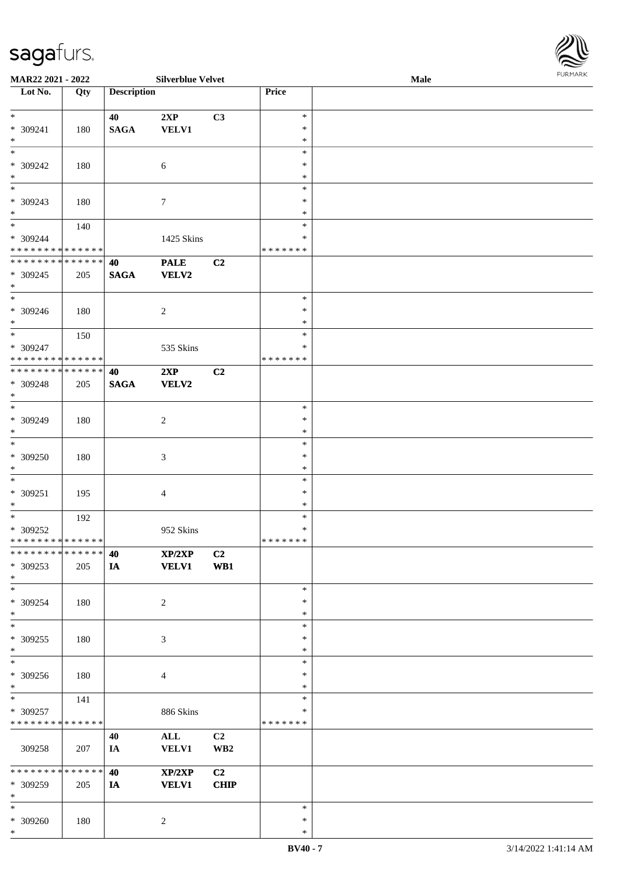\*

\*

| Lot No.                                                     | Qty | <b>Description</b> |                        |                         | <b>Price</b>     |  |
|-------------------------------------------------------------|-----|--------------------|------------------------|-------------------------|------------------|--|
| $*$                                                         |     | 40                 | 2XP                    | C3                      | $\ast$           |  |
| * 309241<br>$\ast$                                          | 180 | $\mathbf{SAGA}$    | VELV1                  |                         | $\ast$<br>$\ast$ |  |
| $\overline{\phantom{a}^*}$                                  |     |                    |                        |                         | $\ast$           |  |
| * 309242<br>$\ast$                                          | 180 |                    | $\sqrt{6}$             |                         | $\ast$<br>$\ast$ |  |
| $*$                                                         |     |                    |                        |                         | $\ast$           |  |
| * 309243<br>$\ast$                                          | 180 |                    | $\tau$                 |                         | $\ast$<br>$\ast$ |  |
| $\overline{\phantom{0}}$                                    | 140 |                    |                        |                         | $\ast$           |  |
| * 309244                                                    |     |                    | 1425 Skins             |                         | *                |  |
| * * * * * * * * * * * * * *<br>**************               |     | 40                 | <b>PALE</b>            | C2                      | * * * * * * *    |  |
| $* 309245$<br>$*$                                           | 205 | <b>SAGA</b>        | <b>VELV2</b>           |                         |                  |  |
| $*$                                                         |     |                    |                        |                         | $\ast$           |  |
| $* 309246$                                                  | 180 |                    | $\overline{c}$         |                         | $\ast$           |  |
| $*$<br>$\frac{1}{*}$                                        | 150 |                    |                        |                         | $\ast$<br>$\ast$ |  |
| * 309247                                                    |     |                    | 535 Skins              |                         | *                |  |
| * * * * * * * * * * * * * *<br>******** <mark>******</mark> |     |                    |                        |                         | *******          |  |
| * 309248<br>$*$                                             | 205 | 40<br><b>SAGA</b>  | 2XP<br><b>VELV2</b>    | C2                      |                  |  |
| $*$                                                         |     |                    |                        |                         | $\ast$           |  |
| * 309249                                                    | 180 |                    | $\overline{c}$         |                         | $\ast$           |  |
| $\ast$<br>$\overline{\phantom{a}^*}$                        |     |                    |                        |                         | $\ast$<br>$\ast$ |  |
| $* 309250$                                                  | 180 |                    | 3                      |                         | $\ast$           |  |
| $\ast$<br>$\overline{\phantom{0}}$                          |     |                    |                        |                         | $\ast$<br>$\ast$ |  |
| * 309251                                                    | 195 |                    | $\overline{4}$         |                         | $\ast$           |  |
| $*$<br>$*$                                                  |     |                    |                        |                         | $\ast$<br>$\ast$ |  |
| * 309252                                                    | 192 |                    | 952 Skins              |                         | $\ast$           |  |
| ******** <mark>******</mark>                                |     |                    |                        |                         | * * * * * * *    |  |
| *************** <b>40</b><br>$* 309253$                     | 205 | IA                 | XP/2XP<br><b>VELV1</b> | C <sub>2</sub><br>WB1   |                  |  |
| $\ast$                                                      |     |                    |                        |                         |                  |  |
| $\overline{\phantom{0}}$                                    |     |                    |                        |                         | $\ast$           |  |
| $* 309254$<br>$\ast$                                        | 180 |                    | $\boldsymbol{2}$       |                         | $\ast$<br>$\ast$ |  |
| $\ast$                                                      |     |                    |                        |                         | $\ast$           |  |
| $* 309255$<br>$\ast$                                        | 180 |                    | 3                      |                         | ∗<br>$\ast$      |  |
| $\frac{1}{1}$                                               |     |                    |                        |                         | $\ast$           |  |
| $* 309256$                                                  | 180 |                    | 4                      |                         | $\ast$<br>$\ast$ |  |
| $*$<br>$\frac{1}{1}$                                        | 141 |                    |                        |                         | $\ast$           |  |
| * 309257                                                    |     |                    | 886 Skins              |                         | $\ast$           |  |
| * * * * * * * * * * * * * *                                 |     | 40                 | $\mathbf{ALL}$         | C2                      | * * * * * * *    |  |
| 309258                                                      | 207 | IA                 | <b>VELV1</b>           | $\mathbf{W}\mathbf{B2}$ |                  |  |
| * * * * * * * * * * * * * *                                 |     | 40                 | XP/2XP                 | C2                      |                  |  |
| * 309259<br>$\ast$                                          | 205 | IA                 | <b>VELV1</b>           | CHIP                    |                  |  |
| $\ast$                                                      |     |                    |                        |                         | $\ast$           |  |
| $* 309260$                                                  | 180 |                    | $\overline{c}$         |                         | $\ast$           |  |

**MAR22 2021 - 2022 Silverblue Velvet Male**

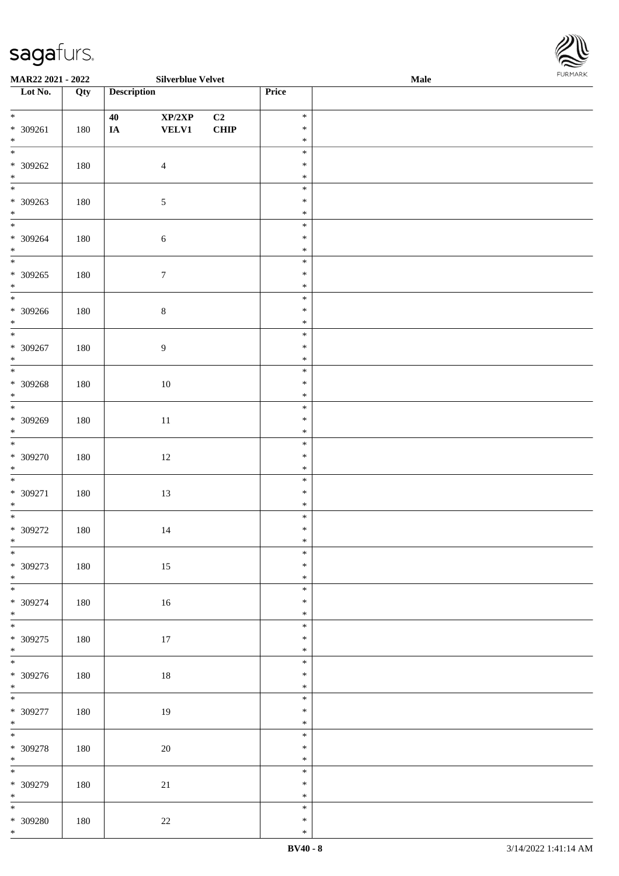

| <b>MAR22 2021 - 2022</b> |         |                    | <b>Silverblue Velvet</b> |      |        | <b>Male</b> |  |
|--------------------------|---------|--------------------|--------------------------|------|--------|-------------|--|
| Lot No.                  | Qty     | <b>Description</b> |                          |      | Price  |             |  |
|                          |         |                    |                          |      |        |             |  |
| $*$                      |         | 40                 | XP/2XP                   | C2   | $\ast$ |             |  |
| * 309261                 | 180     | IA                 | <b>VELV1</b>             | CHIP | $\ast$ |             |  |
| $*$                      |         |                    |                          |      | $\ast$ |             |  |
|                          |         |                    |                          |      | $\ast$ |             |  |
| * 309262                 | 180     |                    | $\overline{4}$           |      | $\ast$ |             |  |
| $*$                      |         |                    |                          |      | $\ast$ |             |  |
|                          |         |                    |                          |      | $\ast$ |             |  |
|                          |         |                    |                          |      | $\ast$ |             |  |
| * 309263<br>$*$          | $180\,$ |                    | $\overline{5}$           |      |        |             |  |
| $*$                      |         |                    |                          |      | $\ast$ |             |  |
|                          |         |                    |                          |      | $\ast$ |             |  |
| * 309264                 | 180     |                    | $\sqrt{6}$               |      | $\ast$ |             |  |
| $*$                      |         |                    |                          |      | $\ast$ |             |  |
| $\overline{\ }$          |         |                    |                          |      | $\ast$ |             |  |
| * 309265                 | 180     |                    | $\boldsymbol{7}$         |      | $\ast$ |             |  |
| $*$                      |         |                    |                          |      | $\ast$ |             |  |
| $\overline{\phantom{0}}$ |         |                    |                          |      | $\ast$ |             |  |
| * 309266                 | 180     |                    | $\,8\,$                  |      | $\ast$ |             |  |
| $*$                      |         |                    |                          |      | $\ast$ |             |  |
|                          |         |                    |                          |      | $\ast$ |             |  |
| $* 309267$               | 180     |                    | $\overline{9}$           |      | $\ast$ |             |  |
| $*$                      |         |                    |                          |      | $\ast$ |             |  |
|                          |         |                    |                          |      | $\ast$ |             |  |
|                          |         |                    |                          |      |        |             |  |
| $* 309268$               | 180     |                    | 10                       |      | $\ast$ |             |  |
| $\ast$                   |         |                    |                          |      | $\ast$ |             |  |
| $\overline{\phantom{0}}$ |         |                    |                          |      | $\ast$ |             |  |
| * 309269                 | 180     |                    | $11\,$                   |      | $\ast$ |             |  |
| $*$                      |         |                    |                          |      | $\ast$ |             |  |
|                          |         |                    |                          |      | $\ast$ |             |  |
| * 309270                 | 180     |                    | 12                       |      | $\ast$ |             |  |
| $*$                      |         |                    |                          |      | $\ast$ |             |  |
| $\ddot{x}$               |         |                    |                          |      | $\ast$ |             |  |
| * 309271                 | 180     |                    | 13                       |      | $\ast$ |             |  |
| $*$                      |         |                    |                          |      | $\ast$ |             |  |
| $\overline{\phantom{0}}$ |         |                    |                          |      | $\ast$ |             |  |
| $* 309272$               | 180     |                    | 14                       |      | $\ast$ |             |  |
| $*$                      |         |                    |                          |      | $\ast$ |             |  |
| $*$                      |         |                    |                          |      | $\ast$ |             |  |
| * 309273                 |         |                    |                          |      | $\ast$ |             |  |
|                          | 180     |                    | 15                       |      |        |             |  |
| $*$                      |         |                    |                          |      | $\ast$ |             |  |
|                          |         |                    |                          |      | $\ast$ |             |  |
| * 309274                 | 180     |                    | 16                       |      | $\ast$ |             |  |
| $*$                      |         |                    |                          |      | $\ast$ |             |  |
| $\overline{\ast}$        |         |                    |                          |      | $\ast$ |             |  |
| * 309275                 | 180     |                    | 17                       |      | $\ast$ |             |  |
| $*$                      |         |                    |                          |      | $\ast$ |             |  |
|                          |         |                    |                          |      | $\ast$ |             |  |
| * 309276                 | 180     |                    | 18                       |      | $\ast$ |             |  |
| $*$                      |         |                    |                          |      | $\ast$ |             |  |
| $\overline{\ast}$        |         |                    |                          |      | $\ast$ |             |  |
| * 309277                 | 180     |                    | 19                       |      | $\ast$ |             |  |
| $*$                      |         |                    |                          |      | $\ast$ |             |  |
| $*$                      |         |                    |                          |      | $\ast$ |             |  |
| $* 309278$               | 180     |                    | 20                       |      | $\ast$ |             |  |
| $*$                      |         |                    |                          |      | $\ast$ |             |  |
|                          |         |                    |                          |      | $\ast$ |             |  |
|                          |         |                    |                          |      |        |             |  |
| $* 309279$               | 180     |                    | 21                       |      | $\ast$ |             |  |
| $*$                      |         |                    |                          |      | $\ast$ |             |  |
|                          |         |                    |                          |      | $\ast$ |             |  |
| * 309280                 | 180     |                    | $22\,$                   |      | $\ast$ |             |  |
| $*$                      |         |                    |                          |      | $\ast$ |             |  |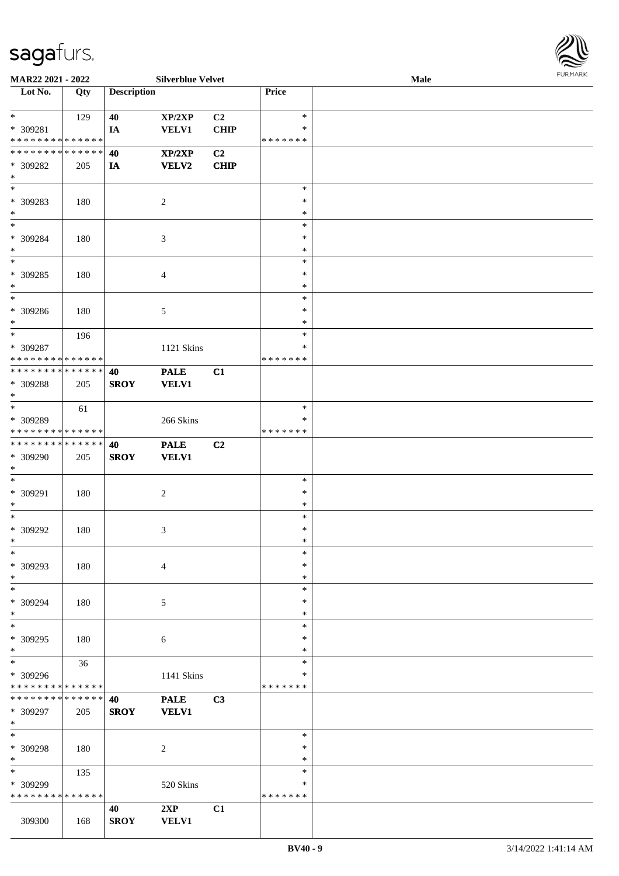

| MAR22 2021 - 2022                       |     |                    | <b>Silverblue Velvet</b> |                |               | <b>Male</b> |  |
|-----------------------------------------|-----|--------------------|--------------------------|----------------|---------------|-------------|--|
| Lot No.                                 | Qty | <b>Description</b> |                          |                | Price         |             |  |
|                                         |     |                    |                          |                |               |             |  |
| $*$                                     | 129 | 40                 | XP/2XP                   | C2             | $\ast$        |             |  |
| * 309281                                |     | IA                 | <b>VELV1</b>             | <b>CHIP</b>    | ∗             |             |  |
| * * * * * * * * * * * * * *             |     |                    |                          |                | * * * * * * * |             |  |
| * * * * * * * * * * * * * *             |     | 40                 | XP/2XP                   | C2             |               |             |  |
| * 309282                                | 205 | IA                 | <b>VELV2</b>             | <b>CHIP</b>    |               |             |  |
| $\ast$                                  |     |                    |                          |                |               |             |  |
| $\ast$                                  |     |                    |                          |                | $\ast$        |             |  |
| * 309283                                | 180 |                    | $\overline{2}$           |                | $\ast$        |             |  |
| $*$                                     |     |                    |                          |                | $\ast$        |             |  |
| $*$                                     |     |                    |                          |                | $\ast$        |             |  |
| * 309284                                | 180 |                    | $\mathfrak{Z}$           |                | $\ast$        |             |  |
| $\ast$                                  |     |                    |                          |                | $\ast$        |             |  |
| $\ast$                                  |     |                    |                          |                | $\ast$        |             |  |
| * 309285                                | 180 |                    | $\overline{4}$           |                | $\ast$        |             |  |
| $\ast$                                  |     |                    |                          |                | $\ast$        |             |  |
| $\ast$                                  |     |                    |                          |                | $\ast$        |             |  |
| $* 309286$                              | 180 |                    | 5                        |                | $\ast$        |             |  |
| $\ast$                                  |     |                    |                          |                | $\ast$        |             |  |
| $\ast$                                  |     |                    |                          |                | $\ast$        |             |  |
|                                         | 196 |                    |                          |                | ∗             |             |  |
| * 309287<br>* * * * * * * * * * * * * * |     |                    | 1121 Skins               |                | * * * * * * * |             |  |
| * * * * * * * * * * * * * *             |     |                    |                          |                |               |             |  |
|                                         |     | 40                 | <b>PALE</b>              | C1             |               |             |  |
| * 309288                                | 205 | <b>SROY</b>        | <b>VELV1</b>             |                |               |             |  |
| $\ast$                                  |     |                    |                          |                |               |             |  |
| $\ast$                                  | 61  |                    |                          |                | $\ast$        |             |  |
| * 309289                                |     |                    | 266 Skins                |                | ∗             |             |  |
| * * * * * * * * * * * * * *             |     |                    |                          |                | * * * * * * * |             |  |
| * * * * * * * * * * * * * *             |     | 40                 | <b>PALE</b>              | C <sub>2</sub> |               |             |  |
| * 309290                                | 205 | <b>SROY</b>        | <b>VELV1</b>             |                |               |             |  |
| $*$                                     |     |                    |                          |                |               |             |  |
| $*$                                     |     |                    |                          |                | $\ast$        |             |  |
| * 309291                                | 180 |                    | $\boldsymbol{2}$         |                | $\ast$        |             |  |
| $*$                                     |     |                    |                          |                | $\ast$        |             |  |
| $*$                                     |     |                    |                          |                | $\ast$        |             |  |
| $* 309292$                              | 180 |                    | 3                        |                | $\ast$        |             |  |
| $*$                                     |     |                    |                          |                | $\ast$        |             |  |
| $\ast$                                  |     |                    |                          |                | $\ast$        |             |  |
| * 309293                                | 180 |                    | $\overline{4}$           |                | $\ast$        |             |  |
| $*$                                     |     |                    |                          |                | $\ast$        |             |  |
| $\ast$                                  |     |                    |                          |                | $\ast$        |             |  |
| * 309294                                | 180 |                    | 5                        |                | ∗             |             |  |
| $*$                                     |     |                    |                          |                | ∗             |             |  |
| $\ast$                                  |     |                    |                          |                | $\ast$        |             |  |
| * 309295                                | 180 |                    | 6                        |                | $\ast$        |             |  |
| $*$                                     |     |                    |                          |                | $\ast$        |             |  |
| $\overline{\phantom{a}^*}$              | 36  |                    |                          |                | $\ast$        |             |  |
| * 309296                                |     |                    | 1141 Skins               |                | ∗             |             |  |
| * * * * * * * * * * * * * *             |     |                    |                          |                | * * * * * * * |             |  |
| * * * * * * * * * * * * * * *           |     | 40                 | <b>PALE</b>              | C3             |               |             |  |
| * 309297                                | 205 | <b>SROY</b>        | <b>VELV1</b>             |                |               |             |  |
| $*$                                     |     |                    |                          |                |               |             |  |
| $\ast$                                  |     |                    |                          |                | $\ast$        |             |  |
| * 309298                                | 180 |                    | $\overline{c}$           |                | $\ast$        |             |  |
| $\ast$                                  |     |                    |                          |                | $\ast$        |             |  |
| $\ast$                                  |     |                    |                          |                | $\ast$        |             |  |
|                                         | 135 |                    |                          |                |               |             |  |
| * 309299                                |     |                    | 520 Skins                |                | ∗             |             |  |
| * * * * * * * * * * * * * *             |     |                    |                          |                | * * * * * * * |             |  |
|                                         |     | 40                 | 2XP                      | C1             |               |             |  |
| 309300                                  | 168 | <b>SROY</b>        | <b>VELV1</b>             |                |               |             |  |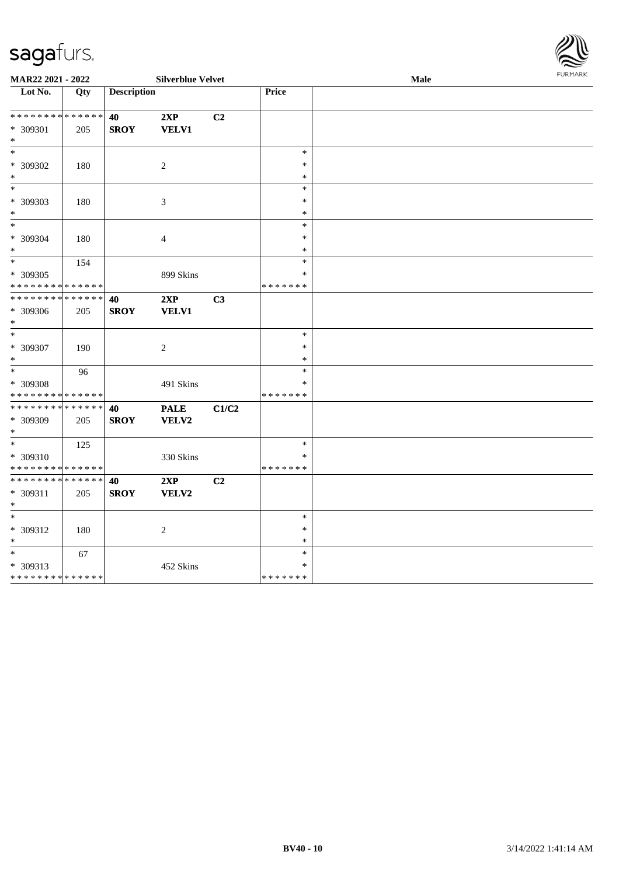| - - J - -                        | $-$ |                    |                          |                |               |      | $\approx$      |
|----------------------------------|-----|--------------------|--------------------------|----------------|---------------|------|----------------|
| MAR22 2021 - 2022                |     |                    | <b>Silverblue Velvet</b> |                |               | Male | <b>FURMARK</b> |
| $\overline{\phantom{1}}$ Lot No. | Qty | <b>Description</b> |                          |                | Price         |      |                |
| * * * * * * * * * * * * * *      |     | 40                 | 2XP                      | C <sub>2</sub> |               |      |                |
| * 309301<br>$\ast$               | 205 | <b>SROY</b>        | <b>VELV1</b>             |                |               |      |                |
| $\ast$                           |     |                    |                          |                | $\ast$        |      |                |
| * 309302                         | 180 |                    | 2                        |                | *             |      |                |
| $\ast$                           |     |                    |                          |                | $\ast$        |      |                |
| $\ast$                           |     |                    |                          |                | $\ast$        |      |                |
| * 309303                         | 180 |                    | 3                        |                | $\ast$        |      |                |
| $\ast$                           |     |                    |                          |                | $\ast$        |      |                |
| $\overline{\phantom{a}^*}$       |     |                    |                          |                | $\ast$        |      |                |
| * 309304                         | 180 |                    | $\overline{4}$           |                | $\ast$        |      |                |
| $\ast$                           |     |                    |                          |                | $\ast$        |      |                |
| $\overline{\phantom{a}}$         | 154 |                    |                          |                | $\ast$        |      |                |
| * 309305                         |     |                    | 899 Skins                |                | *             |      |                |
| * * * * * * * * * * * * * *      |     |                    |                          |                | * * * * * * * |      |                |
| **************                   |     | 40                 | 2XP                      | C3             |               |      |                |
| * 309306<br>$\ast$               | 205 | <b>SROY</b>        | VELV1                    |                |               |      |                |
| $\ast$                           |     |                    |                          |                | $\ast$        |      |                |
| * 309307                         | 190 |                    | $\overline{c}$           |                | $\ast$        |      |                |
| $\ast$                           |     |                    |                          |                | $\ast$        |      |                |
| $\ast$                           | 96  |                    |                          |                | $\ast$        |      |                |
| * 309308                         |     |                    | 491 Skins                |                | $\ast$        |      |                |
| * * * * * * * * * * * * * *      |     |                    |                          |                | * * * * * * * |      |                |
| * * * * * * * * * * * * * *      |     | 40                 | <b>PALE</b>              | C1/C2          |               |      |                |
| * 309309<br>$\ast$               | 205 | <b>SROY</b>        | <b>VELV2</b>             |                |               |      |                |
| $\ast$                           | 125 |                    |                          |                | $\ast$        |      |                |
| * 309310                         |     |                    | 330 Skins                |                | $\ast$        |      |                |
| * * * * * * * * * * * * * *      |     |                    |                          |                | * * * * * * * |      |                |
| **************                   |     | 40                 | 2XP                      | C2             |               |      |                |
| * 309311                         | 205 | <b>SROY</b>        | VELV2                    |                |               |      |                |
| $\ast$                           |     |                    |                          |                |               |      |                |
| $\overline{\phantom{a}^*}$       |     |                    |                          |                | $\ast$        |      |                |
| * 309312                         | 180 |                    | $\overline{c}$           |                | $\ast$        |      |                |
| $\ast$                           |     |                    |                          |                | $\ast$        |      |                |
| $\ast$                           | 67  |                    |                          |                | $\ast$        |      |                |
| * 309313                         |     |                    | 452 Skins                |                | $\ast$        |      |                |
| **************                   |     |                    |                          |                | *******       |      |                |

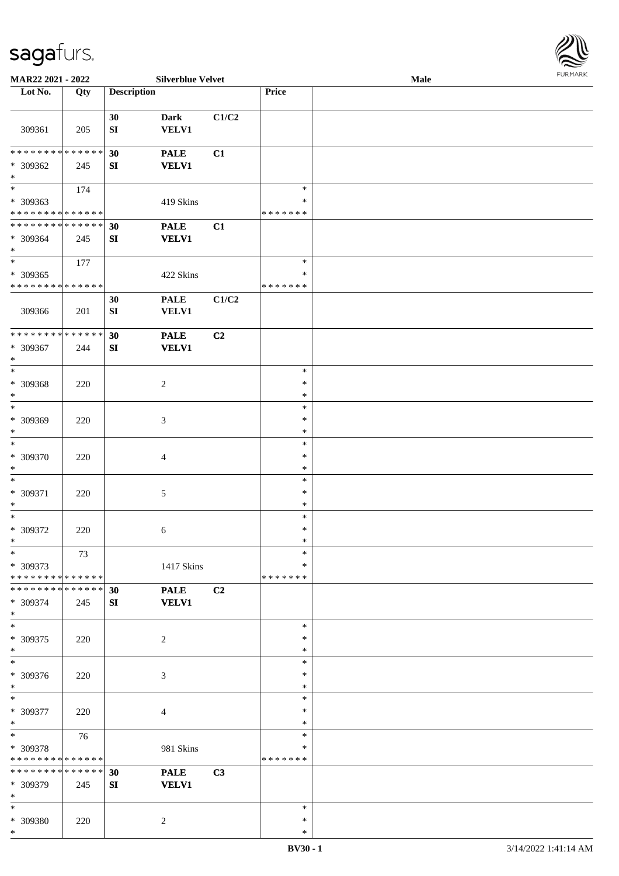

| MAR22 2021 - 2022             |     |                    | <b>Silverblue Velvet</b> |       |               | Male |  |
|-------------------------------|-----|--------------------|--------------------------|-------|---------------|------|--|
| Lot No.                       | Qty | <b>Description</b> |                          |       | Price         |      |  |
|                               |     |                    |                          |       |               |      |  |
|                               |     | 30                 | <b>Dark</b>              | C1/C2 |               |      |  |
|                               |     | ${\bf SI}$         | <b>VELV1</b>             |       |               |      |  |
| 309361                        | 205 |                    |                          |       |               |      |  |
|                               |     |                    |                          |       |               |      |  |
| * * * * * * * * * * * * * *   |     | 30                 | <b>PALE</b>              | C1    |               |      |  |
| * 309362                      | 245 | SI                 | <b>VELV1</b>             |       |               |      |  |
| $\ast$                        |     |                    |                          |       |               |      |  |
| $*$                           | 174 |                    |                          |       | $\ast$        |      |  |
| * 309363                      |     |                    | 419 Skins                |       | $\ast$        |      |  |
| * * * * * * * * * * * * * *   |     |                    |                          |       | * * * * * * * |      |  |
| * * * * * * * * * * * * * *   |     | 30                 | <b>PALE</b>              | C1    |               |      |  |
| * 309364                      | 245 | ${\bf S}{\bf I}$   | <b>VELV1</b>             |       |               |      |  |
| $\ast$                        |     |                    |                          |       |               |      |  |
| $*$                           | 177 |                    |                          |       | $\ast$        |      |  |
|                               |     |                    |                          |       | $\ast$        |      |  |
| $* 309365$                    |     |                    | 422 Skins                |       |               |      |  |
| * * * * * * * * * * * * * *   |     |                    |                          |       | *******       |      |  |
|                               |     | 30                 | <b>PALE</b>              | C1/C2 |               |      |  |
| 309366                        | 201 | ${\bf SI}$         | <b>VELV1</b>             |       |               |      |  |
|                               |     |                    |                          |       |               |      |  |
| * * * * * * * * * * * * * *   |     | 30                 | <b>PALE</b>              | C2    |               |      |  |
| $* 309367$                    | 244 | ${\bf S}{\bf I}$   | <b>VELV1</b>             |       |               |      |  |
| $\ast$                        |     |                    |                          |       |               |      |  |
| $*$                           |     |                    |                          |       | $\ast$        |      |  |
| * 309368                      | 220 |                    | $\overline{c}$           |       | $\ast$        |      |  |
| $\ast$                        |     |                    |                          |       | $\ast$        |      |  |
| $\ast$                        |     |                    |                          |       | $\ast$        |      |  |
| * 309369                      | 220 |                    | 3                        |       | $\ast$        |      |  |
| $\ast$                        |     |                    |                          |       | $\ast$        |      |  |
| $\ast$                        |     |                    |                          |       | $\ast$        |      |  |
|                               |     |                    |                          |       | $\ast$        |      |  |
| $* 309370$                    | 220 |                    | $\overline{4}$           |       |               |      |  |
| $*$                           |     |                    |                          |       | $\ast$        |      |  |
| $\ast$                        |     |                    |                          |       | $\ast$        |      |  |
| * 309371                      | 220 |                    | $\sqrt{5}$               |       | $\ast$        |      |  |
| $\ast$                        |     |                    |                          |       | $\ast$        |      |  |
| $\ast$                        |     |                    |                          |       | $\ast$        |      |  |
| $* 309372$                    | 220 |                    | 6                        |       | $\ast$        |      |  |
| $*$                           |     |                    |                          |       | $\ast$        |      |  |
| $*$                           | 73  |                    |                          |       | $\ast$        |      |  |
| * 309373                      |     |                    | 1417 Skins               |       | ∗             |      |  |
| * * * * * * * * * * * * * * * |     |                    |                          |       | * * * * * * * |      |  |
| * * * * * * * * * * * * * * * |     | 30                 | <b>PALE</b>              | C2    |               |      |  |
| * 309374                      | 245 | SI                 | <b>VELV1</b>             |       |               |      |  |
| $*$                           |     |                    |                          |       |               |      |  |
| $*$                           |     |                    |                          |       | $\ast$        |      |  |
| * 309375                      |     |                    |                          |       | $\ast$        |      |  |
| $*$                           | 220 |                    | $\overline{2}$           |       | $\ast$        |      |  |
| $\ast$                        |     |                    |                          |       |               |      |  |
|                               |     |                    |                          |       | $\ast$        |      |  |
| * 309376                      | 220 |                    | 3                        |       | $\ast$        |      |  |
| $*$                           |     |                    |                          |       | $\ast$        |      |  |
| $*$                           |     |                    |                          |       | $\ast$        |      |  |
| * 309377                      | 220 |                    | $\overline{4}$           |       | $\ast$        |      |  |
| $*$                           |     |                    |                          |       | $\ast$        |      |  |
| $*$ $*$                       | 76  |                    |                          |       | $\ast$        |      |  |
| * 309378                      |     |                    | 981 Skins                |       | $\ast$        |      |  |
| * * * * * * * * * * * * * *   |     |                    |                          |       | *******       |      |  |
| ******** <mark>******</mark>  |     | 30                 | <b>PALE</b>              | C3    |               |      |  |
| * 309379                      | 245 | SI                 | <b>VELV1</b>             |       |               |      |  |
| $*$                           |     |                    |                          |       |               |      |  |
| $*$                           |     |                    |                          |       | $\ast$        |      |  |
|                               |     |                    |                          |       | $\ast$        |      |  |
| * 309380                      | 220 |                    | 2                        |       |               |      |  |
| $*$                           |     |                    |                          |       | $\ast$        |      |  |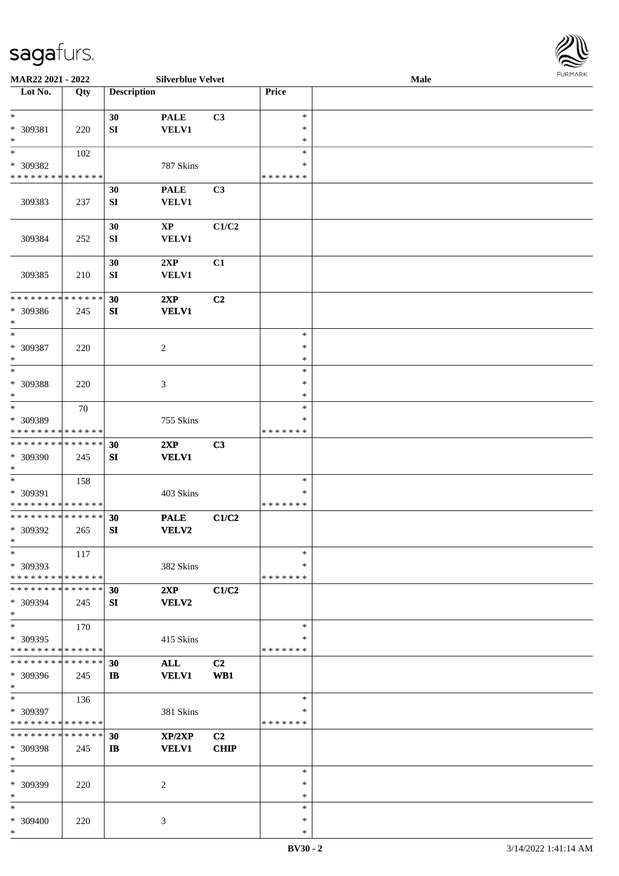

| <b>MAR22 2021 - 2022</b>      |     |                    | <b>Silverblue Velvet</b> |                |               | Male |  |
|-------------------------------|-----|--------------------|--------------------------|----------------|---------------|------|--|
| Lot No.                       | Qty | <b>Description</b> |                          |                | Price         |      |  |
|                               |     |                    |                          |                |               |      |  |
| $*$                           |     | 30                 | <b>PALE</b>              | C3             | $\ast$        |      |  |
| * 309381                      | 220 | ${\bf SI}$         | <b>VELV1</b>             |                | $\ast$        |      |  |
| $\ast$                        |     |                    |                          |                | $\ast$        |      |  |
| $*$                           | 102 |                    |                          |                | $\ast$        |      |  |
| * 309382                      |     |                    | 787 Skins                |                | ∗             |      |  |
| * * * * * * * * * * * * * *   |     |                    |                          |                | * * * * * * * |      |  |
|                               |     |                    |                          |                |               |      |  |
|                               |     | 30                 | <b>PALE</b>              | C3             |               |      |  |
| 309383                        | 237 | SI                 | <b>VELV1</b>             |                |               |      |  |
|                               |     |                    |                          |                |               |      |  |
|                               |     | 30                 | $\mathbf{X}\mathbf{P}$   | C1/C2          |               |      |  |
| 309384                        | 252 | ${\bf SI}$         | <b>VELV1</b>             |                |               |      |  |
|                               |     |                    |                          |                |               |      |  |
|                               |     | 30                 | 2XP                      | C1             |               |      |  |
| 309385                        | 210 | ${\bf SI}$         | <b>VELV1</b>             |                |               |      |  |
|                               |     |                    |                          |                |               |      |  |
| * * * * * * * * * * * * * *   |     | 30                 | 2XP                      | C2             |               |      |  |
| * 309386                      | 245 |                    | <b>VELV1</b>             |                |               |      |  |
| $*$                           |     | SI                 |                          |                |               |      |  |
|                               |     |                    |                          |                |               |      |  |
| $\ast$                        |     |                    |                          |                | $\ast$        |      |  |
| * 309387                      | 220 |                    | 2                        |                | $\ast$        |      |  |
| $\ast$                        |     |                    |                          |                | $\ast$        |      |  |
| $\ast$                        |     |                    |                          |                | $\ast$        |      |  |
| * 309388                      | 220 |                    | 3                        |                | $\ast$        |      |  |
| $\ast$                        |     |                    |                          |                | $\ast$        |      |  |
| $*$                           | 70  |                    |                          |                | $\ast$        |      |  |
| * 309389                      |     |                    | 755 Skins                |                | ∗             |      |  |
| * * * * * * * * * * * * * *   |     |                    |                          |                | * * * * * * * |      |  |
| * * * * * * * * * * * * * * * |     | 30                 | 2XP                      | C3             |               |      |  |
|                               |     |                    |                          |                |               |      |  |
| * 309390<br>$*$               | 245 | SI                 | <b>VELV1</b>             |                |               |      |  |
|                               |     |                    |                          |                |               |      |  |
| $*$                           | 158 |                    |                          |                | $\ast$        |      |  |
| * 309391                      |     |                    | 403 Skins                |                | $\ast$        |      |  |
| * * * * * * * * * * * * * *   |     |                    |                          |                | *******       |      |  |
| * * * * * * * * * * * * * * * |     | 30                 | <b>PALE</b>              | C1/C2          |               |      |  |
| * 309392                      | 265 | SI                 | VELV2                    |                |               |      |  |
| $*$                           |     |                    |                          |                |               |      |  |
| $*$                           | 117 |                    |                          |                | $\ast$        |      |  |
| * 309393                      |     |                    | 382 Skins                |                | $\ast$        |      |  |
| * * * * * * * * * * * * * * * |     |                    |                          |                | * * * * * * * |      |  |
| * * * * * * * * * * * * * * * |     | 30                 | 2XP                      | C1/C2          |               |      |  |
| * 309394                      | 245 | SI                 | <b>VELV2</b>             |                |               |      |  |
| $*$                           |     |                    |                          |                |               |      |  |
| $*$                           |     |                    |                          |                | $\ast$        |      |  |
|                               | 170 |                    |                          |                |               |      |  |
| * 309395                      |     |                    | 415 Skins                |                | ∗             |      |  |
| * * * * * * * * * * * * * * * |     |                    |                          |                | *******       |      |  |
| * * * * * * * * * * * * * * * |     | 30                 | ALL                      | C <sub>2</sub> |               |      |  |
| * 309396                      | 245 | $\mathbf{I}$       | <b>VELV1</b>             | WB1            |               |      |  |
| $*$                           |     |                    |                          |                |               |      |  |
| $*$                           | 136 |                    |                          |                | $\ast$        |      |  |
| * 309397                      |     |                    | 381 Skins                |                | ∗             |      |  |
| * * * * * * * * * * * * * *   |     |                    |                          |                | *******       |      |  |
| * * * * * * * * * * * * * * * |     | 30                 | XP/2XP                   | C <sub>2</sub> |               |      |  |
| * 309398                      | 245 | $\mathbf{I}$       | <b>VELV1</b>             | <b>CHIP</b>    |               |      |  |
| $*$                           |     |                    |                          |                |               |      |  |
|                               |     |                    |                          |                | $\ast$        |      |  |
| $*$                           |     |                    |                          |                |               |      |  |
| * 309399                      | 220 |                    | 2                        |                | $\ast$        |      |  |
| $*$                           |     |                    |                          |                | $\ast$        |      |  |
| $\ast$                        |     |                    |                          |                | $\ast$        |      |  |
| * 309400                      | 220 |                    | 3                        |                | $\ast$        |      |  |
| $\ast$                        |     |                    |                          |                | $\ast$        |      |  |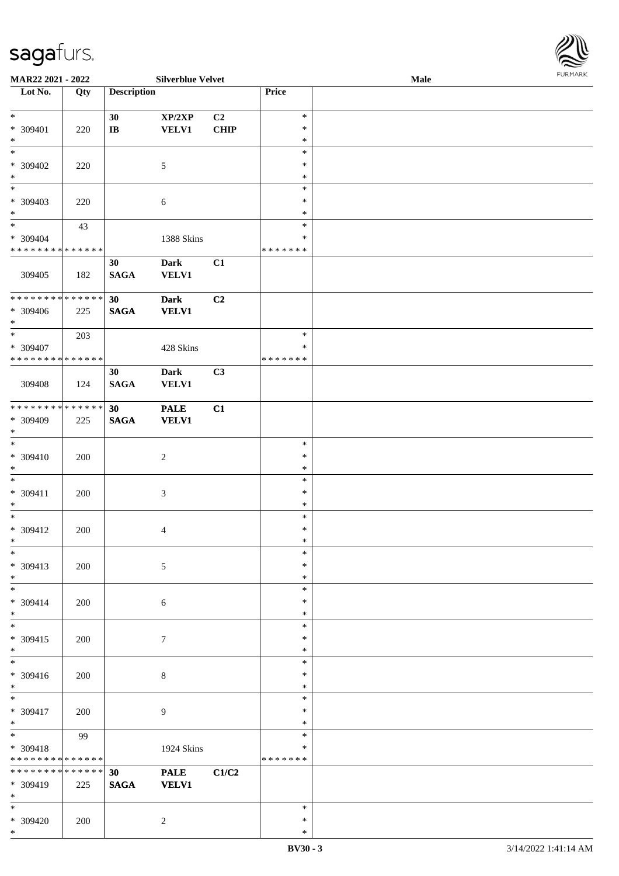

| MAR22 2021 - 2022           |        |                    | <b>Silverblue Velvet</b> |             |               | Male |  |
|-----------------------------|--------|--------------------|--------------------------|-------------|---------------|------|--|
| Lot No.                     | Qty    | <b>Description</b> |                          |             | Price         |      |  |
|                             |        |                    |                          |             |               |      |  |
| $*$                         |        | 30                 | XP/2XP                   | C2          | $\ast$        |      |  |
|                             |        |                    |                          |             | $\ast$        |      |  |
| * 309401                    | 220    | $\bf IB$           | <b>VELV1</b>             | <b>CHIP</b> |               |      |  |
| $*$                         |        |                    |                          |             | $\ast$        |      |  |
| $*$                         |        |                    |                          |             | $\ast$        |      |  |
| $* 309402$                  | 220    |                    | $\mathfrak{S}$           |             | $\ast$        |      |  |
| $\ast$                      |        |                    |                          |             | $\ast$        |      |  |
| $\overline{\ast}$           |        |                    |                          |             | $\ast$        |      |  |
| * 309403                    |        |                    |                          |             | $\ast$        |      |  |
|                             | 220    |                    | 6                        |             |               |      |  |
| $*$                         |        |                    |                          |             | $\ast$        |      |  |
| $*$                         | 43     |                    |                          |             | $\ast$        |      |  |
| $* 309404$                  |        |                    | 1388 Skins               |             | $\ast$        |      |  |
| * * * * * * * * * * * * * * |        |                    |                          |             | * * * * * * * |      |  |
|                             |        | 30                 | <b>Dark</b>              | C1          |               |      |  |
| 309405                      | 182    | <b>SAGA</b>        | <b>VELV1</b>             |             |               |      |  |
|                             |        |                    |                          |             |               |      |  |
|                             |        |                    |                          |             |               |      |  |
| * * * * * * * * * * * * * * |        | 30                 | <b>Dark</b>              | C2          |               |      |  |
| $* 309406$                  | 225    | <b>SAGA</b>        | <b>VELV1</b>             |             |               |      |  |
| $*$                         |        |                    |                          |             |               |      |  |
| $\ast$                      | 203    |                    |                          |             | $\ast$        |      |  |
| * 309407                    |        |                    | 428 Skins                |             | $\ast$        |      |  |
| * * * * * * * * * * * * * * |        |                    |                          |             | * * * * * * * |      |  |
|                             |        |                    |                          |             |               |      |  |
|                             |        | 30                 | Dark                     | C3          |               |      |  |
| 309408                      | 124    | <b>SAGA</b>        | <b>VELV1</b>             |             |               |      |  |
|                             |        |                    |                          |             |               |      |  |
| * * * * * * * * * * * * * * |        | 30                 | <b>PALE</b>              | C1          |               |      |  |
| * 309409                    | 225    | <b>SAGA</b>        | <b>VELV1</b>             |             |               |      |  |
| $*$                         |        |                    |                          |             |               |      |  |
|                             |        |                    |                          |             |               |      |  |
| $*$                         |        |                    |                          |             | $\ast$        |      |  |
| $* 309410$                  | 200    |                    | $\overline{c}$           |             | $\ast$        |      |  |
| $*$                         |        |                    |                          |             | $\ast$        |      |  |
| $*$                         |        |                    |                          |             | $\ast$        |      |  |
| $* 309411$                  | 200    |                    | $\mathfrak{Z}$           |             | $\ast$        |      |  |
| $*$                         |        |                    |                          |             | $\ast$        |      |  |
|                             |        |                    |                          |             |               |      |  |
| $*$                         |        |                    |                          |             | $\ast$        |      |  |
| * 309412                    | 200    |                    | 4                        |             | $\ast$        |      |  |
| $*$                         |        |                    |                          |             | $\ast$        |      |  |
| $\ast$                      |        |                    |                          |             | $\ast$        |      |  |
| * 309413                    | 200    |                    | 5                        |             | $\ast$        |      |  |
| $*$                         |        |                    |                          |             | $\ast$        |      |  |
|                             |        |                    |                          |             |               |      |  |
| $*$                         |        |                    |                          |             | $\ast$        |      |  |
| * 309414                    | 200    |                    | 6                        |             | $\ast$        |      |  |
| $*$                         |        |                    |                          |             | $\ast$        |      |  |
| $*$                         |        |                    |                          |             | $\ast$        |      |  |
| * 309415                    | 200    |                    | $\tau$                   |             | $\ast$        |      |  |
| $*$                         |        |                    |                          |             | $\ast$        |      |  |
| $\overline{\ast}$           |        |                    |                          |             |               |      |  |
|                             |        |                    |                          |             | $\ast$        |      |  |
| $* 309416$                  | 200    |                    | $\,8\,$                  |             | $\ast$        |      |  |
| $*$                         |        |                    |                          |             | $\ast$        |      |  |
| $*$                         |        |                    |                          |             | $\ast$        |      |  |
| $* 309417$                  | 200    |                    | 9                        |             | $\ast$        |      |  |
| $*$                         |        |                    |                          |             | $\ast$        |      |  |
|                             |        |                    |                          |             |               |      |  |
| $*$                         | 99     |                    |                          |             | $\ast$        |      |  |
| * 309418                    |        |                    | 1924 Skins               |             | $\ast$        |      |  |
| * * * * * * * *             | ****** |                    |                          |             | * * * * * * * |      |  |
| * * * * * * * *             | ****** | 30                 | <b>PALE</b>              | C1/C2       |               |      |  |
| * 309419                    | 225    | <b>SAGA</b>        | <b>VELV1</b>             |             |               |      |  |
| $*$                         |        |                    |                          |             |               |      |  |
|                             |        |                    |                          |             |               |      |  |
| $*$                         |        |                    |                          |             | $\ast$        |      |  |
| * 309420                    | 200    |                    | $\overline{2}$           |             | $\ast$        |      |  |
| $*$                         |        |                    |                          |             | $\ast$        |      |  |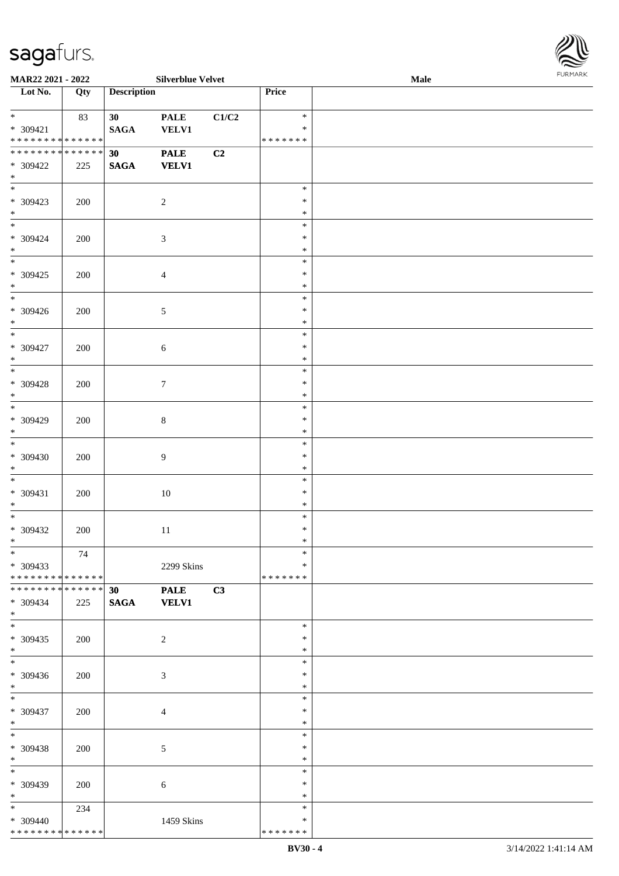

| MAR22 2021 - 2022                         |     |                    | <b>Silverblue Velvet</b>    |       |                         | Male | <b>FURMARK</b> |
|-------------------------------------------|-----|--------------------|-----------------------------|-------|-------------------------|------|----------------|
| $\overline{\phantom{1}}$ Lot No.          | Qty | <b>Description</b> |                             |       | Price                   |      |                |
| $*$                                       | 83  | 30 <sup>1</sup>    | <b>PALE</b>                 | C1/C2 | $\ast$                  |      |                |
| $* 309421$<br>* * * * * * * * * * * * * * |     | <b>SAGA</b>        | <b>VELV1</b>                |       | $\ast$<br>* * * * * * * |      |                |
| ******** <mark>******</mark>              |     | 30                 | <b>PALE</b>                 | C2    |                         |      |                |
| $* 309422$                                | 225 | <b>SAGA</b>        | <b>VELV1</b>                |       |                         |      |                |
| $\ast$<br>$\overline{\phantom{0}}$        |     |                    |                             |       | $\ast$                  |      |                |
| * 309423                                  | 200 |                    | $\overline{c}$              |       | $\ast$                  |      |                |
| $\ast$<br>$\ast$                          |     |                    |                             |       | $\ast$<br>$\ast$        |      |                |
| * 309424                                  | 200 |                    | $\sqrt{3}$                  |       | $\ast$                  |      |                |
| $\ast$<br>$_{\ast}^{-}$                   |     |                    |                             |       | $\ast$                  |      |                |
| $* 309425$                                | 200 |                    | $\overline{4}$              |       | $\ast$<br>$\ast$        |      |                |
| $\ast$                                    |     |                    |                             |       | $\ast$                  |      |                |
| $_{\ast}^{-}$<br>* 309426                 | 200 |                    | $\sqrt{5}$                  |       | $\ast$<br>$\ast$        |      |                |
| $\ast$                                    |     |                    |                             |       | $\ast$                  |      |                |
| $\ast$                                    |     |                    |                             |       | $\ast$<br>$\ast$        |      |                |
| * 309427<br>$\ast$                        | 200 |                    | $\sqrt{6}$                  |       | $\ast$                  |      |                |
| $\ast$                                    |     |                    |                             |       | $\ast$                  |      |                |
| * 309428<br>$\ast$                        | 200 |                    | $\tau$                      |       | $\ast$<br>$\ast$        |      |                |
| $_{\ast}$                                 |     |                    |                             |       | $\ast$                  |      |                |
| * 309429<br>$\ast$                        | 200 |                    | $\,8\,$                     |       | $\ast$<br>$\ast$        |      |                |
| $\ast$                                    |     |                    |                             |       | $\ast$                  |      |                |
| * 309430                                  | 200 |                    | $\overline{9}$              |       | $\ast$                  |      |                |
| $\ast$<br>$_{\ast}^{-}$                   |     |                    |                             |       | $\ast$<br>$\ast$        |      |                |
| * 309431                                  | 200 |                    | $10\,$                      |       | $\ast$                  |      |                |
| $\ast$<br>$\overline{\ast}$               |     |                    |                             |       | $\ast$<br>$\ast$        |      |                |
| $* 309432$                                | 200 |                    | $11\,$                      |       | $\ast$                  |      |                |
| $\ast$<br>$\ast$                          | 74  |                    |                             |       | $\ast$<br>$\ast$        |      |                |
| * 309433                                  |     |                    | 2299 Skins                  |       | $\ast$                  |      |                |
| * * * * * * * * * * * * * *               |     |                    |                             |       | * * * * * * *           |      |                |
| * * * * * * * * * * * * * *<br>* 309434   | 225 | 30<br><b>SAGA</b>  | <b>PALE</b><br><b>VELV1</b> | C3    |                         |      |                |
| $\ast$                                    |     |                    |                             |       |                         |      |                |
| $\ast$<br>$* 309435$                      | 200 |                    | $\overline{c}$              |       | $\ast$<br>$\ast$        |      |                |
| $\ast$                                    |     |                    |                             |       | $\ast$                  |      |                |
| $\overline{\phantom{a}^*}$<br>* 309436    |     |                    |                             |       | $\ast$<br>*             |      |                |
| $\ast$                                    | 200 |                    | $\mathfrak{Z}$              |       | $\ast$                  |      |                |
| $_{\ast}$                                 |     |                    |                             |       | $\ast$                  |      |                |
| * 309437<br>$\ast$                        | 200 |                    | $\overline{4}$              |       | $\ast$<br>*             |      |                |
| $_{\ast}$                                 |     |                    |                             |       | $\ast$                  |      |                |
| * 309438<br>$\ast$                        | 200 |                    | $\sqrt{5}$                  |       | $\ast$<br>$\ast$        |      |                |
| $\overline{\ast}$                         |     |                    |                             |       | $\ast$                  |      |                |
| $* 309439$                                | 200 |                    | $\sqrt{6}$                  |       | $\ast$                  |      |                |
| $\ast$<br>$\ast$                          | 234 |                    |                             |       | $\ast$<br>$\ast$        |      |                |
| * 309440                                  |     |                    | 1459 Skins                  |       | $\ast$                  |      |                |
| ******** <mark>******</mark>              |     |                    |                             |       | * * * * * * *           |      |                |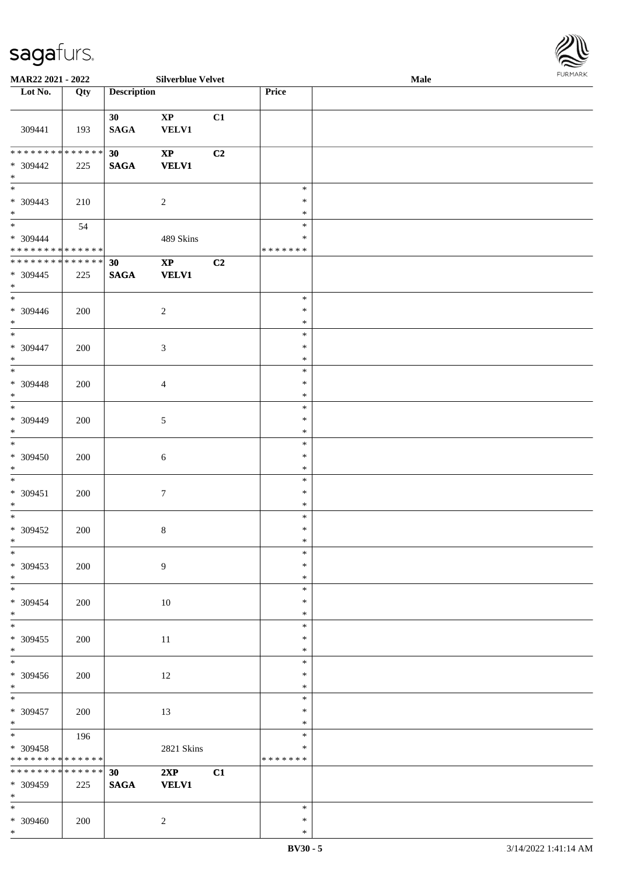\*



| MAR22 2021 - 2022                                                |     |                    | <b>Silverblue Velvet</b>               |    |                             | <b>Male</b> |  |
|------------------------------------------------------------------|-----|--------------------|----------------------------------------|----|-----------------------------|-------------|--|
| Lot No.                                                          | Qty | <b>Description</b> |                                        |    | Price                       |             |  |
|                                                                  |     | 30                 | $\bold{XP}$                            | C1 |                             |             |  |
| 309441                                                           | 193 | $\mathbf{SAGA}$    | <b>VELV1</b>                           |    |                             |             |  |
| * * * * * * * * <mark>* * * * * * *</mark><br>* 309442<br>$\ast$ | 225 | 30<br><b>SAGA</b>  | $\mathbf{X}\mathbf{P}$<br><b>VELV1</b> | C2 |                             |             |  |
| $*$<br>* 309443<br>$*$                                           | 210 |                    | $\overline{c}$                         |    | $\ast$<br>$\ast$<br>$\ast$  |             |  |
| $\overline{\ast}$<br>$* 309444$<br>* * * * * * * * * * * * * *   | 54  |                    | 489 Skins                              |    | $\ast$<br>∗<br>*******      |             |  |
| * * * * * * * * * * * * * *<br>* 309445<br>$*$                   | 225 | 30<br><b>SAGA</b>  | $\bold{XP}$<br><b>VELV1</b>            | C2 |                             |             |  |
| $*$<br>$* 309446$<br>$*$                                         | 200 |                    | $\overline{2}$                         |    | $\ast$<br>$\ast$<br>$\ast$  |             |  |
| $\frac{1}{1}$<br>* 309447<br>$*$                                 | 200 |                    | $\mathfrak{Z}$                         |    | $\ast$<br>$\ast$<br>$\ast$  |             |  |
| $\overline{\ast}$<br>* 309448<br>$\ast$                          | 200 |                    | $\overline{4}$                         |    | $\ast$<br>$\ast$<br>$\ast$  |             |  |
| $*$<br>* 309449<br>$*$                                           | 200 |                    | 5                                      |    | $\ast$<br>$\ast$<br>$\ast$  |             |  |
| $\overline{\phantom{0}}$<br>$* 309450$<br>$*$                    | 200 |                    | 6                                      |    | $\ast$<br>$\ast$<br>$\ast$  |             |  |
| $*$<br>$* 309451$<br>$*$                                         | 200 |                    | $\boldsymbol{7}$                       |    | $\ast$<br>$\ast$<br>$\ast$  |             |  |
| $*$<br>$* 309452$<br>$*$ $-$                                     | 200 |                    | $\,8\,$                                |    | $\ast$<br>$\ast$<br>$\ast$  |             |  |
| $*$<br>$* 309453$<br>$*$                                         | 200 |                    | 9                                      |    | $\ast$<br>$\ast$<br>$\ast$  |             |  |
| $*$<br>* 309454<br>$*$                                           | 200 |                    | 10                                     |    | $\ast$<br>$\ast$<br>$\ast$  |             |  |
| $*$<br>$* 309455$<br>$*$                                         | 200 |                    | 11                                     |    | $\ast$<br>$\ast$<br>$\ast$  |             |  |
| $*$<br>$* 309456$<br>$*$                                         | 200 |                    | 12                                     |    | $\ast$<br>$\ast$<br>$\ast$  |             |  |
| $\overline{\ast}$<br>$* 309457$<br>$*$                           | 200 |                    | 13                                     |    | $\ast$<br>$\ast$<br>$\ast$  |             |  |
| $*$ and $*$<br>$* 309458$<br>* * * * * * * * * * * * * *         | 196 |                    | <b>2821 Skins</b>                      |    | $\ast$<br>$\ast$<br>******* |             |  |
| * * * * * * * * * * * * * * *<br>* 309459<br>$*$                 | 225 | 30<br><b>SAGA</b>  | 2XP<br><b>VELV1</b>                    | C1 |                             |             |  |
| $*$<br>* 309460<br>$*$                                           | 200 |                    | $\overline{c}$                         |    | $\ast$<br>$\ast$<br>$\ast$  |             |  |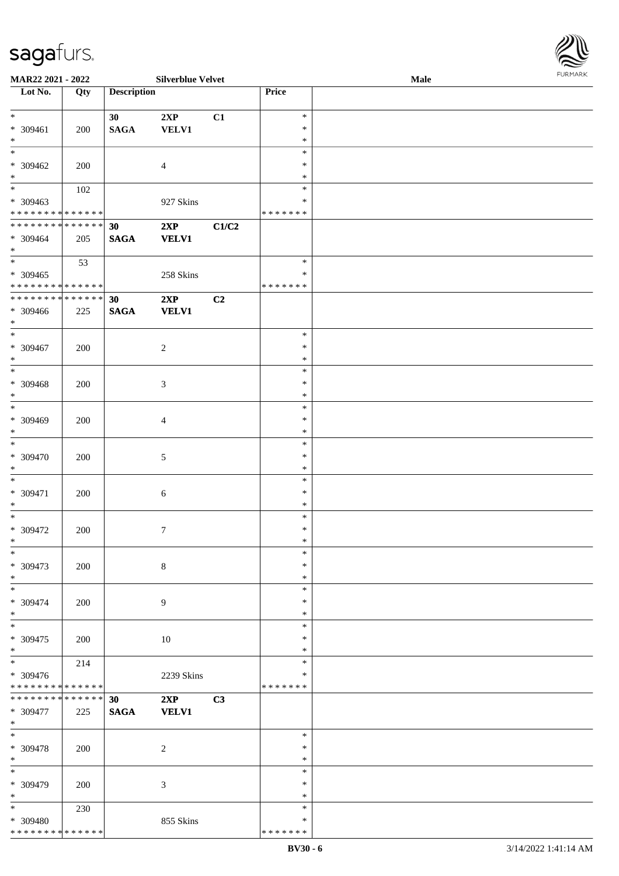\* 309480

\* \* \* \* \* \* \* \* \* \* \* \* \* \*

855 Skins

**MAR22 2021 - 2022 Silverblue Velvet Male**

**Lot No. Qty Description Price**

| $\ast$                          |     | 30              | 2XP             | C1    | $\ast$  |  |
|---------------------------------|-----|-----------------|-----------------|-------|---------|--|
| $* 309461$                      | 200 | $\mathbf{SAGA}$ | <b>VELV1</b>    |       | $\ast$  |  |
| $*$                             |     |                 |                 |       | $\ast$  |  |
| $\ast$                          |     |                 |                 |       | $\ast$  |  |
|                                 |     |                 |                 |       |         |  |
| * 309462                        | 200 |                 | $\overline{4}$  |       | $\ast$  |  |
| $*$                             |     |                 |                 |       | $\ast$  |  |
| $\overline{\phantom{0}}$        | 102 |                 |                 |       | $\ast$  |  |
| $* 309463$                      |     |                 | 927 Skins       |       | $\ast$  |  |
| * * * * * * * * * * * * * *     |     |                 |                 |       | ******* |  |
| **************                  |     | 30              | 2XP             | C1/C2 |         |  |
| * 309464                        |     | <b>SAGA</b>     | <b>VELV1</b>    |       |         |  |
|                                 | 205 |                 |                 |       |         |  |
| $*$<br>$\overline{\phantom{0}}$ |     |                 |                 |       |         |  |
|                                 | 53  |                 |                 |       | $\ast$  |  |
| $* 309465$                      |     |                 | 258 Skins       |       | $\ast$  |  |
| * * * * * * * * * * * * * * *   |     |                 |                 |       | ******* |  |
| ******** <mark>******</mark>    |     | 30 <sup>°</sup> | 2XP             | C2    |         |  |
| * 309466                        | 225 | <b>SAGA</b>     | <b>VELV1</b>    |       |         |  |
| $*$                             |     |                 |                 |       |         |  |
| $*$                             |     |                 |                 |       | $\ast$  |  |
|                                 |     |                 |                 |       |         |  |
| $* 309467$                      | 200 |                 | $\overline{2}$  |       | $\ast$  |  |
| $*$                             |     |                 |                 |       | $\ast$  |  |
| $\overline{\phantom{0}}$        |     |                 |                 |       | $\ast$  |  |
| * 309468                        | 200 |                 | $\mathfrak{Z}$  |       | $\ast$  |  |
| $*$                             |     |                 |                 |       | $\ast$  |  |
| $\ast$                          |     |                 |                 |       | $\ast$  |  |
| * 309469                        | 200 |                 | $\overline{4}$  |       | $\ast$  |  |
| $*$                             |     |                 |                 |       | $\ast$  |  |
|                                 |     |                 |                 |       |         |  |
| $*$                             |     |                 |                 |       | $\ast$  |  |
| * 309470                        | 200 |                 | $\mathfrak{S}$  |       | $\ast$  |  |
| $*$                             |     |                 |                 |       | $\ast$  |  |
| $*$                             |     |                 |                 |       | $\ast$  |  |
| * 309471                        | 200 |                 | $6\,$           |       | $\ast$  |  |
| $*$                             |     |                 |                 |       | $\ast$  |  |
| $*$                             |     |                 |                 |       | $\ast$  |  |
|                                 |     |                 |                 |       |         |  |
| $* 309472$                      | 200 |                 | $7\phantom{.0}$ |       | $\ast$  |  |
| $*$                             |     |                 |                 |       | $\ast$  |  |
| $*$                             |     |                 |                 |       | $\ast$  |  |
| * 309473                        | 200 |                 | 8 <sup>7</sup>  |       | $*$     |  |
| $\ast$                          |     |                 |                 |       | $\ast$  |  |
| $\overline{\phantom{0}}$        |     |                 |                 |       | $\ast$  |  |
| * 309474                        | 200 |                 | $\overline{9}$  |       | $\ast$  |  |
| $\ast$                          |     |                 |                 |       | $\ast$  |  |
| $_{\ast}$                       |     |                 |                 |       | $\ast$  |  |
|                                 |     |                 |                 |       |         |  |
| * 309475                        | 200 |                 | $10\,$          |       | $\ast$  |  |
| $\ast$                          |     |                 |                 |       | $\ast$  |  |
| $\ast$                          | 214 |                 |                 |       | $\ast$  |  |
| * 309476                        |     |                 | 2239 Skins      |       | ∗       |  |
| * * * * * * * * * * * * * *     |     |                 |                 |       | ******* |  |
| * * * * * * * * * * * * * * *   |     | 30              | 2XP             | C3    |         |  |
| * 309477                        |     |                 |                 |       |         |  |
|                                 | 225 | <b>SAGA</b>     | <b>VELV1</b>    |       |         |  |
| $*$                             |     |                 |                 |       |         |  |
| $\ast$                          |     |                 |                 |       | $\ast$  |  |
| * 309478                        | 200 |                 | $\overline{c}$  |       | $\ast$  |  |
| $*$                             |     |                 |                 |       | $\ast$  |  |
| $\ast$                          |     |                 |                 |       | $\ast$  |  |
| * 309479                        | 200 |                 | $\mathfrak{Z}$  |       | $\ast$  |  |
| $\ast$                          |     |                 |                 |       | $\ast$  |  |
| $*$                             |     |                 |                 |       | $\ast$  |  |
|                                 | 230 |                 |                 |       |         |  |

 $\overline{\phantom{a}}$ 

\* \* \* \* \* \* \* \*

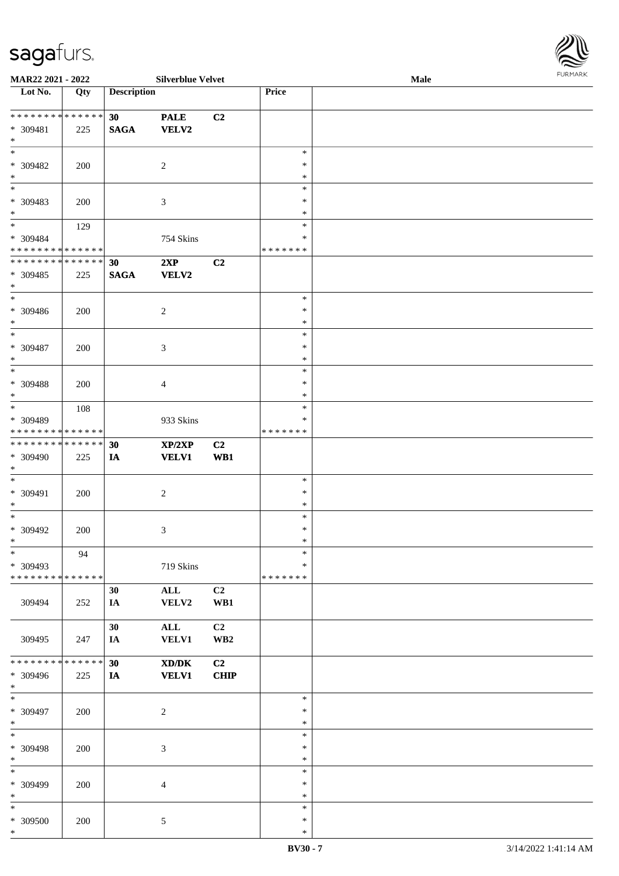

| MAR22 2021 - 2022            |     |                    | <b>Silverblue Velvet</b>                                    |                 |               | Male |
|------------------------------|-----|--------------------|-------------------------------------------------------------|-----------------|---------------|------|
| Lot No.                      | Qty | <b>Description</b> |                                                             |                 | Price         |      |
|                              |     |                    |                                                             |                 |               |      |
| ******** <mark>******</mark> |     | 30                 | <b>PALE</b>                                                 | C2              |               |      |
|                              |     |                    |                                                             |                 |               |      |
| * 309481                     | 225 | <b>SAGA</b>        | <b>VELV2</b>                                                |                 |               |      |
| $*$                          |     |                    |                                                             |                 |               |      |
| $*$                          |     |                    |                                                             |                 | $\ast$        |      |
| * 309482                     | 200 |                    | $\overline{c}$                                              |                 | $\ast$        |      |
| $\ast$                       |     |                    |                                                             |                 | $\ast$        |      |
| $\overline{\ast}$            |     |                    |                                                             |                 | $\ast$        |      |
|                              |     |                    |                                                             |                 |               |      |
| * 309483                     | 200 |                    | 3                                                           |                 | $\ast$        |      |
| $\ast$                       |     |                    |                                                             |                 | $\ast$        |      |
| $\overline{\ast}$            | 129 |                    |                                                             |                 | $\ast$        |      |
| * 309484                     |     |                    | 754 Skins                                                   |                 | $\ast$        |      |
|                              |     |                    |                                                             |                 |               |      |
| * * * * * * * * * * * * * *  |     |                    |                                                             |                 | * * * * * * * |      |
| * * * * * * * * * * * * * *  |     | 30                 | 2XP                                                         | C2              |               |      |
| * 309485                     | 225 | <b>SAGA</b>        | VELV2                                                       |                 |               |      |
| $\ast$                       |     |                    |                                                             |                 |               |      |
| $\ast$                       |     |                    |                                                             |                 | $\ast$        |      |
|                              |     |                    |                                                             |                 |               |      |
| $* 309486$                   | 200 |                    | $\overline{c}$                                              |                 | $\ast$        |      |
| $\ast$                       |     |                    |                                                             |                 | $\ast$        |      |
| $\ast$                       |     |                    |                                                             |                 | $\ast$        |      |
| $* 309487$                   | 200 |                    | 3                                                           |                 | $\ast$        |      |
| $\ast$                       |     |                    |                                                             |                 | $\ast$        |      |
|                              |     |                    |                                                             |                 |               |      |
| $*$                          |     |                    |                                                             |                 | $\ast$        |      |
| * 309488                     | 200 |                    | 4                                                           |                 | $\ast$        |      |
| $\ast$                       |     |                    |                                                             |                 | $\ast$        |      |
| $*$                          |     |                    |                                                             |                 | $\ast$        |      |
|                              | 108 |                    |                                                             |                 |               |      |
| * 309489                     |     |                    | 933 Skins                                                   |                 | $\ast$        |      |
| * * * * * * * * * * * * * *  |     |                    |                                                             |                 | * * * * * * * |      |
| * * * * * * * * * * * * * *  |     | 30                 | XP/2XP                                                      | C2              |               |      |
| * 309490                     | 225 | IA                 | <b>VELV1</b>                                                | WB1             |               |      |
| $*$                          |     |                    |                                                             |                 |               |      |
|                              |     |                    |                                                             |                 |               |      |
| $*$                          |     |                    |                                                             |                 | $\ast$        |      |
| * 309491                     | 200 |                    | $\boldsymbol{2}$                                            |                 | $\ast$        |      |
| $*$                          |     |                    |                                                             |                 | $\ast$        |      |
| $*$                          |     |                    |                                                             |                 | $\ast$        |      |
|                              |     |                    |                                                             |                 |               |      |
| $* 309492$                   | 200 |                    | 3                                                           |                 | $\ast$        |      |
| $*$                          |     |                    |                                                             |                 | $\ast$        |      |
| $\ast$                       | 94  |                    |                                                             |                 | $\ast$        |      |
| * 309493                     |     |                    | 719 Skins                                                   |                 | ∗             |      |
| * * * * * * * * * * * * * *  |     |                    |                                                             |                 | * * * * * * * |      |
|                              |     |                    |                                                             |                 |               |      |
|                              |     | 30                 | ALL                                                         | C2              |               |      |
| 309494                       | 252 | IA                 | VELV2                                                       | WB1             |               |      |
|                              |     |                    |                                                             |                 |               |      |
|                              |     | 30                 | $\mathbf{ALL}$                                              | C <sub>2</sub>  |               |      |
|                              |     |                    |                                                             |                 |               |      |
| 309495                       | 247 | IA                 | <b>VELV1</b>                                                | WB <sub>2</sub> |               |      |
|                              |     |                    |                                                             |                 |               |      |
| ******** <mark>******</mark> |     | 30                 | $\boldsymbol{\text{X} \text{D} \text{/} \text{D} \text{K}}$ | C <sub>2</sub>  |               |      |
| * 309496                     | 225 | IA                 | <b>VELV1</b>                                                | <b>CHIP</b>     |               |      |
| $*$                          |     |                    |                                                             |                 |               |      |
| $\ast$                       |     |                    |                                                             |                 | $\ast$        |      |
|                              |     |                    |                                                             |                 |               |      |
| * 309497                     | 200 |                    | $\boldsymbol{2}$                                            |                 | $\ast$        |      |
| $*$                          |     |                    |                                                             |                 | $\ast$        |      |
| $\ast$                       |     |                    |                                                             |                 | $\ast$        |      |
| * 309498                     |     |                    |                                                             |                 | $\ast$        |      |
|                              | 200 |                    | 3                                                           |                 |               |      |
| $*$                          |     |                    |                                                             |                 | $\ast$        |      |
| $\ast$                       |     |                    |                                                             |                 | $\ast$        |      |
| * 309499                     | 200 |                    | 4                                                           |                 | $\ast$        |      |
| $*$                          |     |                    |                                                             |                 | $\ast$        |      |
| $\ast$                       |     |                    |                                                             |                 | $\ast$        |      |
|                              |     |                    |                                                             |                 |               |      |
| * 309500                     | 200 |                    | $\sqrt{5}$                                                  |                 | $\ast$        |      |
| $\ast$                       |     |                    |                                                             |                 | $\ast$        |      |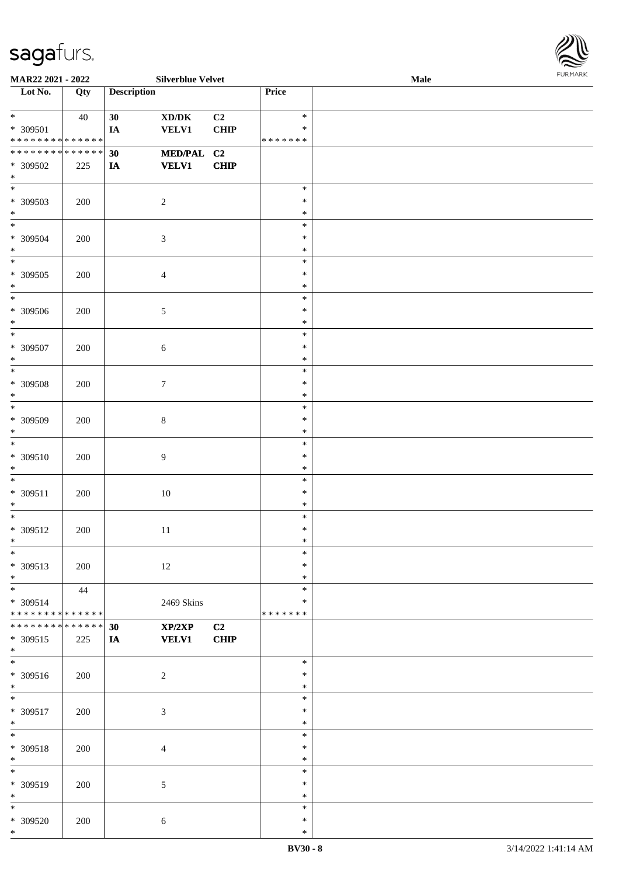

| MAR22 2021 - 2022             |     |                    | <b>Silverblue Velvet</b>                    |             |               | <b>Male</b> |
|-------------------------------|-----|--------------------|---------------------------------------------|-------------|---------------|-------------|
| Lot No.                       | Qty | <b>Description</b> |                                             |             | Price         |             |
|                               |     |                    |                                             |             |               |             |
| $*$                           | 40  | 30                 | $\mathbf{X}\mathbf{D}/\mathbf{D}\mathbf{K}$ | C2          | $\ast$        |             |
| * 309501                      |     | IA                 | <b>VELV1</b>                                | <b>CHIP</b> | $\ast$        |             |
| * * * * * * * * * * * * * *   |     |                    |                                             |             | *******       |             |
|                               |     |                    |                                             |             |               |             |
| * * * * * * * * * * * * * *   |     | 30                 | <b>MED/PAL</b>                              | C2          |               |             |
| $* 309502$                    | 225 | IA                 | <b>VELV1</b>                                | <b>CHIP</b> |               |             |
| $\ast$                        |     |                    |                                             |             |               |             |
| $\overline{\ast}$             |     |                    |                                             |             | $\ast$        |             |
| * 309503                      | 200 |                    | $\sqrt{2}$                                  |             | $\ast$        |             |
| $*$                           |     |                    |                                             |             | $\ast$        |             |
| $\ast$                        |     |                    |                                             |             | $\ast$        |             |
| * 309504                      | 200 |                    | $\ensuremath{\mathfrak{Z}}$                 |             | $\ast$        |             |
| $\ast$                        |     |                    |                                             |             | $\ast$        |             |
| $\overline{\ast}$             |     |                    |                                             |             |               |             |
|                               |     |                    |                                             |             | $\ast$        |             |
| * 309505                      | 200 |                    | $\overline{4}$                              |             | $\ast$        |             |
| $\ast$                        |     |                    |                                             |             | $\ast$        |             |
| $\ast$                        |     |                    |                                             |             | $\ast$        |             |
| * 309506                      | 200 |                    | 5                                           |             | $\ast$        |             |
| $\ast$                        |     |                    |                                             |             | $\ast$        |             |
| $\ast$                        |     |                    |                                             |             | $\ast$        |             |
| $* 309507$                    | 200 |                    |                                             |             | $\ast$        |             |
| $\ast$                        |     |                    | 6                                           |             | $\ast$        |             |
|                               |     |                    |                                             |             |               |             |
| $*$                           |     |                    |                                             |             | $\ast$        |             |
| $* 309508$                    | 200 |                    | $\boldsymbol{7}$                            |             | $\ast$        |             |
| $\ast$                        |     |                    |                                             |             | $\ast$        |             |
| $*$                           |     |                    |                                             |             | $\ast$        |             |
| * 309509                      | 200 |                    | $\,8\,$                                     |             | $\ast$        |             |
| $*$                           |     |                    |                                             |             | $\ast$        |             |
| $*$                           |     |                    |                                             |             | $\ast$        |             |
|                               |     |                    |                                             |             | $\ast$        |             |
| $* 309510$                    | 200 |                    | $\boldsymbol{9}$                            |             |               |             |
| $*$                           |     |                    |                                             |             | $\ast$        |             |
| $\ast$                        |     |                    |                                             |             | $\ast$        |             |
| $* 309511$                    | 200 |                    | $10\,$                                      |             | $\ast$        |             |
| $\ast$                        |     |                    |                                             |             | $\ast$        |             |
| $*$                           |     |                    |                                             |             | $\ast$        |             |
| $* 309512$                    | 200 |                    | $11\,$                                      |             | $\ast$        |             |
| $*$                           |     |                    |                                             |             | $\ast$        |             |
| $*$                           |     |                    |                                             |             | $\ast$        |             |
|                               |     |                    |                                             |             |               |             |
| * 309513                      | 200 |                    | 12                                          |             | $\ast$        |             |
| $*$                           |     |                    |                                             |             | $\ast$        |             |
| $*$                           | 44  |                    |                                             |             | $\ast$        |             |
| * 309514                      |     |                    | 2469 Skins                                  |             | $\ast$        |             |
| * * * * * * * * * * * * * *   |     |                    |                                             |             | * * * * * * * |             |
| * * * * * * * * * * * * * * * |     | 30                 | XP/2XP                                      | C2          |               |             |
| * 309515                      | 225 | IA                 | <b>VELV1</b>                                | <b>CHIP</b> |               |             |
| $*$                           |     |                    |                                             |             |               |             |
| $\overline{\phantom{0}}$      |     |                    |                                             |             | $\ast$        |             |
|                               |     |                    |                                             |             | $\ast$        |             |
| * 309516                      | 200 |                    | $\sqrt{2}$                                  |             |               |             |
| $*$                           |     |                    |                                             |             | $\ast$        |             |
| $*$                           |     |                    |                                             |             | $\ast$        |             |
| * 309517                      | 200 |                    | $\mathfrak{Z}$                              |             | $\ast$        |             |
| $*$                           |     |                    |                                             |             | $\ast$        |             |
| $*$                           |     |                    |                                             |             | $\ast$        |             |
| * 309518                      | 200 |                    | $\overline{4}$                              |             | $\ast$        |             |
| $*$                           |     |                    |                                             |             | $\ast$        |             |
| $*$                           |     |                    |                                             |             | $\ast$        |             |
|                               |     |                    |                                             |             |               |             |
| * 309519                      | 200 |                    | 5                                           |             | $\ast$        |             |
| $*$                           |     |                    |                                             |             | $\ast$        |             |
| $*$                           |     |                    |                                             |             | $\ast$        |             |
| * 309520                      | 200 |                    | $\sqrt{6}$                                  |             | $\ast$        |             |
| $*$                           |     |                    |                                             |             | $\ast$        |             |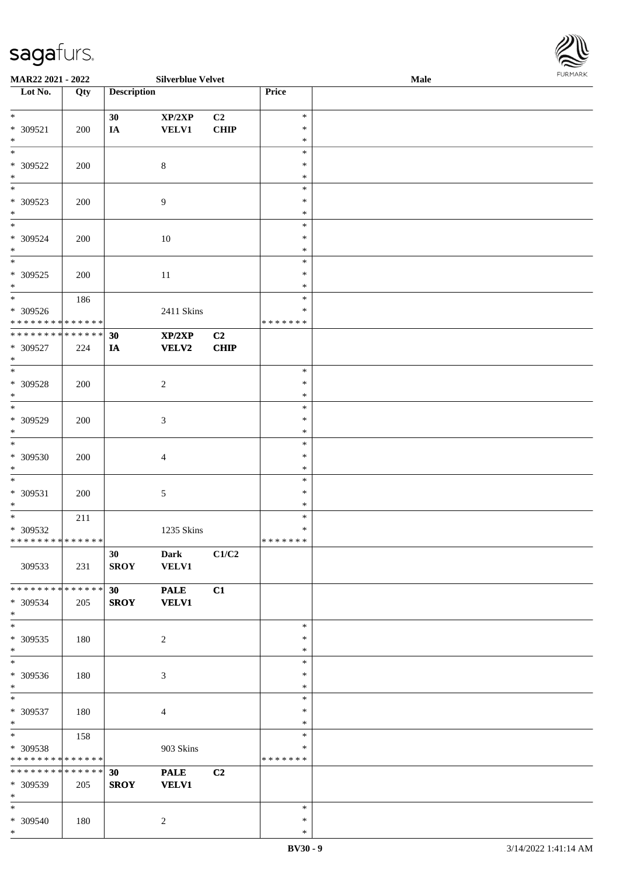\*



| <b>MAR22 2021 - 2022</b>                   |     |                    | <b>Silverblue Velvet</b> |                |               | Male |  |
|--------------------------------------------|-----|--------------------|--------------------------|----------------|---------------|------|--|
| Lot No.                                    | Qty | <b>Description</b> |                          |                | Price         |      |  |
|                                            |     |                    |                          |                |               |      |  |
| $*$                                        |     | 30                 | XP/2XP                   | C <sub>2</sub> | $\ast$        |      |  |
| * 309521                                   | 200 | IA                 | <b>VELV1</b>             | CHIP           | $\ast$        |      |  |
| $\ast$                                     |     |                    |                          |                | $\ast$        |      |  |
|                                            |     |                    |                          |                | $\ast$        |      |  |
| * 309522                                   | 200 |                    | $\,8\,$                  |                | $\ast$        |      |  |
| $\ast$                                     |     |                    |                          |                | $\ast$        |      |  |
| $\overline{\phantom{0}}$                   |     |                    |                          |                | $\ast$        |      |  |
| * 309523                                   | 200 |                    | $\overline{9}$           |                | $\ast$        |      |  |
| $*$                                        |     |                    |                          |                | $\ast$        |      |  |
|                                            |     |                    |                          |                | $\ast$        |      |  |
|                                            |     |                    |                          |                | $\ast$        |      |  |
| * 309524                                   | 200 |                    | 10                       |                |               |      |  |
| $*$<br>$\overline{\ }$                     |     |                    |                          |                | $\ast$        |      |  |
|                                            |     |                    |                          |                | $\ast$        |      |  |
| * 309525                                   | 200 |                    | 11                       |                | $\ast$        |      |  |
| $*$                                        |     |                    |                          |                | $\ast$        |      |  |
|                                            | 186 |                    |                          |                | $\ast$        |      |  |
| * 309526                                   |     |                    | 2411 Skins               |                | $\ast$        |      |  |
| * * * * * * * * * * * * * * *              |     |                    |                          |                | *******       |      |  |
| **************                             |     | 30                 | XP/2XP                   | C <sub>2</sub> |               |      |  |
| * 309527                                   | 224 | IA                 | VELV2                    | CHIP           |               |      |  |
| $*$                                        |     |                    |                          |                |               |      |  |
| $\overline{\phantom{0}}$                   |     |                    |                          |                | $\ast$        |      |  |
| * 309528                                   | 200 |                    | $\overline{2}$           |                | $\ast$        |      |  |
| $*$                                        |     |                    |                          |                | $\ast$        |      |  |
|                                            |     |                    |                          |                | $\ast$        |      |  |
|                                            |     |                    |                          |                | $\ast$        |      |  |
| * 309529                                   | 200 |                    | 3                        |                | $\ast$        |      |  |
| $*$                                        |     |                    |                          |                |               |      |  |
|                                            |     |                    |                          |                | $\ast$        |      |  |
| * 309530                                   | 200 |                    | $\overline{4}$           |                | $\ast$        |      |  |
| $*$                                        |     |                    |                          |                | $\ast$        |      |  |
| $\ast$                                     |     |                    |                          |                | $\ast$        |      |  |
| * 309531                                   | 200 |                    | $\sqrt{5}$               |                | $\ast$        |      |  |
| $*$                                        |     |                    |                          |                | $\ast$        |      |  |
| $*$ $-$                                    | 211 |                    |                          |                | $\ast$        |      |  |
| * 309532                                   |     |                    | 1235 Skins               |                | $\ast$        |      |  |
| * * * * * * * * <mark>* * * * * * *</mark> |     |                    |                          |                | * * * * * * * |      |  |
|                                            |     | 30                 | <b>Dark</b>              | C1/C2          |               |      |  |
| 309533                                     | 231 | <b>SROY</b>        | <b>VELV1</b>             |                |               |      |  |
|                                            |     |                    |                          |                |               |      |  |
| * * * * * * * * * * * * * * *              |     | 30                 | <b>PALE</b>              | C1             |               |      |  |
| * 309534                                   |     |                    |                          |                |               |      |  |
| $*$                                        | 205 | <b>SROY</b>        | <b>VELV1</b>             |                |               |      |  |
|                                            |     |                    |                          |                | $\ast$        |      |  |
|                                            |     |                    |                          |                |               |      |  |
| * 309535                                   | 180 |                    | 2                        |                | $\ast$        |      |  |
| $*$                                        |     |                    |                          |                | $\ast$        |      |  |
| $\ast$                                     |     |                    |                          |                | $\ast$        |      |  |
| * 309536                                   | 180 |                    | $\mathfrak{Z}$           |                | $\ast$        |      |  |
| $*$                                        |     |                    |                          |                | $\ast$        |      |  |
| $*$                                        |     |                    |                          |                | $\ast$        |      |  |
| * 309537                                   | 180 |                    | $\overline{4}$           |                | $\ast$        |      |  |
| $*$                                        |     |                    |                          |                | $\ast$        |      |  |
| $*$ $\qquad$                               | 158 |                    |                          |                | $\ast$        |      |  |
| * 309538                                   |     |                    | 903 Skins                |                | $\ast$        |      |  |
| * * * * * * * * * * * * * *                |     |                    |                          |                | * * * * * * * |      |  |
| * * * * * * * * * * * * * * *              |     | 30                 | <b>PALE</b>              | C <sub>2</sub> |               |      |  |
| * 309539                                   | 205 | <b>SROY</b>        | <b>VELV1</b>             |                |               |      |  |
| $*$                                        |     |                    |                          |                |               |      |  |
| $*$                                        |     |                    |                          |                | $\ast$        |      |  |
|                                            |     |                    |                          |                |               |      |  |
| * 309540                                   | 180 |                    | 2                        |                | $\ast$        |      |  |
| $*$                                        |     |                    |                          |                | $\ast$        |      |  |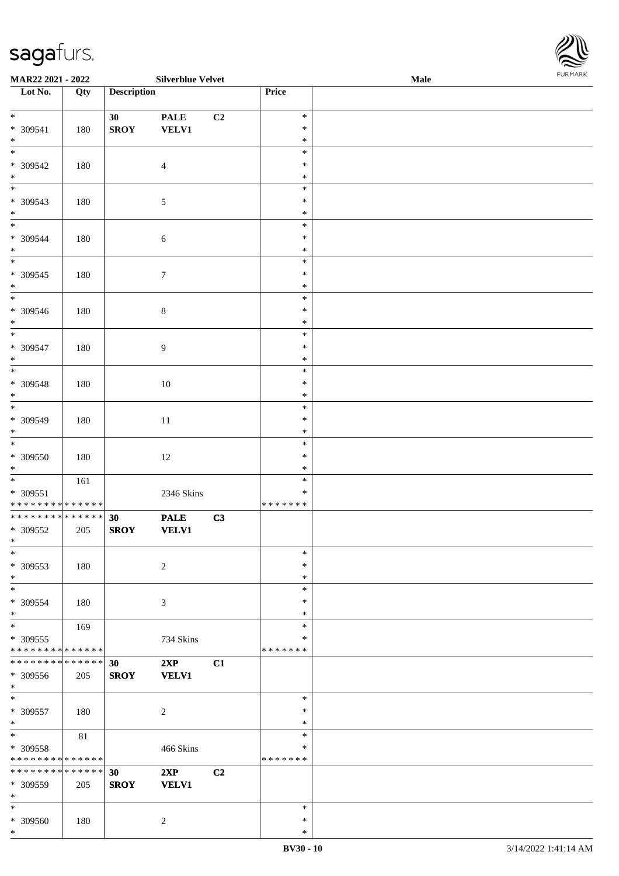

| MAR22 2021 - 2022                |               |                    | <b>Silverblue Velvet</b> |                |                  | Male | 1.9151 B1515 |
|----------------------------------|---------------|--------------------|--------------------------|----------------|------------------|------|--------------|
| $\overline{\phantom{a}}$ Lot No. | Qty           | <b>Description</b> |                          |                | Price            |      |              |
|                                  |               |                    |                          |                |                  |      |              |
| $*$                              |               | 30                 | <b>PALE</b>              | C <sub>2</sub> | $\ast$           |      |              |
| * 309541                         | 180           | <b>SROY</b>        | VELV1                    |                | $\ast$           |      |              |
| $*$                              |               |                    |                          |                | $\ast$           |      |              |
| $*$                              |               |                    |                          |                | $\ast$           |      |              |
| * 309542                         | 180           |                    | $\overline{4}$           |                | $\ast$           |      |              |
| $*$                              |               |                    |                          |                | $\ast$           |      |              |
|                                  |               |                    |                          |                | $\ast$           |      |              |
| * 309543                         | 180           |                    | $\sqrt{5}$               |                | $\ast$           |      |              |
| $*$                              |               |                    |                          |                | $\ast$<br>$\ast$ |      |              |
|                                  |               |                    |                          |                | $\ast$           |      |              |
| * 309544<br>$*$                  | 180           |                    | $\sqrt{6}$               |                | $\ast$           |      |              |
| $\overline{\phantom{0}}$         |               |                    |                          |                | $\ast$           |      |              |
| $* 309545$                       |               |                    |                          |                | $\ast$           |      |              |
| $*$                              | 180           |                    | $\tau$                   |                | $\ast$           |      |              |
|                                  |               |                    |                          |                | $\ast$           |      |              |
| * 309546                         | 180           |                    | $\,8\,$                  |                | $\ast$           |      |              |
| $*$                              |               |                    |                          |                | $\ast$           |      |              |
| $*$                              |               |                    |                          |                | $\ast$           |      |              |
| * 309547                         | 180           |                    | 9                        |                | $\ast$           |      |              |
| $*$                              |               |                    |                          |                | $\ast$           |      |              |
| $*$                              |               |                    |                          |                | $\ast$           |      |              |
| * 309548                         | 180           |                    | 10                       |                | $\ast$           |      |              |
| $\ast$                           |               |                    |                          |                | $\ast$           |      |              |
|                                  |               |                    |                          |                | $\ast$           |      |              |
| * 309549                         | 180           |                    | 11                       |                | $\ast$           |      |              |
| $*$                              |               |                    |                          |                | $\ast$           |      |              |
| $\overline{\ast}$                |               |                    |                          |                | $\ast$           |      |              |
| * 309550                         | 180           |                    | 12                       |                | $\ast$           |      |              |
| $*$                              |               |                    |                          |                | $\ast$           |      |              |
|                                  | 161           |                    |                          |                | $\ast$           |      |              |
| $* 309551$                       |               |                    | 2346 Skins               |                | $\ast$           |      |              |
| * * * * * * * * * * * * * *      |               |                    |                          |                | * * * * * * *    |      |              |
| * * * * * * * * * * * * * * *    |               | 30                 | <b>PALE</b>              | C3             |                  |      |              |
| $* 309552$                       | 205           | <b>SROY</b>        | <b>VELV1</b>             |                |                  |      |              |
| $*$ $-$                          |               |                    |                          |                |                  |      |              |
| $\ast$                           |               |                    |                          |                | $\ast$           |      |              |
| * 309553                         | 180           |                    | $\overline{c}$           |                | $\ast$           |      |              |
| $*$                              |               |                    |                          |                | $\ast$           |      |              |
| $\ast$                           |               |                    |                          |                | $\ast$           |      |              |
| * 309554                         | 180           |                    | 3                        |                | $\ast$           |      |              |
| $*$<br>$*$                       |               |                    |                          |                | $\ast$<br>$\ast$ |      |              |
| * 309555                         | 169           |                    |                          |                | ∗                |      |              |
| * * * * * * * * * * * * * *      |               |                    | 734 Skins                |                | * * * * * * *    |      |              |
| * * * * * * * *                  | * * * * * * * | 30                 | 2XP                      | C1             |                  |      |              |
| * 309556                         | 205           | <b>SROY</b>        | <b>VELV1</b>             |                |                  |      |              |
| $\ast$                           |               |                    |                          |                |                  |      |              |
| $\ast$                           |               |                    |                          |                | $\ast$           |      |              |
| $* 309557$                       | 180           |                    | $\sqrt{2}$               |                | $\ast$           |      |              |
| $*$                              |               |                    |                          |                | $\ast$           |      |              |
| $*$                              | 81            |                    |                          |                | $\ast$           |      |              |
| * 309558                         |               |                    | 466 Skins                |                | ∗                |      |              |
| * * * * * * * * * * * * * *      |               |                    |                          |                | * * * * * * *    |      |              |
| * * * * * * * *                  | * * * * * * * | 30                 | 2XP                      | C2             |                  |      |              |
| * 309559                         | 205           | <b>SROY</b>        | <b>VELV1</b>             |                |                  |      |              |
| $*$                              |               |                    |                          |                |                  |      |              |
| $*$                              |               |                    |                          |                | $\ast$           |      |              |
| * 309560                         | 180           |                    | 2                        |                | $\ast$           |      |              |
| $\ast$                           |               |                    |                          |                | $\ast$           |      |              |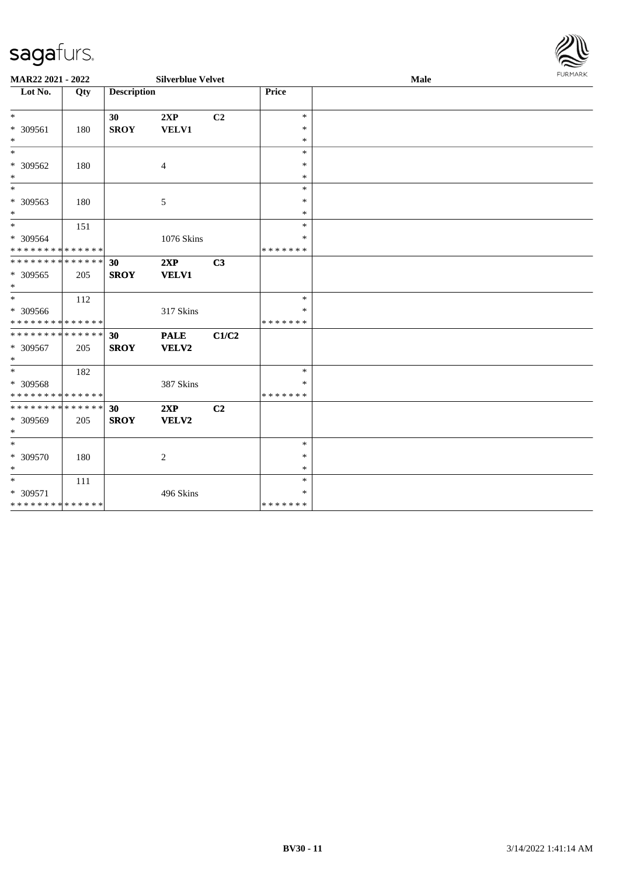

| MAR22 2021 - 2022                                |     |                    | <b>Silverblue Velvet</b> |                |                                   | Male | <b>FURMARK</b> |
|--------------------------------------------------|-----|--------------------|--------------------------|----------------|-----------------------------------|------|----------------|
| Lot No.                                          | Qty | <b>Description</b> |                          |                | Price                             |      |                |
| $*$<br>* 309561                                  | 180 | 30<br><b>SROY</b>  | 2XP<br>VELV1             | C <sub>2</sub> | $\ast$<br>$\ast$                  |      |                |
| $\ast$<br>$\ast$                                 |     |                    |                          |                | $\ast$                            |      |                |
| $* 309562$<br>$\ast$                             | 180 |                    | 4                        |                | $\ast$<br>$\ast$<br>$\ast$        |      |                |
| $\ast$<br>* 309563                               | 180 |                    | 5                        |                | $\ast$<br>$\ast$                  |      |                |
| $\ast$<br>$*$<br>* 309564                        | 151 |                    | 1076 Skins               |                | $\ast$<br>$\ast$<br>∗             |      |                |
| * * * * * * * * * * * * * *                      |     |                    |                          |                | * * * * * * *                     |      |                |
| * * * * * * * * * * * * * * *<br>* 309565<br>$*$ | 205 | 30<br><b>SROY</b>  | 2XP<br><b>VELV1</b>      | C <sub>3</sub> |                                   |      |                |
| $*$<br>* 309566<br>* * * * * * * * * * * * * *   | 112 |                    | 317 Skins                |                | $\ast$<br>$\ast$<br>* * * * * * * |      |                |
| * * * * * * * * * * * * * * *<br>* 309567<br>$*$ | 205 | 30<br><b>SROY</b>  | <b>PALE</b><br>VELV2     | C1/C2          |                                   |      |                |
| $*$<br>* 309568<br>* * * * * * * * * * * * * *   | 182 |                    | 387 Skins                |                | $\ast$<br>∗<br>* * * * * * *      |      |                |
| * * * * * * * * * * * * * *<br>* 309569<br>$*$   | 205 | 30<br><b>SROY</b>  | 2XP<br><b>VELV2</b>      | C <sub>2</sub> |                                   |      |                |
| $*$<br>* 309570<br>$\ast$                        | 180 |                    | $\overline{c}$           |                | $\ast$<br>$\ast$<br>$\ast$        |      |                |
| $*$<br>* 309571<br>* * * * * * * * * * * * * *   | 111 |                    | 496 Skins                |                | $\ast$<br>∗<br>* * * * * * *      |      |                |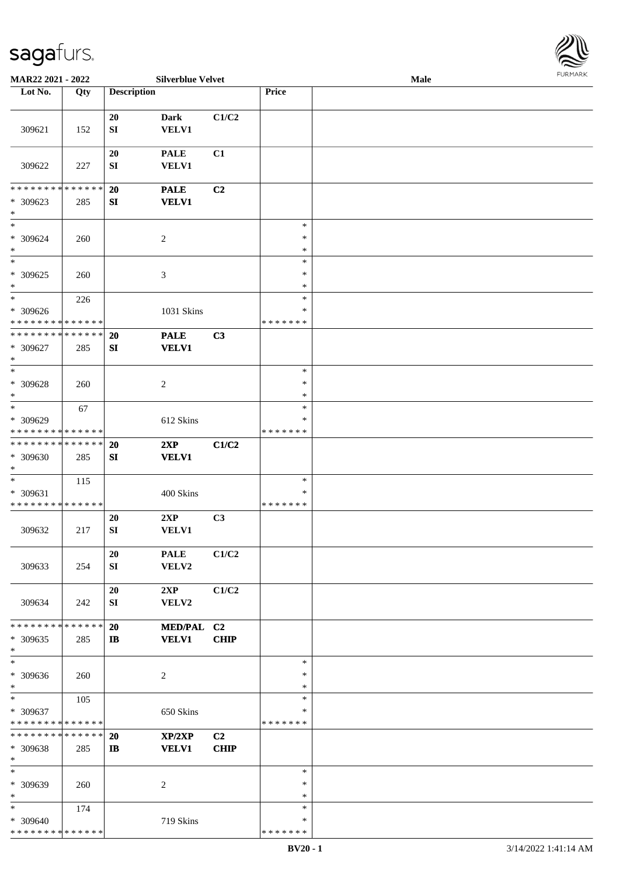\* \* \* \* \* \* \* \* \* \* \* \* \* \* \*



| MAR22 2021 - 2022                                            |                    |                        | <b>Silverblue Velvet</b>    |                   |                                   | Male | <b>FURMARK</b> |
|--------------------------------------------------------------|--------------------|------------------------|-----------------------------|-------------------|-----------------------------------|------|----------------|
| Lot No.                                                      | Qty                | <b>Description</b>     |                             |                   | Price                             |      |                |
| 309621                                                       | 152                | 20<br>${\bf SI}$       | <b>Dark</b><br><b>VELV1</b> | C1/C2             |                                   |      |                |
| 309622                                                       | 227                | $20\,$<br>${\bf SI}$   | <b>PALE</b><br><b>VELV1</b> | C1                |                                   |      |                |
| * * * * * * * *<br>* 309623<br>$\ast$                        | * * * * * *<br>285 | 20<br>${\bf S}{\bf I}$ | <b>PALE</b><br><b>VELV1</b> | C2                |                                   |      |                |
| $\ast$<br>$* 309624$<br>$\ast$                               | 260                |                        | $\boldsymbol{2}$            |                   | $\ast$<br>$\ast$<br>$\ast$        |      |                |
| $\ast$<br>$* 309625$<br>$\ast$                               | 260                |                        | $\mathfrak{Z}$              |                   | $\ast$<br>$\ast$<br>$\ast$        |      |                |
| $_{\ast}^{-}$<br>* 309626<br>* * * * * * * * * * * * * *     | 226                |                        | 1031 Skins                  |                   | $\ast$<br>∗<br>* * * * * * *      |      |                |
| * * * * * * * * * * * * * *<br>* 309627<br>$\ast$            | 285                | 20<br>${\bf S}{\bf I}$ | <b>PALE</b><br><b>VELV1</b> | C3                |                                   |      |                |
| $\ast$<br>* 309628<br>$\ast$                                 | 260                |                        | $\overline{c}$              |                   | $\ast$<br>$\ast$<br>$\ast$        |      |                |
| $\overline{\ast}$<br>* 309629<br>* * * * * * * * * * * * * * | 67                 |                        | 612 Skins                   |                   | $\ast$<br>∗<br>* * * * * * *      |      |                |
| * * * * * * * * * * * * * *<br>* 309630<br>$\ast$            | 285                | 20<br>${\bf S}{\bf I}$ | 2XP<br><b>VELV1</b>         | C1/C2             |                                   |      |                |
| $\ast$<br>$* 309631$<br>* * * * * * * * * * * * * *          | 115                |                        | 400 Skins                   |                   | $\ast$<br>$\ast$<br>* * * * * * * |      |                |
| 309632                                                       | 217                | 20<br>${\bf SI}$       | 2XP<br>VELV1                | C3                |                                   |      |                |
| 309633                                                       | 254                | 20<br>${\bf SI}$       | <b>PALE</b><br>VELV2        | C1/C2             |                                   |      |                |
| 309634                                                       | 242                | 20<br>SI               | 2XP<br>VELV2                | C1/C2             |                                   |      |                |
| * * * * * * * *<br>* 309635<br>$\ast$                        | * * * * * *<br>285 | 20<br>$\mathbf{I}$     | MED/PAL C2<br><b>VELV1</b>  | <b>CHIP</b>       |                                   |      |                |
| $\overline{\phantom{1}}$<br>* 309636<br>$\ast$               | 260                |                        | $\boldsymbol{2}$            |                   | $\ast$<br>$\ast$<br>$\ast$        |      |                |
| $\ast$<br>$* 309637$<br>* * * * * * * * * * * * * *          | 105                |                        | 650 Skins                   |                   | $\ast$<br>$\ast$<br>* * * * * * * |      |                |
| * * * * * * * *<br>$* 309638$<br>$\ast$                      | * * * * * *<br>285 | 20<br>$\mathbf{I}$     | XP/2XP<br><b>VELV1</b>      | C2<br><b>CHIP</b> |                                   |      |                |
| $\ast$<br>* 309639<br>$\ast$                                 | 260                |                        | $\boldsymbol{2}$            |                   | $\ast$<br>$\ast$<br>$\ast$        |      |                |
| $\ast$<br>* 309640                                           | 174                |                        | 719 Skins                   |                   | $\ast$<br>$\ast$                  |      |                |

\* \* \* \* \* \* \*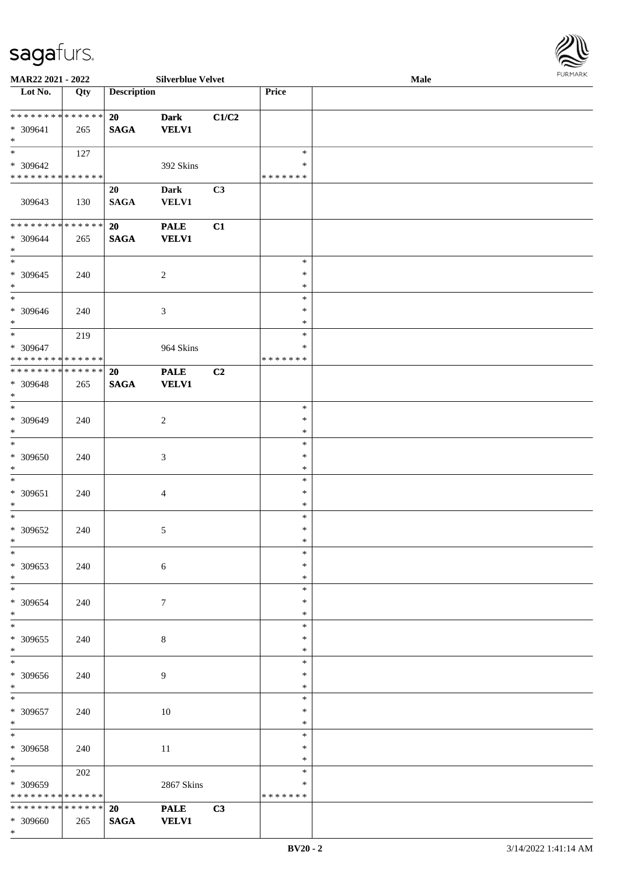

| MAR22 2021 - 2022                |             |                    | <b>Silverblue Velvet</b>    |       |                  | Male | 1.9151111515 |
|----------------------------------|-------------|--------------------|-----------------------------|-------|------------------|------|--------------|
| $\overline{\phantom{1}}$ Lot No. | Qty         | <b>Description</b> |                             |       | Price            |      |              |
|                                  |             |                    |                             |       |                  |      |              |
| **************                   |             | 20                 | <b>Dark</b>                 | C1/C2 |                  |      |              |
| * 309641                         | 265         | <b>SAGA</b>        | <b>VELV1</b>                |       |                  |      |              |
| $*$                              |             |                    |                             |       |                  |      |              |
| $\ast$                           | 127         |                    |                             |       | $\ast$           |      |              |
| * 309642                         |             |                    | 392 Skins                   |       | $\ast$           |      |              |
| * * * * * * * * * * * * * *      |             |                    |                             |       | * * * * * * *    |      |              |
|                                  |             | 20                 | <b>Dark</b>                 | C3    |                  |      |              |
| 309643                           | 130         | <b>SAGA</b>        | <b>VELV1</b>                |       |                  |      |              |
|                                  |             |                    |                             |       |                  |      |              |
| ******** <mark>******</mark>     |             | 20                 | <b>PALE</b>                 | C1    |                  |      |              |
| * 309644                         | 265         | <b>SAGA</b>        | <b>VELV1</b>                |       |                  |      |              |
| $\ast$                           |             |                    |                             |       |                  |      |              |
| $\overline{\ast}$                |             |                    |                             |       | $\ast$           |      |              |
| $* 309645$                       | 240         |                    | $\overline{c}$              |       | $\ast$           |      |              |
| $\ast$                           |             |                    |                             |       | $\ast$           |      |              |
| $\overline{\phantom{a}^*}$       |             |                    |                             |       | $\ast$           |      |              |
| * 309646                         | 240         |                    | $\mathfrak{Z}$              |       | $\ast$           |      |              |
| $\ast$                           |             |                    |                             |       | $\ast$           |      |              |
| $\ast$                           | 219         |                    |                             |       | $\ast$           |      |              |
| $* 309647$                       |             |                    | 964 Skins                   |       | $\ast$           |      |              |
| * * * * * * * * * * * * * *      |             |                    |                             |       | * * * * * * *    |      |              |
| **************                   |             | 20                 | <b>PALE</b>                 | C2    |                  |      |              |
| * 309648                         | 265         | <b>SAGA</b>        | <b>VELV1</b>                |       |                  |      |              |
| $\ast$                           |             |                    |                             |       |                  |      |              |
| $\overline{\ast}$                |             |                    |                             |       | $\ast$           |      |              |
| * 309649                         | 240         |                    | $\sqrt{2}$                  |       | $\ast$           |      |              |
| $\ast$                           |             |                    |                             |       | $\ast$           |      |              |
| $\ast$                           |             |                    |                             |       | $\ast$           |      |              |
| $* 309650$                       | 240         |                    | $\mathfrak{Z}$              |       | $\ast$           |      |              |
| $\ast$                           |             |                    |                             |       | $\ast$           |      |              |
| $\ast$                           |             |                    |                             |       | $\ast$           |      |              |
| $* 309651$                       | 240         |                    | $\overline{4}$              |       | $\ast$           |      |              |
| $\ast$                           |             |                    |                             |       | $\ast$           |      |              |
| $\ast$                           |             |                    |                             |       | $\ast$           |      |              |
| $* 309652$                       | 240         |                    | 5                           |       | $\ast$           |      |              |
| $*$                              |             |                    |                             |       | $\ast$           |      |              |
| $\ast$                           |             |                    |                             |       | $\ast$           |      |              |
| * 309653                         | 240         |                    | $\sqrt{6}$                  |       | $\ast$           |      |              |
| $\ast$                           |             |                    |                             |       | $\ast$           |      |              |
| $\ast$                           |             |                    |                             |       | $\ast$           |      |              |
| * 309654                         | 240         |                    | 7                           |       | $\ast$           |      |              |
| $\ast$<br>$\ast$                 |             |                    |                             |       | $\ast$<br>$\ast$ |      |              |
|                                  |             |                    |                             |       |                  |      |              |
| * 309655<br>$*$                  | 240         |                    | 8                           |       | ∗<br>$\ast$      |      |              |
| $_{\ast}^{-}$                    |             |                    |                             |       | $\ast$           |      |              |
|                                  |             |                    |                             |       |                  |      |              |
| * 309656<br>$*$                  | 240         |                    | 9                           |       | $\ast$<br>$\ast$ |      |              |
| $\ast$                           |             |                    |                             |       | $\ast$           |      |              |
|                                  |             |                    |                             |       | $\ast$           |      |              |
| $* 309657$                       | 240         |                    | $10\,$                      |       | $\ast$           |      |              |
| $*$<br>$\ast$                    |             |                    |                             |       | $\ast$           |      |              |
| * 309658                         |             |                    |                             |       | $\ast$           |      |              |
| $*$                              | 240         |                    | $11\,$                      |       | $\ast$           |      |              |
| $\ast$                           | 202         |                    |                             |       | $\ast$           |      |              |
|                                  |             |                    |                             |       | $\ast$           |      |              |
| * 309659<br>* * * * * * * *      | * * * * * * |                    | 2867 Skins                  |       | * * * * * * *    |      |              |
| * * * * * * * *                  | * * * * * * |                    |                             |       |                  |      |              |
| $* 309660$                       |             | 20<br><b>SAGA</b>  | <b>PALE</b><br><b>VELV1</b> | C3    |                  |      |              |
| $*$                              | 265         |                    |                             |       |                  |      |              |
|                                  |             |                    |                             |       |                  |      |              |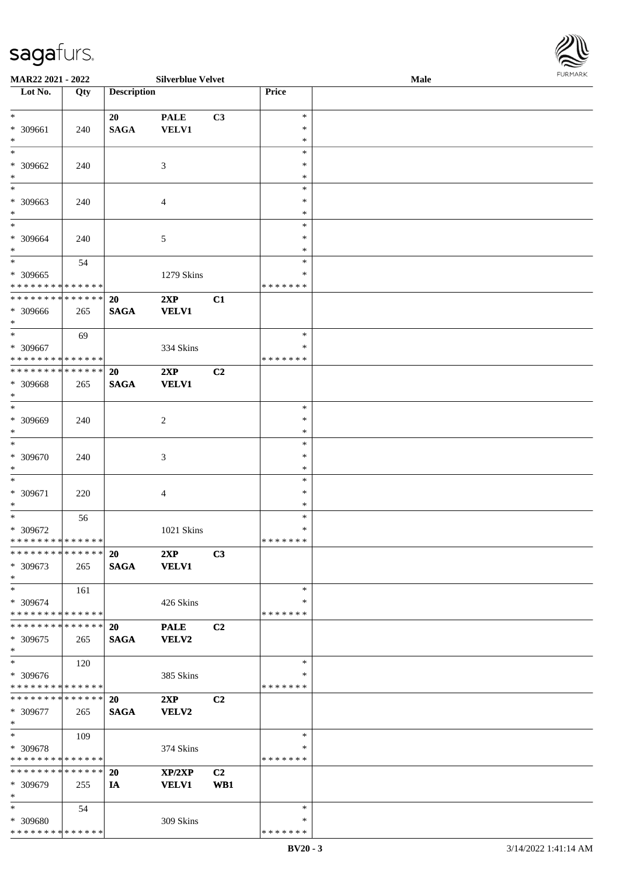| MAR22 2021 - 2022                |     |                    | <b>Silverblue Velvet</b> |                |               | Male | <b>FURMARI</b> |
|----------------------------------|-----|--------------------|--------------------------|----------------|---------------|------|----------------|
| $\overline{\phantom{1}}$ Lot No. | Qty | <b>Description</b> |                          |                | Price         |      |                |
| $\ast$                           |     | 20                 | <b>PALE</b>              | C3             | $\ast$        |      |                |
| * 309661                         | 240 | <b>SAGA</b>        | VELV1                    |                | ∗             |      |                |
| $\ast$                           |     |                    |                          |                | $\ast$        |      |                |
| $\ast$                           |     |                    |                          |                | $\ast$        |      |                |
| * 309662                         | 240 |                    | $\mathfrak{Z}$           |                | $\ast$        |      |                |
| $\ast$                           |     |                    |                          |                | $\ast$        |      |                |
| $\overline{\phantom{a}}$         |     |                    |                          |                | $\ast$        |      |                |
| * 309663                         | 240 |                    | $\overline{4}$           |                | $\ast$        |      |                |
| $\ast$                           |     |                    |                          |                | $\ast$        |      |                |
| $\ast$                           |     |                    |                          |                | $\ast$        |      |                |
| * 309664                         | 240 |                    | 5                        |                | $\ast$        |      |                |
| $\ast$                           |     |                    |                          |                | $\ast$        |      |                |
| $\ast$                           | 54  |                    |                          |                | $\ast$        |      |                |
| * 309665                         |     |                    | 1279 Skins               |                | $\ast$        |      |                |
| * * * * * * * * * * * * * *      |     |                    |                          |                | * * * * * * * |      |                |
| * * * * * * * * * * * * * *      |     | 20                 | 2XP                      | C1             |               |      |                |
| * 309666                         | 265 | <b>SAGA</b>        | <b>VELV1</b>             |                |               |      |                |
| $\ast$                           |     |                    |                          |                |               |      |                |
| $\ast$                           | 69  |                    |                          |                | $\ast$        |      |                |
| * 309667                         |     |                    | 334 Skins                |                | ∗             |      |                |
| * * * * * * * * * * * * * *      |     |                    |                          |                | * * * * * * * |      |                |
| * * * * * * * * * * * * * *      |     | 20                 | 2XP                      | C <sub>2</sub> |               |      |                |
|                                  |     |                    |                          |                |               |      |                |
| * 309668<br>$\ast$               | 265 | <b>SAGA</b>        | <b>VELV1</b>             |                |               |      |                |
| $\overline{\phantom{a}^*}$       |     |                    |                          |                | $\ast$        |      |                |
| * 309669                         |     |                    |                          |                | $\ast$        |      |                |
| $\ast$                           | 240 |                    | $\sqrt{2}$               |                | $\ast$        |      |                |
| $\ast$                           |     |                    |                          |                | $\ast$        |      |                |
|                                  |     |                    |                          |                | $\ast$        |      |                |
| * 309670                         | 240 |                    | 3                        |                |               |      |                |
| $\ast$<br>$\ast$                 |     |                    |                          |                | $\ast$        |      |                |
|                                  |     |                    |                          |                | $\ast$        |      |                |
| * 309671                         | 220 |                    | $\overline{4}$           |                | $\ast$        |      |                |
| $\ast$                           |     |                    |                          |                | $\ast$        |      |                |
| $\ast$                           | 56  |                    |                          |                | $\ast$        |      |                |
| * 309672                         |     |                    | 1021 Skins               |                | $\ast$        |      |                |
| * * * * * * * * * * * * * *      |     |                    |                          |                | * * * * * * * |      |                |
| * * * * * * * * * * * * * * *    |     | <b>20</b>          | 2XP                      | C3             |               |      |                |
| $* 309673$                       | 265 | <b>SAGA</b>        | <b>VELV1</b>             |                |               |      |                |
| $\ast$                           |     |                    |                          |                |               |      |                |
| $\ast$                           | 161 |                    |                          |                | $\ast$        |      |                |
| * 309674                         |     |                    | 426 Skins                |                | $\ast$        |      |                |
| * * * * * * * * * * * * * *      |     |                    |                          |                | * * * * * * * |      |                |
| * * * * * * * * * * * * * *      |     | 20                 | <b>PALE</b>              | C <sub>2</sub> |               |      |                |
| $*309675$                        | 265 | <b>SAGA</b>        | VELV2                    |                |               |      |                |
| $\ast$                           |     |                    |                          |                |               |      |                |
| $\ast$                           | 120 |                    |                          |                | $\ast$        |      |                |
| * 309676                         |     |                    | 385 Skins                |                | $\ast$        |      |                |
| * * * * * * * * * * * * * *      |     |                    |                          |                | * * * * * * * |      |                |
| ******** <mark>******</mark>     |     | <b>20</b>          | 2XP                      | C <sub>2</sub> |               |      |                |
| * 309677                         | 265 | <b>SAGA</b>        | VELV2                    |                |               |      |                |
| $\ast$                           |     |                    |                          |                |               |      |                |
| $\ast$                           | 109 |                    |                          |                | $\ast$        |      |                |
| * 309678                         |     |                    | 374 Skins                |                | ∗             |      |                |
| * * * * * * * * * * * * * *      |     |                    |                          |                | * * * * * * * |      |                |
| * * * * * * * * * * * * * * *    |     | <b>20</b>          | XP/2XP                   | C <sub>2</sub> |               |      |                |
| * 309679                         | 255 | <b>IA</b>          | <b>VELV1</b>             | WB1            |               |      |                |
| $\ast$                           |     |                    |                          |                |               |      |                |
| $\ast$                           | 54  |                    |                          |                | $\ast$        |      |                |
| * 309680                         |     |                    | 309 Skins                |                | $\ast$        |      |                |
| * * * * * * * * * * * * * *      |     |                    |                          |                | * * * * * * * |      |                |

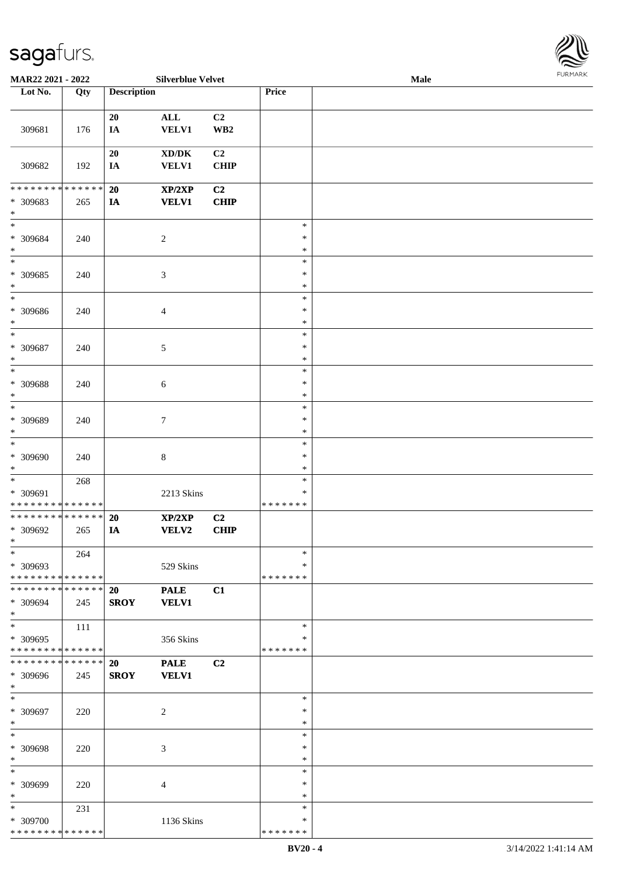

| MAR22 2021 - 2022                                                   |     | <b>Silverblue Velvet</b> |                                                             |                       |                                   | Male | <b>FURMARK</b> |
|---------------------------------------------------------------------|-----|--------------------------|-------------------------------------------------------------|-----------------------|-----------------------------------|------|----------------|
| Lot No.                                                             | Qty | <b>Description</b>       |                                                             |                       | Price                             |      |                |
| 309681                                                              | 176 | 20<br>$I\!\!A$           | $\mathbf{ALL}$<br><b>VELV1</b>                              | C2<br>WB <sub>2</sub> |                                   |      |                |
| 309682                                                              | 192 | ${\bf 20}$<br>IA         | $\mathbf{X}\mathbf{D}/\mathbf{D}\mathbf{K}$<br><b>VELV1</b> | C2<br><b>CHIP</b>     |                                   |      |                |
| * * * * * * * * * * * * * *<br>* 309683<br>$\ast$                   | 265 | 20<br>IA                 | XP/2XP<br><b>VELV1</b>                                      | C2<br><b>CHIP</b>     |                                   |      |                |
| $\ast$<br>* 309684<br>$\ast$                                        | 240 |                          | $\sqrt{2}$                                                  |                       | $\ast$<br>$\ast$<br>$\ast$        |      |                |
| $\ast$<br>$* 309685$<br>$\ast$                                      | 240 |                          | $\ensuremath{\mathfrak{Z}}$                                 |                       | $\ast$<br>$\ast$<br>$\ast$        |      |                |
| $\overline{\phantom{a}}$<br>* 309686<br>$\ast$                      | 240 |                          | $\overline{4}$                                              |                       | $\ast$<br>$\ast$<br>$\ast$        |      |                |
| $\ast$<br>* 309687<br>$\ast$                                        | 240 |                          | 5                                                           |                       | $\ast$<br>$\ast$<br>$\ast$        |      |                |
| $\ast$<br>* 309688<br>$\ast$<br>$_{\ast}^{-}$                       | 240 |                          | $\sqrt{6}$                                                  |                       | $\ast$<br>$\ast$<br>$\ast$        |      |                |
| * 309689<br>$\ast$                                                  | 240 |                          | $\overline{7}$                                              |                       | $\ast$<br>$\ast$<br>$\ast$        |      |                |
| $\ast$<br>* 309690<br>$\ast$                                        | 240 |                          | $\,8\,$                                                     |                       | $\ast$<br>$\ast$<br>$\ast$        |      |                |
| $\ast$<br>* 309691<br>* * * * * * * * * * * * * *                   | 268 |                          | 2213 Skins                                                  |                       | $\ast$<br>$\ast$<br>* * * * * * * |      |                |
| * * * * * * * * * * * * * *<br>* 309692<br>$\ast$                   | 265 | 20<br>IA                 | XP/2XP<br>VELV2                                             | C2<br><b>CHIP</b>     |                                   |      |                |
| $\ast$<br>* 309693<br>* * * * * * * * * * * * * *                   | 264 |                          | 529 Skins                                                   |                       | $\ast$<br>*<br>*******            |      |                |
| * * * * * * * * * * * * * *<br>* 309694<br>$\ast$                   | 245 | <b>20</b><br><b>SROY</b> | <b>PALE</b><br><b>VELV1</b>                                 | C1                    |                                   |      |                |
| $\overline{\phantom{0}}$<br>* 309695<br>* * * * * * * * * * * * * * | 111 |                          | 356 Skins                                                   |                       | $\ast$<br>∗<br>* * * * * * *      |      |                |
| * * * * * * * * * * * * * * *<br>* 309696<br>$\ast$                 | 245 | 20<br><b>SROY</b>        | <b>PALE</b><br><b>VELV1</b>                                 | C2                    |                                   |      |                |
| $\ast$<br>* 309697<br>$\ast$                                        | 220 |                          | 2                                                           |                       | $\ast$<br>$\ast$<br>$\ast$        |      |                |
| $\ast$<br>* 309698<br>$\ast$                                        | 220 |                          | 3                                                           |                       | $\ast$<br>∗<br>∗                  |      |                |
| $\ast$<br>* 309699<br>$\ast$                                        | 220 |                          | $\overline{4}$                                              |                       | $\ast$<br>$\ast$<br>$\ast$        |      |                |
| $\ast$<br>* 309700<br>* * * * * * * * * * * * * *                   | 231 |                          | 1136 Skins                                                  |                       | $\ast$<br>∗<br>* * * * * * *      |      |                |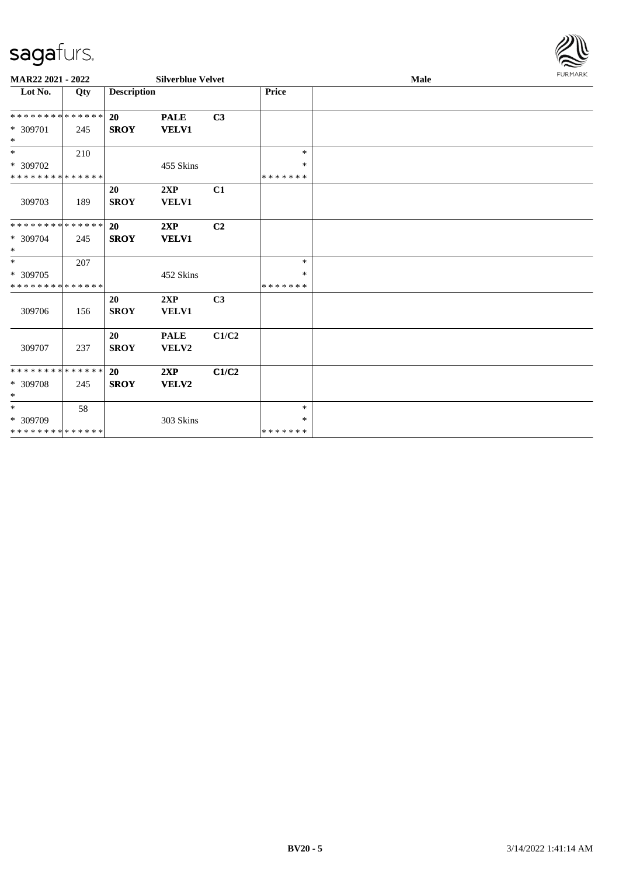

| MAR22 2021 - 2022           |     |                          | <b>Silverblue Velvet</b> |                |         | Male | <b>FURPIARR</b> |
|-----------------------------|-----|--------------------------|--------------------------|----------------|---------|------|-----------------|
| Lot No.                     | Qty | <b>Description</b>       |                          |                | Price   |      |                 |
| **************              |     | 20                       | <b>PALE</b>              | C3             |         |      |                 |
| $* 309701$<br>$\ast$        | 245 | <b>SROY</b>              | <b>VELV1</b>             |                |         |      |                 |
| $\ast$                      | 210 |                          |                          |                | $\ast$  |      |                 |
| * 309702                    |     |                          | 455 Skins                |                | $\ast$  |      |                 |
| * * * * * * * * * * * * * * |     |                          |                          |                | ******* |      |                 |
|                             |     | <b>20</b>                | 2XP                      | C1             |         |      |                 |
| 309703                      | 189 | <b>SROY</b>              | VELV1                    |                |         |      |                 |
| **************              |     | 20                       | 2XP                      | C <sub>2</sub> |         |      |                 |
| * 309704<br>$\ast$          | 245 | <b>SROY</b>              | <b>VELV1</b>             |                |         |      |                 |
| $\ast$                      | 207 |                          |                          |                | $\ast$  |      |                 |
| * 309705                    |     |                          | 452 Skins                |                | $\ast$  |      |                 |
| * * * * * * * * * * * * * * |     |                          |                          |                | ******* |      |                 |
| 309706                      | 156 | <b>20</b><br><b>SROY</b> | 2XP<br>VELV1             | C <sub>3</sub> |         |      |                 |
|                             |     |                          |                          |                |         |      |                 |
|                             |     | 20                       | <b>PALE</b>              | C1/C2          |         |      |                 |
| 309707                      | 237 | <b>SROY</b>              | VELV2                    |                |         |      |                 |
| **************              |     | 20                       | 2XP                      | C1/C2          |         |      |                 |
| * 309708<br>$\ast$          | 245 | <b>SROY</b>              | VELV2                    |                |         |      |                 |
| $\ast$                      | 58  |                          |                          |                | $\ast$  |      |                 |
| * 309709                    |     |                          | 303 Skins                |                | $\ast$  |      |                 |
| **************              |     |                          |                          |                | ******* |      |                 |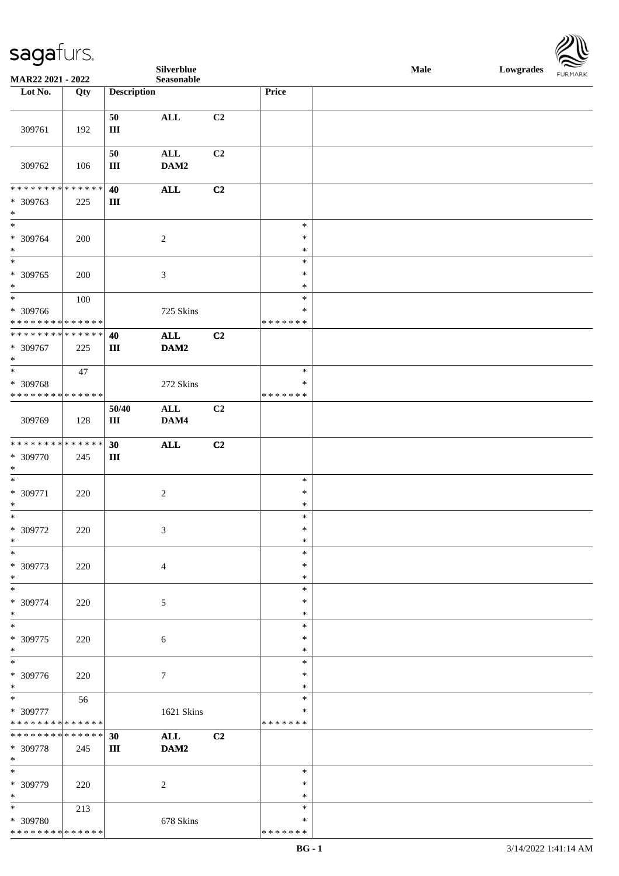

|                                      |             |                    | Silverblue       |                |                    | Male | Lowgrades | <b>FURMARK</b> |
|--------------------------------------|-------------|--------------------|------------------|----------------|--------------------|------|-----------|----------------|
| MAR22 2021 - 2022<br>Lot No.         | Qty         | <b>Description</b> | Seasonable       |                | Price              |      |           |                |
|                                      |             |                    |                  |                |                    |      |           |                |
|                                      |             | 50                 | $\mathbf{ALL}$   | C2             |                    |      |           |                |
| 309761                               | 192         | $\rm III$          |                  |                |                    |      |           |                |
|                                      |             |                    |                  |                |                    |      |           |                |
|                                      |             | 50                 | $\mathbf{ALL}$   | C2             |                    |      |           |                |
| 309762                               | 106         | $\rm III$          | DAM2             |                |                    |      |           |                |
|                                      |             |                    |                  |                |                    |      |           |                |
| * * * * * * * * * * * * * * *        |             | 40                 | $\mathbf{ALL}$   | C2             |                    |      |           |                |
| * 309763                             | 225         | $\rm III$          |                  |                |                    |      |           |                |
| $\ast$<br>$\ast$                     |             |                    |                  |                | $\ast$             |      |           |                |
| * 309764                             | 200         |                    | $\sqrt{2}$       |                | $\ast$             |      |           |                |
| $\ast$                               |             |                    |                  |                | $\ast$             |      |           |                |
| $\overline{\phantom{a}}$             |             |                    |                  |                | $\ast$             |      |           |                |
| * 309765                             | 200         |                    | $\mathfrak{Z}$   |                | $\ast$             |      |           |                |
| $\ast$                               |             |                    |                  |                | $\ast$             |      |           |                |
| $\ast$                               | 100         |                    |                  |                | $\ast$             |      |           |                |
| * 309766                             |             |                    | 725 Skins        |                | ∗                  |      |           |                |
| ******** <mark>******</mark>         |             |                    |                  |                | * * * * * * *      |      |           |                |
| **************                       |             | 40                 | $\mathbf{ALL}$   | C2             |                    |      |           |                |
| * 309767<br>$\ast$                   | 225         | $\rm III$          | DAM2             |                |                    |      |           |                |
| $\overline{\phantom{1}}$             | 47          |                    |                  |                | $\ast$             |      |           |                |
| * 309768                             |             |                    | 272 Skins        |                | ∗                  |      |           |                |
| * * * * * * * * * * * * * *          |             |                    |                  |                | * * * * * * *      |      |           |                |
|                                      |             | 50/40              | $\mathbf{ALL}$   | C <sub>2</sub> |                    |      |           |                |
| 309769                               | 128         | $\rm III$          | DAM4             |                |                    |      |           |                |
|                                      |             |                    |                  |                |                    |      |           |                |
| * * * * * * * * * * * * * *          |             | 30                 | $\mathbf{ALL}$   | C2             |                    |      |           |                |
| * 309770                             | 245         | $\rm III$          |                  |                |                    |      |           |                |
| $\ast$<br>$\overline{\phantom{a}^*}$ |             |                    |                  |                | $\ast$             |      |           |                |
| * 309771                             |             |                    |                  |                | $\ast$             |      |           |                |
| $\ast$                               | 220         |                    | $\overline{c}$   |                | $\ast$             |      |           |                |
| $\overline{\phantom{a}^*}$           |             |                    |                  |                | $\ast$             |      |           |                |
| * 309772                             | 220         |                    | $\mathfrak{Z}$   |                | $\ast$             |      |           |                |
| $\ast$                               |             |                    |                  |                | $\ast$             |      |           |                |
| $\ast$                               |             |                    |                  |                | $\ast$             |      |           |                |
| * 309773                             | 220         |                    | $\overline{4}$   |                | $\ast$             |      |           |                |
| $\ast$<br>$\overline{\phantom{0}}$   |             |                    |                  |                | $\ast$             |      |           |                |
|                                      |             |                    |                  |                | $\ast$<br>$\ast$   |      |           |                |
| * 309774<br>$\ast$                   | 220         |                    | $\sqrt{5}$       |                | $\ast$             |      |           |                |
| $\ast$                               |             |                    |                  |                | $\ast$             |      |           |                |
| * 309775                             | 220         |                    | $\sqrt{6}$       |                | $\ast$             |      |           |                |
| $\ast$                               |             |                    |                  |                | $\ast$             |      |           |                |
| $\ast$                               |             |                    |                  |                | $\ast$             |      |           |                |
| * 309776                             | 220         |                    | $\boldsymbol{7}$ |                | $\ast$             |      |           |                |
| $\ast$<br>$\overline{\phantom{a}^*}$ |             |                    |                  |                | $\ast$             |      |           |                |
|                                      | 56          |                    |                  |                | $\ast$<br>∗        |      |           |                |
| * 309777<br>* * * * * * * *          | * * * * * * |                    | 1621 Skins       |                | * * * * * * *      |      |           |                |
| * * * * * * * * * * * * * *          |             | 30                 | <b>ALL</b>       | C <sub>2</sub> |                    |      |           |                |
| * 309778                             | 245         | $\rm III$          | DAM2             |                |                    |      |           |                |
| $\ast$                               |             |                    |                  |                |                    |      |           |                |
| $\ast$                               |             |                    |                  |                | $\ast$             |      |           |                |
| * 309779                             | 220         |                    | $\overline{2}$   |                | $\ast$             |      |           |                |
| $\ast$                               |             |                    |                  |                | $\ast$             |      |           |                |
| $\overline{\phantom{a}^*}$           | 213         |                    |                  |                | $\ast$             |      |           |                |
| * 309780                             |             |                    | 678 Skins        |                | ∗<br>* * * * * * * |      |           |                |
| * * * * * * * * * * * * * *          |             |                    |                  |                |                    |      |           |                |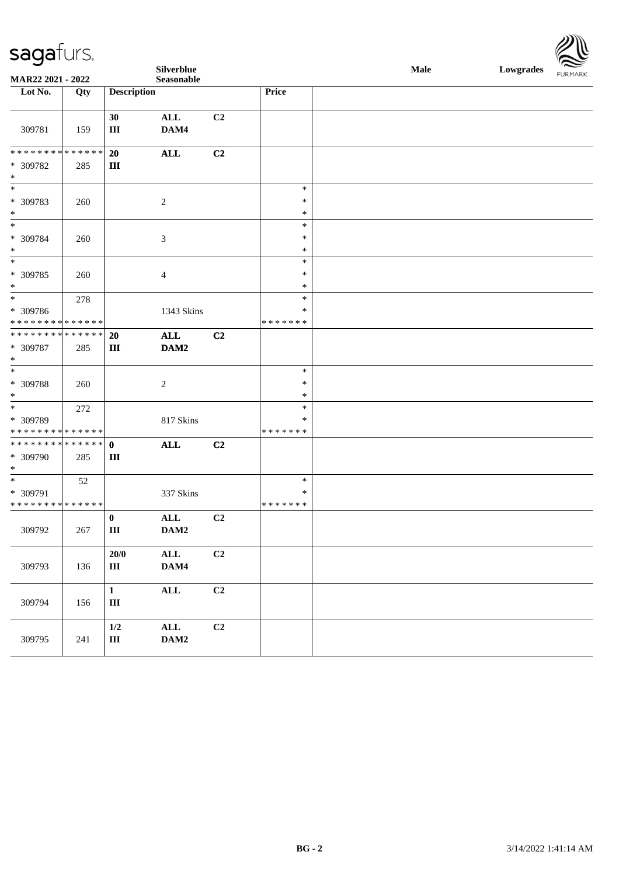**Silverblue Male Lowgrades**



| $\overline{\phantom{0}}$                                            |     |                           | Silverblue             |    |                              | Male | Lowgrades | $\sum$         |
|---------------------------------------------------------------------|-----|---------------------------|------------------------|----|------------------------------|------|-----------|----------------|
| MAR22 2021 - 2022                                                   |     |                           | Seasonable             |    |                              |      |           | <b>FURMARK</b> |
| Lot No.                                                             | Qty | <b>Description</b>        |                        |    | Price                        |      |           |                |
| 309781                                                              | 159 | 30<br>Ш                   | $\mathbf{ALL}$<br>DAM4 | C2 |                              |      |           |                |
| ******** <mark>******</mark>                                        |     | 20                        | <b>ALL</b>             | C2 |                              |      |           |                |
| * 309782<br>$\ast$                                                  | 285 | $\mathbf{III}$            |                        |    |                              |      |           |                |
| $\ast$<br>* 309783<br>$\ast$                                        | 260 |                           | $\overline{c}$         |    | $\ast$<br>$\ast$<br>$\ast$   |      |           |                |
| $\ast$<br>* 309784<br>$\ast$                                        | 260 |                           | $\mathfrak{Z}$         |    | $\ast$<br>$\ast$<br>$\ast$   |      |           |                |
| $\ast$<br>* 309785<br>$\ast$                                        | 260 |                           | $\overline{4}$         |    | $\ast$<br>$\ast$<br>$\ast$   |      |           |                |
| $\overline{\phantom{a}}$<br>* 309786<br>* * * * * * * * * * * * * * | 278 |                           | 1343 Skins             |    | $\ast$<br>∗<br>* * * * * * * |      |           |                |
| * * * * * * * * * * * * * *                                         |     | 20                        | ALL                    | C2 |                              |      |           |                |
| * 309787<br>$\ast$                                                  | 285 | $\rm III$                 | DAM2                   |    |                              |      |           |                |
| $\ast$<br>* 309788<br>$\ast$                                        | 260 |                           | $\overline{c}$         |    | $\ast$<br>$\ast$<br>$\ast$   |      |           |                |
| $\ast$<br>* 309789<br>* * * * * * * * * * * * * *                   | 272 |                           | 817 Skins              |    | $\ast$<br>∗<br>* * * * * * * |      |           |                |
| * * * * * * * * * * * * * * *<br>* 309790<br>$\ast$                 | 285 | $\mathbf{0}$<br>$\rm III$ | <b>ALL</b>             | C2 |                              |      |           |                |
| $\ast$<br>* 309791<br>* * * * * * * * * * * * * *                   | 52  |                           | 337 Skins              |    | $\ast$<br>∗<br>* * * * * * * |      |           |                |
| 309792                                                              | 267 | $\bf{0}$<br>$\rm III$     | ALL<br>DAM2            | C2 |                              |      |           |                |
| 309793                                                              | 136 | $20/0$<br>$\rm III$       | $\mathbf{ALL}$<br>DAM4 | C2 |                              |      |           |                |
| 309794                                                              | 156 | $\mathbf{1}$<br>$\rm III$ | ALL                    | C2 |                              |      |           |                |
| 309795                                                              | 241 | $1/2$<br>$\rm III$        | $\mathbf{ALL}$<br>DAM2 | C2 |                              |      |           |                |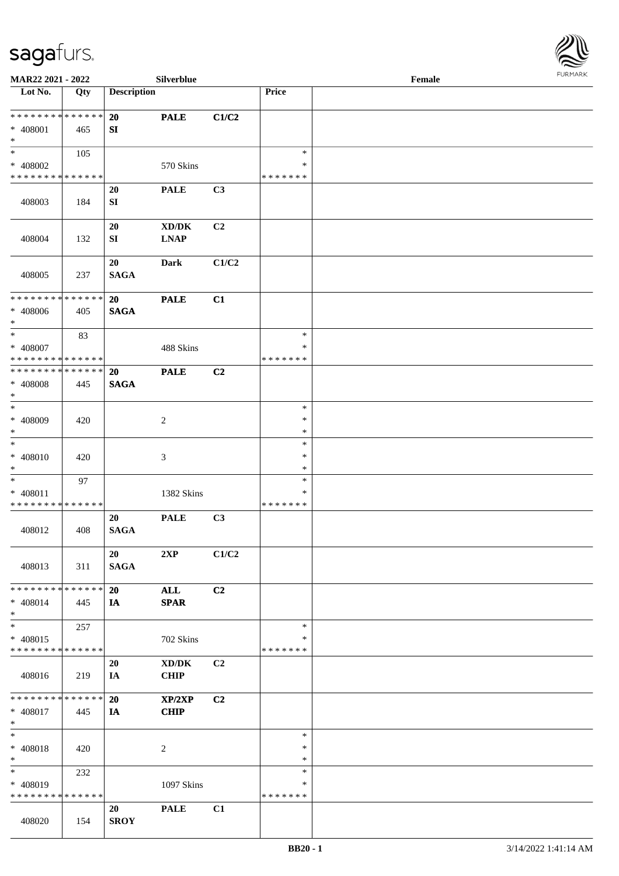

| MAR22 2021 - 2022                       |        |                    | Silverblue                  |                |               | Female |  |
|-----------------------------------------|--------|--------------------|-----------------------------|----------------|---------------|--------|--|
| Lot No.                                 | Qty    | <b>Description</b> |                             |                | Price         |        |  |
|                                         |        |                    |                             |                |               |        |  |
| ******** <mark>******</mark>            |        | <b>20</b>          | <b>PALE</b>                 | C1/C2          |               |        |  |
| * 408001                                | 465    | SI                 |                             |                |               |        |  |
| $\ast$                                  |        |                    |                             |                |               |        |  |
| $*$                                     | 105    |                    |                             |                | $\ast$        |        |  |
| * 408002                                |        |                    | 570 Skins                   |                | ∗             |        |  |
| * * * * * * * * * * * * * *             |        |                    |                             |                | * * * * * * * |        |  |
|                                         |        | 20                 | <b>PALE</b>                 | C3             |               |        |  |
| 408003                                  | 184    | SI                 |                             |                |               |        |  |
|                                         |        |                    |                             |                |               |        |  |
|                                         |        | 20                 | XD/DK                       | C <sub>2</sub> |               |        |  |
| 408004                                  | 132    | ${\bf S}{\bf I}$   | <b>LNAP</b>                 |                |               |        |  |
|                                         |        |                    |                             |                |               |        |  |
|                                         |        | 20                 | <b>Dark</b>                 | C1/C2          |               |        |  |
| 408005                                  | 237    | <b>SAGA</b>        |                             |                |               |        |  |
|                                         |        |                    |                             |                |               |        |  |
| * * * * * * * * * * * * * *             |        | 20                 | <b>PALE</b>                 | C1             |               |        |  |
| * 408006<br>$*$                         | 405    | <b>SAGA</b>        |                             |                |               |        |  |
| $*$                                     |        |                    |                             |                | $\ast$        |        |  |
| * 408007                                | 83     |                    | 488 Skins                   |                | ∗             |        |  |
| * * * * * * * * * * * * * *             |        |                    |                             |                | * * * * * * * |        |  |
| * * * * * * * *                         | ****** | 20                 | <b>PALE</b>                 | C <sub>2</sub> |               |        |  |
| $* 408008$                              | 445    | <b>SAGA</b>        |                             |                |               |        |  |
| $*$                                     |        |                    |                             |                |               |        |  |
| $*$                                     |        |                    |                             |                | $\ast$        |        |  |
| $* 408009$                              | 420    |                    | 2                           |                | $\ast$        |        |  |
| $*$                                     |        |                    |                             |                | $\ast$        |        |  |
| $\ast$                                  |        |                    |                             |                | $\ast$        |        |  |
| $* 408010$                              | 420    |                    | $\ensuremath{\mathfrak{Z}}$ |                | $\ast$        |        |  |
| $*$                                     |        |                    |                             |                | $\ast$        |        |  |
| $*$                                     | 97     |                    |                             |                | $\ast$        |        |  |
| * 408011                                |        |                    | 1382 Skins                  |                | $\ast$        |        |  |
| * * * * * * * * * * * * * *             |        |                    |                             |                | * * * * * * * |        |  |
|                                         |        | 20                 | <b>PALE</b>                 | C3             |               |        |  |
| 408012                                  | 408    | <b>SAGA</b>        |                             |                |               |        |  |
|                                         |        |                    |                             |                |               |        |  |
|                                         |        | 20                 | 2XP                         | C1/C2          |               |        |  |
| 408013                                  | 311    | <b>SAGA</b>        |                             |                |               |        |  |
|                                         |        |                    |                             |                |               |        |  |
| * * * * * * * * * * * * * *             |        | 20                 | <b>ALL</b>                  | C2             |               |        |  |
| $* 408014$                              | 445    | IA                 | <b>SPAR</b>                 |                |               |        |  |
| $*$<br>$*$                              |        |                    |                             |                |               |        |  |
|                                         | 257    |                    |                             |                | $\ast$<br>∗   |        |  |
| * 408015<br>* * * * * * * * * * * * * * |        |                    | 702 Skins                   |                | * * * * * * * |        |  |
|                                         |        | 20                 | XD/DK                       | C2             |               |        |  |
|                                         |        |                    |                             |                |               |        |  |
| 408016                                  | 219    | IA                 | <b>CHIP</b>                 |                |               |        |  |
| * * * * * * * * * * * * * *             |        | 20                 | XP/2XP                      | C2             |               |        |  |
| * 408017                                | 445    | IA                 | <b>CHIP</b>                 |                |               |        |  |
| $*$                                     |        |                    |                             |                |               |        |  |
| $*$                                     |        |                    |                             |                | $\ast$        |        |  |
| * 408018                                | 420    |                    | 2                           |                | $\ast$        |        |  |
| $*$                                     |        |                    |                             |                | $\ast$        |        |  |
| $*$                                     | 232    |                    |                             |                | $\ast$        |        |  |
| * 408019                                |        |                    | 1097 Skins                  |                | ∗             |        |  |
| * * * * * * * * * * * * * *             |        |                    |                             |                | * * * * * * * |        |  |
|                                         |        |                    |                             |                |               |        |  |
|                                         |        | 20                 | <b>PALE</b>                 | C1             |               |        |  |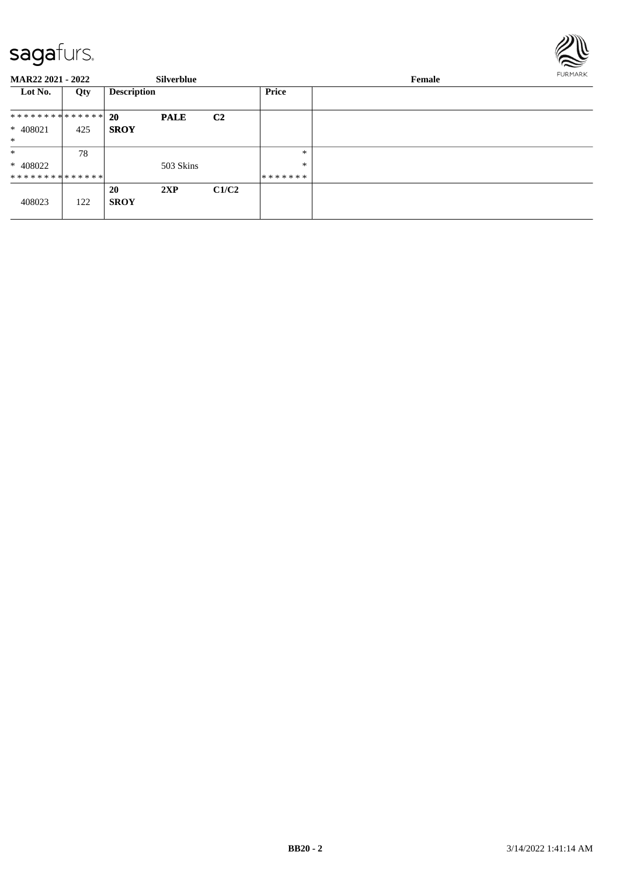

| <b>MAR22 2021 - 2022</b>      |     |                    | Silverblue  |                | Female  |  |  |  |
|-------------------------------|-----|--------------------|-------------|----------------|---------|--|--|--|
| Lot No.                       | Qty | <b>Description</b> |             |                | Price   |  |  |  |
| * * * * * * * * * * * * * * * |     | <b>20</b>          | <b>PALE</b> | C <sub>2</sub> |         |  |  |  |
| * 408021<br>$*$               | 425 | <b>SROY</b>        |             |                |         |  |  |  |
| $\ast$                        | 78  |                    |             |                | $\ast$  |  |  |  |
| * 408022                      |     |                    | 503 Skins   |                | $\ast$  |  |  |  |
| **************                |     |                    |             |                | ******* |  |  |  |
| 408023                        | 122 | 20<br><b>SROY</b>  | 2XP         | C1/C2          |         |  |  |  |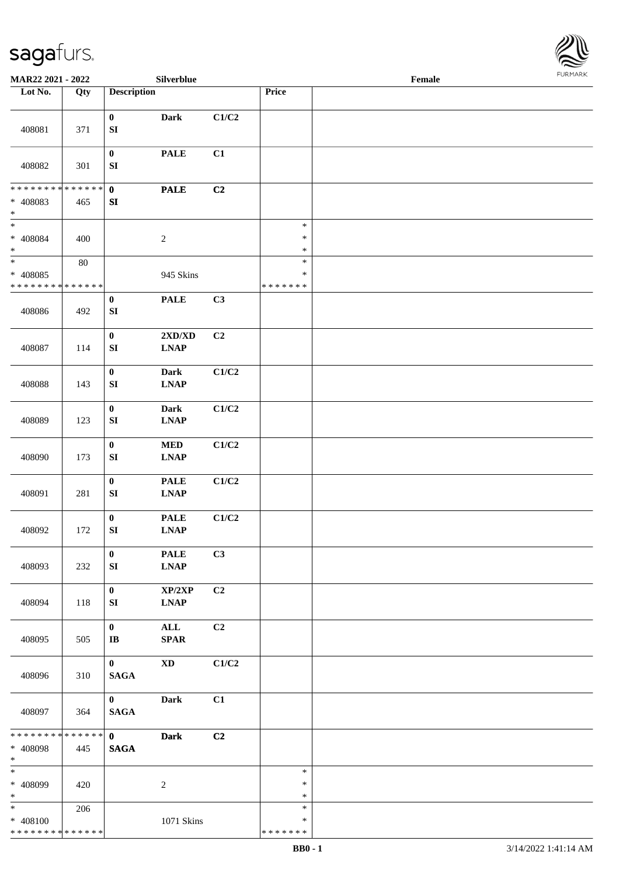

| MAR22 2021 - 2022                                   |        |                                      | Silverblue                                                                 |       |                                   | Female |  |
|-----------------------------------------------------|--------|--------------------------------------|----------------------------------------------------------------------------|-------|-----------------------------------|--------|--|
| Lot No.                                             | Qty    | <b>Description</b>                   |                                                                            |       | Price                             |        |  |
| 408081                                              | 371    | $\bf{0}$<br>${\bf SI}$               | <b>Dark</b>                                                                | C1/C2 |                                   |        |  |
| 408082                                              | 301    | $\boldsymbol{0}$<br>SI               | <b>PALE</b>                                                                | C1    |                                   |        |  |
| * * * * * * * * * * * * * * *<br>* 408083<br>$\ast$ | 465    | $\mathbf 0$<br>${\bf SI}$            | <b>PALE</b>                                                                | C2    |                                   |        |  |
| $\ast$<br>* $408084$<br>$\ast$                      | 400    |                                      | $\boldsymbol{2}$                                                           |       | $\ast$<br>$\ast$<br>$\ast$        |        |  |
| $\ast$<br>* 408085<br>* * * * * * * * * * * * * *   | $80\,$ |                                      | 945 Skins                                                                  |       | $\ast$<br>$\ast$<br>* * * * * * * |        |  |
| 408086                                              | 492    | $\pmb{0}$<br>SI                      | $\ensuremath{\mathsf{PALE}}$                                               | C3    |                                   |        |  |
| 408087                                              | 114    | $\bf{0}$<br>${\bf SI}$               | 2XD/XD<br>$\mathbf{L}\mathbf{N}\mathbf{A}\mathbf{P}$                       | C2    |                                   |        |  |
| 408088                                              | 143    | $\boldsymbol{0}$<br>${\bf SI}$       | <b>Dark</b><br><b>LNAP</b>                                                 | C1/C2 |                                   |        |  |
| 408089                                              | 123    | $\pmb{0}$<br>SI                      | <b>Dark</b><br><b>LNAP</b>                                                 | C1/C2 |                                   |        |  |
| 408090                                              | 173    | $\boldsymbol{0}$<br>${\bf S}{\bf I}$ | $\bf MED$<br><b>LNAP</b>                                                   | C1/C2 |                                   |        |  |
| 408091                                              | 281    | $\pmb{0}$<br>${\bf S}{\bf I}$        | <b>PALE</b><br>$\mathbf{L}\mathbf{N}\mathbf{A}\mathbf{P}$                  | C1/C2 |                                   |        |  |
| 408092                                              | 172    | $\boldsymbol{0}$<br>${\bf SI}$       | $\ensuremath{\mathsf{PALE}}$<br>$\mathbf{L}\mathbf{N}\mathbf{A}\mathbf{P}$ | C1/C2 |                                   |        |  |
| 408093                                              | 232    | $\bf{0}$<br>${\bf S}{\bf I}$         | <b>PALE</b><br>$\mathbf{L}\mathbf{N}\mathbf{A}\mathbf{P}$                  | C3    |                                   |        |  |
| 408094                                              | 118    | $\bf{0}$<br>SI                       | XP/2XP<br><b>LNAP</b>                                                      | C2    |                                   |        |  |
| 408095                                              | 505    | $\bf{0}$<br>$\mathbf{I}\mathbf{B}$   | ALL<br><b>SPAR</b>                                                         | C2    |                                   |        |  |
| 408096                                              | 310    | $\mathbf{0}$<br><b>SAGA</b>          | $\mathbf{X}\mathbf{D}$                                                     | C1/C2 |                                   |        |  |
| 408097                                              | 364    | $\mathbf{0}$<br><b>SAGA</b>          | <b>Dark</b>                                                                | C1    |                                   |        |  |
| * * * * * * * * * * * * * * *<br>* 408098<br>$*$    | 445    | $\mathbf{0}$<br><b>SAGA</b>          | <b>Dark</b>                                                                | C2    |                                   |        |  |
| $\ast$<br>* 408099<br>$*$                           | 420    |                                      | $\overline{c}$                                                             |       | $\ast$<br>$\ast$<br>$\ast$        |        |  |
| $*$<br>$* 408100$<br>* * * * * * * * * * * * * *    | 206    |                                      | 1071 Skins                                                                 |       | $\ast$<br>$\ast$<br>* * * * * * * |        |  |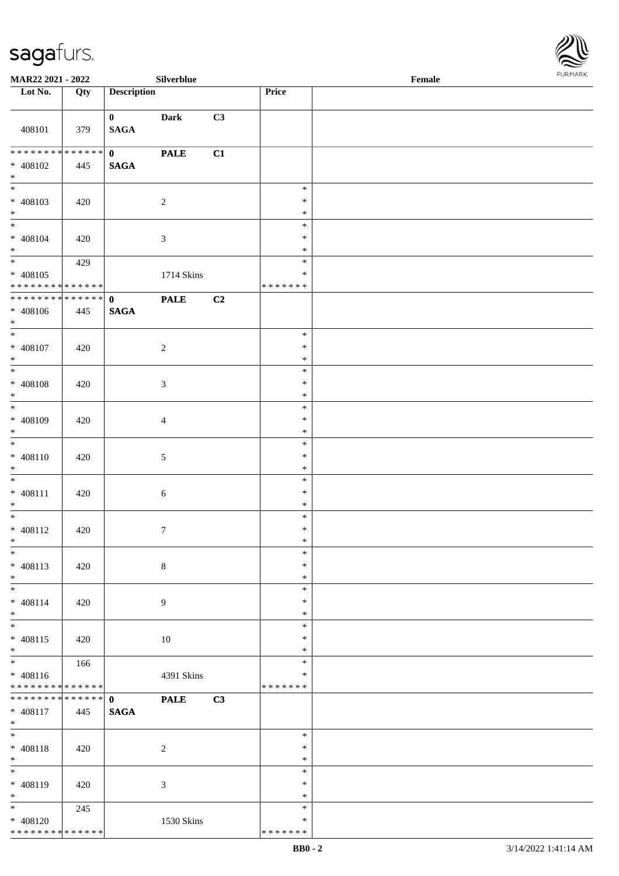

| MAR22 2021 - 2022                                 |               |                             | Silverblue     |    |                                   | Female |  |
|---------------------------------------------------|---------------|-----------------------------|----------------|----|-----------------------------------|--------|--|
| Lot No.                                           | Qty           | <b>Description</b>          |                |    | Price                             |        |  |
| 408101                                            | 379           | $\mathbf{0}$<br><b>SAGA</b> | Dark           | C3 |                                   |        |  |
| * * * * * * * *<br>$* 408102$                     | ******<br>445 | $\mathbf{0}$<br><b>SAGA</b> | <b>PALE</b>    | C1 |                                   |        |  |
| $\ast$<br>$\overline{\phantom{0}}$<br>* 408103    |               |                             |                |    | $\ast$<br>$\ast$                  |        |  |
| $*$<br>$\overline{\phantom{0}}$                   | 420           |                             | $\overline{c}$ |    | $\ast$<br>$\ast$                  |        |  |
| $* 408104$<br>$*$<br>$\overline{\ast}$            | 420<br>429    |                             | 3              |    | $\ast$<br>$\ast$<br>$\ast$        |        |  |
| $* 408105$<br>* * * * * * * * * * * * * * *       |               |                             | 1714 Skins     |    | $\ast$<br>* * * * * * *           |        |  |
| ******** <mark>******</mark><br>$* 408106$<br>$*$ | 445           | $\mathbf{0}$<br><b>SAGA</b> | <b>PALE</b>    | C2 |                                   |        |  |
| $\overline{\phantom{0}}$<br>$* 408107$<br>$*$     | 420           |                             | $\overline{c}$ |    | $\ast$<br>$\ast$<br>$\ast$        |        |  |
| $* 408108$<br>$*$                                 | 420           |                             | 3              |    | $\ast$<br>$\ast$<br>$\ast$        |        |  |
| $*$<br>$* 408109$<br>$*$                          | 420           |                             | 4              |    | $\ast$<br>$\ast$<br>$\ast$        |        |  |
| $\overline{\phantom{0}}$<br>$* 408110$<br>$*$     | 420           |                             | 5              |    | $\ast$<br>$\ast$<br>$\ast$        |        |  |
| $*$<br>$* 408111$<br>$*$                          | 420           |                             | 6              |    | $\ast$<br>$\ast$<br>$\ast$        |        |  |
| $*$<br>$* 408112$<br>$*$                          | 420           |                             | $\tau$         |    | $\ast$<br>$\ast$<br>$\ast$        |        |  |
| $\ast$<br>$* 408113$<br>$*$                       | 420           |                             | $8\,$          |    | $\ast$<br>$\ast$<br>$\ast$        |        |  |
| $*$<br>$* 408114$<br>$*$                          | 420           |                             | 9              |    | $\ast$<br>$\ast$<br>$\ast$        |        |  |
| $*$<br>$* 408115$<br>$*$                          | 420           |                             | 10             |    | $\ast$<br>$\ast$<br>$\ast$        |        |  |
| $*$<br>$* 408116$<br>* * * * * * * * * * * * * *  | 166           |                             | 4391 Skins     |    | $\ast$<br>∗<br>* * * * * * *      |        |  |
| * * * * * * * * * * * * * * *<br>* 408117<br>$*$  | 445           | $\mathbf{0}$<br><b>SAGA</b> | <b>PALE</b>    | C3 |                                   |        |  |
| $*$<br>* 408118<br>$*$                            | 420           |                             | $\overline{c}$ |    | $\ast$<br>$\ast$<br>$\ast$        |        |  |
| $*$<br>* 408119<br>$*$                            | 420           |                             | 3              |    | $\ast$<br>$\ast$<br>$\ast$        |        |  |
| $*$<br>* 408120<br>* * * * * * * * * * * * * *    | 245           |                             | 1530 Skins     |    | $\ast$<br>$\ast$<br>* * * * * * * |        |  |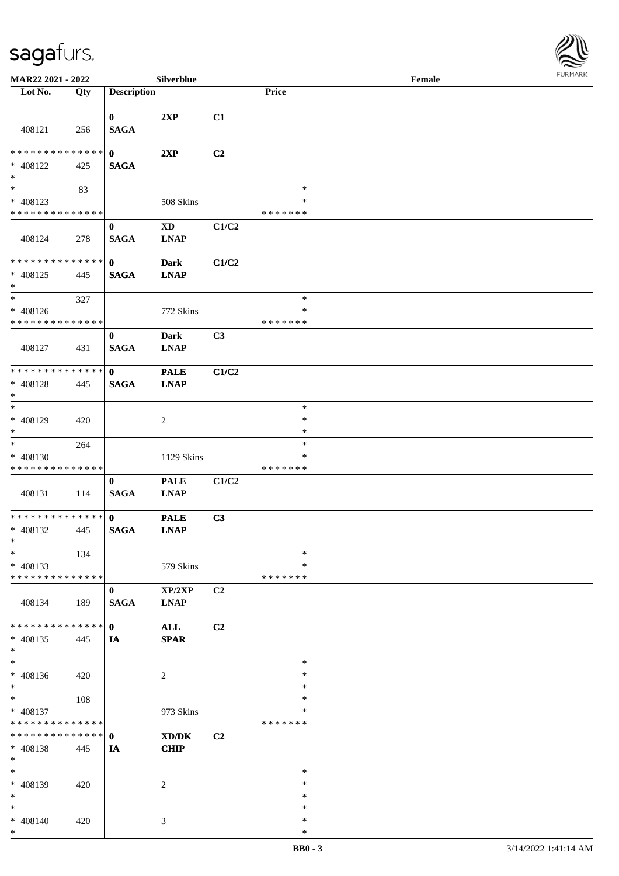\*



| MAR22 2021 - 2022                                                   |     |                             | Silverblue                 |                |                                   | Female |  |
|---------------------------------------------------------------------|-----|-----------------------------|----------------------------|----------------|-----------------------------------|--------|--|
| Lot No.                                                             | Qty | <b>Description</b>          |                            |                | Price                             |        |  |
|                                                                     |     |                             |                            |                |                                   |        |  |
| 408121                                                              | 256 | $\bf{0}$<br><b>SAGA</b>     | 2XP                        | C1             |                                   |        |  |
| * * * * * * * * * * * * * * *<br>* 408122<br>$*$                    | 425 | $\mathbf{0}$<br><b>SAGA</b> | 2XP                        | C <sub>2</sub> |                                   |        |  |
| $\overline{\phantom{0}}$<br>* 408123<br>* * * * * * * * * * * * * * | 83  |                             | 508 Skins                  |                | $\ast$<br>$\ast$<br>* * * * * * * |        |  |
| 408124                                                              | 278 | $\bf{0}$<br><b>SAGA</b>     | <b>XD</b><br><b>LNAP</b>   | C1/C2          |                                   |        |  |
| * * * * * * * * * * * * * *<br>$* 408125$<br>$*$                    | 445 | $\mathbf{0}$<br><b>SAGA</b> | <b>Dark</b><br><b>LNAP</b> | C1/C2          |                                   |        |  |
| $*$<br>$* 408126$<br>* * * * * * * * * * * * * *                    | 327 |                             | 772 Skins                  |                | $\ast$<br>$\ast$<br>* * * * * * * |        |  |
| 408127                                                              | 431 | $\bf{0}$<br><b>SAGA</b>     | <b>Dark</b><br><b>LNAP</b> | C3             |                                   |        |  |
| * * * * * * * * * * * * * * *<br>$* 408128$<br>$*$                  | 445 | $\mathbf{0}$<br><b>SAGA</b> | <b>PALE</b><br><b>LNAP</b> | C1/C2          |                                   |        |  |
| $*$<br>* 408129<br>$*$                                              | 420 |                             | $\overline{c}$             |                | $\ast$<br>$\ast$<br>$\ast$        |        |  |
| $*$<br>* 408130<br>* * * * * * * * * * * * * *                      | 264 |                             | 1129 Skins                 |                | $\ast$<br>∗<br>*******            |        |  |
| 408131                                                              | 114 | $\bf{0}$<br><b>SAGA</b>     | <b>PALE</b><br><b>LNAP</b> | C1/C2          |                                   |        |  |
| * * * * * * * * * * * * * * *<br>$* 408132$<br>$*$ $*$              | 445 | $\mathbf{0}$<br><b>SAGA</b> | <b>PALE</b><br><b>LNAP</b> | C3             |                                   |        |  |
| $*$<br>$* 408133$<br>* * * * * * * * * * * * * * *                  | 134 |                             | 579 Skins                  |                | $\ast$<br>∗<br>*******            |        |  |
| 408134                                                              | 189 | $\bf{0}$<br><b>SAGA</b>     | XP/2XP<br><b>LNAP</b>      | C <sub>2</sub> |                                   |        |  |
| * * * * * * * * * * * * * * *<br>$* 408135$<br>$*$                  | 445 | $\mathbf{0}$<br>IA          | <b>ALL</b><br><b>SPAR</b>  | C <sub>2</sub> |                                   |        |  |
| $*$<br>* 408136<br>$*$                                              | 420 |                             | 2                          |                | $\ast$<br>$\ast$<br>$\ast$        |        |  |
| $*$<br>* 408137<br>* * * * * * * * * * * * * *                      | 108 |                             | 973 Skins                  |                | $\ast$<br>$\ast$<br>*******       |        |  |
| * * * * * * * * * * * * * * *<br>* 408138<br>$*$                    | 445 | $\mathbf{0}$<br>IA          | XD/DK<br><b>CHIP</b>       | C2             |                                   |        |  |
| $*$<br>* 408139<br>$*$                                              | 420 |                             | 2                          |                | $\ast$<br>$\ast$<br>$\ast$        |        |  |
| $*$<br>* 408140<br>$*$                                              | 420 |                             | 3                          |                | $\ast$<br>$\ast$<br>$\ast$        |        |  |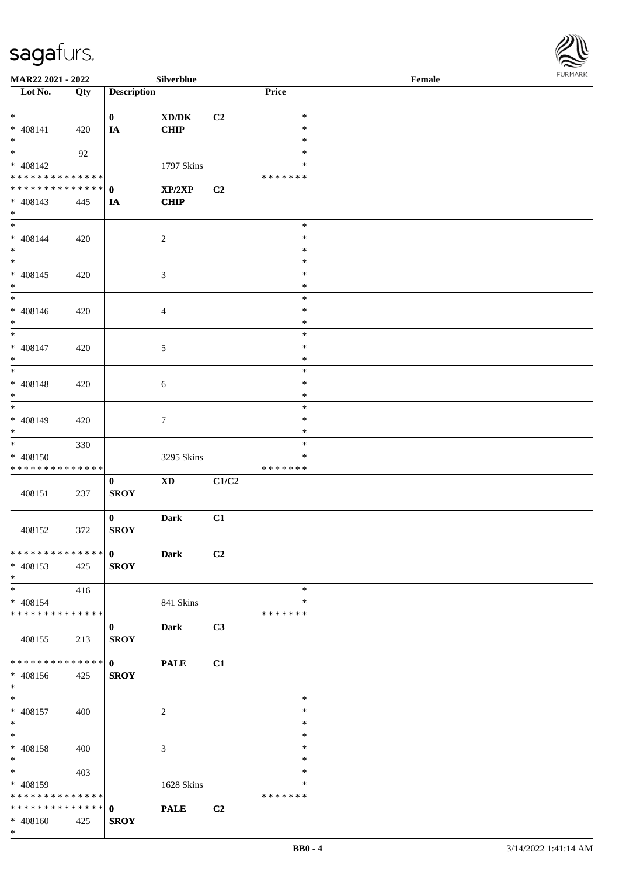

| <b>MAR22 2021 - 2022</b>      |     |                    | Silverblue     |                |               | Female |
|-------------------------------|-----|--------------------|----------------|----------------|---------------|--------|
| Lot No.                       | Qty | <b>Description</b> |                |                | Price         |        |
|                               |     |                    |                |                |               |        |
| $*$                           |     | $\mathbf{0}$       | XD/DK          | C <sub>2</sub> | $\ast$        |        |
| * 408141                      | 420 | IA                 | <b>CHIP</b>    |                | $\ast$        |        |
| $\ast$                        |     |                    |                |                | $\ast$        |        |
|                               | 92  |                    |                |                | $\ast$        |        |
| $* 408142$                    |     |                    | 1797 Skins     |                | ∗             |        |
| * * * * * * * * * * * * * *   |     |                    |                |                | * * * * * * * |        |
|                               |     |                    |                |                |               |        |
| * * * * * * * * * * * * * * * |     | $\mathbf{0}$       | XP/2XP         | C2             |               |        |
| * 408143                      | 445 | IA                 | <b>CHIP</b>    |                |               |        |
| $*$                           |     |                    |                |                |               |        |
| $*$                           |     |                    |                |                | $\ast$        |        |
| $* 408144$                    | 420 |                    | $\overline{c}$ |                | $\ast$        |        |
| $*$                           |     |                    |                |                | $\ast$        |        |
|                               |     |                    |                |                | $\ast$        |        |
| $* 408145$                    | 420 |                    | $\mathfrak{Z}$ |                | $\ast$        |        |
| $*$                           |     |                    |                |                | $\ast$        |        |
| $*$                           |     |                    |                |                | $\ast$        |        |
|                               |     |                    |                |                | $\ast$        |        |
| $* 408146$                    | 420 |                    | $\overline{4}$ |                | $\ast$        |        |
| $*$                           |     |                    |                |                |               |        |
| $*$                           |     |                    |                |                | $\ast$        |        |
| $* 408147$                    | 420 |                    | 5              |                | $\ast$        |        |
| $\ast$                        |     |                    |                |                | $\ast$        |        |
|                               |     |                    |                |                | $\ast$        |        |
| $* 408148$                    | 420 |                    | 6              |                | $\ast$        |        |
| $*$                           |     |                    |                |                | $\ast$        |        |
| $*$                           |     |                    |                |                | $\ast$        |        |
| $* 408149$                    | 420 |                    | $\tau$         |                | $\ast$        |        |
| $\ast$                        |     |                    |                |                | $\ast$        |        |
|                               | 330 |                    |                |                | $\ast$        |        |
| * 408150                      |     |                    |                |                | ∗             |        |
| * * * * * * * * * * * * * *   |     |                    | 3295 Skins     |                | * * * * * * * |        |
|                               |     |                    |                |                |               |        |
|                               |     | $\bf{0}$           | <b>XD</b>      | C1/C2          |               |        |
| 408151                        | 237 | <b>SROY</b>        |                |                |               |        |
|                               |     |                    |                |                |               |        |
|                               |     | $\mathbf{0}$       | Dark           | C1             |               |        |
| 408152                        | 372 | <b>SROY</b>        |                |                |               |        |
|                               |     |                    |                |                |               |        |
| ******** <mark>******</mark>  |     | $\mathbf{0}$       | <b>Dark</b>    | C <sub>2</sub> |               |        |
| $* 408153$                    | 425 | <b>SROY</b>        |                |                |               |        |
| $*$                           |     |                    |                |                |               |        |
| $*$ $-$                       | 416 |                    |                |                | $\ast$        |        |
| * 408154                      |     |                    |                |                | $\ast$        |        |
| * * * * * * * * * * * * * * * |     |                    | 841 Skins      |                | *******       |        |
|                               |     |                    |                |                |               |        |
|                               |     | $\bf{0}$           | <b>Dark</b>    | C3             |               |        |
| 408155                        | 213 | <b>SROY</b>        |                |                |               |        |
|                               |     |                    |                |                |               |        |
| * * * * * * * * * * * * * * * |     | $\mathbf{0}$       | <b>PALE</b>    | C1             |               |        |
| * 408156                      | 425 | <b>SROY</b>        |                |                |               |        |
| $*$                           |     |                    |                |                |               |        |
| $*$                           |     |                    |                |                | $\ast$        |        |
| $* 408157$                    | 400 |                    | $\overline{c}$ |                | $\ast$        |        |
| $*$                           |     |                    |                |                | $\ast$        |        |
| $*$                           |     |                    |                |                | $\ast$        |        |
|                               |     |                    |                |                | $\ast$        |        |
| * 408158                      | 400 |                    | 3              |                | $\ast$        |        |
| $*$                           |     |                    |                |                |               |        |
| $*$                           | 403 |                    |                |                | $\ast$        |        |
| * 408159                      |     |                    | 1628 Skins     |                | ∗             |        |
| * * * * * * * * * * * * * * * |     |                    |                |                | * * * * * * * |        |
| * * * * * * * * * * * * * * * |     | $\mathbf{0}$       | <b>PALE</b>    | C <sub>2</sub> |               |        |
| $* 408160$                    | 425 | <b>SROY</b>        |                |                |               |        |
| $*$                           |     |                    |                |                |               |        |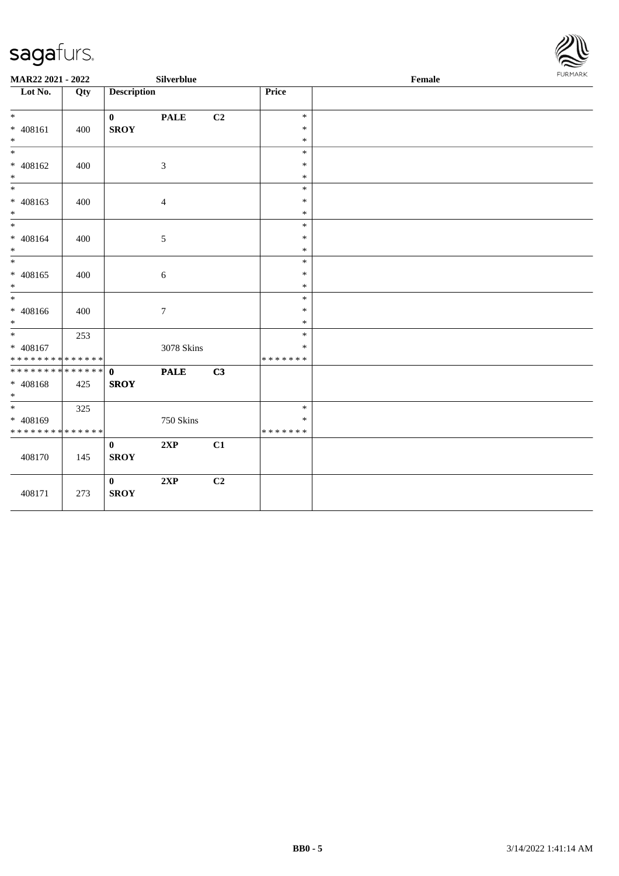

| <b>MAR22 2021 - 2022</b>                                                             |     |                             | Silverblue     |    |                                   | Female | FURMARK |
|--------------------------------------------------------------------------------------|-----|-----------------------------|----------------|----|-----------------------------------|--------|---------|
| Lot No.                                                                              | Qty | <b>Description</b>          |                |    | Price                             |        |         |
| $*$<br>* 408161<br>$*$                                                               | 400 | $\mathbf{0}$<br><b>SROY</b> | <b>PALE</b>    | C2 | $\ast$<br>$\ast$<br>$\ast$        |        |         |
| $_{*}$<br>* 408162<br>$*$                                                            | 400 |                             | $\mathfrak{Z}$ |    | $\ast$<br>$\ast$<br>$\ast$        |        |         |
| $\overline{\phantom{0}}$<br>* 408163<br>$*$                                          | 400 |                             | $\overline{4}$ |    | $\ast$<br>$\ast$<br>$\ast$        |        |         |
| * 408164<br>$*$                                                                      | 400 |                             | 5              |    | $\ast$<br>$\ast$<br>$\ast$        |        |         |
| $*$<br>* 408165<br>$*$                                                               | 400 |                             | $\sqrt{6}$     |    | $\ast$<br>$\ast$<br>$\ast$        |        |         |
| $*$<br>* 408166<br>$*$                                                               | 400 |                             | $\tau$         |    | $\ast$<br>$\ast$<br>$\ast$        |        |         |
| $*$<br>* 408167<br>* * * * * * * * <mark>* * * * * * *</mark>                        | 253 |                             | 3078 Skins     |    | $\ast$<br>$\ast$<br>* * * * * * * |        |         |
| * * * * * * * * * * * * * * *<br>* 408168<br>$*$                                     | 425 | $\mathbf{0}$<br><b>SROY</b> | <b>PALE</b>    | C3 |                                   |        |         |
| $\overline{\phantom{0}}$<br>$* 408169$<br>* * * * * * * * <mark>* * * * * *</mark> * | 325 |                             | 750 Skins      |    | $\ast$<br>$\ast$<br>* * * * * * * |        |         |
| 408170                                                                               | 145 | $\mathbf{0}$<br><b>SROY</b> | 2XP            | C1 |                                   |        |         |
| 408171                                                                               | 273 | $\mathbf{0}$<br><b>SROY</b> | 2XP            | C2 |                                   |        |         |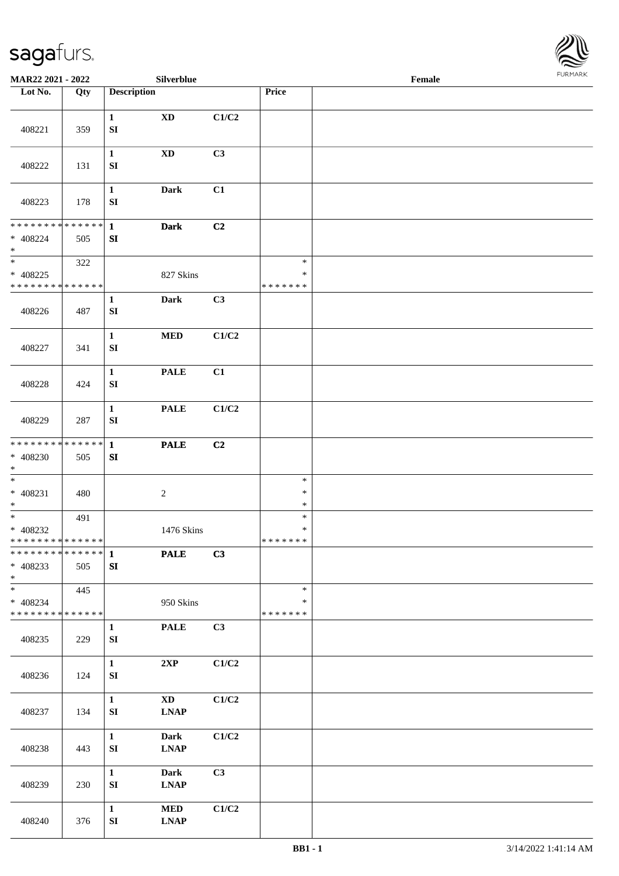

| MAR22 2021 - 2022                                   |     |                                  | Silverblue                            |       |                                   | Female |  |
|-----------------------------------------------------|-----|----------------------------------|---------------------------------------|-------|-----------------------------------|--------|--|
| Lot No.                                             | Qty | <b>Description</b>               |                                       |       | Price                             |        |  |
| 408221                                              | 359 | $\mathbf{1}$<br>${\bf SI}$       | $\mathbf{X}\mathbf{D}$                | C1/C2 |                                   |        |  |
| 408222                                              | 131 | $\mathbf{1}$<br>${\bf SI}$       | <b>XD</b>                             | C3    |                                   |        |  |
| 408223                                              | 178 | $\mathbf{1}$<br>${\bf SI}$       | <b>Dark</b>                           | C1    |                                   |        |  |
| * * * * * * * * * * * * * *<br>$* 408224$<br>$\ast$ | 505 | $\mathbf{1}$<br>${\bf SI}$       | <b>Dark</b>                           | C2    |                                   |        |  |
| $\ast$<br>$* 408225$<br>* * * * * * * * * * * * * * | 322 |                                  | 827 Skins                             |       | $\ast$<br>$\ast$<br>* * * * * * * |        |  |
| 408226                                              | 487 | $\mathbf{1}$<br>${\bf SI}$       | Dark                                  | C3    |                                   |        |  |
| 408227                                              | 341 | $\mathbf{1}$<br>${\bf SI}$       | $\bf MED$                             | C1/C2 |                                   |        |  |
| 408228                                              | 424 | $\mathbf{1}$<br>SI               | <b>PALE</b>                           | C1    |                                   |        |  |
| 408229                                              | 287 | $\mathbf{1}$<br>${\bf SI}$       | <b>PALE</b>                           | C1/C2 |                                   |        |  |
| ******** <mark>******</mark><br>* 408230<br>$*$     | 505 | $\mathbf{1}$<br>${\bf SI}$       | <b>PALE</b>                           | C2    |                                   |        |  |
| $\ast$<br>$* 408231$<br>$\ast$                      | 480 |                                  | $\boldsymbol{2}$                      |       | $\ast$<br>$\ast$<br>$\ast$        |        |  |
| $\ast$<br>* 408232<br>* * * * * * * * * * * * * *   | 491 |                                  | 1476 Skins                            |       | $\ast$<br>$\ast$<br>*******       |        |  |
| * * * * * * * * * * * * * * *<br>$* 408233$<br>$*$  | 505 | $\mathbf{1}$<br>${\bf SI}$       | <b>PALE</b>                           | C3    |                                   |        |  |
| $*$<br>* 408234<br>* * * * * * * * * * * * * *      | 445 |                                  | 950 Skins                             |       | $\ast$<br>*<br>* * * * * * *      |        |  |
| 408235                                              | 229 | $\mathbf{1}$<br>SI               | <b>PALE</b>                           | C3    |                                   |        |  |
| 408236                                              | 124 | $\mathbf{1}$<br>${\bf SI}$       | 2XP                                   | C1/C2 |                                   |        |  |
| 408237                                              | 134 | $\mathbf{1}$<br>SI               | $\mathbf{X}\mathbf{D}$<br><b>LNAP</b> | C1/C2 |                                   |        |  |
| 408238                                              | 443 | $\mathbf{1}$<br>SI               | <b>Dark</b><br><b>LNAP</b>            | C1/C2 |                                   |        |  |
| 408239                                              | 230 | $\mathbf{1}$<br>${\bf SI}$       | <b>Dark</b><br><b>LNAP</b>            | C3    |                                   |        |  |
| 408240                                              | 376 | $\mathbf{1}$<br>${\bf S}{\bf I}$ | <b>MED</b><br><b>LNAP</b>             | C1/C2 |                                   |        |  |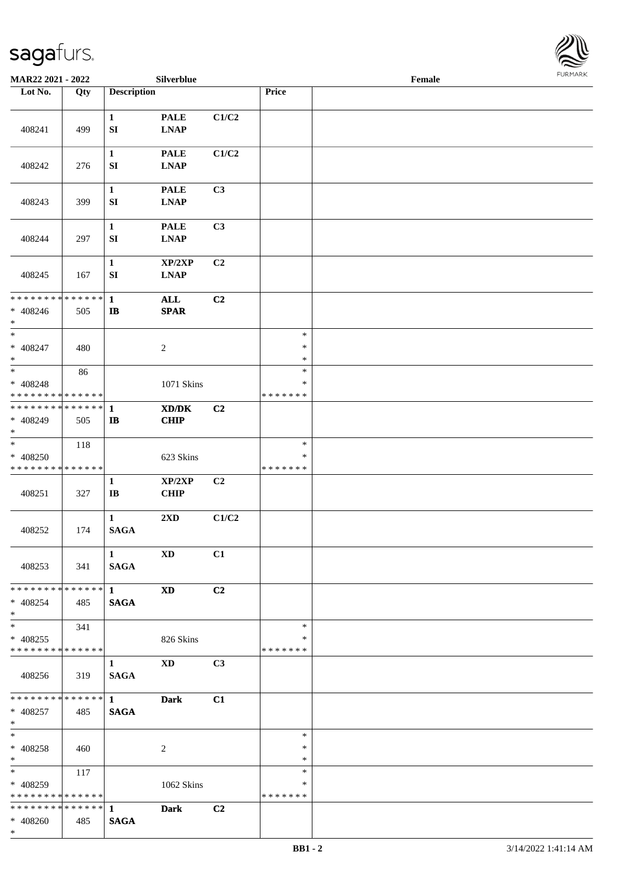

| MAR22 2021 - 2022                                                       |     |                                  | Silverblue                                                                                                          |                |                                   | Female | FURMARK |
|-------------------------------------------------------------------------|-----|----------------------------------|---------------------------------------------------------------------------------------------------------------------|----------------|-----------------------------------|--------|---------|
| Lot No.                                                                 | Qty | <b>Description</b>               |                                                                                                                     |                | Price                             |        |         |
| 408241                                                                  | 499 | $\mathbf{1}$<br>SI               | <b>PALE</b><br><b>LNAP</b>                                                                                          | C1/C2          |                                   |        |         |
| 408242                                                                  | 276 | $\mathbf{1}$<br>${\bf S}{\bf I}$ | <b>PALE</b><br><b>LNAP</b>                                                                                          | C1/C2          |                                   |        |         |
| 408243                                                                  | 399 | $\mathbf{1}$<br>${\bf S}{\bf I}$ | <b>PALE</b><br><b>LNAP</b>                                                                                          | C3             |                                   |        |         |
| 408244                                                                  | 297 | $\mathbf{1}$<br>${\bf S}{\bf I}$ | $\ensuremath{\mathsf{PALE}}$<br><b>LNAP</b>                                                                         | C3             |                                   |        |         |
| 408245                                                                  | 167 | $\mathbf{1}$<br>${\bf SI}$       | XP/2XP<br><b>LNAP</b>                                                                                               | C2             |                                   |        |         |
| * * * * * * * * * * * * * *<br>$* 408246$<br>$\ast$                     | 505 | $\mathbf{1}$<br>$\bf I\bf B$     | $\mathbf{ALL}$<br>SPAR                                                                                              | C2             |                                   |        |         |
| $\ast$<br>$* 408247$<br>$\ast$                                          | 480 |                                  | $\boldsymbol{2}$                                                                                                    |                | $\ast$<br>$\ast$<br>$\ast$        |        |         |
| $\overline{\phantom{a}^*}$<br>$* 408248$<br>* * * * * * * * * * * * * * | 86  |                                  | 1071 Skins                                                                                                          |                | $\ast$<br>$\ast$<br>* * * * * * * |        |         |
| * * * * * * * * * * * * * * *<br>* 408249<br>$\ast$                     | 505 | $\mathbf{1}$<br>$\mathbf{I}$     | $\boldsymbol{\text{X}}\boldsymbol{\text{D}}\boldsymbol{/}\boldsymbol{\text{D}}\boldsymbol{\text{K}}$<br><b>CHIP</b> | C2             |                                   |        |         |
| $\ast$<br>$* 408250$<br>* * * * * * * * * * * * * *                     | 118 |                                  | 623 Skins                                                                                                           |                | $\ast$<br>$\ast$<br>* * * * * * * |        |         |
| 408251                                                                  | 327 | $\mathbf{1}$<br>$\bf{IB}$        | XP/2XP<br><b>CHIP</b>                                                                                               | C2             |                                   |        |         |
| 408252                                                                  | 174 | $\mathbf{1}$<br><b>SAGA</b>      | 2XD                                                                                                                 | C1/C2          |                                   |        |         |
| 408253                                                                  | 341 | $\mathbf{1}$<br><b>SAGA</b>      | $\mathbf{X}\mathbf{D}$                                                                                              | C1             |                                   |        |         |
| * * * * * * * * * * * * * * *<br>$* 408254$<br>$*$                      | 485 | $\mathbf{1}$<br><b>SAGA</b>      | <b>XD</b>                                                                                                           | C <sub>2</sub> |                                   |        |         |
| $\overline{\phantom{a}^*}$<br>$* 408255$<br>* * * * * * * * * * * * * * | 341 |                                  | 826 Skins                                                                                                           |                | $\ast$<br>∗<br>* * * * * * *      |        |         |
| 408256                                                                  | 319 | $\mathbf{1}$<br><b>SAGA</b>      | <b>XD</b>                                                                                                           | C3             |                                   |        |         |
| **************<br>$* 408257$<br>$*$                                     | 485 | $\mathbf{1}$<br><b>SAGA</b>      | <b>Dark</b>                                                                                                         | C1             |                                   |        |         |
| $\ast$<br>$* 408258$<br>$*$                                             | 460 |                                  | $\overline{c}$                                                                                                      |                | $\ast$<br>*<br>$\ast$             |        |         |
| $\overline{\phantom{a}^*}$<br>* 408259<br>* * * * * * * * * * * * * *   | 117 |                                  | 1062 Skins                                                                                                          |                | $\ast$<br>∗<br>* * * * * * *      |        |         |
| * * * * * * * * * * * * * * *<br>$* 408260$<br>$*$                      | 485 | 1<br><b>SAGA</b>                 | <b>Dark</b>                                                                                                         | C2             |                                   |        |         |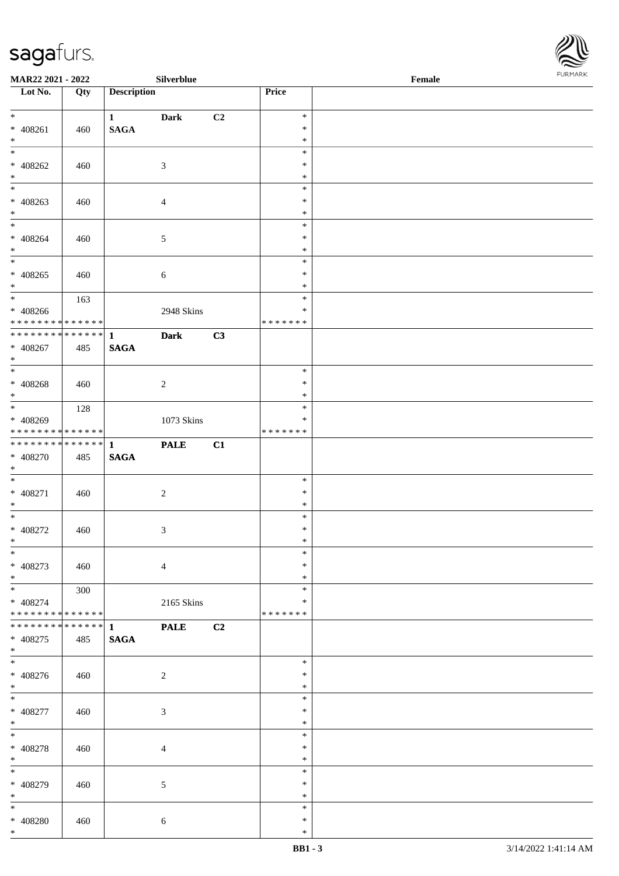\*



| MAR22 2021 - 2022                                          |     |                             | Silverblue     |    |                    | Female | FURMARK |
|------------------------------------------------------------|-----|-----------------------------|----------------|----|--------------------|--------|---------|
| $\overline{\phantom{1}}$ Lot No.                           | Qty | <b>Description</b>          |                |    | Price              |        |         |
| $*$                                                        |     | $\mathbf{1}$                | Dark           | C2 | $\ast$             |        |         |
| $* 408261$                                                 | 460 | <b>SAGA</b>                 |                |    | $\ast$             |        |         |
| $\ast$                                                     |     |                             |                |    | $\ast$             |        |         |
| $\overline{\ast}$                                          |     |                             |                |    | $\ast$<br>$\ast$   |        |         |
| $* 408262$<br>$\ast$                                       | 460 |                             | $\mathfrak{Z}$ |    | $\ast$             |        |         |
| $\frac{1}{1}$                                              |     |                             |                |    | $\ast$             |        |         |
| $* 408263$                                                 | 460 |                             | $\overline{4}$ |    | $\ast$             |        |         |
| $*$                                                        |     |                             |                |    | $\ast$             |        |         |
| $\ast$                                                     |     |                             |                |    | $\ast$             |        |         |
| $* 408264$<br>$*$                                          | 460 |                             | $\sqrt{5}$     |    | $\ast$<br>$\ast$   |        |         |
| $\ast$                                                     |     |                             |                |    | $\ast$             |        |         |
| $* 408265$                                                 | 460 |                             | $6\,$          |    | $\ast$             |        |         |
| $\ast$                                                     |     |                             |                |    | $\ast$             |        |         |
| $\overline{\phantom{0}}$                                   | 163 |                             |                |    | $\ast$             |        |         |
| $* 408266$<br>* * * * * * * * * * * * * *                  |     |                             | 2948 Skins     |    | ∗<br>* * * * * * * |        |         |
| ************** 1                                           |     |                             | <b>Dark</b>    | C3 |                    |        |         |
| $* 408267$                                                 | 485 | <b>SAGA</b>                 |                |    |                    |        |         |
| $\ast$                                                     |     |                             |                |    |                    |        |         |
| $\overline{\phantom{0}}$                                   |     |                             |                |    | $\ast$             |        |         |
| $* 408268$                                                 | 460 |                             | $\overline{2}$ |    | $\ast$             |        |         |
| $\ast$<br>$\overline{\phantom{0}}$                         | 128 |                             |                |    | $\ast$<br>$\ast$   |        |         |
| $* 408269$                                                 |     |                             | 1073 Skins     |    | ∗                  |        |         |
| * * * * * * * * * * * * * *                                |     |                             |                |    | * * * * * * *      |        |         |
| ******** <mark>******</mark>                               |     | $\mathbf{1}$                | <b>PALE</b>    | C1 |                    |        |         |
| * 408270                                                   | 485 | <b>SAGA</b>                 |                |    |                    |        |         |
| $\ast$<br>$\ast$                                           |     |                             |                |    | $\ast$             |        |         |
| $* 408271$                                                 | 460 |                             | $\sqrt{2}$     |    | $\ast$             |        |         |
| $\ast$                                                     |     |                             |                |    | $\ast$             |        |         |
| $\overline{\phantom{0}}$                                   |     |                             |                |    | $\ast$             |        |         |
| $* 408272$                                                 | 460 |                             | $\mathfrak{Z}$ |    | $\ast$             |        |         |
| $\ast$<br>$_{\ast}$                                        |     |                             |                |    | $\ast$<br>$\ast$   |        |         |
| * 408273                                                   | 460 |                             | $\overline{4}$ |    | $\ast$             |        |         |
| $\ast$                                                     |     |                             |                |    | $\ast$             |        |         |
| $\ast$                                                     | 300 |                             |                |    | $\ast$             |        |         |
| * 408274                                                   |     |                             | 2165 Skins     |    | $\ast$             |        |         |
| * * * * * * * * * * * * * *<br>* * * * * * * * * * * * * * |     |                             |                |    | * * * * * * *      |        |         |
| $* 408275$                                                 | 485 | $\mathbf{1}$<br><b>SAGA</b> | <b>PALE</b>    | C2 |                    |        |         |
| $\ast$                                                     |     |                             |                |    |                    |        |         |
| $_{\ast}^{-}$                                              |     |                             |                |    | $\ast$             |        |         |
| $* 408276$                                                 | 460 |                             | $\overline{c}$ |    | $\ast$             |        |         |
| $\ast$<br>$\ast$                                           |     |                             |                |    | $\ast$<br>$\ast$   |        |         |
| * 408277                                                   | 460 |                             | $\mathfrak{Z}$ |    | $\ast$             |        |         |
| $\ast$                                                     |     |                             |                |    | $\ast$             |        |         |
| $_{\ast}^{-}$                                              |     |                             |                |    | $\ast$             |        |         |
| $* 408278$                                                 | 460 |                             | $\overline{4}$ |    | $\ast$             |        |         |
| $\ast$<br>$_{\ast}$                                        |     |                             |                |    | $\ast$             |        |         |
| * 408279                                                   |     |                             |                |    | $\ast$<br>$\ast$   |        |         |
| $\ast$                                                     | 460 |                             | 5              |    | $\ast$             |        |         |
| $\ast$                                                     |     |                             |                |    | $\ast$             |        |         |
| $* 408280$                                                 | 460 |                             | 6              |    | $\ast$             |        |         |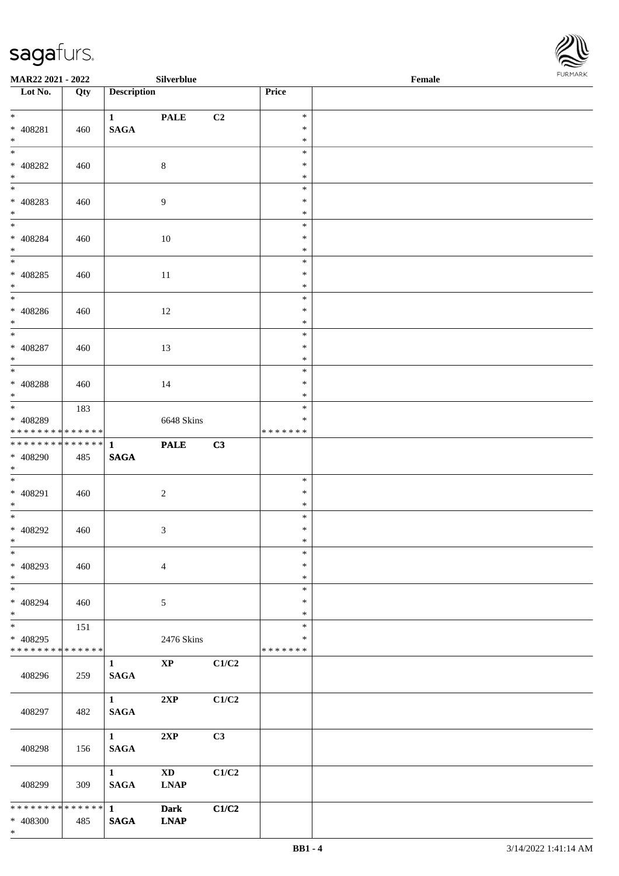\*



| MAR22 2021 - 2022                                |     |                                 | Silverblue             |                           |                  | $\ensuremath{\textnormal{\textbf{Female}}}$ | FURMARK |
|--------------------------------------------------|-----|---------------------------------|------------------------|---------------------------|------------------|---------------------------------------------|---------|
| $\overline{\phantom{1}}$ Lot No.                 | Qty | <b>Description</b>              |                        |                           | Price            |                                             |         |
| $\ast$                                           |     | $\mathbf{1}$                    | <b>PALE</b>            | C2                        | $\ast$           |                                             |         |
| $* 408281$<br>$\ast$                             | 460 | $\mathbf{SAGA}$                 |                        |                           | $\ast$<br>$\ast$ |                                             |         |
| $\frac{1}{1}$                                    |     |                                 |                        |                           | $\ast$           |                                             |         |
| * 408282<br>$*$                                  | 460 |                                 | $8\,$                  |                           | $\ast$<br>$\ast$ |                                             |         |
| $\frac{1}{1}$                                    |     |                                 |                        |                           | $\ast$           |                                             |         |
| $* 408283$<br>$\ast$                             | 460 |                                 | $\overline{9}$         |                           | $\ast$<br>$\ast$ |                                             |         |
| $\ast$                                           |     |                                 |                        |                           | $\ast$           |                                             |         |
| $* 408284$<br>$*$                                | 460 |                                 | 10                     |                           | $\ast$<br>$\ast$ |                                             |         |
| $\overline{\phantom{0}}$                         |     |                                 |                        |                           | $\ast$           |                                             |         |
| * 408285<br>$\ast$                               | 460 |                                 | $11\,$                 |                           | $\ast$<br>$\ast$ |                                             |         |
| $\overline{\phantom{a}^*}$                       |     |                                 |                        |                           | $\ast$           |                                             |         |
| * 408286<br>$\ast$                               | 460 |                                 | 12                     |                           | $\ast$<br>$\ast$ |                                             |         |
| $_{\ast}$                                        |     |                                 |                        |                           | $\ast$           |                                             |         |
| $* 408287$<br>$\ast$                             | 460 |                                 | 13                     |                           | $\ast$<br>$\ast$ |                                             |         |
| $_{\ast}$                                        |     |                                 |                        |                           | $\ast$           |                                             |         |
| $* 408288$<br>$\ast$                             | 460 |                                 | 14                     |                           | $\ast$<br>$\ast$ |                                             |         |
| $_{\ast}^{-}$                                    | 183 |                                 |                        |                           | $\ast$           |                                             |         |
| * 408289                                         |     |                                 | 6648 Skins             |                           | $\ast$           |                                             |         |
| * * * * * * * * * * * * * *                      |     |                                 |                        |                           | * * * * * * *    |                                             |         |
| * * * * * * * * * * * * * *                      |     | $\mathbf{1}$                    | <b>PALE</b>            | C3                        |                  |                                             |         |
| $* 408290$<br>$\ast$<br>$\overline{\phantom{0}}$ | 485 | $\mathbf{SAGA}$                 |                        |                           |                  |                                             |         |
|                                                  |     |                                 |                        |                           | $\ast$           |                                             |         |
| $* 408291$<br>$\ast$                             | 460 |                                 | $\sqrt{2}$             |                           | $\ast$<br>$\ast$ |                                             |         |
| $\overline{\phantom{a}^*}$                       |     |                                 |                        |                           | $\ast$           |                                             |         |
| * 408292<br>$*$                                  | 460 |                                 | 3                      |                           | $\ast$<br>∗      |                                             |         |
| $_{*}$                                           |     |                                 |                        |                           | $\ast$           |                                             |         |
| * 408293<br>$\ast$                               | 460 |                                 | $\overline{4}$         |                           | $\ast$<br>$\ast$ |                                             |         |
| $\overline{\phantom{a}^*}$                       |     |                                 |                        |                           | $\ast$           |                                             |         |
| * 408294<br>$*$                                  | 460 |                                 | $\sqrt{5}$             |                           | $\ast$<br>$\ast$ |                                             |         |
| $_{\ast}$                                        | 151 |                                 |                        |                           | $\ast$           |                                             |         |
| * 408295                                         |     |                                 | 2476 Skins             |                           | $\ast$           |                                             |         |
| * * * * * * * * * * * * * *                      |     |                                 |                        |                           | * * * * * * *    |                                             |         |
| 408296                                           | 259 | $\mathbf{1}$<br>$\mathbf{SAGA}$ | $\bold{XP}$            | $\mathbf{C1}/\mathbf{C2}$ |                  |                                             |         |
|                                                  |     | $\mathbf{1}$                    | 2XP                    | $\mathbf{C1}/\mathbf{C2}$ |                  |                                             |         |
| 408297                                           | 482 | $\mathbf{SAGA}$                 |                        |                           |                  |                                             |         |
|                                                  |     | $\mathbf{1}$                    | 2XP                    | C3                        |                  |                                             |         |
| 408298                                           | 156 | $\mathbf{SAGA}$                 |                        |                           |                  |                                             |         |
|                                                  |     | $\mathbf{1}$                    | $\mathbf{X}\mathbf{D}$ | $\mathbf{C1}/\mathbf{C2}$ |                  |                                             |         |
| 408299                                           | 309 | <b>SAGA</b>                     | <b>LNAP</b>            |                           |                  |                                             |         |
| * * * * * * * * * * * * * *                      |     | $\mathbf{1}$                    | <b>Dark</b>            | C1/C2                     |                  |                                             |         |
| * 408300                                         | 485 | <b>SAGA</b>                     | <b>LNAP</b>            |                           |                  |                                             |         |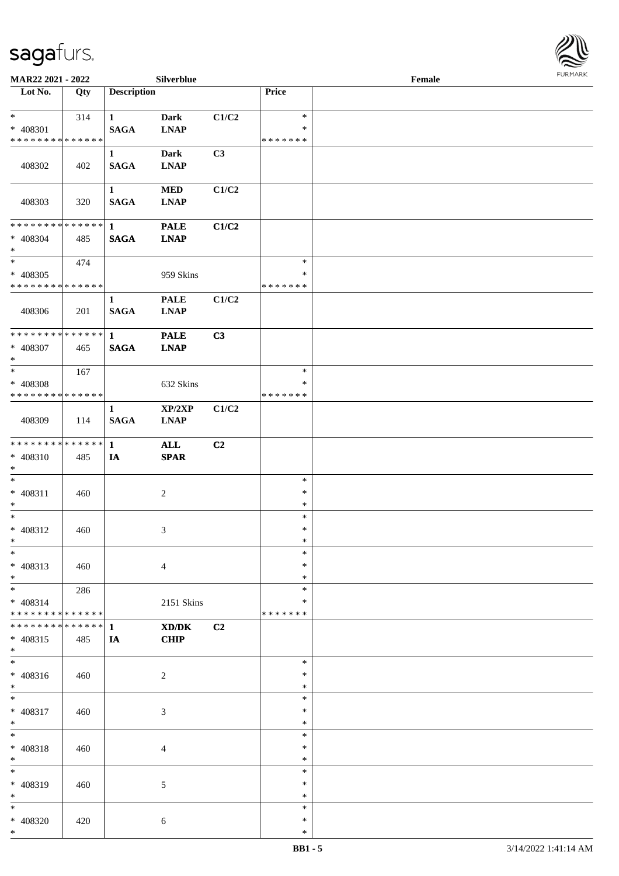

| MAR22 2021 - 2022                                      |                    |                             | Silverblue                 |       |                                   | Female |  |
|--------------------------------------------------------|--------------------|-----------------------------|----------------------------|-------|-----------------------------------|--------|--|
| Lot No.                                                | Qty                | <b>Description</b>          |                            |       | Price                             |        |  |
| $*$<br>* 408301<br>* * * * * * * * * * * * * *         | 314                | $\mathbf{1}$<br><b>SAGA</b> | Dark<br><b>LNAP</b>        | C1/C2 | $\ast$<br>∗<br>* * * * * * *      |        |  |
| 408302                                                 | 402                | $\mathbf{1}$<br><b>SAGA</b> | Dark<br><b>LNAP</b>        | C3    |                                   |        |  |
| 408303                                                 | 320                | $\mathbf{1}$<br><b>SAGA</b> | <b>MED</b><br><b>LNAP</b>  | C1/C2 |                                   |        |  |
| ******** <mark>******</mark><br>$* 408304$<br>$*$      | 485                | $\mathbf{1}$<br><b>SAGA</b> | <b>PALE</b><br><b>LNAP</b> | C1/C2 |                                   |        |  |
| $*$<br>* 408305<br>* * * * * * * * * * * * * * *       | 474                |                             | 959 Skins                  |       | $\ast$<br>$\ast$<br>* * * * * * * |        |  |
| 408306                                                 | 201                | $\mathbf{1}$<br><b>SAGA</b> | <b>PALE</b><br><b>LNAP</b> | C1/C2 |                                   |        |  |
| ******** <mark>******</mark><br>* 408307<br>$*$        | 465                | $\mathbf{1}$<br><b>SAGA</b> | <b>PALE</b><br><b>LNAP</b> | C3    |                                   |        |  |
| $*$<br>* 408308<br>* * * * * * * * * * * * * *         | 167                |                             | 632 Skins                  |       | $\ast$<br>*<br>* * * * * * *      |        |  |
| 408309                                                 | 114                | $\mathbf{1}$<br><b>SAGA</b> | XP/2XP<br><b>LNAP</b>      | C1/C2 |                                   |        |  |
| * * * * * * * * * * * * * * *<br>* 408310<br>$*$       | 485                | $\mathbf{1}$<br>IA          | <b>ALL</b><br><b>SPAR</b>  | C2    |                                   |        |  |
| $*$<br>$* 408311$<br>$*$                               | 460                |                             | $\overline{c}$             |       | $\ast$<br>$\ast$<br>$\ast$        |        |  |
| $*$<br>$* 408312$<br>$*$                               | 460                |                             | 3                          |       | $\ast$<br>$\ast$<br>$\ast$        |        |  |
| $\ast$<br>* 408313<br>$*$                              | 460                |                             | $\overline{4}$             |       | $\ast$<br>∗<br>∗                  |        |  |
| $*$ $*$<br>$* 408314$<br>* * * * * * * * * * * * * * * | 286                |                             | 2151 Skins                 |       | $\ast$<br>*<br>* * * * * * *      |        |  |
| * * * * * * * *<br>* 408315<br>$*$                     | $ ***** $ 1<br>485 | IA                          | XD/DK<br><b>CHIP</b>       | C2    |                                   |        |  |
| $*$<br>* 408316<br>$*$                                 | 460                |                             | 2                          |       | $\ast$<br>∗<br>$\ast$             |        |  |
| $*$<br>$* 408317$<br>$*$                               | 460                |                             | 3                          |       | $\ast$<br>$\ast$<br>$\ast$        |        |  |
| $*$<br>$* 408318$<br>$*$                               | 460                |                             | 4                          |       | $\ast$<br>$\ast$<br>$\ast$        |        |  |
| $*$<br>* 408319<br>$*$                                 | 460                |                             | 5                          |       | $\ast$<br>∗<br>$\ast$             |        |  |
| $*$<br>* 408320<br>$*$                                 | 420                |                             | 6                          |       | $\ast$<br>$\ast$<br>$\ast$        |        |  |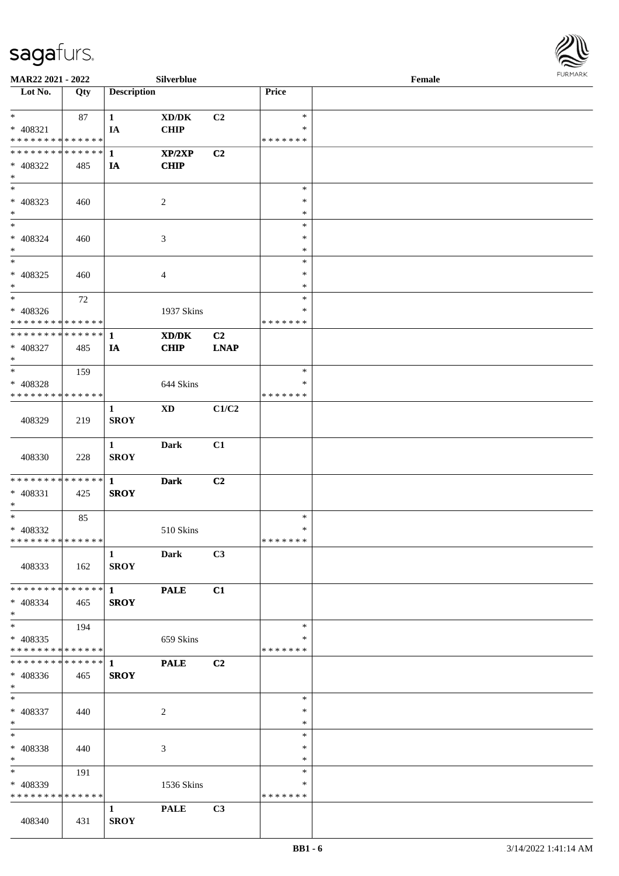

| MAR22 2021 - 2022                           |     |                        | Silverblue                          |                |               | Female |  |
|---------------------------------------------|-----|------------------------|-------------------------------------|----------------|---------------|--------|--|
| Lot No.                                     | Qty | <b>Description</b>     |                                     |                | Price         |        |  |
|                                             |     |                        |                                     |                |               |        |  |
| $*$                                         | 87  | $\mathbf{1}$           | $\bold{X}\bold{D}/\bold{D}\bold{K}$ | C2             | $\ast$        |        |  |
| * 408321                                    |     | IA                     | <b>CHIP</b>                         |                | ∗             |        |  |
| * * * * * * * * * * * * * *                 |     |                        |                                     |                | * * * * * * * |        |  |
| * * * * * * * * * * * * * * *               |     | $\mathbf{1}$           | XP/2XP                              | C2             |               |        |  |
| * 408322                                    | 485 | IA                     | <b>CHIP</b>                         |                |               |        |  |
| $\ast$                                      |     |                        |                                     |                |               |        |  |
| $\overline{\phantom{0}}$                    |     |                        |                                     |                | $\ast$        |        |  |
| * 408323                                    | 460 |                        | $\overline{c}$                      |                | $\ast$        |        |  |
| $*$                                         |     |                        |                                     |                | $\ast$        |        |  |
| $*$                                         |     |                        |                                     |                | $\ast$        |        |  |
| $* 408324$                                  | 460 |                        | 3                                   |                | $\ast$        |        |  |
| $*$                                         |     |                        |                                     |                | $\ast$        |        |  |
| $*$                                         |     |                        |                                     |                | $\ast$        |        |  |
| $* 408325$                                  | 460 |                        | 4                                   |                | $\ast$        |        |  |
| $*$                                         |     |                        |                                     |                | $\ast$        |        |  |
| $*$                                         | 72  |                        |                                     |                | $\ast$        |        |  |
| $* 408326$                                  |     |                        | 1937 Skins                          |                | $\ast$        |        |  |
| * * * * * * * * * * * * * *                 |     |                        |                                     |                | * * * * * * * |        |  |
| * * * * * * * * * * * * * * *               |     | 1                      | XD/DK                               | C <sub>2</sub> |               |        |  |
| * 408327                                    | 485 | IA                     | <b>CHIP</b>                         | <b>LNAP</b>    |               |        |  |
| $*$                                         |     |                        |                                     |                |               |        |  |
| $*$                                         | 159 |                        |                                     |                | $\ast$        |        |  |
| * 408328                                    |     |                        | 644 Skins                           |                | ∗             |        |  |
| * * * * * * * * * * * * * *                 |     |                        |                                     |                | * * * * * * * |        |  |
|                                             |     | 1                      | $\mathbf{X}\mathbf{D}$              | C1/C2          |               |        |  |
| 408329                                      | 219 | <b>SROY</b>            |                                     |                |               |        |  |
|                                             |     |                        |                                     |                |               |        |  |
|                                             |     | $\mathbf{1}$           | <b>Dark</b>                         | C1             |               |        |  |
| 408330                                      | 228 | <b>SROY</b>            |                                     |                |               |        |  |
|                                             |     |                        |                                     |                |               |        |  |
| * * * * * * * * * * * * * * *               |     | $\mathbf{1}$           | <b>Dark</b>                         | C <sub>2</sub> |               |        |  |
| $* 408331$                                  | 425 | <b>SROY</b>            |                                     |                |               |        |  |
| $*$                                         |     |                        |                                     |                |               |        |  |
| $*$                                         | 85  |                        |                                     |                | $\ast$        |        |  |
| * 408332                                    |     |                        | 510 Skins                           |                | $\ast$        |        |  |
| * * * * * * * * * * * * * * *               |     |                        |                                     |                | *******       |        |  |
|                                             |     | $\mathbf{1}$           | Dark                                | C3             |               |        |  |
| 408333                                      | 162 | ${\bf SROY}$           |                                     |                |               |        |  |
|                                             |     |                        |                                     |                |               |        |  |
| * * * * * * * * * * * * * * *               |     | $1 \quad \blacksquare$ | <b>PALE</b>                         | C1             |               |        |  |
| $* 408334$                                  | 465 | <b>SROY</b>            |                                     |                |               |        |  |
| $*$<br>$*$                                  |     |                        |                                     |                | $\ast$        |        |  |
|                                             | 194 |                        |                                     |                | ∗             |        |  |
| $* 408335$<br>* * * * * * * * * * * * * * * |     |                        | 659 Skins                           |                | * * * * * * * |        |  |
|                                             |     |                        |                                     | C2             |               |        |  |
|                                             |     |                        | <b>PALE</b>                         |                |               |        |  |
| * 408336<br>$*$                             | 465 | <b>SROY</b>            |                                     |                |               |        |  |
| $*$                                         |     |                        |                                     |                | $\ast$        |        |  |
| $* 408337$                                  |     |                        |                                     |                | $\ast$        |        |  |
| $*$                                         | 440 |                        | $\overline{c}$                      |                | $\ast$        |        |  |
| $*$                                         |     |                        |                                     |                | $\ast$        |        |  |
| $* 408338$                                  | 440 |                        | 3                                   |                | $\ast$        |        |  |
| $*$                                         |     |                        |                                     |                | $\ast$        |        |  |
| $*$ and $*$                                 | 191 |                        |                                     |                | $\ast$        |        |  |
| * 408339                                    |     |                        | 1536 Skins                          |                | ∗             |        |  |
| * * * * * * * * * * * * * *                 |     |                        |                                     |                | * * * * * * * |        |  |
|                                             |     | $\mathbf{1}$           | <b>PALE</b>                         | C3             |               |        |  |
| 408340                                      |     | <b>SROY</b>            |                                     |                |               |        |  |
|                                             | 431 |                        |                                     |                |               |        |  |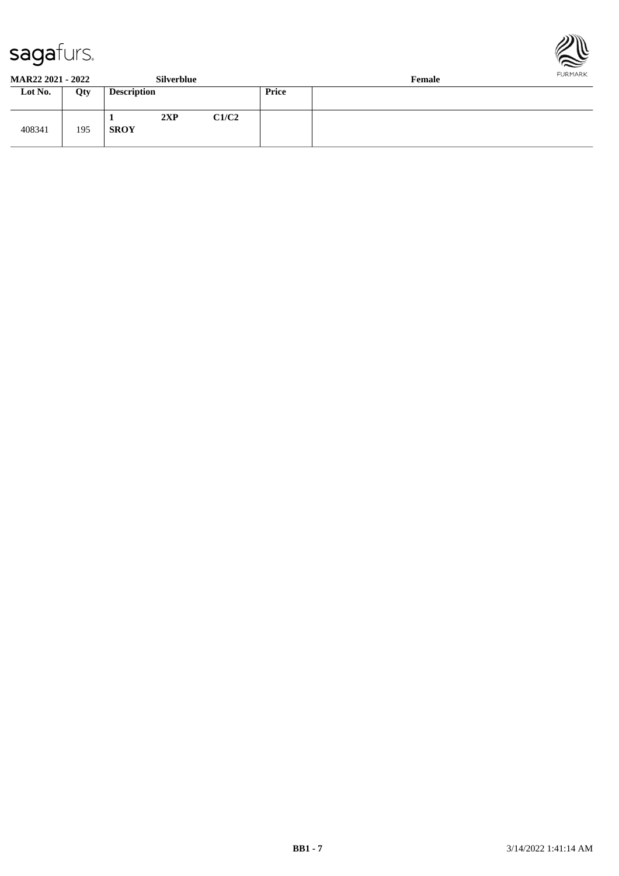



**MAR22 2021 - 2022 Silverblue Female**

|         |     |                    |     |       |              | --------- |
|---------|-----|--------------------|-----|-------|--------------|-----------|
| Lot No. | Qty | <b>Description</b> |     |       | <b>Price</b> |           |
| 408341  | 195 | л.<br><b>SROY</b>  | 2XP | C1/C2 |              |           |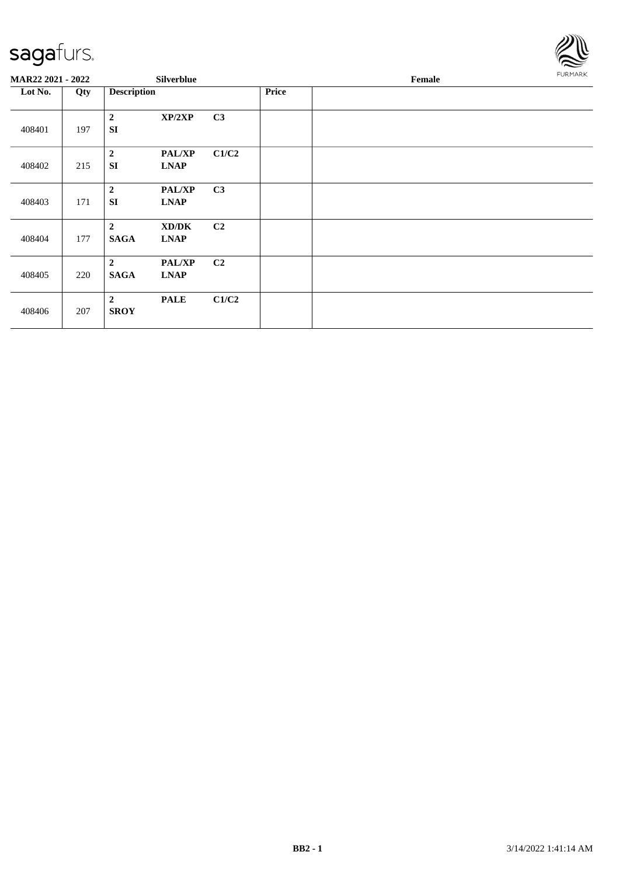

| MAR22 2021 - 2022 |     |                                 | <b>Silverblue</b>            |                |              | Female |  |  |  |
|-------------------|-----|---------------------------------|------------------------------|----------------|--------------|--------|--|--|--|
| Lot No.           | Qty | <b>Description</b>              |                              |                | <b>Price</b> |        |  |  |  |
| 408401            | 197 | $\boldsymbol{2}$<br><b>SI</b>   | XP/2XP                       | C3             |              |        |  |  |  |
| 408402            | 215 | $\boldsymbol{2}$<br><b>SI</b>   | PAL/XP<br><b>LNAP</b>        | C1/C2          |              |        |  |  |  |
| 408403            | 171 | $\overline{2}$<br><b>SI</b>     | <b>PAL/XP</b><br><b>LNAP</b> | C3             |              |        |  |  |  |
| 408404            | 177 | $\overline{2}$<br><b>SAGA</b>   | XD/DK<br><b>LNAP</b>         | C2             |              |        |  |  |  |
| 408405            | 220 | $\overline{2}$<br><b>SAGA</b>   | <b>PAL/XP</b><br><b>LNAP</b> | C <sub>2</sub> |              |        |  |  |  |
| 408406            | 207 | $\boldsymbol{2}$<br><b>SROY</b> | <b>PALE</b>                  | C1/C2          |              |        |  |  |  |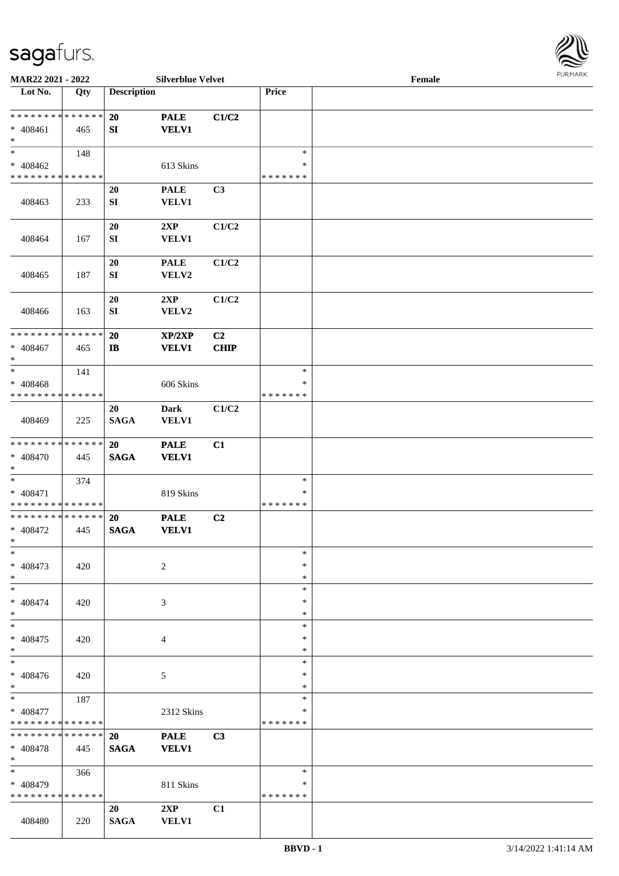

| MAR22 2021 - 2022                          |     |                    | <b>Silverblue Velvet</b> |                |               | Female |  |
|--------------------------------------------|-----|--------------------|--------------------------|----------------|---------------|--------|--|
| Lot No.                                    | Qty | <b>Description</b> |                          |                | Price         |        |  |
|                                            |     |                    |                          |                |               |        |  |
| * * * * * * * * * * * * * *                |     | 20                 | <b>PALE</b>              | C1/C2          |               |        |  |
| $* 408461$                                 | 465 | SI                 | <b>VELV1</b>             |                |               |        |  |
| $\ast$                                     |     |                    |                          |                |               |        |  |
| $*$                                        | 148 |                    |                          |                | $\ast$        |        |  |
| $* 408462$                                 |     |                    | 613 Skins                |                | ∗             |        |  |
| * * * * * * * * * * * * * *                |     |                    |                          |                | * * * * * * * |        |  |
|                                            |     | 20                 | <b>PALE</b>              | C3             |               |        |  |
| 408463                                     | 233 | ${\bf SI}$         | <b>VELV1</b>             |                |               |        |  |
|                                            |     |                    |                          |                |               |        |  |
|                                            | 167 | 20                 | 2XP                      | C1/C2          |               |        |  |
| 408464                                     |     | ${\bf SI}$         | <b>VELV1</b>             |                |               |        |  |
|                                            |     | 20                 | <b>PALE</b>              | C1/C2          |               |        |  |
| 408465                                     | 187 | SI                 | VELV2                    |                |               |        |  |
|                                            |     |                    |                          |                |               |        |  |
|                                            |     | 20                 | 2XP                      | C1/C2          |               |        |  |
| 408466                                     | 163 | ${\bf SI}$         | VELV2                    |                |               |        |  |
|                                            |     |                    |                          |                |               |        |  |
| * * * * * * * * * * * * * *                |     | 20                 | XP/2XP                   | C <sub>2</sub> |               |        |  |
| $* 408467$                                 | 465 | $\mathbf{I}$       | <b>VELV1</b>             | <b>CHIP</b>    |               |        |  |
| $\ast$                                     |     |                    |                          |                |               |        |  |
| $\ast$                                     | 141 |                    |                          |                | $\ast$        |        |  |
| $* 408468$                                 |     |                    | 606 Skins                |                | *             |        |  |
| * * * * * * * * * * * * * *                |     |                    |                          |                | * * * * * * * |        |  |
|                                            |     | 20                 | <b>Dark</b>              | C1/C2          |               |        |  |
| 408469                                     | 225 | <b>SAGA</b>        | VELV1                    |                |               |        |  |
|                                            |     |                    |                          |                |               |        |  |
| * * * * * * * * * * * * * *                |     | 20                 | <b>PALE</b>              | C1             |               |        |  |
| $* 408470$                                 | 445 | <b>SAGA</b>        | <b>VELV1</b>             |                |               |        |  |
| $*$                                        |     |                    |                          |                |               |        |  |
| $\ast$                                     | 374 |                    |                          |                | $\ast$        |        |  |
| * 408471                                   |     |                    | 819 Skins                |                | $\ast$        |        |  |
| * * * * * * * * * * * * * *                |     |                    |                          |                | * * * * * * * |        |  |
| * * * * * * * * * * * * * *                |     | 20                 | <b>PALE</b>              | C <sub>2</sub> |               |        |  |
| * 408472                                   | 445 | <b>SAGA</b>        | <b>VELV1</b>             |                |               |        |  |
| $*$                                        |     |                    |                          |                |               |        |  |
| $\ast$                                     |     |                    |                          |                | $\ast$        |        |  |
| $* 408473$                                 | 420 |                    | 2                        |                | ∗             |        |  |
| $\ast$                                     |     |                    |                          |                | $\ast$        |        |  |
| $\ast$                                     |     |                    |                          |                | $\ast$        |        |  |
| $* 408474$                                 | 420 |                    | 3                        |                | *             |        |  |
| $*$<br>$\ast$                              |     |                    |                          |                | *<br>$\ast$   |        |  |
|                                            |     |                    |                          |                | $\ast$        |        |  |
| * 408475<br>$*$                            | 420 |                    | 4                        |                | $\ast$        |        |  |
| $\overline{\phantom{a}^*}$                 |     |                    |                          |                | $\ast$        |        |  |
| * 408476                                   | 420 |                    | 5                        |                | *             |        |  |
| $*$                                        |     |                    |                          |                | $\ast$        |        |  |
| $*$                                        | 187 |                    |                          |                | $\ast$        |        |  |
| $* 408477$                                 |     |                    | 2312 Skins               |                | *             |        |  |
| * * * * * * * * <mark>* * * * * * *</mark> |     |                    |                          |                | * * * * * * * |        |  |
| * * * * * * * * * * * * * * *              |     | 20                 | <b>PALE</b>              | C3             |               |        |  |
| $* 408478$                                 | 445 | <b>SAGA</b>        | <b>VELV1</b>             |                |               |        |  |
| $*$                                        |     |                    |                          |                |               |        |  |
| $*$                                        | 366 |                    |                          |                | $\ast$        |        |  |
| * 408479                                   |     |                    | 811 Skins                |                | ∗             |        |  |
| * * * * * * * * * * * * * *                |     |                    |                          |                | * * * * * * * |        |  |
|                                            |     | 20                 | 2XP                      | C1             |               |        |  |
| 408480                                     | 220 | <b>SAGA</b>        | <b>VELV1</b>             |                |               |        |  |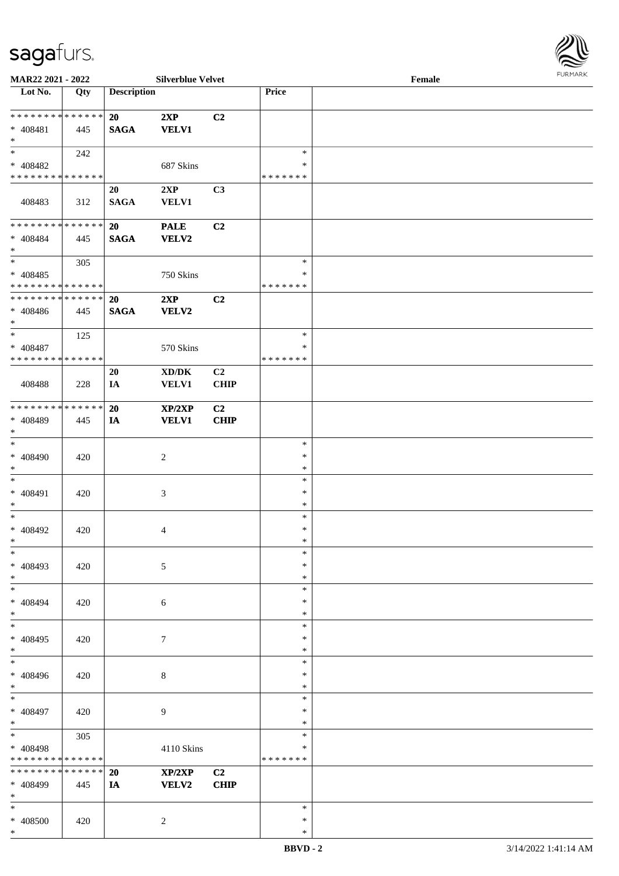\*



| MAR22 2021 - 2022             |     |                    | <b>Silverblue Velvet</b>            |                |                  | Female |  |
|-------------------------------|-----|--------------------|-------------------------------------|----------------|------------------|--------|--|
| Lot No.                       | Qty | <b>Description</b> |                                     |                | Price            |        |  |
|                               |     |                    |                                     |                |                  |        |  |
| * * * * * * * * * * * * * *   |     | 20                 | 2XP                                 | C2             |                  |        |  |
| $* 408481$                    | 445 | <b>SAGA</b>        | <b>VELV1</b>                        |                |                  |        |  |
| $\ast$                        |     |                    |                                     |                |                  |        |  |
| $\ast$                        | 242 |                    |                                     |                | $\ast$           |        |  |
| * 408482                      |     |                    | 687 Skins                           |                | ∗                |        |  |
| * * * * * * * * * * * * * *   |     |                    |                                     |                | * * * * * * *    |        |  |
|                               |     | 20                 | 2XP                                 | C3             |                  |        |  |
| 408483                        | 312 | <b>SAGA</b>        | <b>VELV1</b>                        |                |                  |        |  |
|                               |     |                    |                                     |                |                  |        |  |
| * * * * * * * * * * * * * * * |     | 20                 | <b>PALE</b>                         | C2             |                  |        |  |
| $* 408484$                    | 445 | <b>SAGA</b>        | <b>VELV2</b>                        |                |                  |        |  |
| $\ast$                        |     |                    |                                     |                |                  |        |  |
| $\ast$                        | 305 |                    |                                     |                | $\ast$           |        |  |
| $* 408485$                    |     |                    | 750 Skins                           |                | $\ast$           |        |  |
| * * * * * * * * * * * * * * * |     |                    |                                     |                | * * * * * * *    |        |  |
| * * * * * * * * * * * * * *   |     | 20                 | 2XP                                 | C2             |                  |        |  |
| $* 408486$                    | 445 | <b>SAGA</b>        | <b>VELV2</b>                        |                |                  |        |  |
| $*$                           |     |                    |                                     |                |                  |        |  |
| $\ast$                        | 125 |                    |                                     |                | $\ast$           |        |  |
| $* 408487$                    |     |                    | 570 Skins                           |                | ∗                |        |  |
| * * * * * * * * * * * * * * * |     |                    |                                     |                | * * * * * * *    |        |  |
|                               |     | 20                 | $\bold{X}\bold{D}/\bold{D}\bold{K}$ | C <sub>2</sub> |                  |        |  |
| 408488                        | 228 | IA                 | <b>VELV1</b>                        | CHIP           |                  |        |  |
|                               |     |                    |                                     |                |                  |        |  |
| * * * * * * * * * * * * * *   |     | 20                 | XP/2XP                              | C <sub>2</sub> |                  |        |  |
| * 408489                      | 445 | IA                 | <b>VELV1</b>                        | <b>CHIP</b>    |                  |        |  |
| $\ast$<br>$\ast$              |     |                    |                                     |                |                  |        |  |
|                               |     |                    |                                     |                | $\ast$<br>$\ast$ |        |  |
| $* 408490$                    | 420 |                    | $\boldsymbol{2}$                    |                |                  |        |  |
| $\ast$<br>$\ast$              |     |                    |                                     |                | $\ast$<br>$\ast$ |        |  |
|                               |     |                    |                                     |                | $\ast$           |        |  |
| $* 408491$<br>$\ast$          | 420 |                    | $\mathfrak{Z}$                      |                | $\ast$           |        |  |
| $\ast$                        |     |                    |                                     |                | $\ast$           |        |  |
| $* 408492$                    |     |                    |                                     |                | $\ast$           |        |  |
| $*$                           | 420 |                    | 4                                   |                | $\ast$           |        |  |
| $\ast$                        |     |                    |                                     |                | $\ast$           |        |  |
| * 408493                      | 420 |                    | 5                                   |                | $\ast$           |        |  |
| $\ast$                        |     |                    |                                     |                | $\ast$           |        |  |
| $*$                           |     |                    |                                     |                | $\ast$           |        |  |
| * 408494                      | 420 |                    | 6                                   |                | $\ast$           |        |  |
| $\ast$                        |     |                    |                                     |                | $\ast$           |        |  |
| $*$                           |     |                    |                                     |                | $\ast$           |        |  |
| $* 408495$                    | 420 |                    | 7                                   |                | $\ast$           |        |  |
| $\ast$                        |     |                    |                                     |                | $\ast$           |        |  |
| $_{\ast}^{-}$                 |     |                    |                                     |                | $\ast$           |        |  |
| * 408496                      | 420 |                    | $\,8\,$                             |                | $\ast$           |        |  |
| $*$                           |     |                    |                                     |                | $\ast$           |        |  |
| $\ast$                        |     |                    |                                     |                | $\ast$           |        |  |
| * 408497                      | 420 |                    | 9                                   |                | $\ast$           |        |  |
| $\ast$                        |     |                    |                                     |                | $\ast$           |        |  |
| $\ast$                        | 305 |                    |                                     |                | $\ast$           |        |  |
| * 408498                      |     |                    | 4110 Skins                          |                | $\ast$           |        |  |
| * * * * * * * * * * * * * *   |     |                    |                                     |                | * * * * * * *    |        |  |
| * * * * * * * * * * * * * *   |     | 20                 | XP/2XP                              | C2             |                  |        |  |
| * 408499                      | 445 | IA                 | <b>VELV2</b>                        | CHIP           |                  |        |  |
| $\ast$                        |     |                    |                                     |                |                  |        |  |
| $\ast$                        |     |                    |                                     |                | $\ast$           |        |  |
| * 408500                      | 420 |                    | $\overline{2}$                      |                | $\ast$           |        |  |
| $*$                           |     |                    |                                     |                | $\ast$           |        |  |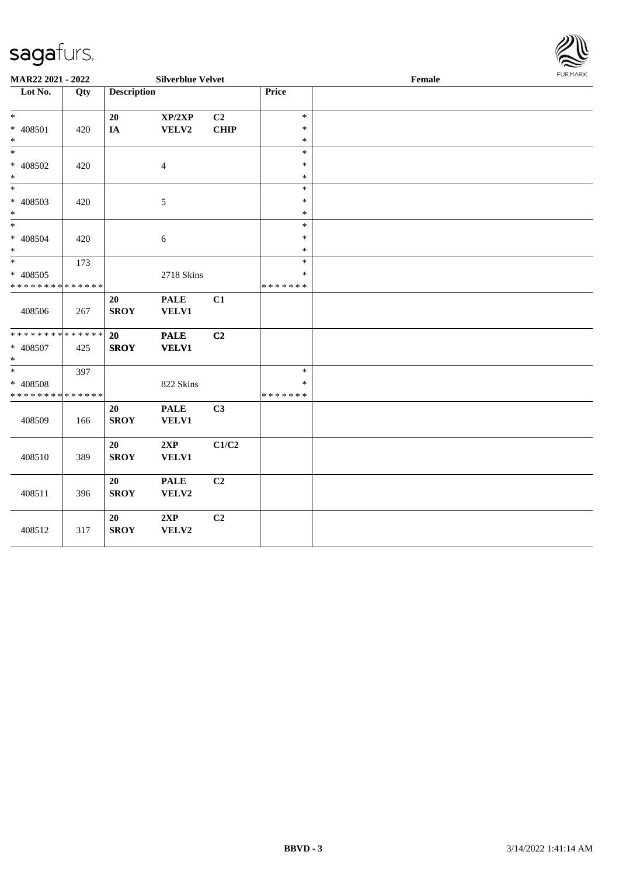

| MAR22 2021 - 2022             |     |                    | <b>Silverblue Velvet</b> |             |               | Female | <b>FURPIARR</b> |
|-------------------------------|-----|--------------------|--------------------------|-------------|---------------|--------|-----------------|
| Lot No.                       | Qty | <b>Description</b> |                          |             | Price         |        |                 |
| $*$                           |     | 20                 | XP/2XP                   | C2          | $\ast$        |        |                 |
| $* 408501$                    | 420 | IA                 | VELV2                    | <b>CHIP</b> | $\ast$        |        |                 |
| $*$                           |     |                    |                          |             | $\ast$        |        |                 |
| $*$                           |     |                    |                          |             | $\ast$        |        |                 |
| $* 408502$                    | 420 |                    | $\overline{4}$           |             | $\ast$        |        |                 |
| $*$                           |     |                    |                          |             | $\ast$        |        |                 |
| $\ast$                        |     |                    |                          |             | $\ast$        |        |                 |
| * 408503                      | 420 |                    | $\sqrt{5}$               |             | $\ast$        |        |                 |
| $\ast$                        |     |                    |                          |             | $\ast$        |        |                 |
| $\overline{\phantom{0}}$      |     |                    |                          |             | $\ast$        |        |                 |
| $* 408504$                    | 420 |                    | 6                        |             | $\ast$        |        |                 |
| $*$                           |     |                    |                          |             | $\ast$        |        |                 |
| $\overline{\ast}$             | 173 |                    |                          |             | $\ast$        |        |                 |
| $* 408505$                    |     |                    | 2718 Skins               |             | *             |        |                 |
| * * * * * * * * * * * * * *   |     |                    |                          |             | * * * * * * * |        |                 |
|                               |     | 20                 | <b>PALE</b>              | C1          |               |        |                 |
| 408506                        | 267 | <b>SROY</b>        | VELV1                    |             |               |        |                 |
| * * * * * * * * * * * * * * * |     |                    |                          |             |               |        |                 |
|                               |     | 20                 | <b>PALE</b>              | C2          |               |        |                 |
| * 408507<br>$*$               | 425 | <b>SROY</b>        | <b>VELV1</b>             |             |               |        |                 |
| $*$                           | 397 |                    |                          |             | $\ast$        |        |                 |
| * 408508                      |     |                    | 822 Skins                |             | $\ast$        |        |                 |
| * * * * * * * * * * * * * *   |     |                    |                          |             | * * * * * * * |        |                 |
|                               |     | 20                 | <b>PALE</b>              | C3          |               |        |                 |
| 408509                        | 166 | <b>SROY</b>        | VELV1                    |             |               |        |                 |
|                               |     |                    |                          |             |               |        |                 |
|                               |     | 20                 | 2XP                      | C1/C2       |               |        |                 |
| 408510                        | 389 | <b>SROY</b>        | VELV1                    |             |               |        |                 |
|                               |     |                    |                          |             |               |        |                 |
|                               |     | 20                 | <b>PALE</b>              | C2          |               |        |                 |
| 408511                        | 396 | <b>SROY</b>        | VELV2                    |             |               |        |                 |
|                               |     |                    |                          |             |               |        |                 |
|                               |     | 20                 | 2XP                      | C2          |               |        |                 |
| 408512                        | 317 | <b>SROY</b>        | VELV2                    |             |               |        |                 |
|                               |     |                    |                          |             |               |        |                 |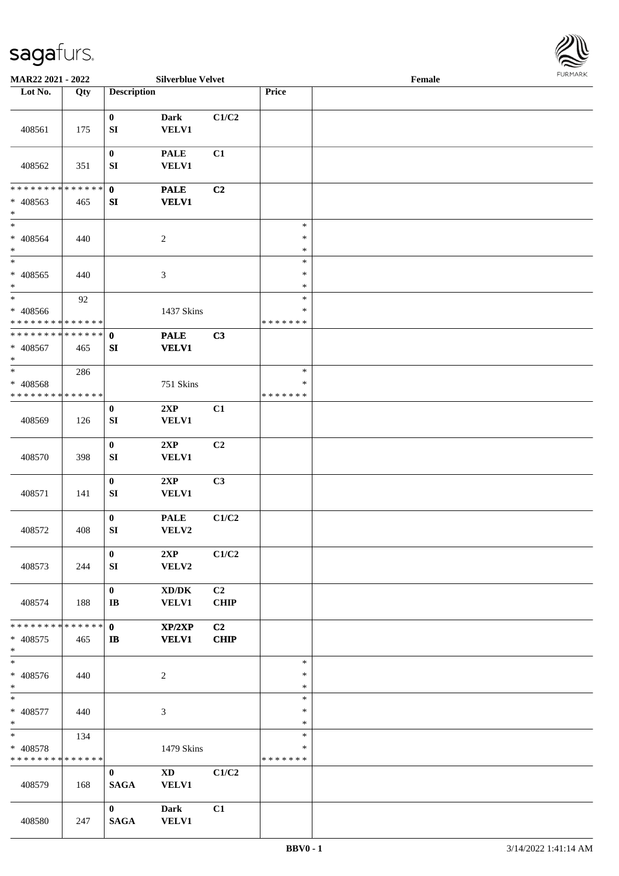

| MAR22 2021 - 2022                                   |     |                                    | <b>Silverblue Velvet</b>                            |                   |                                   | Female |  |
|-----------------------------------------------------|-----|------------------------------------|-----------------------------------------------------|-------------------|-----------------------------------|--------|--|
| Lot No.                                             | Qty | <b>Description</b>                 |                                                     |                   | Price                             |        |  |
| 408561                                              | 175 | $\bf{0}$<br>${\bf SI}$             | <b>Dark</b><br><b>VELV1</b>                         | C1/C2             |                                   |        |  |
| 408562                                              | 351 | $\pmb{0}$<br>SI                    | <b>PALE</b><br><b>VELV1</b>                         | C1                |                                   |        |  |
| * * * * * * * * * * * * * *                         |     | $\mathbf{0}$                       | <b>PALE</b>                                         | C2                |                                   |        |  |
| * 408563<br>$\ast$                                  | 465 | ${\bf S}{\bf I}$                   | <b>VELV1</b>                                        |                   |                                   |        |  |
| $*$<br>$* 408564$<br>$\ast$                         | 440 |                                    | $\sqrt{2}$                                          |                   | $\ast$<br>$\ast$<br>$\ast$        |        |  |
| $\ast$<br>$* 408565$<br>$\ast$                      | 440 |                                    | $\mathfrak{Z}$                                      |                   | $\ast$<br>$\ast$<br>$\ast$        |        |  |
| $*$<br>$* 408566$<br>* * * * * * * * * * * * * *    | 92  |                                    | 1437 Skins                                          |                   | $\ast$<br>$\ast$<br>* * * * * * * |        |  |
| * * * * * * * * * * * * * * *<br>* 408567<br>$\ast$ | 465 | $\mathbf 0$<br>SI                  | <b>PALE</b><br><b>VELV1</b>                         | C3                |                                   |        |  |
| $*$<br>* 408568<br>* * * * * * * * * * * * * *      | 286 |                                    | 751 Skins                                           |                   | $\ast$<br>$\ast$<br>* * * * * * * |        |  |
| 408569                                              | 126 | $\pmb{0}$<br>${\bf S}{\bf I}$      | 2XP<br><b>VELV1</b>                                 | C1                |                                   |        |  |
| 408570                                              | 398 | $\mathbf{0}$<br>${\bf S}{\bf I}$   | 2XP<br><b>VELV1</b>                                 | C2                |                                   |        |  |
| 408571                                              | 141 | $\mathbf{0}$<br>${\bf SI}$         | 2XP<br><b>VELV1</b>                                 | C3                |                                   |        |  |
| 408572                                              | 408 | $\pmb{0}$<br>${\bf SI}$            | $\ensuremath{\mathsf{PALE}}$<br>VELV2               | C1/C2             |                                   |        |  |
| 408573                                              | 244 | $\bf{0}$<br>SI                     | 2XP<br>VELV2                                        | C1/C2             |                                   |        |  |
| 408574                                              | 188 | $\bf{0}$<br>$\mathbf{I}\mathbf{B}$ | $\bold{X}\bold{D}/\bold{D}\bold{K}$<br><b>VELV1</b> | C2<br><b>CHIP</b> |                                   |        |  |
| * * * * * * * * * * * * * * *<br>* 408575<br>$*$    | 465 | $\mathbf{0}$<br>$\mathbf{I}$       | XP/2XP<br><b>VELV1</b>                              | C2<br><b>CHIP</b> |                                   |        |  |
| $\overline{\ast}$<br>* 408576<br>$*$                | 440 |                                    | $\overline{c}$                                      |                   | $\ast$<br>$\ast$<br>$\ast$        |        |  |
| $*$<br>$* 408577$<br>$*$                            | 440 |                                    | $\mathfrak{Z}$                                      |                   | $\ast$<br>$\ast$<br>$\ast$        |        |  |
| $*$ $*$<br>* 408578<br>* * * * * * * * * * * * * *  | 134 |                                    | 1479 Skins                                          |                   | $\ast$<br>$\ast$<br>* * * * * * * |        |  |
| 408579                                              | 168 | $\mathbf{0}$<br><b>SAGA</b>        | $\mathbf{X}\mathbf{D}$<br><b>VELV1</b>              | C1/C2             |                                   |        |  |
| 408580                                              | 247 | $\mathbf{0}$<br><b>SAGA</b>        | <b>Dark</b><br><b>VELV1</b>                         | C1                |                                   |        |  |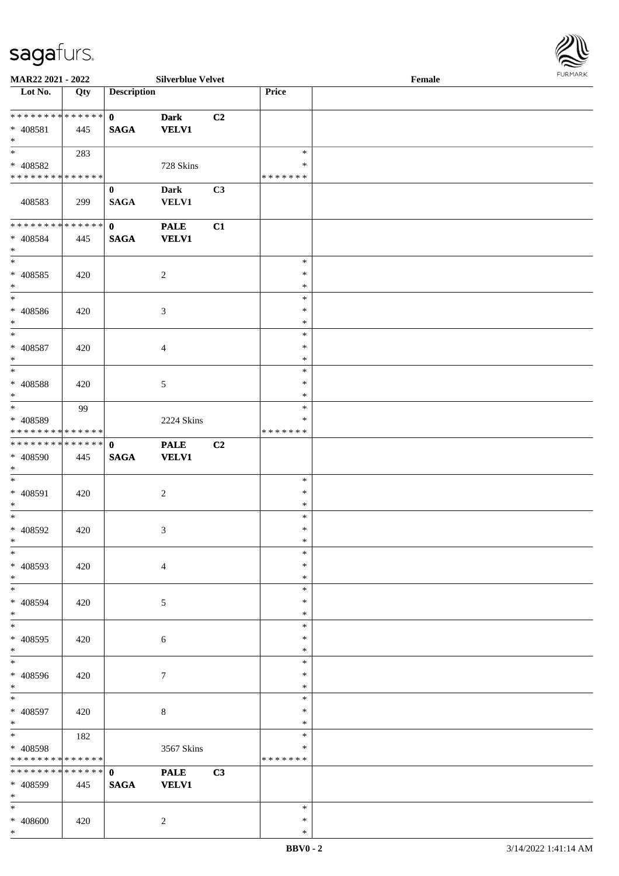

| MAR22 2021 - 2022             |     |                    | <b>Silverblue Velvet</b> |    |               | Female |
|-------------------------------|-----|--------------------|--------------------------|----|---------------|--------|
| Lot No.                       | Qty | <b>Description</b> |                          |    | Price         |        |
|                               |     |                    |                          |    |               |        |
| ******** <mark>******</mark>  |     | $\mathbf{0}$       | <b>Dark</b>              | C2 |               |        |
|                               |     |                    |                          |    |               |        |
| * 408581                      | 445 | <b>SAGA</b>        | <b>VELV1</b>             |    |               |        |
| $*$                           |     |                    |                          |    |               |        |
| $\overline{\ast}$             | 283 |                    |                          |    | $\ast$        |        |
| * 408582                      |     |                    | 728 Skins                |    | ∗             |        |
| * * * * * * * * * * * * * *   |     |                    |                          |    | * * * * * * * |        |
|                               |     | $\bf{0}$           | <b>Dark</b>              | C3 |               |        |
| 408583                        | 299 | <b>SAGA</b>        | VELV1                    |    |               |        |
|                               |     |                    |                          |    |               |        |
|                               |     |                    |                          |    |               |        |
| ******** <mark>******</mark>  |     | $\mathbf{0}$       | <b>PALE</b>              | C1 |               |        |
| $* 408584$                    | 445 | <b>SAGA</b>        | <b>VELV1</b>             |    |               |        |
| $*$                           |     |                    |                          |    |               |        |
| $\overline{\phantom{0}}$      |     |                    |                          |    | $\ast$        |        |
| $* 408585$                    | 420 |                    | $\sqrt{2}$               |    | $\ast$        |        |
| $*$                           |     |                    |                          |    | $\ast$        |        |
| $\overline{\ast}$             |     |                    |                          |    | $\ast$        |        |
|                               |     |                    |                          |    |               |        |
| $* 408586$                    | 420 |                    | 3                        |    | $\ast$        |        |
| $*$                           |     |                    |                          |    | $\ast$        |        |
| $*$                           |     |                    |                          |    | $\ast$        |        |
| $* 408587$                    | 420 |                    | $\overline{4}$           |    | $\ast$        |        |
| $*$                           |     |                    |                          |    | $\ast$        |        |
| $*$                           |     |                    |                          |    | $\ast$        |        |
|                               |     |                    |                          |    | $\ast$        |        |
| $* 408588$                    | 420 |                    | 5                        |    |               |        |
| $*$                           |     |                    |                          |    | $\ast$        |        |
| $\overline{\phantom{0}}$      | 99  |                    |                          |    | $\ast$        |        |
| $* 408589$                    |     |                    | 2224 Skins               |    | $\ast$        |        |
| * * * * * * * * * * * * * *   |     |                    |                          |    | *******       |        |
| * * * * * * * * * * * * * * * |     | $\mathbf{0}$       | <b>PALE</b>              | C2 |               |        |
| * 408590                      | 445 | <b>SAGA</b>        | <b>VELV1</b>             |    |               |        |
| $*$                           |     |                    |                          |    |               |        |
|                               |     |                    |                          |    |               |        |
| $*$                           |     |                    |                          |    | $\ast$        |        |
| $* 408591$                    | 420 |                    | $\sqrt{2}$               |    | $\ast$        |        |
| $*$                           |     |                    |                          |    | $\ast$        |        |
| $*$                           |     |                    |                          |    | $\ast$        |        |
| * 408592                      | 420 |                    | 3                        |    | $\ast$        |        |
| $*$                           |     |                    |                          |    | $\ast$        |        |
| $\ast$                        |     |                    |                          |    | $\ast$        |        |
|                               |     |                    |                          |    |               |        |
| * 408593                      | 420 |                    | $\overline{4}$           |    | $\ast$        |        |
| $*$                           |     |                    |                          |    | $\ast$        |        |
| $*$                           |     |                    |                          |    | $\ast$        |        |
| * 408594                      | 420 |                    | 5                        |    | $\ast$        |        |
| $*$                           |     |                    |                          |    | $\ast$        |        |
| $*$                           |     |                    |                          |    | $\ast$        |        |
|                               |     |                    |                          |    |               |        |
| * 408595                      | 420 |                    | 6                        |    | $\ast$        |        |
| $*$                           |     |                    |                          |    | $\ast$        |        |
| $\overline{\ast}$             |     |                    |                          |    | $\ast$        |        |
| $* 408596$                    | 420 |                    | 7                        |    | $\ast$        |        |
| $*$                           |     |                    |                          |    | $\ast$        |        |
| $*$                           |     |                    |                          |    | $\ast$        |        |
| * 408597                      | 420 |                    | $\,8\,$                  |    | $\ast$        |        |
| $*$                           |     |                    |                          |    | $\ast$        |        |
|                               |     |                    |                          |    |               |        |
| $*$ and $*$                   | 182 |                    |                          |    | $\ast$        |        |
| * 408598                      |     |                    | 3567 Skins               |    | $\ast$        |        |
| * * * * * * * * * * * * * *   |     |                    |                          |    | * * * * * * * |        |
| ******** <mark>******</mark>  |     | $\mathbf{0}$       | <b>PALE</b>              | C3 |               |        |
| * 408599                      | 445 | <b>SAGA</b>        | <b>VELV1</b>             |    |               |        |
| $*$                           |     |                    |                          |    |               |        |
|                               |     |                    |                          |    |               |        |
| $*$                           |     |                    |                          |    | $\ast$        |        |
| * 408600                      | 420 |                    | $\overline{2}$           |    | $\ast$        |        |
| $\ast$                        |     |                    |                          |    | $\ast$        |        |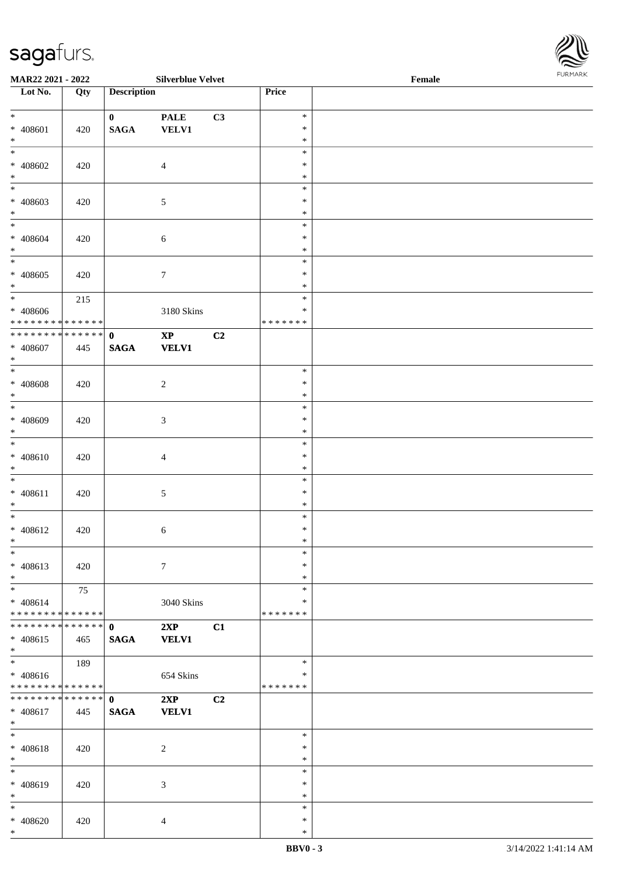

| <b>MAR22 2021 - 2022</b>                   |     |                    | <b>Silverblue Velvet</b> |    |               | Female | $1 \times 1 \times 1 \times 1 \times 1$ |
|--------------------------------------------|-----|--------------------|--------------------------|----|---------------|--------|-----------------------------------------|
| $\overline{\phantom{1}}$ Lot No.           | Qty | <b>Description</b> |                          |    | Price         |        |                                         |
|                                            |     |                    |                          |    |               |        |                                         |
| $*$                                        |     | $\mathbf{0}$       | <b>PALE</b>              | C3 | $\ast$        |        |                                         |
| * 408601                                   | 420 | <b>SAGA</b>        | <b>VELV1</b>             |    | $\ast$        |        |                                         |
| $*$                                        |     |                    |                          |    | $\ast$        |        |                                         |
| $*$                                        |     |                    |                          |    | $\ast$        |        |                                         |
| * 408602                                   | 420 |                    | $\overline{4}$           |    | $\ast$        |        |                                         |
| $*$                                        |     |                    |                          |    | $\ast$        |        |                                         |
|                                            |     |                    |                          |    | $\ast$        |        |                                         |
| * 408603                                   | 420 |                    | $\mathfrak{S}$           |    | $\ast$        |        |                                         |
| $*$                                        |     |                    |                          |    | $\ast$        |        |                                         |
|                                            |     |                    |                          |    | $\ast$        |        |                                         |
| * 408604                                   | 420 |                    | 6                        |    | $\ast$        |        |                                         |
| $*$                                        |     |                    |                          |    | $\ast$        |        |                                         |
| $\overline{\ast}$                          |     |                    |                          |    | $\ast$        |        |                                         |
| * 408605                                   | 420 |                    | $\boldsymbol{7}$         |    | $\ast$        |        |                                         |
| $*$                                        |     |                    |                          |    | $\ast$        |        |                                         |
| $\overline{\phantom{0}}$                   | 215 |                    |                          |    | $\ast$        |        |                                         |
| * 408606                                   |     |                    | 3180 Skins               |    | $\ast$        |        |                                         |
| * * * * * * * * * * * * * *                |     |                    |                          |    | * * * * * * * |        |                                         |
| * * * * * * * * <mark>* * * * * * *</mark> |     | $\mathbf{0}$       | $\bold{XP}$              | C2 |               |        |                                         |
| * 408607                                   | 445 | <b>SAGA</b>        | <b>VELV1</b>             |    |               |        |                                         |
| $*$                                        |     |                    |                          |    |               |        |                                         |
|                                            |     |                    |                          |    | $\ast$        |        |                                         |
| $* 408608$                                 | 420 |                    | $\overline{2}$           |    | $\ast$        |        |                                         |
| $*$                                        |     |                    |                          |    | $\ast$        |        |                                         |
| $\frac{1}{1}$                              |     |                    |                          |    | $\ast$        |        |                                         |
| * 408609                                   | 420 |                    | 3                        |    | $\ast$        |        |                                         |
| $*$                                        |     |                    |                          |    | $\ast$        |        |                                         |
| $\overline{\phantom{0}}$                   |     |                    |                          |    | $\ast$        |        |                                         |
| * 408610                                   | 420 |                    | $\overline{4}$           |    | $\ast$        |        |                                         |
| $*$                                        |     |                    |                          |    | $\ast$        |        |                                         |
| $*$                                        |     |                    |                          |    | $\ast$        |        |                                         |
| $* 408611$                                 | 420 |                    | $5\,$                    |    | $\ast$        |        |                                         |
| $*$                                        |     |                    |                          |    | $\ast$        |        |                                         |
| $*$                                        |     |                    |                          |    | $\ast$        |        |                                         |
| * 408612                                   | 420 |                    | 6                        |    | $\ast$        |        |                                         |
| $*$ $-$                                    |     |                    |                          |    | $\ast$        |        |                                         |
| $*$                                        |     |                    |                          |    | $\ast$        |        |                                         |
| $* 408613$                                 | 420 |                    | $\tau$                   |    | $\ast$        |        |                                         |
| $*$                                        |     |                    |                          |    | $\ast$        |        |                                         |
| $*$                                        | 75  |                    |                          |    | $\ast$        |        |                                         |
| $* 408614$                                 |     |                    | 3040 Skins               |    | $\ast$        |        |                                         |
| * * * * * * * * <mark>* * * * * * *</mark> |     |                    |                          |    | * * * * * * * |        |                                         |
|                                            |     |                    | 2XP                      | C1 |               |        |                                         |
| $* 408615$                                 | 465 | <b>SAGA</b>        | <b>VELV1</b>             |    |               |        |                                         |
| $*$                                        |     |                    |                          |    |               |        |                                         |
| $*$                                        | 189 |                    |                          |    | $\ast$        |        |                                         |
| * 408616                                   |     |                    | 654 Skins                |    | $\ast$        |        |                                         |
| * * * * * * * * <mark>* * * * * * *</mark> |     |                    |                          |    | * * * * * * * |        |                                         |
| * * * * * * * * * * * * * * <mark>*</mark> |     | $\mathbf{0}$       | 2XP                      | C2 |               |        |                                         |
| * 408617                                   | 445 | <b>SAGA</b>        | <b>VELV1</b>             |    |               |        |                                         |
| $*$                                        |     |                    |                          |    |               |        |                                         |
| $*$ $-$                                    |     |                    |                          |    | $\ast$        |        |                                         |
| * 408618                                   | 420 |                    | 2                        |    | $\ast$        |        |                                         |
| $*$                                        |     |                    |                          |    | $\ast$        |        |                                         |
| $*$                                        |     |                    |                          |    | $\ast$        |        |                                         |
| * 408619                                   | 420 |                    | 3                        |    | $\ast$        |        |                                         |
| $*$                                        |     |                    |                          |    | $\ast$        |        |                                         |
| $*$                                        |     |                    |                          |    | $\ast$        |        |                                         |
| * 408620                                   | 420 |                    | $\overline{4}$           |    | $\ast$        |        |                                         |
| $*$                                        |     |                    |                          |    | $\ast$        |        |                                         |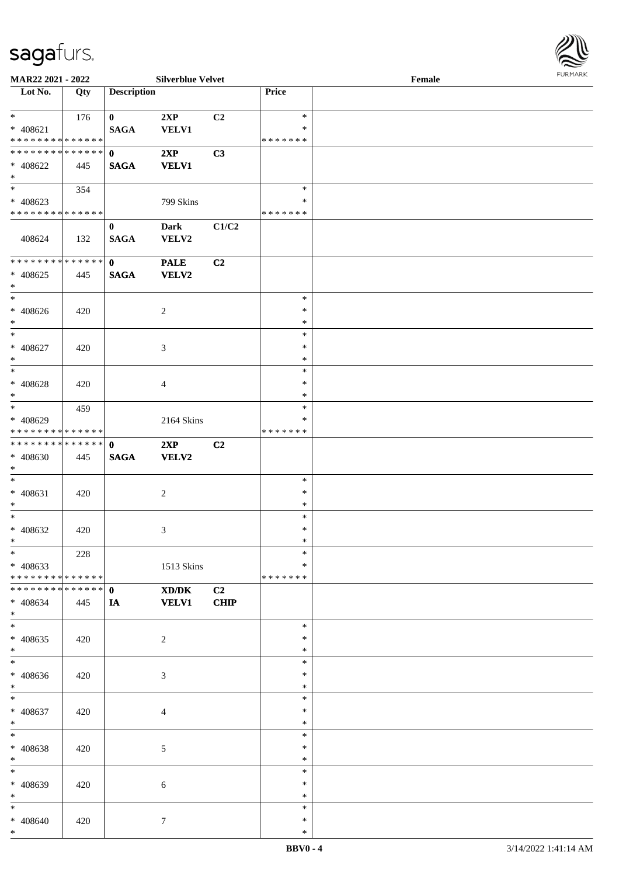| Lot No.                                 | Qty | <b>Description</b>      |                             |             | Price         |  |
|-----------------------------------------|-----|-------------------------|-----------------------------|-------------|---------------|--|
| $*$                                     |     |                         |                             |             | $\ast$        |  |
|                                         | 176 | $\mathbf{0}$            | 2XP                         | C2          | $\ast$        |  |
| * 408621<br>* * * * * * * * * * * * * * |     | <b>SAGA</b>             | <b>VELV1</b>                |             | *******       |  |
| **************                          |     | $\mathbf{0}$            | 2XP                         | C3          |               |  |
| $* 408622$                              |     | <b>SAGA</b>             |                             |             |               |  |
| $*$                                     | 445 |                         | <b>VELV1</b>                |             |               |  |
| $*$                                     | 354 |                         |                             |             | $\ast$        |  |
| $* 408623$                              |     |                         |                             |             | ∗             |  |
| * * * * * * * * * * * * * * *           |     |                         | 799 Skins                   |             | * * * * * * * |  |
|                                         |     |                         |                             | C1/C2       |               |  |
| 408624                                  | 132 | $\bf{0}$<br><b>SAGA</b> | <b>Dark</b><br>VELV2        |             |               |  |
| ******** <mark>******</mark>            |     |                         |                             |             |               |  |
|                                         |     | $\mathbf{0}$            | <b>PALE</b>                 | C2          |               |  |
| $* 408625$                              | 445 | <b>SAGA</b>             | <b>VELV2</b>                |             |               |  |
| $\ast$<br>$\overline{\phantom{a}^*}$    |     |                         |                             |             |               |  |
|                                         |     |                         |                             |             | $\ast$        |  |
| * 408626                                | 420 |                         | 2                           |             | $\ast$        |  |
| $\ast$<br>$\overline{\phantom{a}^*}$    |     |                         |                             |             | $\ast$        |  |
|                                         |     |                         |                             |             | $\ast$        |  |
| $* 408627$                              | 420 |                         | $\sqrt{3}$                  |             | $\ast$        |  |
| $\ast$<br>$\overline{\phantom{0}}$      |     |                         |                             |             | $\ast$        |  |
|                                         |     |                         |                             |             | $\ast$        |  |
| $* 408628$                              | 420 |                         | $\overline{4}$              |             | $\ast$        |  |
| $\ast$<br>$\overline{\ast}$             |     |                         |                             |             | $\ast$        |  |
|                                         | 459 |                         |                             |             | $\ast$        |  |
| * 408629                                |     |                         | 2164 Skins                  |             | $\ast$        |  |
| * * * * * * * * * * * * * * *           |     |                         |                             |             | * * * * * * * |  |
| ******** <mark>******</mark>            |     | $\mathbf{0}$            | 2XP                         | C2          |               |  |
| $* 408630$                              | 445 | <b>SAGA</b>             | <b>VELV2</b>                |             |               |  |
| $*$                                     |     |                         |                             |             |               |  |
| $*$                                     |     |                         |                             |             | $\ast$        |  |
| * 408631                                | 420 |                         | $\sqrt{2}$                  |             | $\ast$        |  |
| $\ast$                                  |     |                         |                             |             | $\ast$        |  |
| $\ast$                                  |     |                         |                             |             | $\ast$        |  |
| $* 408632$                              | 420 |                         | $\mathfrak{Z}$              |             | ∗             |  |
| $*$                                     |     |                         |                             |             | $\ast$        |  |
| $\ast$                                  | 228 |                         |                             |             | ∗             |  |
| * 408633                                |     |                         | 1513 Skins                  |             | $\ast$        |  |
| * * * * * * * * * * * * * *             |     |                         |                             |             | * * * * * * * |  |
| * * * * * * * * * * * * * * *           |     | $\mathbf{0}$            | $\boldsymbol{\text{XD/DK}}$ | C2          |               |  |
| $* 408634$<br>$*$                       | 445 | IA                      | <b>VELV1</b>                | <b>CHIP</b> |               |  |
| $\overline{\phantom{a}^*}$              |     |                         |                             |             | $\ast$        |  |
| $* 408635$                              | 420 |                         | $\sqrt{2}$                  |             | ∗             |  |
| $*$                                     |     |                         |                             |             | $\ast$        |  |
| $\overline{\phantom{a}^*}$              |     |                         |                             |             | $\ast$        |  |
| $* 408636$                              | 420 |                         | $\mathfrak{Z}$              |             | $\ast$        |  |
| $*$                                     |     |                         |                             |             | $\ast$        |  |
| $\ast$                                  |     |                         |                             |             | $\ast$        |  |
| $* 408637$                              | 420 |                         | $\overline{4}$              |             | ∗             |  |
| $*$                                     |     |                         |                             |             | $\ast$        |  |
| $\ast$                                  |     |                         |                             |             | $\ast$        |  |
| $* 408638$                              | 420 |                         | 5                           |             | ∗             |  |
| $\ast$                                  |     |                         |                             |             | $\ast$        |  |
| $_{\ast}^{-}$                           |     |                         |                             |             | $\ast$        |  |
| * 408639                                | 420 |                         | 6                           |             | $\ast$        |  |
| $*$                                     |     |                         |                             |             | $\ast$        |  |
| $\ast$                                  |     |                         |                             |             | $\ast$        |  |
| $* 408640$                              | 420 |                         | $\tau$                      |             | $\ast$        |  |
| $\ast$                                  |     |                         |                             |             | $\ast$        |  |
|                                         |     |                         |                             |             |               |  |

**MAR22 2021 - 2022 Silverblue Velvet Female**

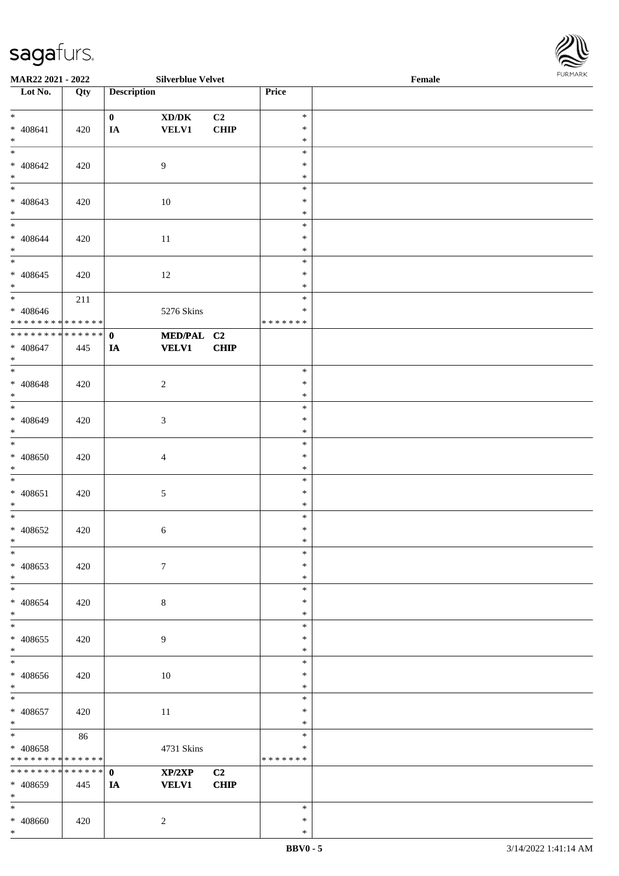\*



| <b>MAR22 2021 - 2022</b>        |     |                    | <b>Silverblue Velvet</b>                                     |             |                  | Female |  |
|---------------------------------|-----|--------------------|--------------------------------------------------------------|-------------|------------------|--------|--|
| Lot No.                         | Qty | <b>Description</b> |                                                              |             | Price            |        |  |
|                                 |     |                    |                                                              |             |                  |        |  |
| $*$                             |     | $\mathbf{0}$       | $\boldsymbol{\text{XD}}\boldsymbol{/}\boldsymbol{\text{DK}}$ | C2          | $\ast$           |        |  |
| $* 408641$                      | 420 | IA                 | <b>VELV1</b>                                                 | <b>CHIP</b> | $\ast$           |        |  |
| $*$                             |     |                    |                                                              |             | $\ast$           |        |  |
|                                 |     |                    |                                                              |             | $\ast$           |        |  |
| $* 408642$                      | 420 |                    | 9                                                            |             | $\ast$           |        |  |
| $\ast$                          |     |                    |                                                              |             | $\ast$           |        |  |
| $\overline{\phantom{0}}$        |     |                    |                                                              |             | $\ast$           |        |  |
| $* 408643$                      | 420 |                    | $10\,$                                                       |             | $\ast$           |        |  |
| $*$                             |     |                    |                                                              |             | $\ast$           |        |  |
| $\overline{\phantom{0}}$        |     |                    |                                                              |             | $\ast$           |        |  |
| $* 408644$                      | 420 |                    | 11                                                           |             | $\ast$           |        |  |
| $*$                             |     |                    |                                                              |             | $\ast$           |        |  |
|                                 |     |                    |                                                              |             | $\ast$           |        |  |
| $* 408645$                      | 420 |                    | 12                                                           |             | $\ast$           |        |  |
| $*$<br>$\overline{\phantom{0}}$ |     |                    |                                                              |             | $\ast$           |        |  |
|                                 | 211 |                    |                                                              |             | $\ast$           |        |  |
| $* 408646$                      |     |                    | 5276 Skins                                                   |             | $\ast$           |        |  |
| ******** <mark>******</mark>    |     |                    |                                                              |             | * * * * * * *    |        |  |
| ******** <mark>******</mark>    |     | $\mathbf{0}$       | MED/PAL C2                                                   |             |                  |        |  |
| $* 408647$                      | 445 | IA                 | <b>VELV1</b>                                                 | CHIP        |                  |        |  |
| $\ast$                          |     |                    |                                                              |             |                  |        |  |
|                                 |     |                    |                                                              |             | $\ast$           |        |  |
| $* 408648$                      | 420 |                    | $\sqrt{2}$                                                   |             | $\ast$           |        |  |
| $*$<br>$\overline{\phantom{0}}$ |     |                    |                                                              |             | $\ast$           |        |  |
|                                 |     |                    |                                                              |             | $\ast$           |        |  |
| $* 408649$<br>$*$               | 420 |                    | $\mathfrak{Z}$                                               |             | $\ast$<br>$\ast$ |        |  |
| $\overline{\ast}$               |     |                    |                                                              |             | $\ast$           |        |  |
|                                 |     |                    |                                                              |             | $\ast$           |        |  |
| $* 408650$<br>$\ast$            | 420 |                    | $\overline{4}$                                               |             | $\ast$           |        |  |
| $*$                             |     |                    |                                                              |             | $\ast$           |        |  |
| $* 408651$                      |     |                    |                                                              |             | $\ast$           |        |  |
| $*$                             | 420 |                    | 5                                                            |             | $\ast$           |        |  |
| $\ast$                          |     |                    |                                                              |             | $\ast$           |        |  |
| $* 408652$                      | 420 |                    | 6                                                            |             | $\ast$           |        |  |
| $*$                             |     |                    |                                                              |             | $\ast$           |        |  |
| $\ast$                          |     |                    |                                                              |             | $\ast$           |        |  |
| * 408653                        | 420 |                    | $\boldsymbol{7}$                                             |             | $\ast$           |        |  |
| $\ast$                          |     |                    |                                                              |             | $\ast$           |        |  |
| $*$                             |     |                    |                                                              |             | $\ast$           |        |  |
| $* 408654$                      | 420 |                    | $\,8\,$                                                      |             | $\ast$           |        |  |
| $*$                             |     |                    |                                                              |             | $\ast$           |        |  |
| $*$                             |     |                    |                                                              |             | $\ast$           |        |  |
| $* 408655$                      | 420 |                    | 9                                                            |             | $\ast$           |        |  |
| $\ast$                          |     |                    |                                                              |             | $\ast$           |        |  |
| $*$                             |     |                    |                                                              |             | $\ast$           |        |  |
| $* 408656$                      | 420 |                    | 10                                                           |             | $\ast$           |        |  |
| $*$                             |     |                    |                                                              |             | $\ast$           |        |  |
| $\ast$                          |     |                    |                                                              |             | $\ast$           |        |  |
| $* 408657$                      | 420 |                    | $11\,$                                                       |             | $\ast$           |        |  |
| $*$                             |     |                    |                                                              |             | $\ast$           |        |  |
| $*$                             | 86  |                    |                                                              |             | $\ast$           |        |  |
| * 408658                        |     |                    | 4731 Skins                                                   |             | $\ast$           |        |  |
| * * * * * * * * * * * * * *     |     |                    |                                                              |             | * * * * * * *    |        |  |
| * * * * * * * * * * * * * * *   |     | $\mathbf{0}$       | XP/2XP                                                       | C2          |                  |        |  |
| * 408659                        | 445 | IA                 | <b>VELV1</b>                                                 | <b>CHIP</b> |                  |        |  |
| $*$                             |     |                    |                                                              |             |                  |        |  |
| $*$                             |     |                    |                                                              |             | $\ast$           |        |  |
| $* 408660$<br>$\ast$            | 420 |                    | $\overline{2}$                                               |             | $\ast$<br>$\ast$ |        |  |
|                                 |     |                    |                                                              |             |                  |        |  |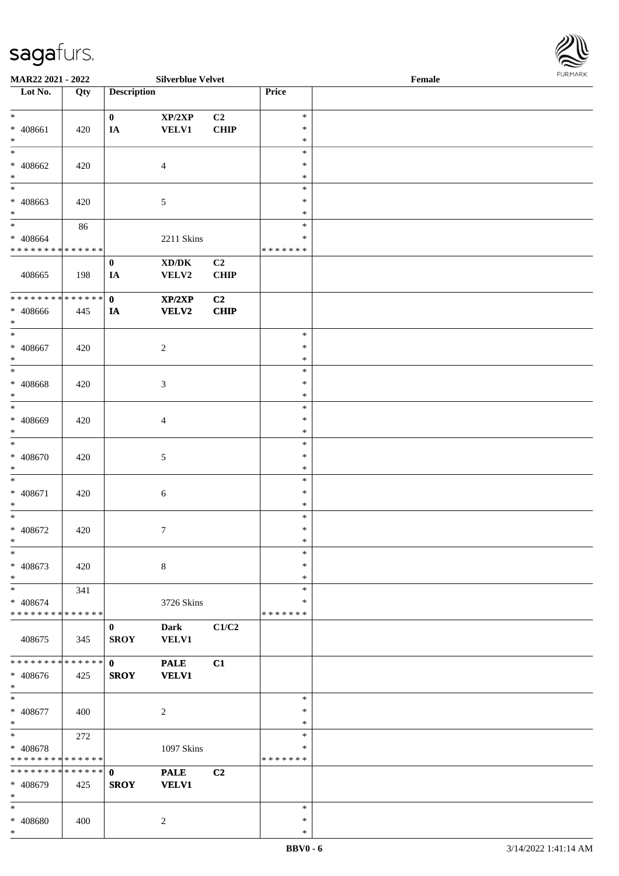

| MAR22 2021 - 2022            |     |                    | <b>Silverblue Velvet</b>            |             |               | Female |  |
|------------------------------|-----|--------------------|-------------------------------------|-------------|---------------|--------|--|
| Lot No.                      | Qty | <b>Description</b> |                                     |             | Price         |        |  |
|                              |     |                    |                                     |             |               |        |  |
| $\ast$                       |     | $\bf{0}$           | XP/2XP                              | C2          | $\ast$        |        |  |
| * 408661                     | 420 | IA                 | <b>VELV1</b>                        | <b>CHIP</b> | $\ast$        |        |  |
| $\ast$                       |     |                    |                                     |             | $\ast$        |        |  |
| $\ast$                       |     |                    |                                     |             | $\ast$        |        |  |
|                              |     |                    |                                     |             |               |        |  |
| * 408662                     | 420 |                    | $\overline{4}$                      |             | $\ast$        |        |  |
| $\ast$                       |     |                    |                                     |             | $\ast$        |        |  |
| $\overline{\phantom{a}^*}$   |     |                    |                                     |             | $\ast$        |        |  |
| * 408663                     | 420 |                    | $\mathfrak{S}$                      |             | $\ast$        |        |  |
| $\ast$                       |     |                    |                                     |             | $\ast$        |        |  |
| $\frac{1}{1}$                | 86  |                    |                                     |             | $\ast$        |        |  |
| $* 408664$                   |     |                    | 2211 Skins                          |             | *             |        |  |
| * * * * * * * * * * * * * *  |     |                    |                                     |             | * * * * * * * |        |  |
|                              |     | $\boldsymbol{0}$   | $\bold{X}\bold{D}/\bold{D}\bold{K}$ | C2          |               |        |  |
| 408665                       | 198 | IA                 |                                     |             |               |        |  |
|                              |     |                    | VELV2                               | <b>CHIP</b> |               |        |  |
| ******** <mark>******</mark> |     |                    |                                     |             |               |        |  |
|                              |     | $\mathbf{0}$       | XP/2XP                              | C2          |               |        |  |
| $* 408666$                   | 445 | IA                 | <b>VELV2</b>                        | <b>CHIP</b> |               |        |  |
| $\ast$                       |     |                    |                                     |             |               |        |  |
| $\overline{\phantom{a}}$     |     |                    |                                     |             | $\ast$        |        |  |
| $* 408667$                   | 420 |                    | $\overline{c}$                      |             | $\ast$        |        |  |
| $\ast$                       |     |                    |                                     |             | $\ast$        |        |  |
| $\ast$                       |     |                    |                                     |             | $\ast$        |        |  |
| $* 408668$                   | 420 |                    | $\mathfrak{Z}$                      |             | $\ast$        |        |  |
| $\ast$                       |     |                    |                                     |             | $\ast$        |        |  |
| $\overline{\phantom{a}^*}$   |     |                    |                                     |             | $\ast$        |        |  |
|                              |     |                    |                                     |             | $\ast$        |        |  |
| * 408669                     | 420 |                    | $\overline{4}$                      |             |               |        |  |
| $\ast$                       |     |                    |                                     |             | $\ast$        |        |  |
| $\ast$                       |     |                    |                                     |             | $\ast$        |        |  |
| $* 408670$                   | 420 |                    | $\mathfrak{S}$                      |             | $\ast$        |        |  |
| $\ast$                       |     |                    |                                     |             | $\ast$        |        |  |
| $\ast$                       |     |                    |                                     |             | $\ast$        |        |  |
| $* 408671$                   | 420 |                    | $\sqrt{6}$                          |             | $\ast$        |        |  |
| $\ast$                       |     |                    |                                     |             | $\ast$        |        |  |
| $\ast$                       |     |                    |                                     |             | $\ast$        |        |  |
| $* 408672$                   | 420 |                    | $\boldsymbol{7}$                    |             | $\ast$        |        |  |
| $*$                          |     |                    |                                     |             | $\ast$        |        |  |
| $\ast$                       |     |                    |                                     |             | $\ast$        |        |  |
| * 408673                     | 420 |                    | $\,8\,$                             |             | $\ast$        |        |  |
| $\ast$                       |     |                    |                                     |             | $\ast$        |        |  |
| $\ast$                       | 341 |                    |                                     |             | $\ast$        |        |  |
|                              |     |                    |                                     |             |               |        |  |
| * 408674                     |     |                    | 3726 Skins                          |             | *             |        |  |
| ******** <mark>******</mark> |     |                    |                                     |             | * * * * * * * |        |  |
|                              |     | $\bf{0}$           | <b>Dark</b>                         | C1/C2       |               |        |  |
| 408675                       | 345 | <b>SROY</b>        | VELV1                               |             |               |        |  |
|                              |     |                    |                                     |             |               |        |  |
| ******** <mark>******</mark> |     | $\mathbf{0}$       | <b>PALE</b>                         | C1          |               |        |  |
| $* 408676$                   | 425 | <b>SROY</b>        | <b>VELV1</b>                        |             |               |        |  |
| $\ast$                       |     |                    |                                     |             |               |        |  |
| $\ast$                       |     |                    |                                     |             | $\ast$        |        |  |
| * 408677                     | 400 |                    | $\overline{c}$                      |             | $\ast$        |        |  |
| $\ast$                       |     |                    |                                     |             | $\ast$        |        |  |
| $\ast$                       | 272 |                    |                                     |             | $\ast$        |        |  |
|                              |     |                    |                                     |             | $\ast$        |        |  |
| * 408678                     |     |                    | 1097 Skins                          |             |               |        |  |
| * * * * * * * * * * * * * *  |     |                    |                                     |             | * * * * * * * |        |  |
| * * * * * * * * * * * * * *  |     | $\mathbf{0}$       | <b>PALE</b>                         | C2          |               |        |  |
| * 408679                     | 425 | <b>SROY</b>        | <b>VELV1</b>                        |             |               |        |  |
| $\ast$                       |     |                    |                                     |             |               |        |  |
| $\ast$                       |     |                    |                                     |             | $\ast$        |        |  |
| * 408680                     | 400 |                    | $\sqrt{2}$                          |             | $\ast$        |        |  |
| $\ast$                       |     |                    |                                     |             | $\ast$        |        |  |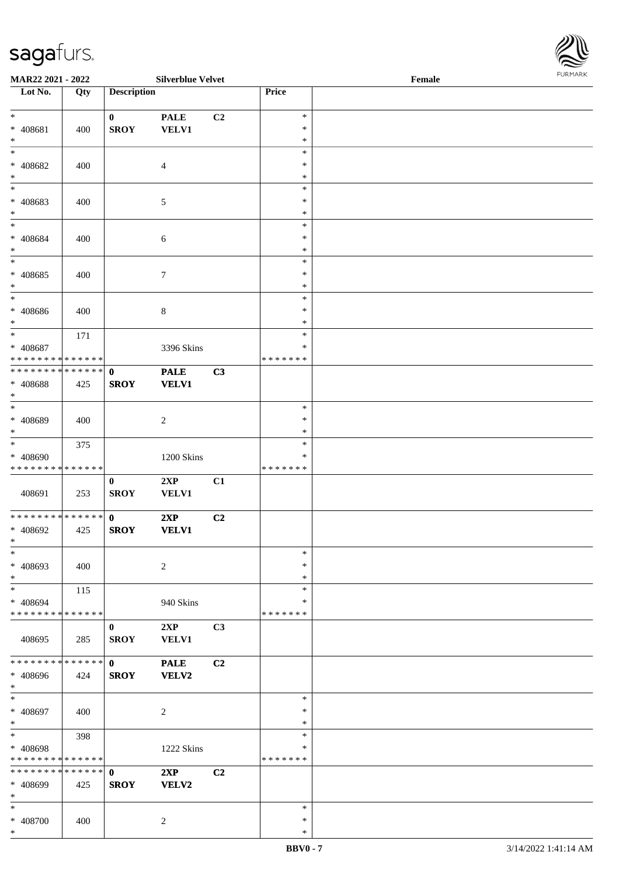\*



| MAR22 2021 - 2022                                    |             |                         | <b>Silverblue Velvet</b> |    |               | $\ensuremath{\textnormal{\textbf{Female}}}$ | <b>I ORI IMPORT</b> |
|------------------------------------------------------|-------------|-------------------------|--------------------------|----|---------------|---------------------------------------------|---------------------|
| Lot No.                                              | Qty         | <b>Description</b>      |                          |    | Price         |                                             |                     |
|                                                      |             |                         |                          |    |               |                                             |                     |
| $*$                                                  |             | $\mathbf{0}$            | <b>PALE</b>              | C2 | $\ast$        |                                             |                     |
| * 408681                                             | 400         | <b>SROY</b>             | <b>VELV1</b>             |    | $\ast$        |                                             |                     |
| $*$                                                  |             |                         |                          |    | $\ast$        |                                             |                     |
| $*$                                                  |             |                         |                          |    | $\ast$        |                                             |                     |
| * 408682                                             | 400         |                         | $\overline{4}$           |    | $\ast$        |                                             |                     |
| $*$                                                  |             |                         |                          |    | $\ast$        |                                             |                     |
| $*$                                                  |             |                         |                          |    | $\ast$        |                                             |                     |
| * 408683                                             | 400         |                         | $\mathfrak{S}$           |    | $\ast$        |                                             |                     |
| $\ast$                                               |             |                         |                          |    | $\ast$        |                                             |                     |
|                                                      |             |                         |                          |    | $\ast$        |                                             |                     |
| * 408684                                             | 400         |                         | 6                        |    | $\ast$        |                                             |                     |
| $*$                                                  |             |                         |                          |    | $\ast$        |                                             |                     |
| $\overline{\phantom{0}}$                             |             |                         |                          |    | $\ast$        |                                             |                     |
| * 408685                                             | 400         |                         | $\tau$                   |    | $\ast$        |                                             |                     |
| $*$                                                  |             |                         |                          |    | $\ast$        |                                             |                     |
| $\ast$                                               |             |                         |                          |    | $\ast$        |                                             |                     |
| * 408686                                             | 400         |                         | $8\,$                    |    | $\ast$        |                                             |                     |
| $*$                                                  |             |                         |                          |    | $\ast$        |                                             |                     |
| $\overline{\phantom{0}}$                             | 171         |                         |                          |    | $\ast$        |                                             |                     |
| * 408687                                             |             |                         | 3396 Skins               |    | $\ast$        |                                             |                     |
| * * * * * * * * * * * * * *                          |             |                         |                          |    | * * * * * * * |                                             |                     |
| * * * * * * * * * * * * * * *                        |             | $\mathbf{0}$            | <b>PALE</b>              | C3 |               |                                             |                     |
| * 408688                                             | 425         | <b>SROY</b>             | <b>VELV1</b>             |    |               |                                             |                     |
| $*$                                                  |             |                         |                          |    |               |                                             |                     |
| $*$                                                  |             |                         |                          |    | $\ast$        |                                             |                     |
| * 408689                                             | 400         |                         | $\overline{c}$           |    | $\ast$        |                                             |                     |
| $\ast$                                               |             |                         |                          |    | $\ast$        |                                             |                     |
| $\overline{\phantom{0}}$                             | 375         |                         |                          |    | $\ast$        |                                             |                     |
| * 408690                                             |             |                         | 1200 Skins               |    | $\ast$        |                                             |                     |
| * * * * * * * * * * * * * *                          |             |                         |                          |    | *******       |                                             |                     |
|                                                      |             | $\bf{0}$                | 2XP                      | C1 |               |                                             |                     |
| 408691                                               | 253         | <b>SROY</b>             | <b>VELV1</b>             |    |               |                                             |                     |
|                                                      |             |                         |                          |    |               |                                             |                     |
| * * * * * * * * <mark>* * * * * * *</mark>           |             | $\mathbf{0}$            | 2XP                      | C2 |               |                                             |                     |
| * 408692<br>$*$                                      | 425         | <b>SROY</b>             | <b>VELV1</b>             |    |               |                                             |                     |
| $*$                                                  |             |                         |                          |    | $\ast$        |                                             |                     |
|                                                      |             |                         |                          |    | $\ast$        |                                             |                     |
| * 408693<br>$*$                                      | 400         |                         | 2                        |    | $\ast$        |                                             |                     |
| $*$                                                  |             |                         |                          |    | $\ast$        |                                             |                     |
|                                                      | 115         |                         |                          |    | ∗             |                                             |                     |
| * 408694<br>* * * * * * * * <mark>* * * * * *</mark> |             |                         | 940 Skins                |    | * * * * * * * |                                             |                     |
|                                                      |             |                         |                          |    |               |                                             |                     |
| 408695                                               | 285         | $\bf{0}$<br><b>SROY</b> | 2XP<br><b>VELV1</b>      | C3 |               |                                             |                     |
|                                                      |             |                         |                          |    |               |                                             |                     |
| * * * * * * * *                                      | * * * * * * | $\mathbf 0$             | <b>PALE</b>              | C2 |               |                                             |                     |
|                                                      |             | <b>SROY</b>             | VELV2                    |    |               |                                             |                     |
| * 408696<br>$*$                                      | 424         |                         |                          |    |               |                                             |                     |
| $*$                                                  |             |                         |                          |    | $\ast$        |                                             |                     |
| * 408697                                             | 400         |                         | $\overline{c}$           |    | $\ast$        |                                             |                     |
| $*$                                                  |             |                         |                          |    | $\ast$        |                                             |                     |
| $*$                                                  | 398         |                         |                          |    | $\ast$        |                                             |                     |
| * 408698                                             |             |                         | 1222 Skins               |    | $\ast$        |                                             |                     |
| * * * * * * * * * * * * * *                          |             |                         |                          |    | *******       |                                             |                     |
| * * * * * * * * <mark>* * * * * * *</mark>           |             | $\mathbf{0}$            | 2XP                      | C2 |               |                                             |                     |
| * 408699                                             | 425         | <b>SROY</b>             | <b>VELV2</b>             |    |               |                                             |                     |
| $\ast$                                               |             |                         |                          |    |               |                                             |                     |
| $*$                                                  |             |                         |                          |    | $\ast$        |                                             |                     |
| * 408700                                             | 400         |                         | 2                        |    | $\ast$        |                                             |                     |
| $\ast$                                               |             |                         |                          |    | $\ast$        |                                             |                     |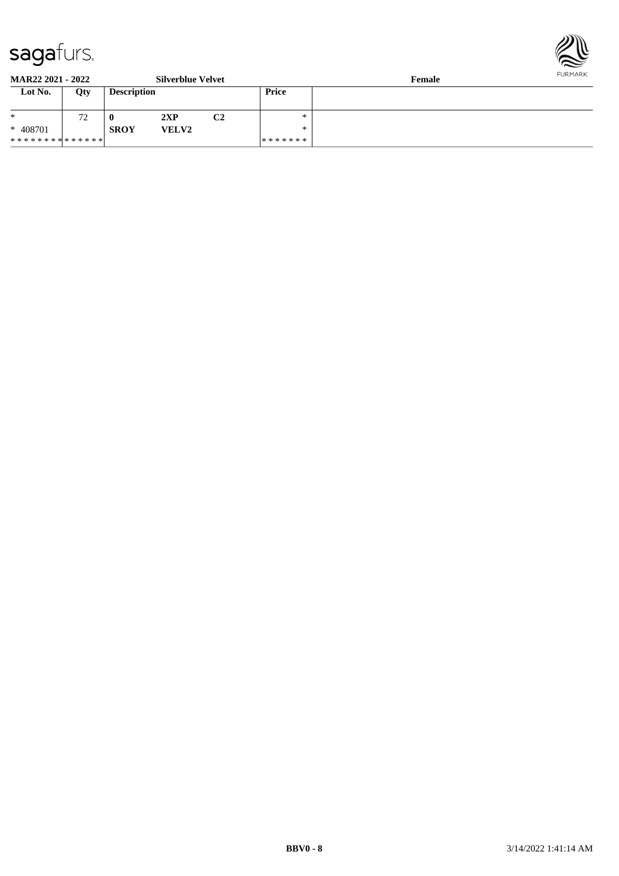

**MAR22 2021 - 2022 Silverblue Velvet Female**

| Lot No.                       | Qty                  | <b>Description</b> |              |          | Price   |  |
|-------------------------------|----------------------|--------------------|--------------|----------|---------|--|
| $*$                           | 72<br>$\overline{ }$ | $\mathbf 0$        | 2XP          | o۹<br>◡▵ | ∗       |  |
| * 408701                      |                      | <b>SROY</b>        | <b>VELV2</b> |          | ж       |  |
| * * * * * * * * * * * * * * * |                      |                    |              |          | ******* |  |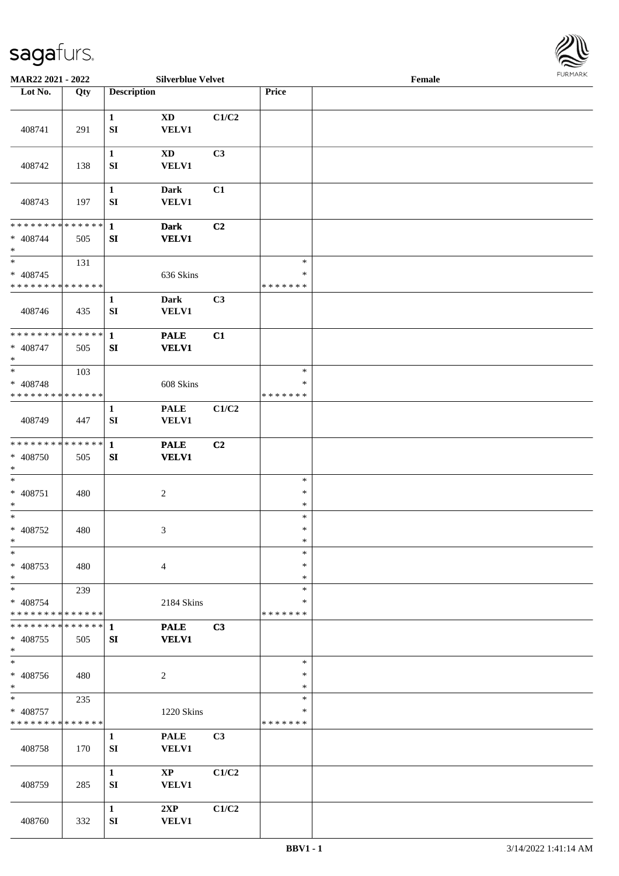

| MAR22 2021 - 2022                                   |     |                                  | <b>Silverblue Velvet</b>               |       |                                   | Female |  |
|-----------------------------------------------------|-----|----------------------------------|----------------------------------------|-------|-----------------------------------|--------|--|
| Lot No.                                             | Qty | <b>Description</b>               |                                        |       | Price                             |        |  |
|                                                     |     |                                  |                                        |       |                                   |        |  |
| 408741                                              | 291 | $\mathbf{1}$<br>${\bf S}{\bf I}$ | <b>XD</b><br><b>VELV1</b>              | C1/C2 |                                   |        |  |
| 408742                                              | 138 | $\mathbf{1}$<br>${\bf S}{\bf I}$ | $\mathbf{X}\mathbf{D}$<br><b>VELV1</b> | C3    |                                   |        |  |
| 408743                                              | 197 | $\mathbf{1}$<br>${\bf S}{\bf I}$ | <b>Dark</b><br>VELV1                   | C1    |                                   |        |  |
| * * * * * * * * * * * * * *<br>$* 408744$<br>$\ast$ | 505 | $\mathbf{1}$<br>SI               | <b>Dark</b><br><b>VELV1</b>            | C2    |                                   |        |  |
| $\ast$<br>$* 408745$<br>* * * * * * * * * * * * * * | 131 |                                  | 636 Skins                              |       | $\ast$<br>$\ast$<br>* * * * * * * |        |  |
| 408746                                              | 435 | $\mathbf 1$<br>${\bf S}{\bf I}$  | <b>Dark</b><br><b>VELV1</b>            | C3    |                                   |        |  |
| * * * * * * * * * * * * * *<br>$* 408747$<br>$\ast$ | 505 | $\mathbf{1}$<br>SI               | <b>PALE</b><br><b>VELV1</b>            | C1    |                                   |        |  |
| $\ast$<br>$* 408748$<br>* * * * * * * * * * * * * * | 103 |                                  | 608 Skins                              |       | $\ast$<br>∗<br>* * * * * * *      |        |  |
| 408749                                              | 447 | $\mathbf{1}$<br>SI               | <b>PALE</b><br><b>VELV1</b>            | C1/C2 |                                   |        |  |
| * * * * * * * * * * * * * *<br>* 408750<br>$\ast$   | 505 | $\mathbf{1}$<br>${\bf S}{\bf I}$ | <b>PALE</b><br><b>VELV1</b>            | C2    |                                   |        |  |
| $\ast$<br>$* 408751$<br>$\ast$                      | 480 |                                  | $\boldsymbol{2}$                       |       | $\ast$<br>$\ast$<br>$\ast$        |        |  |
| $\ast$<br>$* 408752$<br>$*$                         | 480 |                                  | 3                                      |       | $\ast$<br>$\ast$<br>$\ast$        |        |  |
| $\ast$<br>* 408753<br>$*$                           | 480 |                                  | 4                                      |       | $\ast$<br>$\ast$<br>$\ast$        |        |  |
| $\ast$<br>* 408754<br>* * * * * * * * * * * * * *   | 239 |                                  | 2184 Skins                             |       | $\ast$<br>∗<br>* * * * * * *      |        |  |
| * * * * * * * * * * * * * * *<br>$* 408755$<br>$*$  | 505 | -1<br>SI                         | <b>PALE</b><br><b>VELV1</b>            | C3    |                                   |        |  |
| $\overline{\phantom{0}}$<br>* 408756<br>$*$         | 480 |                                  | $\overline{c}$                         |       | $\ast$<br>$\ast$<br>$\ast$        |        |  |
| $*$<br>* 408757<br>* * * * * * * * * * * * * *      | 235 |                                  | 1220 Skins                             |       | $\ast$<br>$\ast$<br>* * * * * * * |        |  |
| 408758                                              | 170 | $\mathbf{1}$<br>SI               | <b>PALE</b><br>VELV1                   | C3    |                                   |        |  |
| 408759                                              | 285 | $\mathbf{1}$<br>SI               | $\mathbf{X}\mathbf{P}$<br><b>VELV1</b> | C1/C2 |                                   |        |  |
| 408760                                              | 332 | $\mathbf{1}$<br>${\bf S}{\bf I}$ | 2XP<br><b>VELV1</b>                    | C1/C2 |                                   |        |  |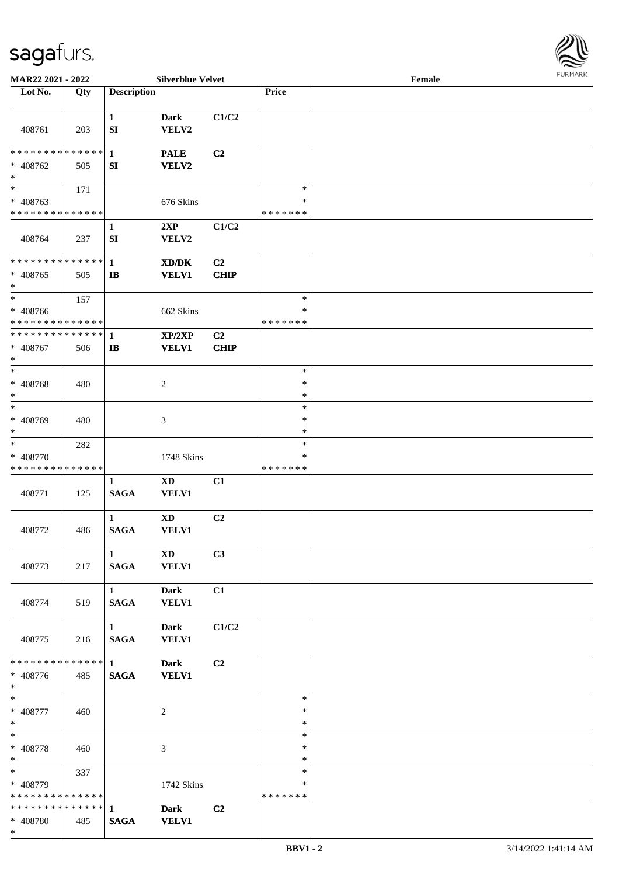

| MAR22 2021 - 2022                          |        |                            | <b>Silverblue Velvet</b> |                |               | Female |
|--------------------------------------------|--------|----------------------------|--------------------------|----------------|---------------|--------|
| Lot No.                                    | Qty    | <b>Description</b>         |                          |                | Price         |        |
|                                            |        |                            |                          |                |               |        |
| 408761                                     | 203    | $\mathbf{1}$<br>${\bf SI}$ | Dark<br>VELV2            | C1/C2          |               |        |
| * * * * * * * * * * * * * *                |        | $\mathbf{1}$               | <b>PALE</b>              | C <sub>2</sub> |               |        |
| * 408762<br>$\ast$                         | 505    | SI                         | <b>VELV2</b>             |                |               |        |
| $_{*}$                                     | 171    |                            |                          |                | $\ast$        |        |
| * 408763                                   |        |                            | 676 Skins                |                | $\ast$        |        |
| * * * * * * * * * * * * * *                |        |                            |                          |                | * * * * * * * |        |
|                                            |        | 1                          | 2XP                      | C1/C2          |               |        |
| 408764                                     | 237    | ${\bf SI}$                 | VELV2                    |                |               |        |
| * * * * * * * * * * * * * *                |        | $\mathbf{1}$               | XD/DK                    | C2             |               |        |
| $* 408765$<br>$\ast$                       | 505    | $\mathbf{I}$               | <b>VELV1</b>             | <b>CHIP</b>    |               |        |
| $\ast$                                     | 157    |                            |                          |                | $\ast$        |        |
| * 408766                                   |        |                            | 662 Skins                |                | $\ast$        |        |
| * * * * * * * * * * * * * *                |        |                            |                          |                | * * * * * * * |        |
| * * * * * * * *                            | ****** | 1                          | XP/2XP                   | C <sub>2</sub> |               |        |
| $* 408767$                                 | 506    | $\bf I\bf B$               | <b>VELV1</b>             | <b>CHIP</b>    |               |        |
| $\ast$                                     |        |                            |                          |                |               |        |
| $\ast$                                     |        |                            |                          |                | $\ast$        |        |
|                                            |        |                            |                          |                |               |        |
| $* 408768$                                 | 480    |                            | $\overline{c}$           |                | $\ast$        |        |
| $\ast$                                     |        |                            |                          |                | $\ast$        |        |
| $\ast$                                     |        |                            |                          |                | $\ast$        |        |
| * 408769                                   | 480    |                            | 3                        |                | $\ast$        |        |
| $\ast$                                     |        |                            |                          |                | $\ast$        |        |
| $\ast$                                     | 282    |                            |                          |                | $\ast$        |        |
| * 408770                                   |        |                            | 1748 Skins               |                | ∗             |        |
| * * * * * * * * * * * * * *                |        |                            |                          |                | * * * * * * * |        |
|                                            |        | $\mathbf{1}$               | $\mathbf{X}\mathbf{D}$   | C1             |               |        |
| 408771                                     | 125    | <b>SAGA</b>                | <b>VELV1</b>             |                |               |        |
|                                            |        |                            |                          |                |               |        |
|                                            |        | $\mathbf{1}$               | $\mathbf{X}\mathbf{D}$   | C <sub>2</sub> |               |        |
| 408772                                     | 486    | <b>SAGA</b>                | <b>VELV1</b>             |                |               |        |
|                                            |        |                            |                          |                |               |        |
|                                            |        | $\mathbf{1}$               | <b>XD</b>                | C3             |               |        |
| 408773                                     | 217    | <b>SAGA</b>                | <b>VELV1</b>             |                |               |        |
|                                            |        |                            |                          |                |               |        |
|                                            |        |                            |                          |                |               |        |
|                                            |        | $1 \qquad \qquad$          | <b>Dark</b>              | C1             |               |        |
| 408774                                     | 519    | <b>SAGA</b>                | <b>VELV1</b>             |                |               |        |
|                                            |        |                            |                          |                |               |        |
|                                            |        | $1 \quad \blacksquare$     | <b>Dark</b>              | C1/C2          |               |        |
| 408775                                     | 216    | <b>SAGA</b>                | <b>VELV1</b>             |                |               |        |
|                                            |        |                            |                          |                |               |        |
| * * * * * * * * * * * * * * *              |        | $1 \quad \blacksquare$     | <b>Dark</b>              | C2             |               |        |
| * 408776                                   | 485    | <b>SAGA</b>                | <b>VELV1</b>             |                |               |        |
| $*$                                        |        |                            |                          |                |               |        |
| $*$                                        |        |                            |                          |                | $\ast$        |        |
| $* 408777$                                 | 460    |                            | 2                        |                | $\ast$        |        |
| $*$                                        |        |                            |                          |                | $\ast$        |        |
| $\ast$                                     |        |                            |                          |                | $\ast$        |        |
| * 408778                                   | 460    |                            | 3                        |                | $\ast$        |        |
| $*$                                        |        |                            |                          |                | $\ast$        |        |
|                                            | 337    |                            |                          |                | $\ast$        |        |
| * 408779                                   |        |                            | 1742 Skins               |                | ∗             |        |
| * * * * * * * * <mark>* * * * * * *</mark> |        |                            |                          |                | * * * * * * * |        |
| * * * * * * * * * * * * * * *              |        | $\mathbf{1}$               | <b>Dark</b>              | C <sub>2</sub> |               |        |
| * 408780                                   | 485    | <b>SAGA</b>                | <b>VELV1</b>             |                |               |        |
| $*$                                        |        |                            |                          |                |               |        |
|                                            |        |                            |                          |                |               |        |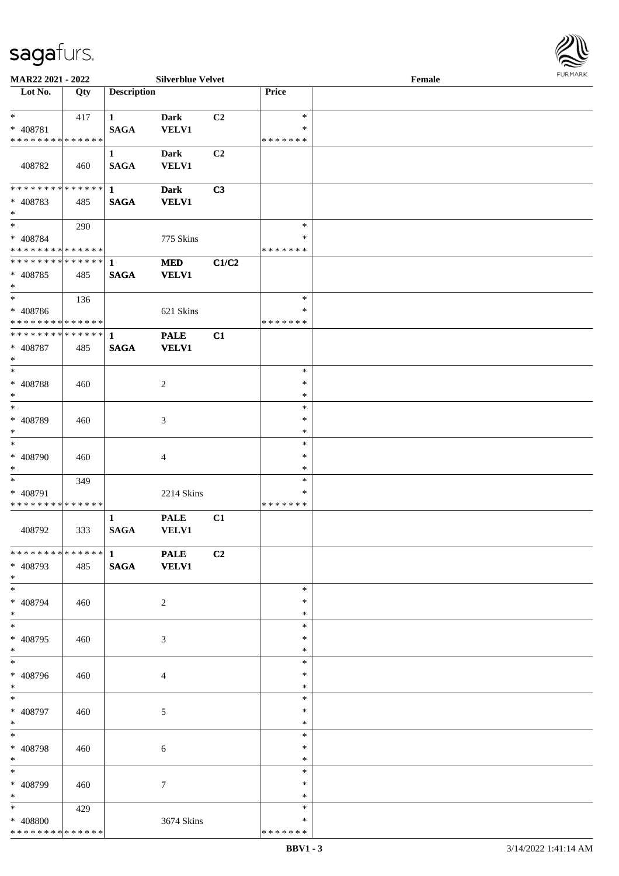

| MAR22 2021 - 2022                                   |     |                                      | <b>Silverblue Velvet</b>    |       |                                   | Female |  |
|-----------------------------------------------------|-----|--------------------------------------|-----------------------------|-------|-----------------------------------|--------|--|
| Lot No.                                             | Qty | <b>Description</b>                   |                             |       | <b>Price</b>                      |        |  |
| $\ast$<br>* 408781<br>* * * * * * * * * * * * * *   | 417 | $\mathbf{1}$<br><b>SAGA</b>          | <b>Dark</b><br><b>VELV1</b> | C2    | $\ast$<br>*<br>* * * * * * *      |        |  |
| 408782                                              | 460 | $\mathbf{1}$<br><b>SAGA</b>          | <b>Dark</b><br><b>VELV1</b> | C2    |                                   |        |  |
| * * * * * * * * * * * * * * *<br>* 408783<br>$\ast$ | 485 | 1<br><b>SAGA</b>                     | <b>Dark</b><br><b>VELV1</b> | C3    |                                   |        |  |
| $\ast$<br>$* 408784$<br>* * * * * * * * * * * * * * | 290 |                                      | 775 Skins                   |       | $\ast$<br>*<br>* * * * * * *      |        |  |
| **************<br>* 408785<br>$\ast$                | 485 | $\mathbf{1}$<br><b>SAGA</b>          | <b>MED</b><br><b>VELV1</b>  | C1/C2 |                                   |        |  |
| $\ast$<br>* 408786<br>* * * * * * * * * * * * * * * | 136 |                                      | 621 Skins                   |       | $\ast$<br>$\ast$<br>* * * * * * * |        |  |
| * * * * * * * * * * * * * * *<br>* 408787<br>$\ast$ | 485 | $\mathbf{1}$<br><b>SAGA</b>          | <b>PALE</b><br><b>VELV1</b> | C1    |                                   |        |  |
| $\ast$<br>$* 408788$<br>$\ast$                      | 460 |                                      | $\sqrt{2}$                  |       | $\ast$<br>$\ast$<br>∗             |        |  |
| $\ast$<br>* 408789<br>$\ast$                        | 460 |                                      | 3                           |       | $\ast$<br>$\ast$<br>$\ast$        |        |  |
| $\ast$<br>* 408790<br>$\ast$                        | 460 |                                      | 4                           |       | $\ast$<br>$\ast$<br>$\ast$        |        |  |
| $\ast$<br>* 408791<br>* * * * * * * * * * * * * *   | 349 |                                      | 2214 Skins                  |       | $\ast$<br>$\ast$<br>* * * * * * * |        |  |
| 408792                                              | 333 | 1<br><b>SAGA</b>                     | <b>PALE</b><br><b>VELV1</b> | C1    |                                   |        |  |
| * 408793<br>$*$                                     | 485 | *************** 1 PALE<br>SAGA VELV1 |                             | C2    |                                   |        |  |
| $\ast$<br>* 408794<br>$*$                           | 460 |                                      | $\overline{2}$              |       | $\ast$<br>*<br>∗                  |        |  |
| $\overline{\ast}$<br>* 408795<br>$*$                | 460 |                                      | 3                           |       | $\ast$<br>∗<br>$\ast$             |        |  |
| $\overline{\phantom{a}^*}$<br>* 408796<br>$*$       | 460 |                                      | $\overline{4}$              |       | $\ast$<br>*<br>$\ast$             |        |  |
| $\ast$<br>* 408797<br>$*$                           | 460 |                                      | $\mathfrak{S}$              |       | $\ast$<br>$\ast$<br>$\ast$        |        |  |
| $\ast$<br>* 408798<br>$*$                           | 460 |                                      | 6                           |       | $\ast$<br>$\ast$<br>$\ast$        |        |  |
| $\ast$<br>* 408799<br>$*$                           | 460 |                                      | $\tau$                      |       | $\ast$<br>*<br>$\ast$             |        |  |
| $*$<br>* 408800<br>* * * * * * * * * * * * * *      | 429 |                                      | 3674 Skins                  |       | $\ast$<br>*<br>* * * * * * *      |        |  |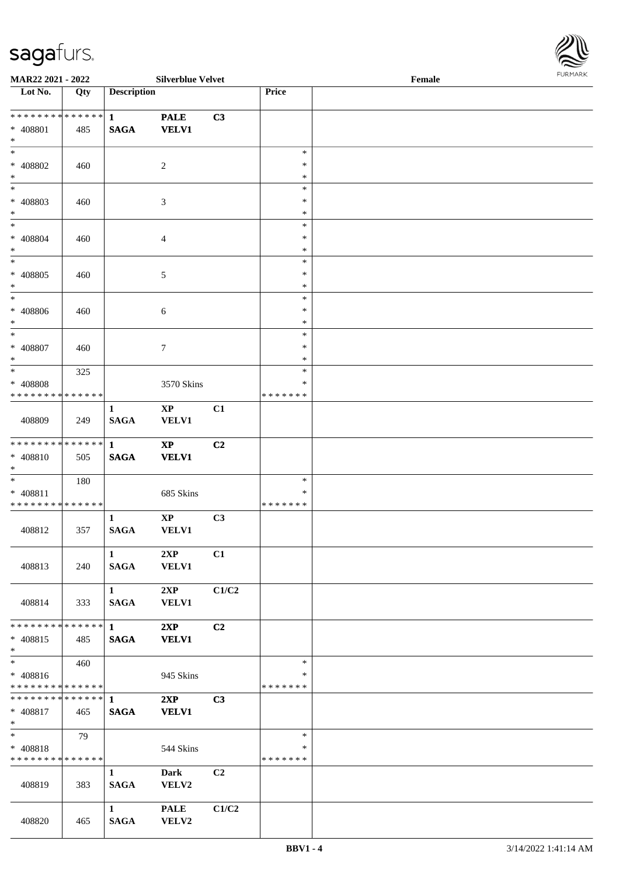

| MAR22 2021 - 2022                                      |                   |                                       | <b>Silverblue Velvet</b>               |                |                                   | Female |  |
|--------------------------------------------------------|-------------------|---------------------------------------|----------------------------------------|----------------|-----------------------------------|--------|--|
| Lot No.                                                | $\overline{Q}$ ty | <b>Description</b>                    |                                        |                | Price                             |        |  |
| ******** <mark>******</mark><br>* 408801<br>$*$        | 485               | $\mathbf{1}$<br><b>SAGA</b>           | <b>PALE</b><br><b>VELV1</b>            | C3             |                                   |        |  |
| $*$<br>* 408802<br>$\ast$                              | 460               |                                       | $\overline{c}$                         |                | $\ast$<br>$\ast$<br>$\ast$        |        |  |
| $\overline{\phantom{0}}$<br>* 408803<br>$*$            | 460               |                                       | 3                                      |                | $\ast$<br>$\ast$<br>$\ast$        |        |  |
| $*$<br>$* 408804$<br>$*$                               | 460               |                                       | 4                                      |                | $\ast$<br>$\ast$<br>$\ast$        |        |  |
| $*$<br>$* 408805$<br>$\ast$                            | 460               |                                       | 5                                      |                | $\ast$<br>$\ast$<br>$\ast$        |        |  |
| $*$<br>$* 408806$<br>$*$                               | 460               |                                       | 6                                      |                | $\ast$<br>$\ast$<br>$\ast$        |        |  |
| $*$<br>$* 408807$<br>$*$                               | 460               |                                       | 7                                      |                | $\ast$<br>$\ast$<br>$\ast$        |        |  |
| $*$<br>* 408808<br>* * * * * * * * * * * * * *         | 325               |                                       | 3570 Skins                             |                | $\ast$<br>*<br>* * * * * * *      |        |  |
| 408809                                                 | 249               | 1<br><b>SAGA</b>                      | $\mathbf{X}\mathbf{P}$<br><b>VELV1</b> | C1             |                                   |        |  |
| * * * * * * * * * * * * * * *<br>* 408810<br>$*$       | 505               | $\mathbf{1}$<br><b>SAGA</b>           | $\bold{XP}$<br><b>VELV1</b>            | C2             |                                   |        |  |
| $*$<br>* 408811<br>* * * * * * * * * * * * * *         | 180               |                                       | 685 Skins                              |                | $\ast$<br>$\ast$<br>* * * * * * * |        |  |
| 408812                                                 | 357               | 1<br><b>SAGA</b>                      | $\mathbf{XP}$<br>VELV1                 | C3             |                                   |        |  |
| 408813                                                 | 240               | $\mathbf{1}$<br>SAGA                  | 2XP<br><b>VELV1</b>                    | C1             |                                   |        |  |
| 408814                                                 | 333               | $1 \qquad \qquad$<br><b>SAGA</b>      | 2XP<br><b>VELV1</b>                    | C1/C2          |                                   |        |  |
| ************** 1<br>$* 408815$<br>$*$                  | 485               | <b>SAGA</b>                           | 2XP<br><b>VELV1</b>                    | C <sub>2</sub> |                                   |        |  |
| $*$<br>* 408816<br>* * * * * * * * * * * * * * *       | 460               |                                       | 945 Skins                              |                | $\ast$<br>∗<br>* * * * * * *      |        |  |
| ******** <mark>******</mark> 1<br>* 408817<br>$*$ $-$  | 465               | <b>SAGA</b>                           | 2XP<br><b>VELV1</b>                    | C3             |                                   |        |  |
| $*$ and $*$<br>* 408818<br>* * * * * * * * * * * * * * | 79                |                                       | 544 Skins                              |                | $\ast$<br>$\ast$<br>* * * * * * * |        |  |
| 408819                                                 | 383               | $\mathbf{1}$<br><b>SAGA</b>           | Dark<br>VELV2                          | C2             |                                   |        |  |
| 408820                                                 | 465               | $1 \quad \blacksquare$<br><b>SAGA</b> | <b>PALE</b><br>VELV2                   | C1/C2          |                                   |        |  |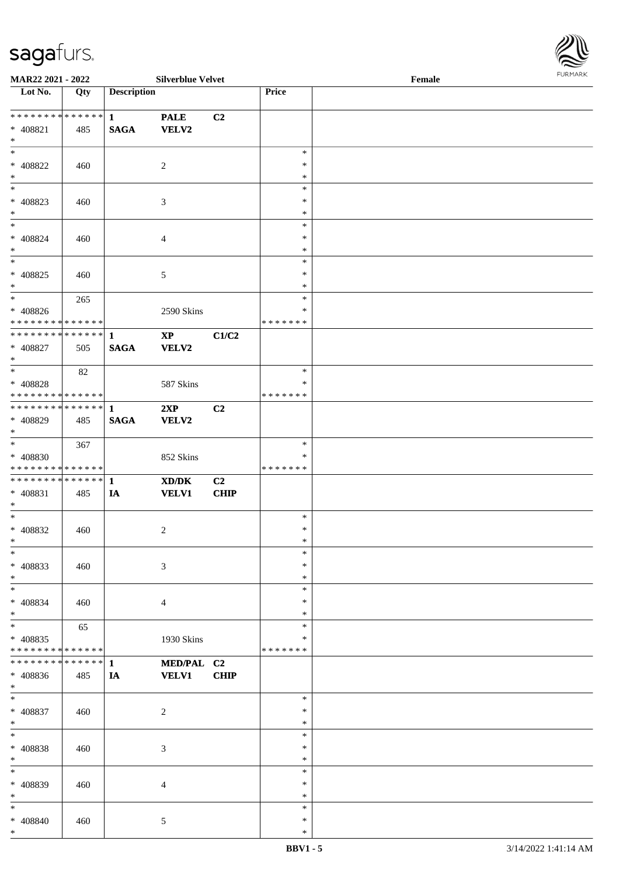

| MAR22 2021 - 2022             |     |                    | <b>Silverblue Velvet</b> |             |               | Female |  |
|-------------------------------|-----|--------------------|--------------------------|-------------|---------------|--------|--|
| Lot No.                       | Qty | <b>Description</b> |                          |             | Price         |        |  |
|                               |     |                    |                          |             |               |        |  |
| ************** 1              |     |                    | <b>PALE</b>              | C2          |               |        |  |
| * 408821                      | 485 | <b>SAGA</b>        | <b>VELV2</b>             |             |               |        |  |
| $\ast$                        |     |                    |                          |             |               |        |  |
| $\ast$                        |     |                    |                          |             | $\ast$        |        |  |
| * 408822                      | 460 |                    | $\overline{c}$           |             | ∗             |        |  |
| $\ast$                        |     |                    |                          |             | $\ast$        |        |  |
| $\overline{\phantom{a}^*}$    |     |                    |                          |             | $\ast$        |        |  |
|                               |     |                    |                          |             | $\ast$        |        |  |
| * 408823<br>$\ast$            | 460 |                    | 3                        |             | $\ast$        |        |  |
| $\overline{\phantom{a}^*}$    |     |                    |                          |             |               |        |  |
|                               |     |                    |                          |             | $\ast$        |        |  |
| * 408824                      | 460 |                    | $\overline{4}$           |             | $\ast$        |        |  |
| $\ast$                        |     |                    |                          |             | $\ast$        |        |  |
| $\overline{\phantom{a}^*}$    |     |                    |                          |             | $\ast$        |        |  |
| * 408825                      | 460 |                    | $\sqrt{5}$               |             | $\ast$        |        |  |
| $\ast$                        |     |                    |                          |             | $\ast$        |        |  |
| $\overline{\phantom{a}^*}$    | 265 |                    |                          |             | $\ast$        |        |  |
| $* 408826$                    |     |                    | 2590 Skins               |             | $\ast$        |        |  |
| * * * * * * * * * * * * * * * |     |                    |                          |             | * * * * * * * |        |  |
| ************** 1              |     |                    | $\mathbf{X}\mathbf{P}$   | C1/C2       |               |        |  |
| * 408827                      | 505 | <b>SAGA</b>        | <b>VELV2</b>             |             |               |        |  |
| $\ast$                        |     |                    |                          |             |               |        |  |
| $*$                           |     |                    |                          |             | $\ast$        |        |  |
|                               | 82  |                    |                          |             |               |        |  |
| * 408828                      |     |                    | 587 Skins                |             | *             |        |  |
| ******** <mark>******</mark>  |     |                    |                          |             | * * * * * * * |        |  |
| ************** 1              |     |                    | 2XP                      | C2          |               |        |  |
| * 408829                      | 485 | <b>SAGA</b>        | VELV2                    |             |               |        |  |
| $*$                           |     |                    |                          |             |               |        |  |
| $*$                           | 367 |                    |                          |             | $\ast$        |        |  |
| * 408830                      |     |                    | 852 Skins                |             | *             |        |  |
| * * * * * * * * * * * * * *   |     |                    |                          |             | * * * * * * * |        |  |
|                               |     |                    | XD/DK                    | C2          |               |        |  |
| * 408831                      | 485 | IA                 | <b>VELV1</b>             | <b>CHIP</b> |               |        |  |
| $*$                           |     |                    |                          |             |               |        |  |
| $*$                           |     |                    |                          |             | $\ast$        |        |  |
|                               |     |                    |                          |             | $\ast$        |        |  |
| $* 408832$                    | 460 |                    | $\overline{c}$           |             |               |        |  |
| $*$                           |     |                    |                          |             | $\ast$        |        |  |
| $\ast$                        |     |                    |                          |             | $\ast$        |        |  |
| * 408833                      | 460 |                    | 3                        |             | $\ast$        |        |  |
| $\ast$                        |     |                    |                          |             | $\ast$        |        |  |
| $\ast$                        |     |                    |                          |             | $\ast$        |        |  |
| * 408834                      | 460 |                    | $\overline{4}$           |             | *             |        |  |
| $\ast$                        |     |                    |                          |             | ∗             |        |  |
| $\ast$                        | 65  |                    |                          |             | $\ast$        |        |  |
| * 408835                      |     |                    | 1930 Skins               |             | ∗             |        |  |
| * * * * * * * * * * * * * *   |     |                    |                          |             | * * * * * * * |        |  |
| * * * * * * * * * * * * * * * |     | $\mathbf{1}$       | MED/PAL C2               |             |               |        |  |
| * 408836                      | 485 | IA                 | <b>VELV1</b>             | <b>CHIP</b> |               |        |  |
| $*$                           |     |                    |                          |             |               |        |  |
|                               |     |                    |                          |             |               |        |  |
| $\ast$                        |     |                    |                          |             | $\ast$        |        |  |
| $* 408837$                    | 460 |                    | $\sqrt{2}$               |             | $\ast$        |        |  |
| $\ast$                        |     |                    |                          |             | $\ast$        |        |  |
| $\ast$                        |     |                    |                          |             | $\ast$        |        |  |
| * 408838                      | 460 |                    | 3                        |             | $\ast$        |        |  |
| $\ast$                        |     |                    |                          |             | $\ast$        |        |  |
| $\ast$                        |     |                    |                          |             | $\ast$        |        |  |
| * 408839                      | 460 |                    | $\overline{4}$           |             | *             |        |  |
| $\ast$                        |     |                    |                          |             | $\ast$        |        |  |
| $\ast$                        |     |                    |                          |             | $\ast$        |        |  |
| * 408840                      | 460 |                    | 5                        |             | $\ast$        |        |  |
| $\ast$                        |     |                    |                          |             | $\ast$        |        |  |
|                               |     |                    |                          |             |               |        |  |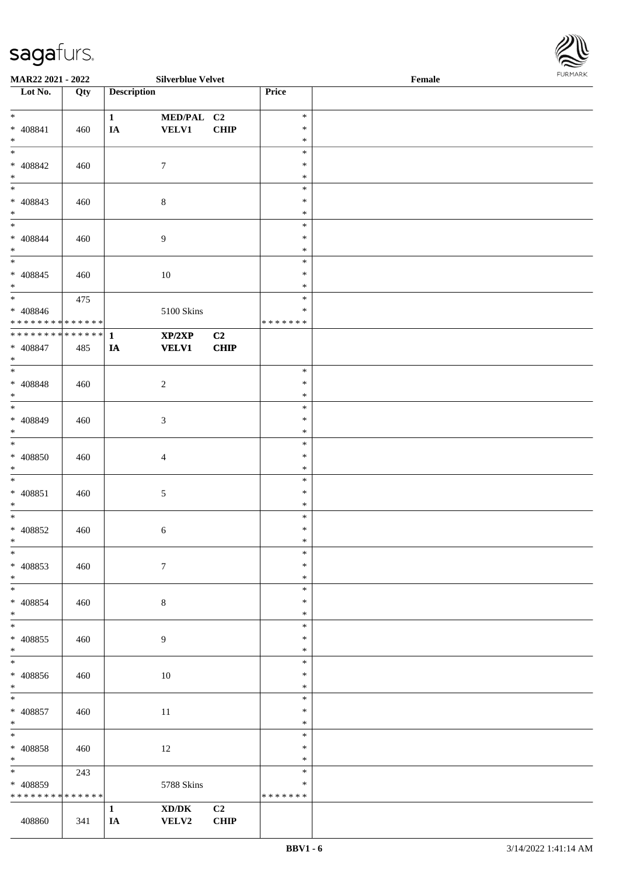

| <b>MAR22 2021 - 2022</b>        |     |                    | <b>Silverblue Velvet</b>           |             |               | Female |  |
|---------------------------------|-----|--------------------|------------------------------------|-------------|---------------|--------|--|
| Lot No.                         | Qty | <b>Description</b> |                                    |             | Price         |        |  |
|                                 |     |                    |                                    |             |               |        |  |
| $*$                             |     | $\mathbf{1}$       | MED/PAL C2                         |             | $\ast$        |        |  |
| $* 408841$                      | 460 | IA                 | <b>VELV1</b>                       | <b>CHIP</b> | $\ast$        |        |  |
| $*$                             |     |                    |                                    |             | $\ast$        |        |  |
|                                 |     |                    |                                    |             | $\ast$        |        |  |
| * 408842                        | 460 |                    | $\tau$                             |             | $\ast$        |        |  |
| $*$                             |     |                    |                                    |             | $\ast$        |        |  |
| $\overline{\phantom{0}}$        |     |                    |                                    |             | $\ast$        |        |  |
| $* 408843$                      | 460 |                    | $\,8\,$                            |             | $\ast$        |        |  |
| $\ast$                          |     |                    |                                    |             | $\ast$        |        |  |
| $*$                             |     |                    |                                    |             | $\ast$        |        |  |
| * 408844                        | 460 |                    | $\boldsymbol{9}$                   |             | $\ast$        |        |  |
| $*$                             |     |                    |                                    |             | $\ast$        |        |  |
| $\overline{\ast}$               |     |                    |                                    |             | $\ast$        |        |  |
| $* 408845$                      | 460 |                    | $10\,$                             |             | $\ast$        |        |  |
| $*$                             |     |                    |                                    |             | $\ast$        |        |  |
| $*$                             | 475 |                    |                                    |             | $\ast$        |        |  |
| * 408846                        |     |                    | 5100 Skins                         |             | $\ast$        |        |  |
| ******** <mark>******</mark>    |     |                    |                                    |             | * * * * * * * |        |  |
| * * * * * * * * * * * * * * *   |     |                    |                                    |             |               |        |  |
|                                 |     | $\mathbf{1}$       | XP/2XP                             | C2          |               |        |  |
| $* 408847$<br>$\ast$            | 485 | IA                 | <b>VELV1</b>                       | <b>CHIP</b> |               |        |  |
| $\overline{\phantom{0}}$        |     |                    |                                    |             | $\ast$        |        |  |
|                                 |     |                    |                                    |             |               |        |  |
| $* 408848$                      | 460 |                    | $\sqrt{2}$                         |             | $\ast$        |        |  |
| $*$<br>$\overline{\phantom{0}}$ |     |                    |                                    |             | $\ast$        |        |  |
|                                 |     |                    |                                    |             | $\ast$        |        |  |
| $* 408849$                      | 460 |                    | 3                                  |             | $\ast$        |        |  |
| $\ast$                          |     |                    |                                    |             | $\ast$        |        |  |
|                                 |     |                    |                                    |             | $\ast$        |        |  |
| $* 408850$                      | 460 |                    | $\overline{4}$                     |             | $\ast$        |        |  |
| $*$                             |     |                    |                                    |             | $\ast$        |        |  |
| $*$                             |     |                    |                                    |             | $\ast$        |        |  |
| $* 408851$                      | 460 |                    | $\sqrt{5}$                         |             | $\ast$        |        |  |
| $*$                             |     |                    |                                    |             | $\ast$        |        |  |
| $*$                             |     |                    |                                    |             | $\ast$        |        |  |
| $* 408852$                      | 460 |                    | 6                                  |             | $\ast$        |        |  |
| $*$                             |     |                    |                                    |             | $\ast$        |        |  |
| $\ast$                          |     |                    |                                    |             | $\ast$        |        |  |
| * 408853                        | 460 |                    | $7\phantom{.0}$                    |             | $\ast$        |        |  |
| $\ast$                          |     |                    |                                    |             | $\ast$        |        |  |
| $*$                             |     |                    |                                    |             | $\ast$        |        |  |
| $* 408854$                      | 460 |                    | $\,8\,$                            |             | $\ast$        |        |  |
| $\ast$                          |     |                    |                                    |             | $\ast$        |        |  |
| $*$                             |     |                    |                                    |             | $\ast$        |        |  |
| $* 408855$                      | 460 |                    | 9                                  |             | $\ast$        |        |  |
| $*$                             |     |                    |                                    |             | $\ast$        |        |  |
| $*$                             |     |                    |                                    |             | $\ast$        |        |  |
| $* 408856$                      | 460 |                    | $10\,$                             |             | $\ast$        |        |  |
| $*$                             |     |                    |                                    |             | $\ast$        |        |  |
| $*$                             |     |                    |                                    |             | $\ast$        |        |  |
| $* 408857$                      | 460 |                    | $11\,$                             |             | $\ast$        |        |  |
| $*$                             |     |                    |                                    |             | $\ast$        |        |  |
| $*$                             |     |                    |                                    |             | $\ast$        |        |  |
| $* 408858$                      |     |                    |                                    |             | $\ast$        |        |  |
| $*$                             | 460 |                    | 12                                 |             | $\ast$        |        |  |
| $*$                             |     |                    |                                    |             | $\ast$        |        |  |
|                                 | 243 |                    |                                    |             |               |        |  |
| * 408859                        |     |                    | 5788 Skins                         |             | ∗             |        |  |
| * * * * * * * * * * * * * *     |     |                    |                                    |             | * * * * * * * |        |  |
|                                 |     | $\mathbf{1}$       | $\boldsymbol{\text{XD}/\text{DK}}$ | C2          |               |        |  |
| 408860                          | 341 | IA                 | VELV2                              | <b>CHIP</b> |               |        |  |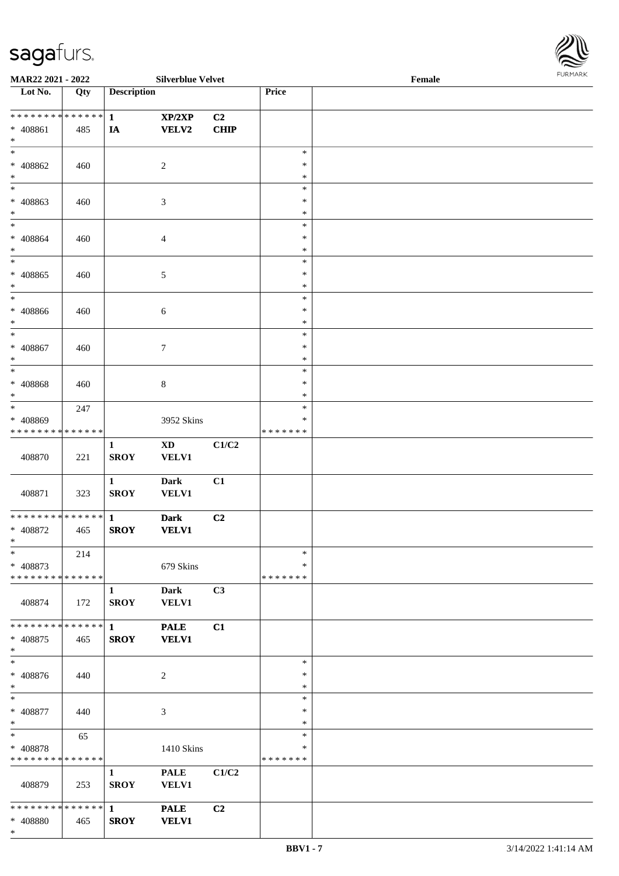

| MAR22 2021 - 2022                       |     |                    | <b>Silverblue Velvet</b> |                |                    | Female |  |
|-----------------------------------------|-----|--------------------|--------------------------|----------------|--------------------|--------|--|
| Lot No.                                 | Qty | <b>Description</b> |                          |                | Price              |        |  |
|                                         |     |                    |                          |                |                    |        |  |
| **************                          |     | $\mathbf{1}$       | XP/2XP                   | C <sub>2</sub> |                    |        |  |
| * 408861                                | 485 | IA                 | <b>VELV2</b>             | <b>CHIP</b>    |                    |        |  |
| $\ast$                                  |     |                    |                          |                |                    |        |  |
| $\ast$                                  |     |                    |                          |                | $\ast$             |        |  |
| * 408862                                | 460 |                    | $\sqrt{2}$               |                | ∗                  |        |  |
| $\ast$                                  |     |                    |                          |                | ∗                  |        |  |
| $_{\ast}$                               |     |                    |                          |                | $\ast$             |        |  |
| * 408863                                | 460 |                    | $\mathfrak{Z}$           |                | $\ast$             |        |  |
| $\ast$                                  |     |                    |                          |                | $\ast$             |        |  |
| $_{\ast}$                               |     |                    |                          |                | $\ast$             |        |  |
| $* 408864$                              | 460 |                    | $\overline{4}$           |                | $\ast$             |        |  |
| $\ast$                                  |     |                    |                          |                | $\ast$             |        |  |
| $\overline{\ast}$                       |     |                    |                          |                | $\ast$             |        |  |
| $* 408865$                              | 460 |                    | $\sqrt{5}$               |                | $\ast$             |        |  |
| $\ast$                                  |     |                    |                          |                | $\ast$             |        |  |
| $\overline{\phantom{1}}$                |     |                    |                          |                | $\ast$             |        |  |
| $* 408866$                              | 460 |                    |                          |                | $\ast$             |        |  |
| $\ast$                                  |     |                    | 6                        |                | $\ast$             |        |  |
| $\ast$                                  |     |                    |                          |                | $\ast$             |        |  |
| $* 408867$                              | 460 |                    | $\tau$                   |                | $\ast$             |        |  |
| $\ast$                                  |     |                    |                          |                | $\ast$             |        |  |
| $\ast$                                  |     |                    |                          |                | $\ast$             |        |  |
|                                         |     |                    |                          |                | $\ast$             |        |  |
| $* 408868$<br>$\ast$                    | 460 |                    | $\,8\,$                  |                |                    |        |  |
| $\ast$                                  |     |                    |                          |                | ∗<br>$\ast$        |        |  |
|                                         | 247 |                    |                          |                |                    |        |  |
| * 408869<br>* * * * * * * * * * * * * * |     |                    | 3952 Skins               |                | ∗<br>* * * * * * * |        |  |
|                                         |     |                    |                          |                |                    |        |  |
|                                         |     | $\mathbf{1}$       | <b>XD</b>                | C1/C2          |                    |        |  |
| 408870                                  | 221 | <b>SROY</b>        | <b>VELV1</b>             |                |                    |        |  |
|                                         |     |                    |                          |                |                    |        |  |
|                                         |     | $\mathbf{1}$       | <b>Dark</b>              | C1             |                    |        |  |
| 408871                                  | 323 | <b>SROY</b>        | <b>VELV1</b>             |                |                    |        |  |
|                                         |     |                    |                          |                |                    |        |  |
| ******** <mark>******</mark>            |     | $\mathbf{1}$       | <b>Dark</b>              | C <sub>2</sub> |                    |        |  |
| * 408872                                | 465 | <b>SROY</b>        | <b>VELV1</b>             |                |                    |        |  |
| $*$                                     |     |                    |                          |                |                    |        |  |
| $*$                                     | 214 |                    |                          |                | $\ast$             |        |  |
| * 408873                                |     |                    | 679 Skins                |                | *                  |        |  |
| * * * * * * * * * * * * * * *           |     |                    |                          |                | * * * * * * *      |        |  |
|                                         |     | $\mathbf{1}$       | Dark                     | C3             |                    |        |  |
| 408874                                  | 172 | <b>SROY</b>        | <b>VELV1</b>             |                |                    |        |  |
|                                         |     |                    |                          |                |                    |        |  |
| * * * * * * * * * * * * * * *           |     | $\mathbf{1}$       | <b>PALE</b>              | C1             |                    |        |  |
| * 408875                                | 465 | <b>SROY</b>        | <b>VELV1</b>             |                |                    |        |  |
| $\ast$<br>$\overline{\ast}$             |     |                    |                          |                |                    |        |  |
|                                         |     |                    |                          |                | $\ast$             |        |  |
| $* 408876$                              | 440 |                    | $\overline{c}$           |                | ∗                  |        |  |
| $*$                                     |     |                    |                          |                | $\ast$             |        |  |
| $*$                                     |     |                    |                          |                | $\ast$             |        |  |
| $* 408877$                              | 440 |                    | 3                        |                | $\ast$             |        |  |
| $*$                                     |     |                    |                          |                | $\ast$             |        |  |
| $\ast$                                  | 65  |                    |                          |                | $\ast$             |        |  |
| * 408878                                |     |                    | 1410 Skins               |                | $\ast$             |        |  |
| * * * * * * * * * * * * * *             |     |                    |                          |                | * * * * * * *      |        |  |
|                                         |     | $\mathbf{1}$       | <b>PALE</b>              | C1/C2          |                    |        |  |
| 408879                                  | 253 | <b>SROY</b>        | <b>VELV1</b>             |                |                    |        |  |
|                                         |     |                    |                          |                |                    |        |  |
| ******** <mark>*******</mark> 1         |     |                    | <b>PALE</b>              | C2             |                    |        |  |
| * 408880                                | 465 | <b>SROY</b>        | <b>VELV1</b>             |                |                    |        |  |
| $*$                                     |     |                    |                          |                |                    |        |  |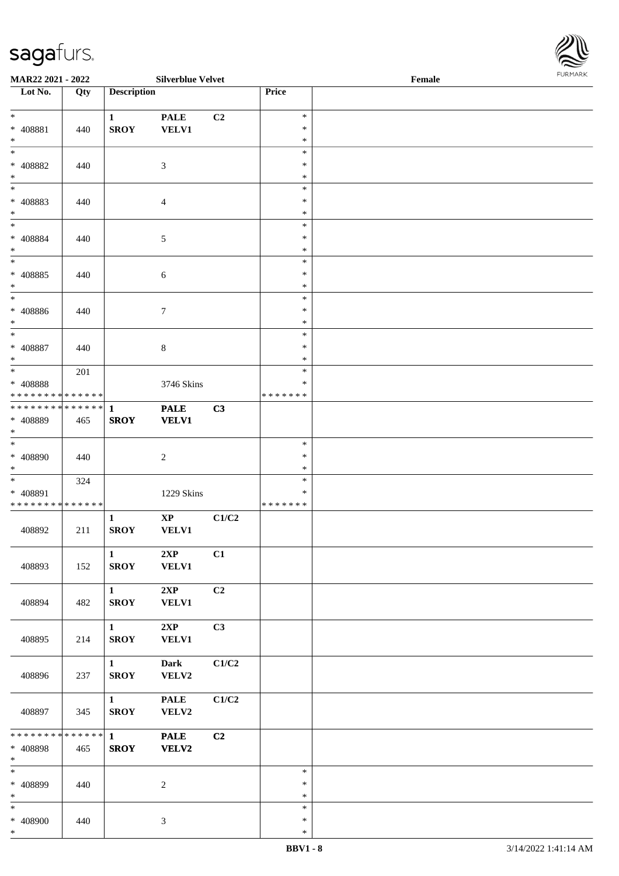

| <b>MAR22 2021 - 2022</b>                                         |     |                                       | <b>Silverblue Velvet</b>               |                |                              | Female |  |
|------------------------------------------------------------------|-----|---------------------------------------|----------------------------------------|----------------|------------------------------|--------|--|
| Lot No.                                                          | Qty | <b>Description</b>                    |                                        |                | Price                        |        |  |
| $\ast$<br>* 408881                                               | 440 | $\mathbf{1}$<br><b>SROY</b>           | <b>PALE</b><br><b>VELV1</b>            | C <sub>2</sub> | $\ast$<br>$\ast$             |        |  |
| $\ast$                                                           |     |                                       |                                        |                | $\ast$                       |        |  |
| * 408882<br>$\ast$                                               | 440 |                                       | $\mathfrak{Z}$                         |                | $\ast$<br>∗<br>$\ast$        |        |  |
| * 408883<br>$\ast$                                               | 440 |                                       | $\overline{4}$                         |                | $\ast$<br>$\ast$<br>$\ast$   |        |  |
| $*$<br>* 408884<br>$*$                                           | 440 |                                       | $\mathfrak{S}$                         |                | $\ast$<br>$\ast$<br>$\ast$   |        |  |
| $\overline{\phantom{0}}$<br>* 408885<br>$\ast$                   | 440 |                                       | $\sqrt{6}$                             |                | $\ast$<br>$\ast$<br>$\ast$   |        |  |
| $\overline{\phantom{0}}$<br>* 408886<br>$*$                      | 440 |                                       | $7\phantom{.0}$                        |                | $\ast$<br>$\ast$<br>$\ast$   |        |  |
| $\overline{\ast}$<br>* 408887<br>$*$                             | 440 |                                       | $8\,$                                  |                | $\ast$<br>$\ast$<br>$\ast$   |        |  |
| * 408888<br>* * * * * * * * <mark>* * * * * *</mark>             | 201 |                                       | 3746 Skins                             |                | $\ast$<br>∗<br>* * * * * * * |        |  |
| * * * * * * * * * * * * * * <mark>*</mark><br>* 408889<br>$\ast$ | 465 | $\mathbf{1}$<br><b>SROY</b>           | <b>PALE</b><br><b>VELV1</b>            | C3             |                              |        |  |
| $\ast$<br>* 408890<br>$*$                                        | 440 |                                       | $\overline{2}$                         |                | $\ast$<br>$\ast$<br>$\ast$   |        |  |
| * 408891<br>* * * * * * * * <mark>* * * * * * *</mark>           | 324 |                                       | 1229 Skins                             |                | $\ast$<br>$\ast$<br>*******  |        |  |
| 408892                                                           | 211 | $\mathbf{1}$<br><b>SROY</b>           | $\mathbf{X}\mathbf{P}$<br><b>VELV1</b> | C1/C2          |                              |        |  |
| 408893                                                           | 152 | $\mathbf{1}$<br><b>SROY</b>           | 2XP<br><b>VELV1</b>                    | C1             |                              |        |  |
| 408894                                                           | 482 | $1 \quad \blacksquare$<br><b>SROY</b> | 2XP<br><b>VELV1</b>                    | C2             |                              |        |  |
| 408895                                                           | 214 | $1 \quad \blacksquare$<br><b>SROY</b> | 2XP<br><b>VELV1</b>                    | C3             |                              |        |  |
| 408896                                                           | 237 | $1 \qquad \qquad$<br><b>SROY</b>      | <b>Dark</b><br>VELV2                   | C1/C2          |                              |        |  |
| 408897                                                           | 345 | $1 \qquad \qquad$<br><b>SROY</b>      | <b>PALE</b><br>VELV2                   | C1/C2          |                              |        |  |
| * 408898<br>$\ast$                                               | 465 | <b>SROY</b>                           | <b>PALE</b><br>VELV2                   | C <sub>2</sub> |                              |        |  |
| $\ast$<br>* 408899<br>$*$                                        | 440 |                                       | 2                                      |                | $\ast$<br>$\ast$<br>$\ast$   |        |  |
| $\ast$<br>* 408900<br>$\ast$                                     | 440 |                                       | $\mathfrak{Z}$                         |                | $\ast$<br>$\ast$<br>$\ast$   |        |  |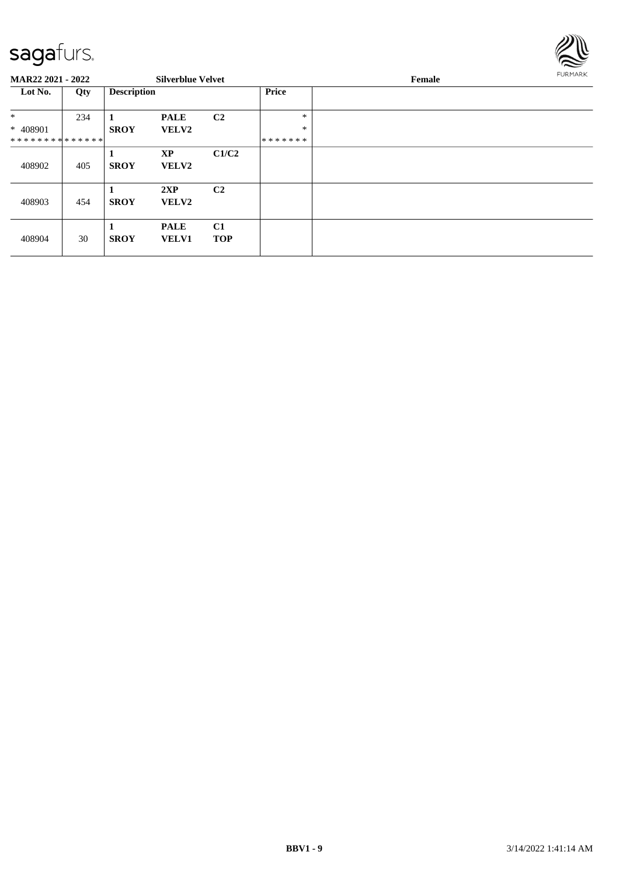

| <b>MAR22 2021 - 2022</b> |     |                    | <b>Silverblue Velvet</b>    |                  |                  | Female | <b>FURMARK</b> |
|--------------------------|-----|--------------------|-----------------------------|------------------|------------------|--------|----------------|
| Lot No.                  | Qty | <b>Description</b> |                             |                  | <b>Price</b>     |        |                |
| $\ast$<br>* 408901       | 234 | <b>SROY</b>        | <b>PALE</b><br><b>VELV2</b> | C <sub>2</sub>   | $\ast$<br>$\ast$ |        |                |
| **************           |     |                    |                             |                  | *******          |        |                |
| 408902                   | 405 | <b>SROY</b>        | XP<br><b>VELV2</b>          | C1/C2            |                  |        |                |
| 408903                   | 454 | <b>SROY</b>        | 2XP<br><b>VELV2</b>         | C <sub>2</sub>   |                  |        |                |
| 408904                   | 30  | <b>SROY</b>        | <b>PALE</b><br><b>VELV1</b> | C1<br><b>TOP</b> |                  |        |                |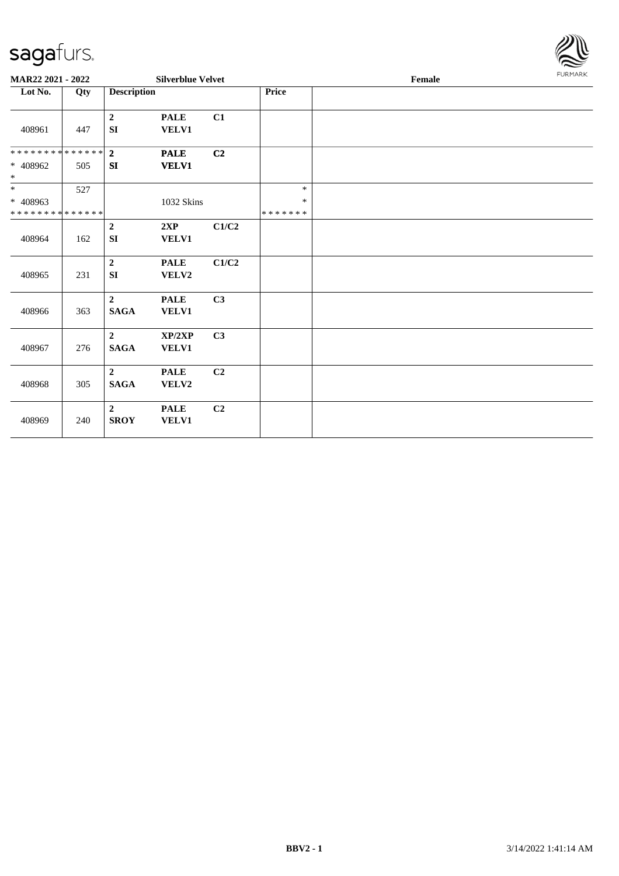

| MAR22 2021 - 2022                                  |     |                               | <b>Silverblue Velvet</b>    |       |                             | Female |  | <b>FURMARK</b> |
|----------------------------------------------------|-----|-------------------------------|-----------------------------|-------|-----------------------------|--------|--|----------------|
| Lot No.<br>Qty                                     |     | <b>Description</b>            |                             |       | Price                       |        |  |                |
| 408961                                             | 447 | $\mathbf 2$<br><b>SI</b>      | <b>PALE</b><br><b>VELV1</b> | C1    |                             |        |  |                |
| * * * * * * * * * * * * * * *<br>$* 408962$<br>$*$ | 505 | $\overline{2}$<br>SI          | <b>PALE</b><br><b>VELV1</b> | C2    |                             |        |  |                |
| $*$<br>$* 408963$<br>* * * * * * * * * * * * * *   | 527 |                               | 1032 Skins                  |       | $\ast$<br>$\ast$<br>******* |        |  |                |
| 408964                                             | 162 | $\boldsymbol{2}$<br>SI        | 2XP<br>VELV1                | C1/C2 |                             |        |  |                |
| 408965                                             | 231 | $\overline{2}$<br>SI          | <b>PALE</b><br>VELV2        | C1/C2 |                             |        |  |                |
| 408966                                             | 363 | $\overline{2}$<br><b>SAGA</b> | <b>PALE</b><br>VELV1        | C3    |                             |        |  |                |
| 408967                                             | 276 | $\overline{2}$<br><b>SAGA</b> | XP/2XP<br><b>VELV1</b>      | C3    |                             |        |  |                |
| 408968                                             | 305 | $\overline{2}$<br><b>SAGA</b> | <b>PALE</b><br>VELV2        | C2    |                             |        |  |                |
| 408969                                             | 240 | $\overline{2}$<br><b>SROY</b> | <b>PALE</b><br><b>VELV1</b> | C2    |                             |        |  |                |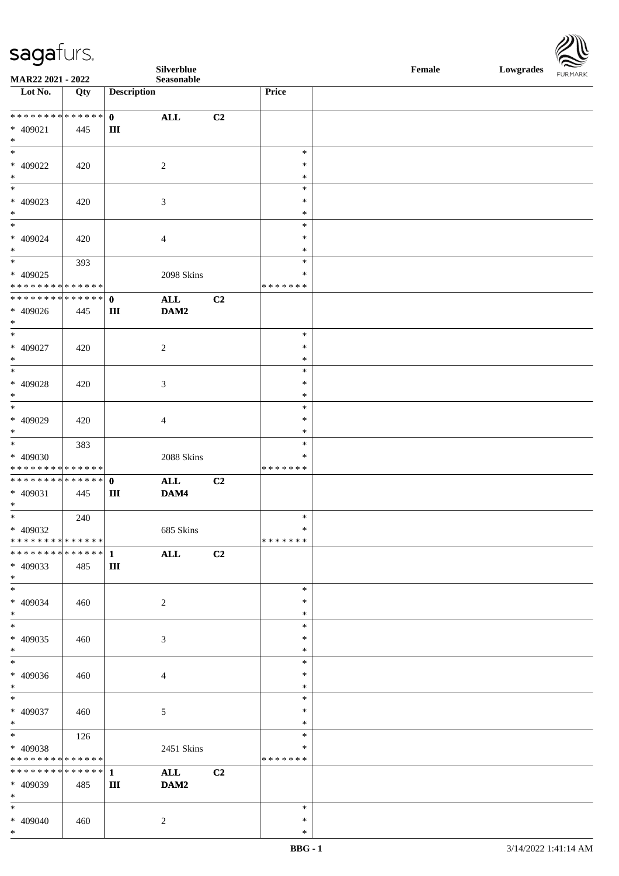| MAR22 2021 - 2022                       |             |                    | Silverblue     |                |                         | Female | Lowgrades FURMARK |  |
|-----------------------------------------|-------------|--------------------|----------------|----------------|-------------------------|--------|-------------------|--|
|                                         |             |                    | Seasonable     |                |                         |        |                   |  |
| Lot No.                                 | Qty         | <b>Description</b> |                |                | Price                   |        |                   |  |
| ******** <mark>******</mark>            |             | $\mathbf{0}$       |                | C2             |                         |        |                   |  |
| * 409021                                | 445         | Ш                  | ALL            |                |                         |        |                   |  |
| $\ast$                                  |             |                    |                |                |                         |        |                   |  |
| $\overline{\phantom{0}}$                |             |                    |                |                | $\ast$                  |        |                   |  |
| $* 409022$                              | 420         |                    | $\sqrt{2}$     |                | $\ast$                  |        |                   |  |
| $*$                                     |             |                    |                |                | $\ast$                  |        |                   |  |
| $\overline{\phantom{0}}$                |             |                    |                |                | $\ast$                  |        |                   |  |
| $* 409023$                              | 420         |                    | $\mathfrak{Z}$ |                | $\ast$                  |        |                   |  |
| $\ast$                                  |             |                    |                |                | $\ast$                  |        |                   |  |
| $\overline{\ast}$                       |             |                    |                |                | $\ast$                  |        |                   |  |
| * 409024                                | 420         |                    | $\overline{4}$ |                | $\ast$                  |        |                   |  |
| $*$                                     |             |                    |                |                | $\ast$                  |        |                   |  |
| $\overline{\phantom{a}^*}$              | 393         |                    |                |                | $\ast$                  |        |                   |  |
| * 409025                                |             |                    | 2098 Skins     |                | ∗                       |        |                   |  |
| * * * * * * * * * * * * * *             |             |                    |                |                | * * * * * * *           |        |                   |  |
| * * * * * * * * * * * * * * *           |             | $\mathbf{0}$       | $\mathbf{ALL}$ | C2             |                         |        |                   |  |
| * 409026<br>$*$                         | 445         | Ш                  | DAM2           |                |                         |        |                   |  |
| $*$                                     |             |                    |                |                | $\ast$                  |        |                   |  |
| * 409027                                | 420         |                    | $\overline{c}$ |                | $\ast$                  |        |                   |  |
| $*$                                     |             |                    |                |                | $\ast$                  |        |                   |  |
| $\overline{\phantom{0}}$                |             |                    |                |                | $\ast$                  |        |                   |  |
| $* 409028$                              | 420         |                    | $\mathfrak{Z}$ |                | $\ast$                  |        |                   |  |
| $*$                                     |             |                    |                |                | $\ast$                  |        |                   |  |
| $*$                                     |             |                    |                |                | $\ast$                  |        |                   |  |
| $* 409029$                              | 420         |                    | $\overline{4}$ |                | $\ast$                  |        |                   |  |
| $*$                                     |             |                    |                |                | $\ast$                  |        |                   |  |
| $*$                                     | 383         |                    |                |                | $\ast$                  |        |                   |  |
| * 409030                                |             |                    | 2088 Skins     |                | $\ast$                  |        |                   |  |
| * * * * * * * * * * * * * *             |             |                    |                |                | * * * * * * *           |        |                   |  |
| ******** <mark>******</mark>            |             | $\mathbf{0}$       | ALL            | C2             |                         |        |                   |  |
| * 409031                                | 445         | Ш                  | DAM4           |                |                         |        |                   |  |
| $*$<br>$*$                              |             |                    |                |                | $\ast$                  |        |                   |  |
| * 409032                                | 240         |                    | 685 Skins      |                | $\ast$                  |        |                   |  |
| * * * * * * * * * * * * * *             |             |                    |                |                | *******                 |        |                   |  |
| * * * * * * * *                         | * * * * * * | $\mathbf{1}$       | $\mathbf{ALL}$ | C <sub>2</sub> |                         |        |                   |  |
| * 409033                                | 485         | $\mathbf{III}$     |                |                |                         |        |                   |  |
| $*$                                     |             |                    |                |                |                         |        |                   |  |
| $\overline{\phantom{0}}$                |             |                    |                |                | $\ast$                  |        |                   |  |
| $* 409034$                              | 460         |                    | 2              |                | $\ast$                  |        |                   |  |
| $*$                                     |             |                    |                |                | $\ast$                  |        |                   |  |
| $\ast$                                  |             |                    |                |                | $\ast$                  |        |                   |  |
| $* 409035$                              | 460         |                    | $\mathfrak{Z}$ |                | $\ast$                  |        |                   |  |
| $*$                                     |             |                    |                |                | $\ast$                  |        |                   |  |
| $\ast$                                  |             |                    |                |                | $\ast$                  |        |                   |  |
| * 409036                                | 460         |                    | 4              |                | $\ast$                  |        |                   |  |
| $*$                                     |             |                    |                |                | $\ast$                  |        |                   |  |
| $\ast$                                  |             |                    |                |                | $\ast$                  |        |                   |  |
| * 409037                                | 460         |                    | 5              |                | ∗                       |        |                   |  |
| $*$                                     |             |                    |                |                | $\ast$<br>$\ast$        |        |                   |  |
| $*$                                     | 126         |                    |                |                |                         |        |                   |  |
| * 409038<br>* * * * * * * * * * * * * * |             |                    | 2451 Skins     |                | $\ast$<br>* * * * * * * |        |                   |  |
| * * * * * * * * * * * * * * *           |             | 1                  | ALL            | C <sub>2</sub> |                         |        |                   |  |
| * 409039                                |             |                    | DAM2           |                |                         |        |                   |  |
| $\ast$                                  | 485         | $\mathbf{III}$     |                |                |                         |        |                   |  |
| $\ast$                                  |             |                    |                |                | $\ast$                  |        |                   |  |
| $* 409040$                              | 460         |                    | 2              |                | $\ast$                  |        |                   |  |
| $*$                                     |             |                    |                |                | $\ast$                  |        |                   |  |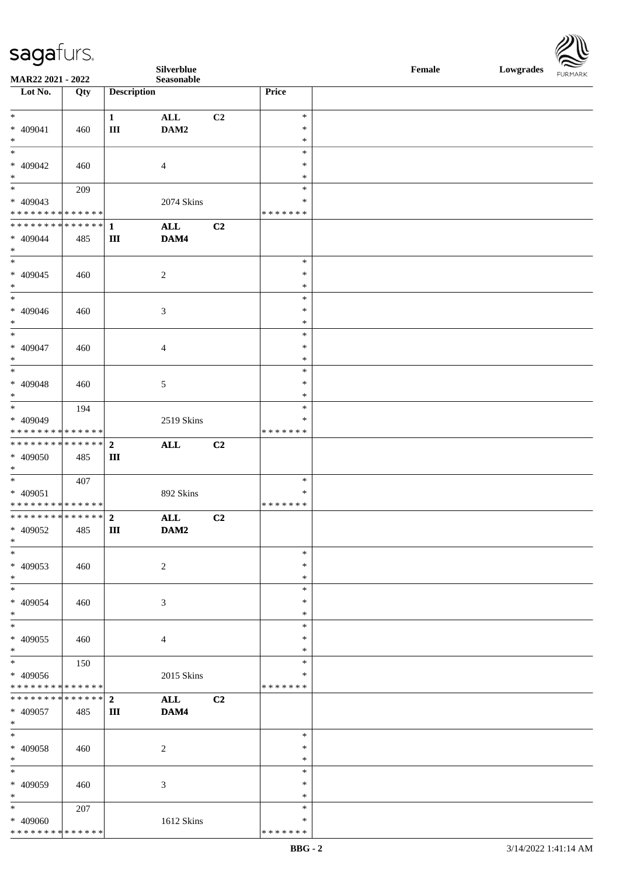| $\overline{\phantom{a}}$                        |                    |                           | <b>Silverblue</b>      |                |                         | Female | Lowgrades | $\sim$<br>FURMARK |
|-------------------------------------------------|--------------------|---------------------------|------------------------|----------------|-------------------------|--------|-----------|-------------------|
| MAR22 2021 - 2022                               |                    |                           | Seasonable             |                |                         |        |           |                   |
| Lot No.                                         | Qty                | <b>Description</b>        |                        |                | Price                   |        |           |                   |
| $\ast$                                          |                    |                           |                        |                | $\ast$                  |        |           |                   |
| * 409041                                        | 460                | $\mathbf{1}$<br>$\rm III$ | $\mathbf{ALL}$<br>DAM2 | C <sub>2</sub> | $\ast$                  |        |           |                   |
| $\ast$                                          |                    |                           |                        |                | $\ast$                  |        |           |                   |
| $\ast$                                          |                    |                           |                        |                | $\ast$                  |        |           |                   |
| * 409042                                        | 460                |                           | 4                      |                | $\ast$                  |        |           |                   |
| $\ast$                                          |                    |                           |                        |                | $\ast$                  |        |           |                   |
| $\overline{\phantom{0}}$                        | 209                |                           |                        |                | $\ast$                  |        |           |                   |
| $* 409043$<br>* * * * * * * * * * * * * *       |                    |                           | 2074 Skins             |                | $\ast$<br>* * * * * * * |        |           |                   |
| * * * * * * * * * * * * * * *                   |                    | $\mathbf{1}$              | ALL                    | C2             |                         |        |           |                   |
| * 409044                                        | 485                | $\mathbf{III}$            | DAM4                   |                |                         |        |           |                   |
| $\ast$                                          |                    |                           |                        |                |                         |        |           |                   |
| $\overline{\phantom{0}}$                        |                    |                           |                        |                | $\ast$                  |        |           |                   |
| $* 409045$                                      | 460                |                           | $\overline{c}$         |                | $\ast$                  |        |           |                   |
| $\ast$<br>$_{\ast}^{-}$                         |                    |                           |                        |                | $\ast$                  |        |           |                   |
|                                                 |                    |                           |                        |                | $\ast$<br>$\ast$        |        |           |                   |
| $* 409046$<br>$\ast$                            | 460                |                           | 3                      |                | $\ast$                  |        |           |                   |
| $\ast$                                          |                    |                           |                        |                | $\ast$                  |        |           |                   |
| * 409047                                        | 460                |                           | 4                      |                | $\ast$                  |        |           |                   |
| $\ast$                                          |                    |                           |                        |                | $\ast$                  |        |           |                   |
| $\ast$                                          |                    |                           |                        |                | $\ast$                  |        |           |                   |
| * 409048                                        | 460                |                           | 5                      |                | $\ast$                  |        |           |                   |
| $\ast$                                          |                    |                           |                        |                | $\ast$                  |        |           |                   |
| $\ast$                                          | 194                |                           |                        |                | $\ast$<br>$\ast$        |        |           |                   |
| * 409049<br>* * * * * * * * * * * * * *         |                    |                           | 2519 Skins             |                | * * * * * * *           |        |           |                   |
| **************                                  |                    | $\overline{\mathbf{2}}$   | $\mathbf{ALL}$         | C2             |                         |        |           |                   |
| * 409050                                        | 485                | Ш                         |                        |                |                         |        |           |                   |
| $\ast$                                          |                    |                           |                        |                |                         |        |           |                   |
| $\ast$                                          | 407                |                           |                        |                | $\ast$                  |        |           |                   |
| * 409051                                        |                    |                           | 892 Skins              |                | ∗                       |        |           |                   |
| * * * * * * * * * * * * * *<br>************** 2 |                    |                           | ALL                    | C <sub>2</sub> | * * * * * * *           |        |           |                   |
| * 409052                                        | 485   $\text{III}$ |                           | DAM2                   |                |                         |        |           |                   |
| $\ast$                                          |                    |                           |                        |                |                         |        |           |                   |
| $\ast$                                          |                    |                           |                        |                | $\ast$                  |        |           |                   |
| $* 409053$                                      | 460                |                           | 2                      |                | $\ast$                  |        |           |                   |
| $\ast$                                          |                    |                           |                        |                | $\ast$                  |        |           |                   |
| $\ast$                                          |                    |                           |                        |                | $\ast$                  |        |           |                   |
| $* 409054$<br>$\ast$                            | 460                |                           | 3                      |                | $\ast$<br>∗             |        |           |                   |
| $\ast$                                          |                    |                           |                        |                | $\ast$                  |        |           |                   |
| $* 409055$                                      | 460                |                           | 4                      |                | $\ast$                  |        |           |                   |
| $\ast$                                          |                    |                           |                        |                | $\ast$                  |        |           |                   |
| $\overline{\phantom{0}}$                        | 150                |                           |                        |                | $\ast$                  |        |           |                   |
| * 409056                                        |                    |                           | 2015 Skins             |                | ∗                       |        |           |                   |
| * * * * * * * * * * * * * *                     |                    |                           |                        |                | * * * * * * *           |        |           |                   |
| * * * * * * * * * * * * * * *                   |                    | $\mathbf{2}$              | $\mathbf{ALL}$         | C2             |                         |        |           |                   |
| * 409057<br>$*$                                 | 485                | $\rm III$                 | DAM4                   |                |                         |        |           |                   |
| $\ast$                                          |                    |                           |                        |                | $\ast$                  |        |           |                   |
| $* 409058$                                      | 460                |                           | $\overline{c}$         |                | $\ast$                  |        |           |                   |
| $*$                                             |                    |                           |                        |                | $\ast$                  |        |           |                   |
| $*$                                             |                    |                           |                        |                | $\ast$                  |        |           |                   |
| * 409059                                        | 460                |                           | 3                      |                | $\ast$                  |        |           |                   |
| $*$                                             |                    |                           |                        |                | $\ast$                  |        |           |                   |
| $\ast$                                          | 207                |                           |                        |                | $\ast$<br>∗             |        |           |                   |
| * 409060<br>* * * * * * * * * * * * * *         |                    |                           | 1612 Skins             |                | * * * * * * *           |        |           |                   |
|                                                 |                    |                           |                        |                |                         |        |           |                   |